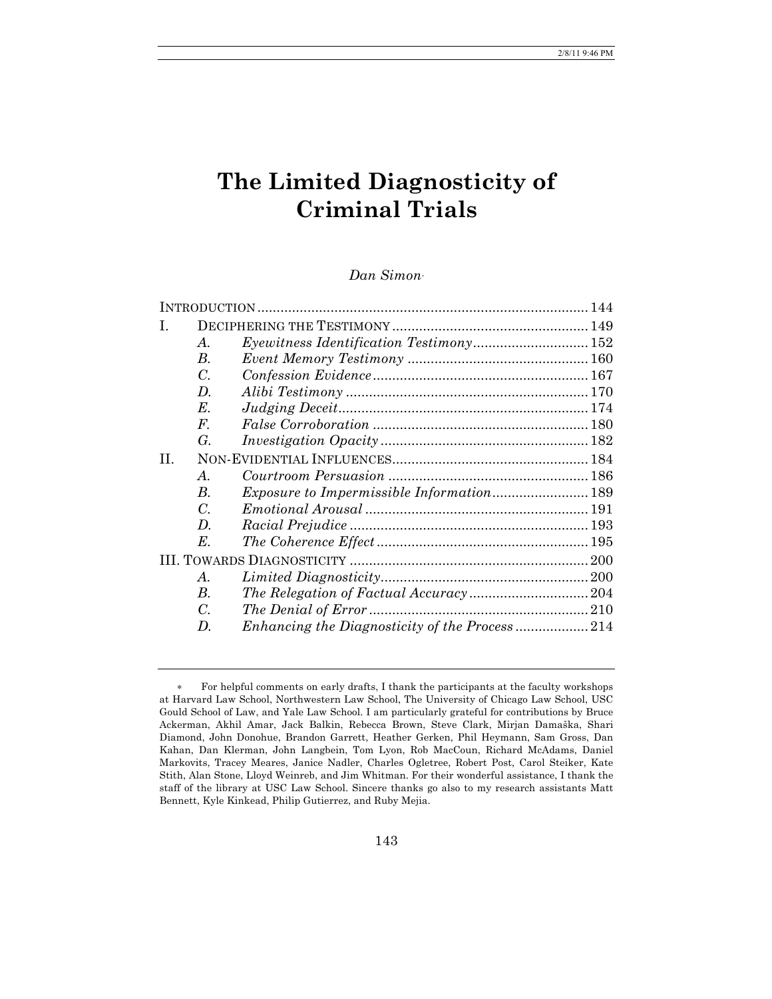# **The Limited Diagnosticity of Criminal Trials**

# *Dan Simon*<sup>∗</sup>

| $\bm{A}$ .         |  |  |
|--------------------|--|--|
| В.                 |  |  |
| C.                 |  |  |
| $\boldsymbol{D}$ . |  |  |
| $E_{\cdot}$        |  |  |
| $F_{\cdot}$        |  |  |
| G.                 |  |  |
| П.                 |  |  |
| $\bm{A}$ .         |  |  |
| $\boldsymbol{B}$ . |  |  |
| C.                 |  |  |
| D.                 |  |  |
| Е.                 |  |  |
|                    |  |  |
| $\mathcal{A}$ .    |  |  |
| В.                 |  |  |
| C.                 |  |  |
| D.                 |  |  |
|                    |  |  |

<sup>∗</sup> For helpful comments on early drafts, I thank the participants at the faculty workshops at Harvard Law School, Northwestern Law School, The University of Chicago Law School, USC Gould School of Law, and Yale Law School. I am particularly grateful for contributions by Bruce Ackerman, Akhil Amar, Jack Balkin, Rebecca Brown, Steve Clark, Mirjan Damaška, Shari Diamond, John Donohue, Brandon Garrett, Heather Gerken, Phil Heymann, Sam Gross, Dan Kahan, Dan Klerman, John Langbein, Tom Lyon, Rob MacCoun, Richard McAdams, Daniel Markovits, Tracey Meares, Janice Nadler, Charles Ogletree, Robert Post, Carol Steiker, Kate Stith, Alan Stone, Lloyd Weinreb, and Jim Whitman. For their wonderful assistance, I thank the staff of the library at USC Law School. Sincere thanks go also to my research assistants Matt Bennett, Kyle Kinkead, Philip Gutierrez, and Ruby Mejia.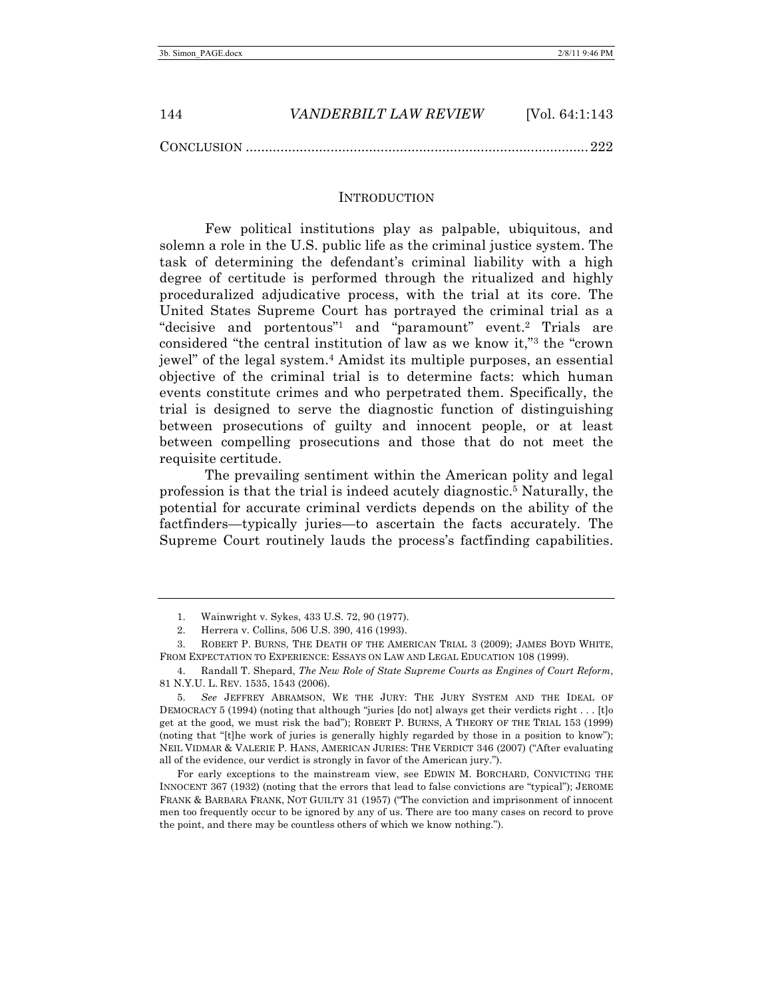#### INTRODUCTION

Few political institutions play as palpable, ubiquitous, and solemn a role in the U.S. public life as the criminal justice system. The task of determining the defendant's criminal liability with a high degree of certitude is performed through the ritualized and highly proceduralized adjudicative process, with the trial at its core. The United States Supreme Court has portrayed the criminal trial as a "decisive and portentous"1 and "paramount" event.2 Trials are considered "the central institution of law as we know it,"3 the "crown jewel" of the legal system.4 Amidst its multiple purposes, an essential objective of the criminal trial is to determine facts: which human events constitute crimes and who perpetrated them. Specifically, the trial is designed to serve the diagnostic function of distinguishing between prosecutions of guilty and innocent people, or at least between compelling prosecutions and those that do not meet the requisite certitude.

The prevailing sentiment within the American polity and legal profession is that the trial is indeed acutely diagnostic. <sup>5</sup> Naturally, the potential for accurate criminal verdicts depends on the ability of the factfinders—typically juries—to ascertain the facts accurately. The Supreme Court routinely lauds the process's factfinding capabilities.

<sup>1.</sup> Wainwright v. Sykes, 433 U.S. 72, 90 (1977).

<sup>2.</sup> Herrera v. Collins, 506 U.S. 390, 416 (1993).

<sup>3.</sup> ROBERT P. BURNS, THE DEATH OF THE AMERICAN TRIAL 3 (2009); JAMES BOYD WHITE, FROM EXPECTATION TO EXPERIENCE: ESSAYS ON LAW AND LEGAL EDUCATION 108 (1999).

<sup>4.</sup> Randall T. Shepard, *The New Role of State Supreme Courts as Engines of Court Reform*, 81 N.Y.U. L. REV. 1535, 1543 (2006).

<sup>5.</sup> *See* JEFFREY ABRAMSON, WE THE JURY: THE JURY SYSTEM AND THE IDEAL OF DEMOCRACY 5 (1994) (noting that although "juries [do not] always get their verdicts right . . . [t]o get at the good, we must risk the bad"); ROBERT P. BURNS, A THEORY OF THE TRIAL 153 (1999) (noting that "[t]he work of juries is generally highly regarded by those in a position to know"); NEIL VIDMAR & VALERIE P. HANS, AMERICAN JURIES: THE VERDICT 346 (2007) ("After evaluating all of the evidence, our verdict is strongly in favor of the American jury.").

For early exceptions to the mainstream view, see EDWIN M. BORCHARD, CONVICTING THE INNOCENT 367 (1932) (noting that the errors that lead to false convictions are "typical"); JEROME FRANK & BARBARA FRANK, NOT GUILTY 31 (1957) ("The conviction and imprisonment of innocent men too frequently occur to be ignored by any of us. There are too many cases on record to prove the point, and there may be countless others of which we know nothing.").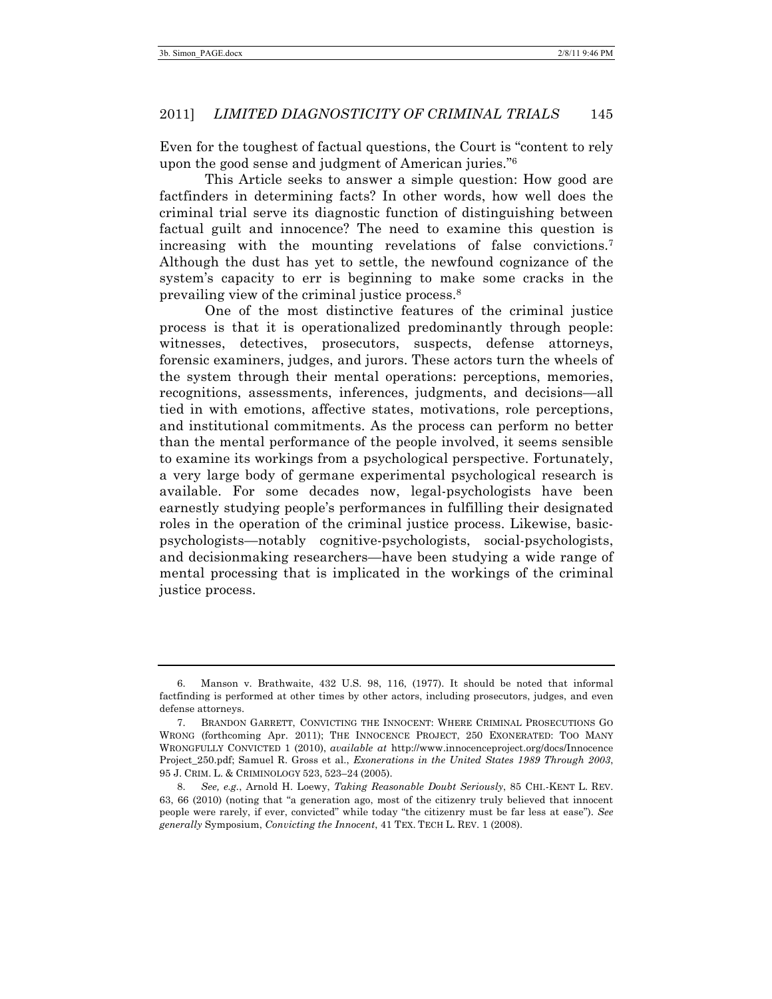Even for the toughest of factual questions, the Court is "content to rely upon the good sense and judgment of American juries."6

This Article seeks to answer a simple question: How good are factfinders in determining facts? In other words, how well does the criminal trial serve its diagnostic function of distinguishing between factual guilt and innocence? The need to examine this question is increasing with the mounting revelations of false convictions.7 Although the dust has yet to settle, the newfound cognizance of the system's capacity to err is beginning to make some cracks in the prevailing view of the criminal justice process.8

One of the most distinctive features of the criminal justice process is that it is operationalized predominantly through people: witnesses, detectives, prosecutors, suspects, defense attorneys, forensic examiners, judges, and jurors. These actors turn the wheels of the system through their mental operations: perceptions, memories, recognitions, assessments, inferences, judgments, and decisions—all tied in with emotions, affective states, motivations, role perceptions, and institutional commitments. As the process can perform no better than the mental performance of the people involved, it seems sensible to examine its workings from a psychological perspective. Fortunately, a very large body of germane experimental psychological research is available. For some decades now, legal-psychologists have been earnestly studying people's performances in fulfilling their designated roles in the operation of the criminal justice process. Likewise, basicpsychologists—notably cognitive-psychologists, social-psychologists, and decisionmaking researchers—have been studying a wide range of mental processing that is implicated in the workings of the criminal justice process.

<sup>6.</sup> Manson v. Brathwaite, 432 U.S. 98, 116, (1977). It should be noted that informal factfinding is performed at other times by other actors, including prosecutors, judges, and even defense attorneys.

<sup>7.</sup> BRANDON GARRETT, CONVICTING THE INNOCENT: WHERE CRIMINAL PROSECUTIONS GO WRONG (forthcoming Apr. 2011); THE INNOCENCE PROJECT, 250 EXONERATED: TOO MANY WRONGFULLY CONVICTED 1 (2010), *available at* http://www.innocenceproject.org/docs/Innocence Project\_250.pdf; Samuel R. Gross et al., *Exonerations in the United States 1989 Through 2003*, 95 J. CRIM. L. & CRIMINOLOGY 523, 523–24 (2005).

<sup>8.</sup> *See, e.g.*, Arnold H. Loewy, *Taking Reasonable Doubt Seriously*, 85 CHI.-KENT L. REV. 63, 66 (2010) (noting that "a generation ago, most of the citizenry truly believed that innocent people were rarely, if ever, convicted" while today "the citizenry must be far less at ease"). *See generally* Symposium, *Convicting the Innocent*, 41 TEX. TECH L. REV. 1 (2008).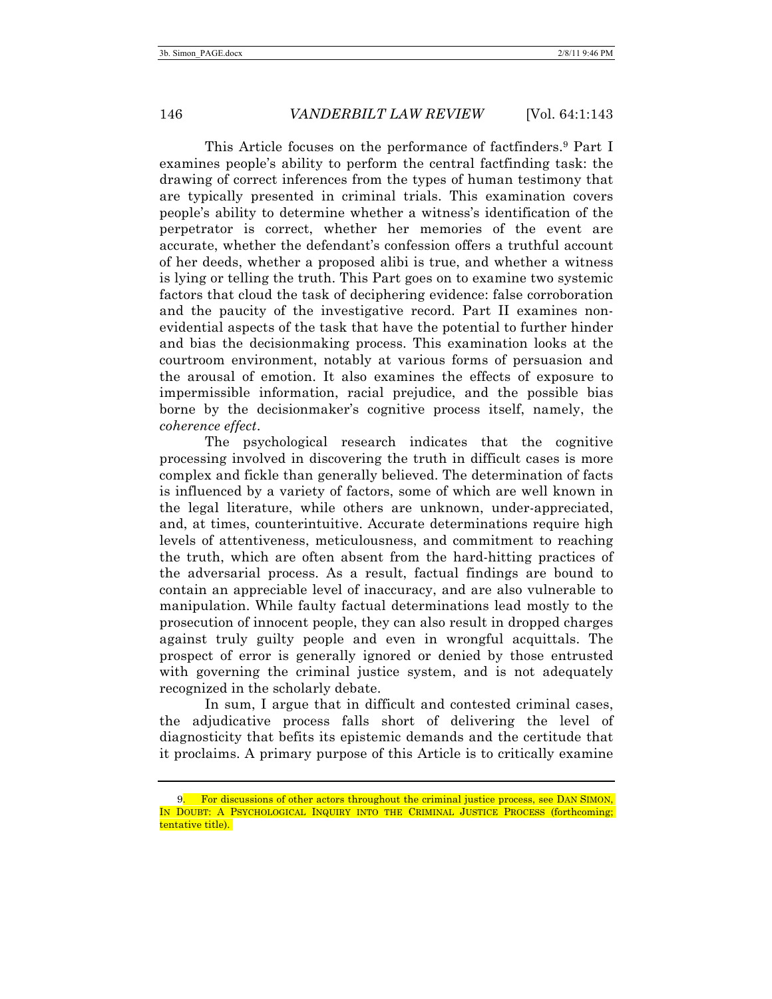This Article focuses on the performance of factfinders.<sup>9</sup> Part I examines people's ability to perform the central factfinding task: the drawing of correct inferences from the types of human testimony that are typically presented in criminal trials. This examination covers people's ability to determine whether a witness's identification of the perpetrator is correct, whether her memories of the event are accurate, whether the defendant's confession offers a truthful account of her deeds, whether a proposed alibi is true, and whether a witness is lying or telling the truth. This Part goes on to examine two systemic factors that cloud the task of deciphering evidence: false corroboration and the paucity of the investigative record. Part II examines nonevidential aspects of the task that have the potential to further hinder and bias the decisionmaking process. This examination looks at the courtroom environment, notably at various forms of persuasion and the arousal of emotion. It also examines the effects of exposure to impermissible information, racial prejudice, and the possible bias borne by the decisionmaker's cognitive process itself, namely, the *coherence effect*.

The psychological research indicates that the cognitive processing involved in discovering the truth in difficult cases is more complex and fickle than generally believed. The determination of facts is influenced by a variety of factors, some of which are well known in the legal literature, while others are unknown, under-appreciated, and, at times, counterintuitive. Accurate determinations require high levels of attentiveness, meticulousness, and commitment to reaching the truth, which are often absent from the hard-hitting practices of the adversarial process. As a result, factual findings are bound to contain an appreciable level of inaccuracy, and are also vulnerable to manipulation. While faulty factual determinations lead mostly to the prosecution of innocent people, they can also result in dropped charges against truly guilty people and even in wrongful acquittals. The prospect of error is generally ignored or denied by those entrusted with governing the criminal justice system, and is not adequately recognized in the scholarly debate.

In sum, I argue that in difficult and contested criminal cases, the adjudicative process falls short of delivering the level of diagnosticity that befits its epistemic demands and the certitude that it proclaims. A primary purpose of this Article is to critically examine

<sup>9.</sup> For discussions of other actors throughout the criminal justice process, see DAN SIMON, IN DOUBT: A PSYCHOLOGICAL INQUIRY INTO THE CRIMINAL JUSTICE PROCESS (forthcoming; tentative title).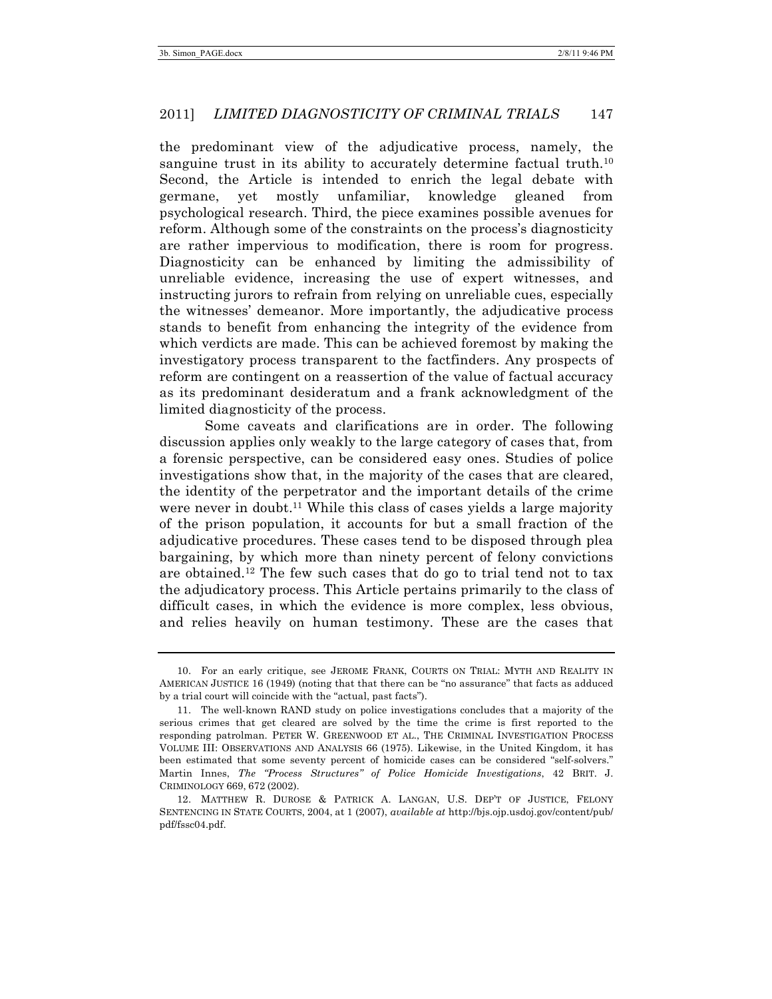the predominant view of the adjudicative process, namely, the sanguine trust in its ability to accurately determine factual truth.<sup>10</sup> Second, the Article is intended to enrich the legal debate with germane, yet mostly unfamiliar, knowledge gleaned from psychological research. Third, the piece examines possible avenues for reform. Although some of the constraints on the process's diagnosticity are rather impervious to modification, there is room for progress. Diagnosticity can be enhanced by limiting the admissibility of unreliable evidence, increasing the use of expert witnesses, and instructing jurors to refrain from relying on unreliable cues, especially the witnesses' demeanor. More importantly, the adjudicative process stands to benefit from enhancing the integrity of the evidence from which verdicts are made. This can be achieved foremost by making the investigatory process transparent to the factfinders. Any prospects of reform are contingent on a reassertion of the value of factual accuracy as its predominant desideratum and a frank acknowledgment of the limited diagnosticity of the process.

Some caveats and clarifications are in order. The following discussion applies only weakly to the large category of cases that, from a forensic perspective, can be considered easy ones. Studies of police investigations show that, in the majority of the cases that are cleared, the identity of the perpetrator and the important details of the crime were never in doubt.<sup>11</sup> While this class of cases yields a large majority of the prison population, it accounts for but a small fraction of the adjudicative procedures. These cases tend to be disposed through plea bargaining, by which more than ninety percent of felony convictions are obtained.<sup>12</sup> The few such cases that do go to trial tend not to tax the adjudicatory process. This Article pertains primarily to the class of difficult cases, in which the evidence is more complex, less obvious, and relies heavily on human testimony. These are the cases that

<sup>10.</sup> For an early critique, see JEROME FRANK, COURTS ON TRIAL: MYTH AND REALITY IN AMERICAN JUSTICE 16 (1949) (noting that that there can be "no assurance" that facts as adduced by a trial court will coincide with the "actual, past facts").

<sup>11.</sup> The well-known RAND study on police investigations concludes that a majority of the serious crimes that get cleared are solved by the time the crime is first reported to the responding patrolman. PETER W. GREENWOOD ET AL., THE CRIMINAL INVESTIGATION PROCESS VOLUME III: OBSERVATIONS AND ANALYSIS 66 (1975). Likewise, in the United Kingdom, it has been estimated that some seventy percent of homicide cases can be considered "self-solvers." Martin Innes, *The "Process Structures" of Police Homicide Investigations*, 42 BRIT. J. CRIMINOLOGY 669, 672 (2002).

<sup>12.</sup> MATTHEW R. DUROSE & PATRICK A. LANGAN, U.S. DEP'T OF JUSTICE, FELONY SENTENCING IN STATE COURTS, 2004, at 1 (2007), *available at* http://bjs.ojp.usdoj.gov/content/pub/ pdf/fssc04.pdf.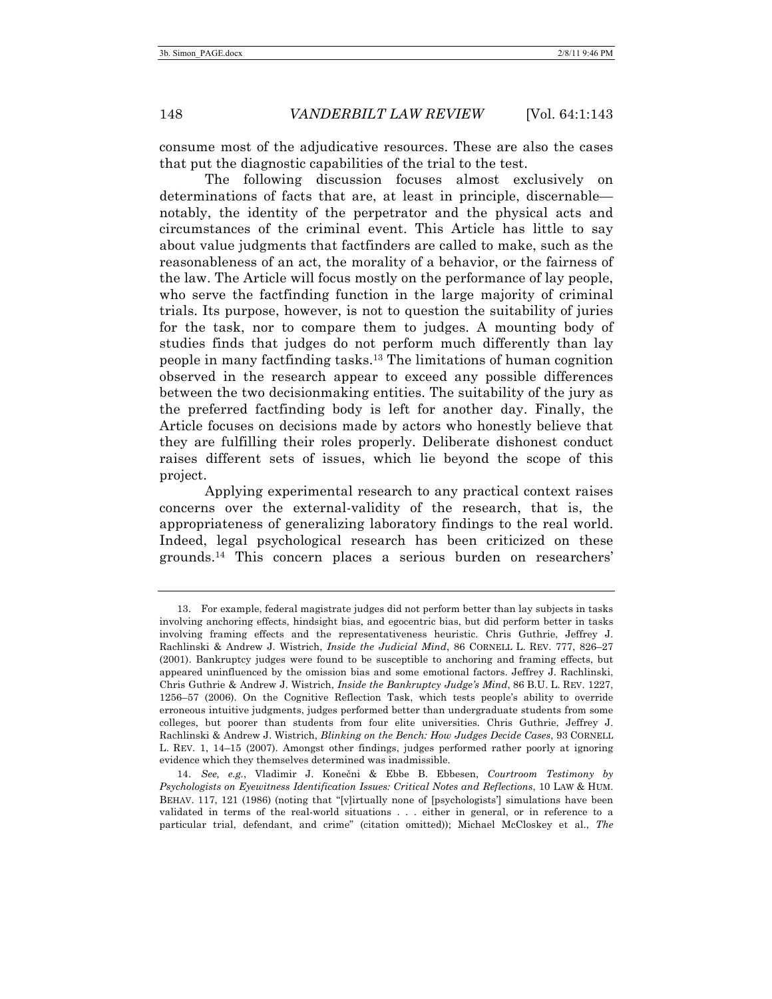consume most of the adjudicative resources. These are also the cases that put the diagnostic capabilities of the trial to the test.

The following discussion focuses almost exclusively on determinations of facts that are, at least in principle, discernable notably, the identity of the perpetrator and the physical acts and circumstances of the criminal event. This Article has little to say about value judgments that factfinders are called to make, such as the reasonableness of an act, the morality of a behavior, or the fairness of the law. The Article will focus mostly on the performance of lay people, who serve the factfinding function in the large majority of criminal trials. Its purpose, however, is not to question the suitability of juries for the task, nor to compare them to judges. A mounting body of studies finds that judges do not perform much differently than lay people in many factfinding tasks.13 The limitations of human cognition observed in the research appear to exceed any possible differences between the two decisionmaking entities. The suitability of the jury as the preferred factfinding body is left for another day. Finally, the Article focuses on decisions made by actors who honestly believe that they are fulfilling their roles properly. Deliberate dishonest conduct raises different sets of issues, which lie beyond the scope of this project.

Applying experimental research to any practical context raises concerns over the external-validity of the research, that is, the appropriateness of generalizing laboratory findings to the real world. Indeed, legal psychological research has been criticized on these grounds.14 This concern places a serious burden on researchers'

<sup>13.</sup> For example, federal magistrate judges did not perform better than lay subjects in tasks involving anchoring effects, hindsight bias, and egocentric bias, but did perform better in tasks involving framing effects and the representativeness heuristic. Chris Guthrie, Jeffrey J. Rachlinski & Andrew J. Wistrich, *Inside the Judicial Mind*, 86 CORNELL L. REV. 777, 826–27 (2001). Bankruptcy judges were found to be susceptible to anchoring and framing effects, but appeared uninfluenced by the omission bias and some emotional factors. Jeffrey J. Rachlinski, Chris Guthrie & Andrew J. Wistrich, *Inside the Bankruptcy Judge's Mind*, 86 B.U. L. REV. 1227, 1256–57 (2006). On the Cognitive Reflection Task, which tests people's ability to override erroneous intuitive judgments, judges performed better than undergraduate students from some colleges, but poorer than students from four elite universities. Chris Guthrie, Jeffrey J. Rachlinski & Andrew J. Wistrich, *Blinking on the Bench: How Judges Decide Cases*, 93 CORNELL L. REV. 1, 14–15 (2007). Amongst other findings, judges performed rather poorly at ignoring evidence which they themselves determined was inadmissible.

<sup>14.</sup> *See, e.g.*, Vladimir J. Konečni & Ebbe B. Ebbesen, *Courtroom Testimony by Psychologists on Eyewitness Identification Issues: Critical Notes and Reflections*, 10 LAW & HUM. BEHAV. 117, 121 (1986) (noting that "[v]irtually none of [psychologists'] simulations have been validated in terms of the real-world situations . . . either in general, or in reference to a particular trial, defendant, and crime" (citation omitted)); Michael McCloskey et al., *The*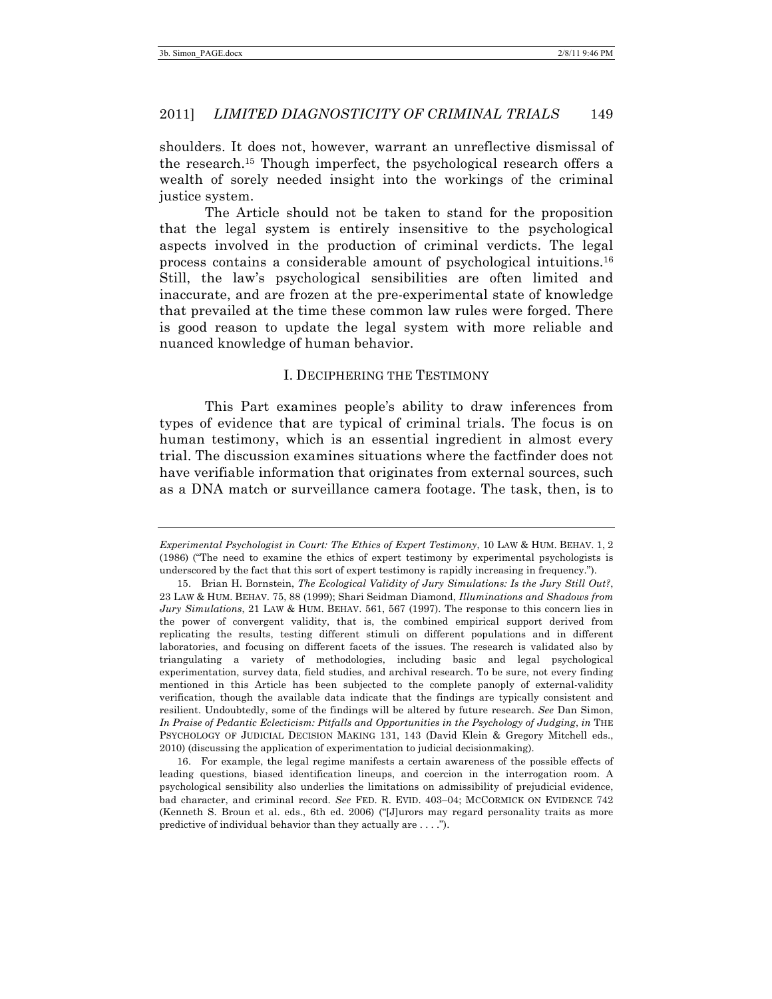shoulders. It does not, however, warrant an unreflective dismissal of the research.15 Though imperfect, the psychological research offers a wealth of sorely needed insight into the workings of the criminal justice system.

The Article should not be taken to stand for the proposition that the legal system is entirely insensitive to the psychological aspects involved in the production of criminal verdicts. The legal process contains a considerable amount of psychological intuitions.16 Still, the law's psychological sensibilities are often limited and inaccurate, and are frozen at the pre-experimental state of knowledge that prevailed at the time these common law rules were forged. There is good reason to update the legal system with more reliable and nuanced knowledge of human behavior.

#### I. DECIPHERING THE TESTIMONY

This Part examines people's ability to draw inferences from types of evidence that are typical of criminal trials. The focus is on human testimony, which is an essential ingredient in almost every trial. The discussion examines situations where the factfinder does not have verifiable information that originates from external sources, such as a DNA match or surveillance camera footage. The task, then, is to

16. For example, the legal regime manifests a certain awareness of the possible effects of leading questions, biased identification lineups, and coercion in the interrogation room. A psychological sensibility also underlies the limitations on admissibility of prejudicial evidence, bad character, and criminal record. *See* FED. R. EVID. 403–04; MCCORMICK ON EVIDENCE 742 (Kenneth S. Broun et al. eds., 6th ed. 2006) ("[J]urors may regard personality traits as more predictive of individual behavior than they actually are . . . .").

*Experimental Psychologist in Court: The Ethics of Expert Testimony*, 10 LAW & HUM. BEHAV. 1, 2 (1986) ("The need to examine the ethics of expert testimony by experimental psychologists is underscored by the fact that this sort of expert testimony is rapidly increasing in frequency.").

<sup>15.</sup> Brian H. Bornstein, *The Ecological Validity of Jury Simulations: Is the Jury Still Out?*, 23 LAW & HUM. BEHAV. 75, 88 (1999); Shari Seidman Diamond, *Illuminations and Shadows from Jury Simulations*, 21 LAW & HUM. BEHAV. 561, 567 (1997). The response to this concern lies in the power of convergent validity, that is, the combined empirical support derived from replicating the results, testing different stimuli on different populations and in different laboratories, and focusing on different facets of the issues. The research is validated also by triangulating a variety of methodologies, including basic and legal psychological experimentation, survey data, field studies, and archival research. To be sure, not every finding mentioned in this Article has been subjected to the complete panoply of external-validity verification, though the available data indicate that the findings are typically consistent and resilient. Undoubtedly, some of the findings will be altered by future research. *See* Dan Simon, *In Praise of Pedantic Eclecticism: Pitfalls and Opportunities in the Psychology of Judging*, *in* THE PSYCHOLOGY OF JUDICIAL DECISION MAKING 131, 143 (David Klein & Gregory Mitchell eds., 2010) (discussing the application of experimentation to judicial decisionmaking).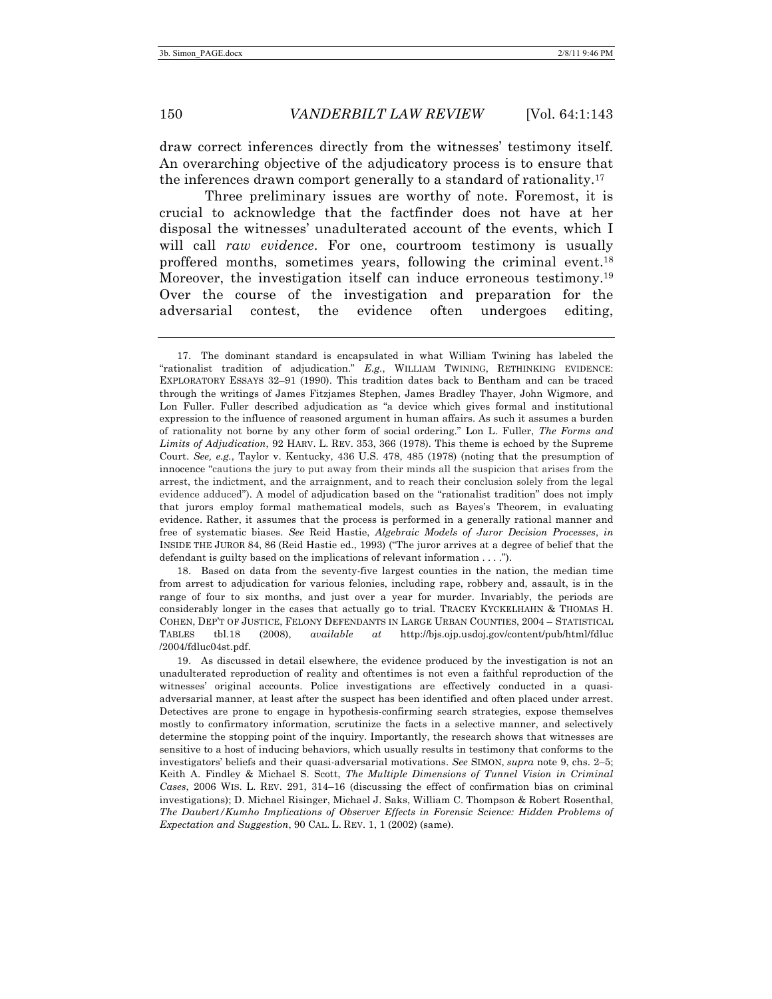draw correct inferences directly from the witnesses' testimony itself. An overarching objective of the adjudicatory process is to ensure that the inferences drawn comport generally to a standard of rationality.17

Three preliminary issues are worthy of note. Foremost, it is crucial to acknowledge that the factfinder does not have at her disposal the witnesses' unadulterated account of the events, which I will call *raw evidence*. For one, courtroom testimony is usually proffered months, sometimes years, following the criminal event.18 Moreover, the investigation itself can induce erroneous testimony.<sup>19</sup> Over the course of the investigation and preparation for the adversarial contest, the evidence often undergoes editing,

18. Based on data from the seventy-five largest counties in the nation, the median time from arrest to adjudication for various felonies, including rape, robbery and, assault, is in the range of four to six months, and just over a year for murder. Invariably, the periods are considerably longer in the cases that actually go to trial. TRACEY KYCKELHAHN & THOMAS H. COHEN, DEP'T OF JUSTICE, FELONY DEFENDANTS IN LARGE URBAN COUNTIES, 2004 – STATISTICAL TABLES tbl.18 (2008), *available at* http://bjs.ojp.usdoj.gov/content/pub/html/fdluc /2004/fdluc04st.pdf.

19. As discussed in detail elsewhere, the evidence produced by the investigation is not an unadulterated reproduction of reality and oftentimes is not even a faithful reproduction of the witnesses' original accounts. Police investigations are effectively conducted in a quasiadversarial manner, at least after the suspect has been identified and often placed under arrest. Detectives are prone to engage in hypothesis-confirming search strategies, expose themselves mostly to confirmatory information, scrutinize the facts in a selective manner, and selectively determine the stopping point of the inquiry. Importantly, the research shows that witnesses are sensitive to a host of inducing behaviors, which usually results in testimony that conforms to the investigators' beliefs and their quasi-adversarial motivations. *See* SIMON, *supra* note 9, chs. 2–5; Keith A. Findley & Michael S. Scott, *The Multiple Dimensions of Tunnel Vision in Criminal Cases*, 2006 WIS. L. REV. 291, 314–16 (discussing the effect of confirmation bias on criminal investigations); D. Michael Risinger, Michael J. Saks, William C. Thompson & Robert Rosenthal, *The Daubert/Kumho Implications of Observer Effects in Forensic Science: Hidden Problems of Expectation and Suggestion*, 90 CAL. L. REV. 1, 1 (2002) (same).

<sup>17.</sup> The dominant standard is encapsulated in what William Twining has labeled the "rationalist tradition of adjudication." *E.g.*, WILLIAM TWINING, RETHINKING EVIDENCE: EXPLORATORY ESSAYS 32–91 (1990). This tradition dates back to Bentham and can be traced through the writings of James Fitzjames Stephen, James Bradley Thayer, John Wigmore, and Lon Fuller. Fuller described adjudication as "a device which gives formal and institutional expression to the influence of reasoned argument in human affairs. As such it assumes a burden of rationality not borne by any other form of social ordering." Lon L. Fuller, *The Forms and Limits of Adjudication*, 92 HARV. L. REV. 353, 366 (1978). This theme is echoed by the Supreme Court. *See, e.g.*, Taylor v. Kentucky, 436 U.S. 478, 485 (1978) (noting that the presumption of innocence "cautions the jury to put away from their minds all the suspicion that arises from the arrest, the indictment, and the arraignment, and to reach their conclusion solely from the legal evidence adduced"). A model of adjudication based on the "rationalist tradition" does not imply that jurors employ formal mathematical models, such as Bayes's Theorem, in evaluating evidence. Rather, it assumes that the process is performed in a generally rational manner and free of systematic biases. *See* Reid Hastie, *Algebraic Models of Juror Decision Processes*, *in*  INSIDE THE JUROR 84, 86 (Reid Hastie ed., 1993) ("The juror arrives at a degree of belief that the defendant is guilty based on the implications of relevant information . . . .").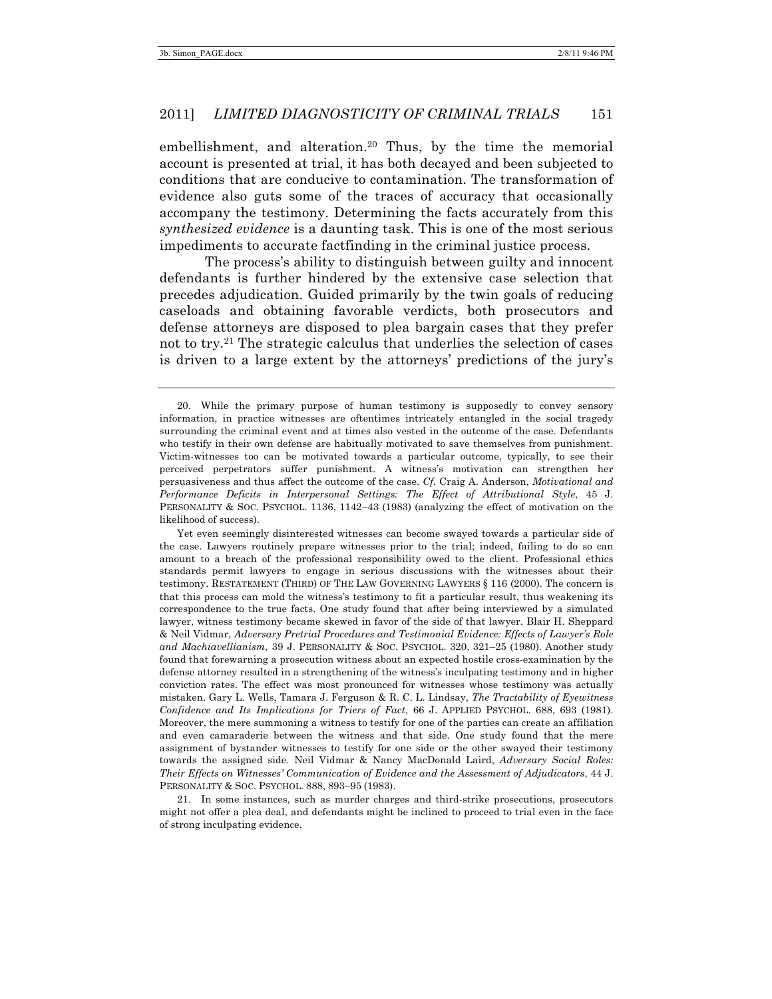embellishment, and alteration.<sup>20</sup> Thus, by the time the memorial account is presented at trial, it has both decayed and been subjected to conditions that are conducive to contamination. The transformation of evidence also guts some of the traces of accuracy that occasionally accompany the testimony. Determining the facts accurately from this *synthesized evidence* is a daunting task. This is one of the most serious impediments to accurate factfinding in the criminal justice process.

The process's ability to distinguish between guilty and innocent defendants is further hindered by the extensive case selection that precedes adjudication. Guided primarily by the twin goals of reducing caseloads and obtaining favorable verdicts, both prosecutors and defense attorneys are disposed to plea bargain cases that they prefer not to try.21 The strategic calculus that underlies the selection of cases is driven to a large extent by the attorneys' predictions of the jury's

Yet even seemingly disinterested witnesses can become swayed towards a particular side of the case. Lawyers routinely prepare witnesses prior to the trial; indeed, failing to do so can amount to a breach of the professional responsibility owed to the client. Professional ethics standards permit lawyers to engage in serious discussions with the witnesses about their testimony. RESTATEMENT (THIRD) OF THE LAW GOVERNING LAWYERS § 116 (2000). The concern is that this process can mold the witness's testimony to fit a particular result, thus weakening its correspondence to the true facts. One study found that after being interviewed by a simulated lawyer, witness testimony became skewed in favor of the side of that lawyer. Blair H. Sheppard & Neil Vidmar, *Adversary Pretrial Procedures and Testimonial Evidence: Effects of Lawyer's Role and Machiavellianism*, 39 J. PERSONALITY & SOC. PSYCHOL. 320, 321–25 (1980). Another study found that forewarning a prosecution witness about an expected hostile cross-examination by the defense attorney resulted in a strengthening of the witness's inculpating testimony and in higher conviction rates. The effect was most pronounced for witnesses whose testimony was actually mistaken. Gary L. Wells, Tamara J. Ferguson & R. C. L. Lindsay, *The Tractability of Eyewitness Confidence and Its Implications for Triers of Fact*, 66 J. APPLIED PSYCHOL. 688, 693 (1981). Moreover, the mere summoning a witness to testify for one of the parties can create an affiliation and even camaraderie between the witness and that side. One study found that the mere assignment of bystander witnesses to testify for one side or the other swayed their testimony towards the assigned side. Neil Vidmar & Nancy MacDonald Laird, *Adversary Social Roles: Their Effects on Witnesses' Communication of Evidence and the Assessment of Adjudicators*, 44 J. PERSONALITY & SOC. PSYCHOL. 888, 893–95 (1983).

21. In some instances, such as murder charges and third-strike prosecutions, prosecutors might not offer a plea deal, and defendants might be inclined to proceed to trial even in the face of strong inculpating evidence.

<sup>20.</sup> While the primary purpose of human testimony is supposedly to convey sensory information, in practice witnesses are oftentimes intricately entangled in the social tragedy surrounding the criminal event and at times also vested in the outcome of the case. Defendants who testify in their own defense are habitually motivated to save themselves from punishment. Victim-witnesses too can be motivated towards a particular outcome, typically, to see their perceived perpetrators suffer punishment. A witness's motivation can strengthen her persuasiveness and thus affect the outcome of the case. *Cf.* Craig A. Anderson, *Motivational and Performance Deficits in Interpersonal Settings: The Effect of Attributional Style*, 45 J. PERSONALITY & SOC. PSYCHOL. 1136, 1142–43 (1983) (analyzing the effect of motivation on the likelihood of success).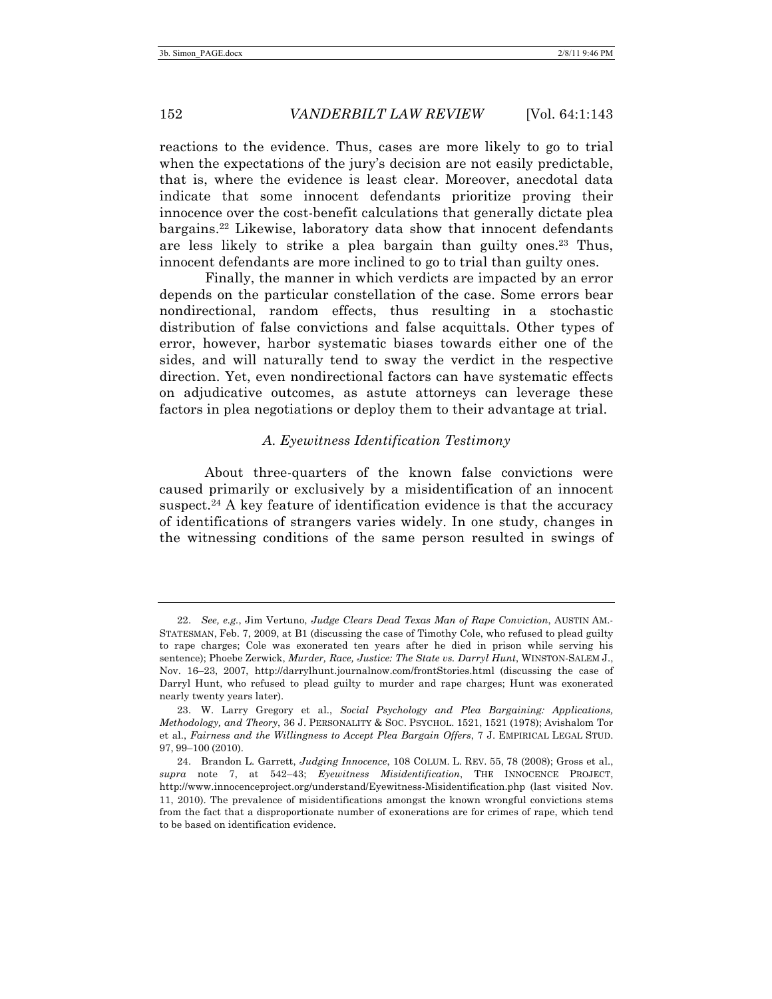reactions to the evidence. Thus, cases are more likely to go to trial when the expectations of the jury's decision are not easily predictable, that is, where the evidence is least clear. Moreover, anecdotal data indicate that some innocent defendants prioritize proving their innocence over the cost-benefit calculations that generally dictate plea bargains.22 Likewise, laboratory data show that innocent defendants are less likely to strike a plea bargain than guilty ones.<sup>23</sup> Thus, innocent defendants are more inclined to go to trial than guilty ones.

Finally, the manner in which verdicts are impacted by an error depends on the particular constellation of the case. Some errors bear nondirectional, random effects, thus resulting in a stochastic distribution of false convictions and false acquittals. Other types of error, however, harbor systematic biases towards either one of the sides, and will naturally tend to sway the verdict in the respective direction. Yet, even nondirectional factors can have systematic effects on adjudicative outcomes, as astute attorneys can leverage these factors in plea negotiations or deploy them to their advantage at trial.

### *A. Eyewitness Identification Testimony*

About three-quarters of the known false convictions were caused primarily or exclusively by a misidentification of an innocent suspect.<sup>24</sup> A key feature of identification evidence is that the accuracy of identifications of strangers varies widely. In one study, changes in the witnessing conditions of the same person resulted in swings of

<sup>22.</sup> *See, e.g.*, Jim Vertuno, *Judge Clears Dead Texas Man of Rape Conviction*, AUSTIN AM.- STATESMAN, Feb. 7, 2009, at B1 (discussing the case of Timothy Cole, who refused to plead guilty to rape charges; Cole was exonerated ten years after he died in prison while serving his sentence); Phoebe Zerwick, *Murder, Race, Justice: The State vs. Darryl Hunt*, WINSTON-SALEM J., Nov. 16–23, 2007, http://darrylhunt.journalnow.com/frontStories.html (discussing the case of Darryl Hunt, who refused to plead guilty to murder and rape charges; Hunt was exonerated nearly twenty years later).

<sup>23.</sup> W. Larry Gregory et al., *Social Psychology and Plea Bargaining: Applications, Methodology, and Theory*, 36 J. PERSONALITY & SOC. PSYCHOL. 1521, 1521 (1978); Avishalom Tor et al., *Fairness and the Willingness to Accept Plea Bargain Offers*, 7 J. EMPIRICAL LEGAL STUD. 97, 99–100 (2010).

<sup>24.</sup> Brandon L. Garrett, *Judging Innocence*, 108 COLUM. L. REV. 55, 78 (2008); Gross et al., *supra* note 7, at 542–43; *Eyewitness Misidentification*, THE INNOCENCE PROJECT, http://www.innocenceproject.org/understand/Eyewitness-Misidentification.php (last visited Nov. 11, 2010). The prevalence of misidentifications amongst the known wrongful convictions stems from the fact that a disproportionate number of exonerations are for crimes of rape, which tend to be based on identification evidence.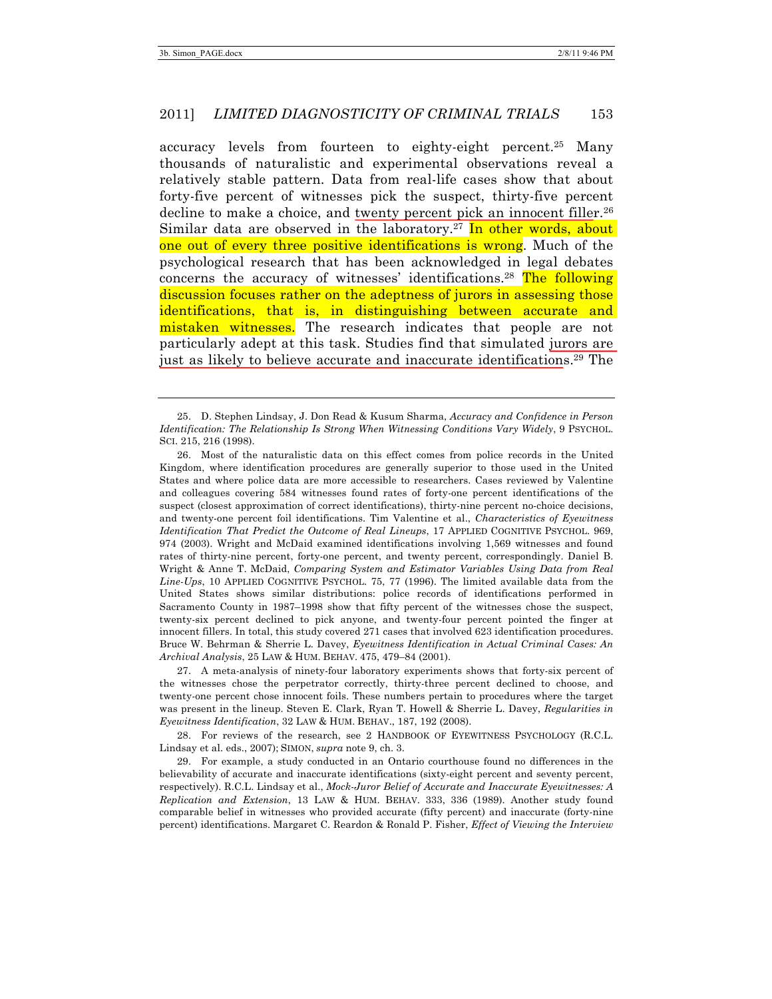accuracy levels from fourteen to eighty-eight percent. <sup>25</sup> Many thousands of naturalistic and experimental observations reveal a relatively stable pattern. Data from real-life cases show that about forty-five percent of witnesses pick the suspect, thirty-five percent decline to make a choice, and twenty percent pick an innocent filler.<sup>26</sup> Similar data are observed in the laboratory.<sup>27</sup> In other words, about one out of every three positive identifications is wrong. Much of the psychological research that has been acknowledged in legal debates concerns the accuracy of witnesses' identifications.<sup>28</sup> The following discussion focuses rather on the adeptness of jurors in assessing those identifications, that is, in distinguishing between accurate and mistaken witnesses. The research indicates that people are not particularly adept at this task. Studies find that simulated jurors are just as likely to believe accurate and inaccurate identifications.29 The

27. A meta-analysis of ninety-four laboratory experiments shows that forty-six percent of the witnesses chose the perpetrator correctly, thirty-three percent declined to choose, and twenty-one percent chose innocent foils. These numbers pertain to procedures where the target was present in the lineup. Steven E. Clark, Ryan T. Howell & Sherrie L. Davey, *Regularities in Eyewitness Identification*, 32 LAW & HUM. BEHAV., 187, 192 (2008).

28. For reviews of the research, see 2 HANDBOOK OF EYEWITNESS PSYCHOLOGY (R.C.L. Lindsay et al. eds., 2007); SIMON, *supra* note 9, ch. 3.

29. For example, a study conducted in an Ontario courthouse found no differences in the believability of accurate and inaccurate identifications (sixty-eight percent and seventy percent, respectively). R.C.L. Lindsay et al., *Mock-Juror Belief of Accurate and Inaccurate Eyewitnesses: A Replication and Extension*, 13 LAW & HUM. BEHAV. 333, 336 (1989). Another study found comparable belief in witnesses who provided accurate (fifty percent) and inaccurate (forty-nine percent) identifications. Margaret C. Reardon & Ronald P. Fisher, *Effect of Viewing the Interview* 

<sup>25.</sup> D. Stephen Lindsay, J. Don Read & Kusum Sharma, *Accuracy and Confidence in Person Identification: The Relationship Is Strong When Witnessing Conditions Vary Widely*, 9 PSYCHOL. SCI. 215, 216 (1998).

<sup>26.</sup> Most of the naturalistic data on this effect comes from police records in the United Kingdom, where identification procedures are generally superior to those used in the United States and where police data are more accessible to researchers. Cases reviewed by Valentine and colleagues covering 584 witnesses found rates of forty-one percent identifications of the suspect (closest approximation of correct identifications), thirty-nine percent no-choice decisions, and twenty-one percent foil identifications. Tim Valentine et al., *Characteristics of Eyewitness Identification That Predict the Outcome of Real Lineups*, 17 APPLIED COGNITIVE PSYCHOL. 969, 974 (2003). Wright and McDaid examined identifications involving 1,569 witnesses and found rates of thirty-nine percent, forty-one percent, and twenty percent, correspondingly. Daniel B. Wright & Anne T. McDaid, *Comparing System and Estimator Variables Using Data from Real Line-Ups*, 10 APPLIED COGNITIVE PSYCHOL. 75, 77 (1996). The limited available data from the United States shows similar distributions: police records of identifications performed in Sacramento County in 1987–1998 show that fifty percent of the witnesses chose the suspect, twenty-six percent declined to pick anyone, and twenty-four percent pointed the finger at innocent fillers. In total, this study covered 271 cases that involved 623 identification procedures. Bruce W. Behrman & Sherrie L. Davey, *Eyewitness Identification in Actual Criminal Cases: An Archival Analysis*, 25 LAW & HUM. BEHAV. 475, 479–84 (2001).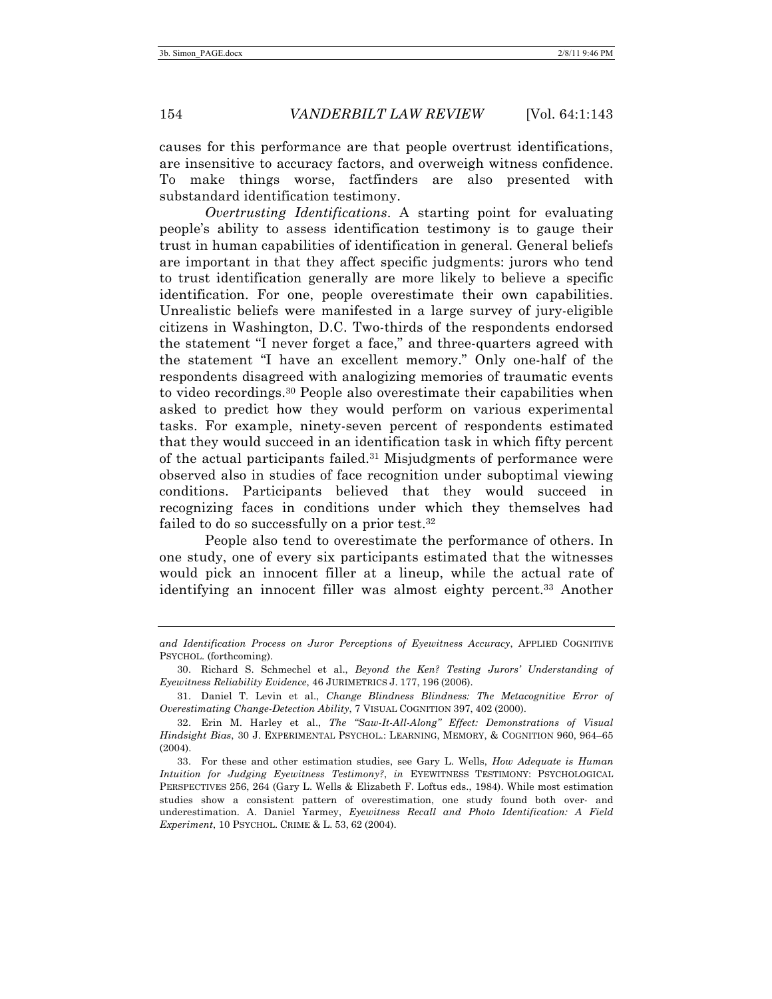causes for this performance are that people overtrust identifications, are insensitive to accuracy factors, and overweigh witness confidence. To make things worse, factfinders are also presented with substandard identification testimony.

*Overtrusting Identifications*. A starting point for evaluating people's ability to assess identification testimony is to gauge their trust in human capabilities of identification in general. General beliefs are important in that they affect specific judgments: jurors who tend to trust identification generally are more likely to believe a specific identification. For one, people overestimate their own capabilities. Unrealistic beliefs were manifested in a large survey of jury-eligible citizens in Washington, D.C. Two-thirds of the respondents endorsed the statement "I never forget a face," and three-quarters agreed with the statement "I have an excellent memory." Only one-half of the respondents disagreed with analogizing memories of traumatic events to video recordings.30 People also overestimate their capabilities when asked to predict how they would perform on various experimental tasks. For example, ninety-seven percent of respondents estimated that they would succeed in an identification task in which fifty percent of the actual participants failed.31 Misjudgments of performance were observed also in studies of face recognition under suboptimal viewing conditions. Participants believed that they would succeed in recognizing faces in conditions under which they themselves had failed to do so successfully on a prior test.<sup>32</sup>

People also tend to overestimate the performance of others. In one study, one of every six participants estimated that the witnesses would pick an innocent filler at a lineup, while the actual rate of identifying an innocent filler was almost eighty percent. <sup>33</sup> Another

*and Identification Process on Juror Perceptions of Eyewitness Accuracy*, APPLIED COGNITIVE PSYCHOL. (forthcoming).

<sup>30.</sup> Richard S. Schmechel et al., *Beyond the Ken? Testing Jurors' Understanding of Eyewitness Reliability Evidence*, 46 JURIMETRICS J. 177, 196 (2006).

<sup>31.</sup> Daniel T. Levin et al., *Change Blindness Blindness: The Metacognitive Error of Overestimating Change-Detection Ability*, 7 VISUAL COGNITION 397, 402 (2000).

<sup>32.</sup> Erin M. Harley et al., *The "Saw-It-All-Along" Effect: Demonstrations of Visual Hindsight Bias*, 30 J. EXPERIMENTAL PSYCHOL.: LEARNING, MEMORY, & COGNITION 960, 964–65 (2004).

<sup>33.</sup> For these and other estimation studies, see Gary L. Wells, *How Adequate is Human Intuition for Judging Eyewitness Testimony?*, *in* EYEWITNESS TESTIMONY: PSYCHOLOGICAL PERSPECTIVES 256, 264 (Gary L. Wells & Elizabeth F. Loftus eds., 1984). While most estimation studies show a consistent pattern of overestimation, one study found both over- and underestimation. A. Daniel Yarmey, *Eyewitness Recall and Photo Identification: A Field Experiment*, 10 PSYCHOL. CRIME & L. 53, 62 (2004).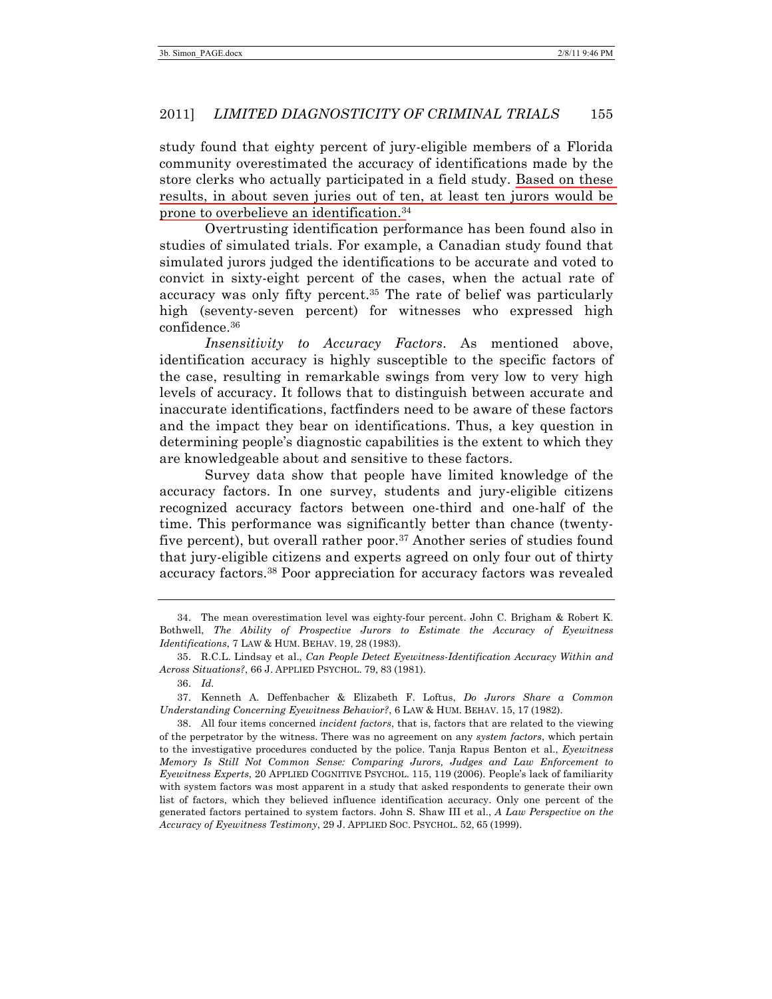study found that eighty percent of jury-eligible members of a Florida community overestimated the accuracy of identifications made by the store clerks who actually participated in a field study. Based on these results, in about seven juries out of ten, at least ten jurors would be prone to overbelieve an identification.34

Overtrusting identification performance has been found also in studies of simulated trials. For example, a Canadian study found that simulated jurors judged the identifications to be accurate and voted to convict in sixty-eight percent of the cases, when the actual rate of accuracy was only fifty percent. <sup>35</sup> The rate of belief was particularly high (seventy-seven percent) for witnesses who expressed high confidence.36

*Insensitivity to Accuracy Factors*. As mentioned above, identification accuracy is highly susceptible to the specific factors of the case, resulting in remarkable swings from very low to very high levels of accuracy. It follows that to distinguish between accurate and inaccurate identifications, factfinders need to be aware of these factors and the impact they bear on identifications. Thus, a key question in determining people's diagnostic capabilities is the extent to which they are knowledgeable about and sensitive to these factors.

Survey data show that people have limited knowledge of the accuracy factors. In one survey, students and jury-eligible citizens recognized accuracy factors between one-third and one-half of the time. This performance was significantly better than chance (twentyfive percent), but overall rather poor.<sup>37</sup> Another series of studies found that jury-eligible citizens and experts agreed on only four out of thirty accuracy factors.38 Poor appreciation for accuracy factors was revealed

<sup>34.</sup> The mean overestimation level was eighty-four percent. John C. Brigham & Robert K. Bothwell, *The Ability of Prospective Jurors to Estimate the Accuracy of Eyewitness Identifications*, 7 LAW & HUM. BEHAV. 19, 28 (1983).

<sup>35.</sup> R.C.L. Lindsay et al., *Can People Detect Eyewitness-Identification Accuracy Within and Across Situations?*, 66 J. APPLIED PSYCHOL. 79, 83 (1981).

<sup>36.</sup> *Id.*

<sup>37.</sup> Kenneth A. Deffenbacher & Elizabeth F. Loftus, *Do Jurors Share a Common Understanding Concerning Eyewitness Behavior?*, 6 LAW & HUM. BEHAV. 15, 17 (1982).

<sup>38.</sup> All four items concerned *incident factors*, that is, factors that are related to the viewing of the perpetrator by the witness. There was no agreement on any *system factors*, which pertain to the investigative procedures conducted by the police. Tanja Rapus Benton et al., *Eyewitness Memory Is Still Not Common Sense: Comparing Jurors, Judges and Law Enforcement to Eyewitness Experts*, 20 APPLIED COGNITIVE PSYCHOL. 115, 119 (2006). People's lack of familiarity with system factors was most apparent in a study that asked respondents to generate their own list of factors, which they believed influence identification accuracy. Only one percent of the generated factors pertained to system factors. John S. Shaw III et al., *A Law Perspective on the Accuracy of Eyewitness Testimony*, 29 J. APPLIED SOC. PSYCHOL. 52, 65 (1999).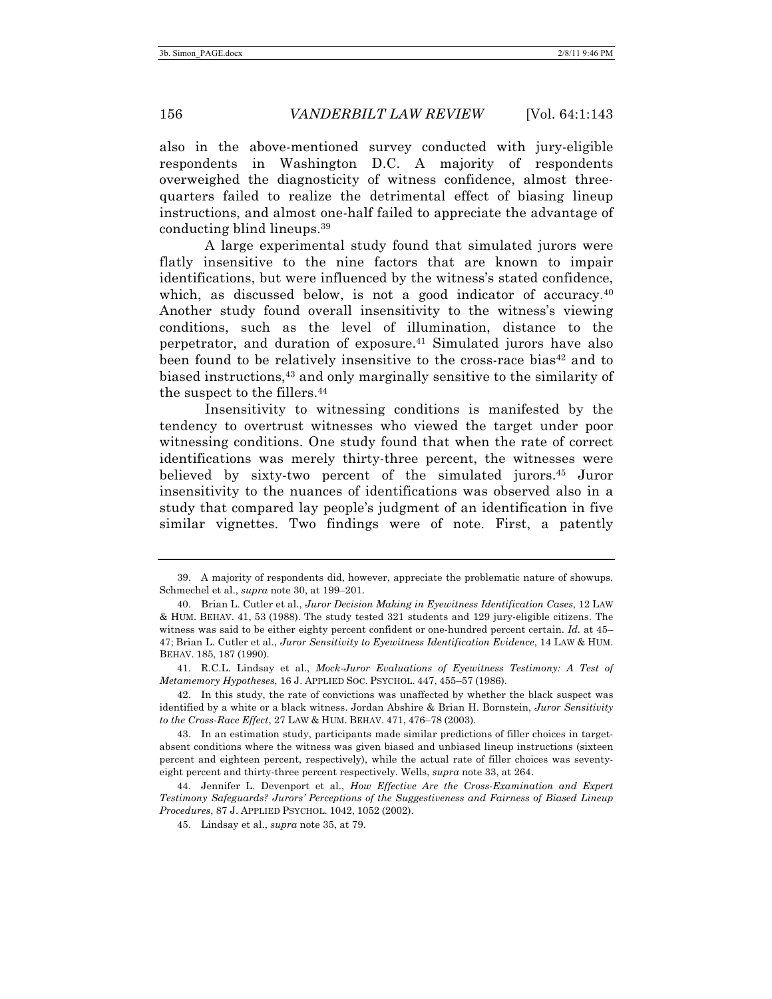also in the above-mentioned survey conducted with jury-eligible respondents in Washington D.C. A majority of respondents overweighed the diagnosticity of witness confidence, almost threequarters failed to realize the detrimental effect of biasing lineup instructions, and almost one-half failed to appreciate the advantage of conducting blind lineups.39

A large experimental study found that simulated jurors were flatly insensitive to the nine factors that are known to impair identifications, but were influenced by the witness's stated confidence, which, as discussed below, is not a good indicator of accuracy.<sup>40</sup> Another study found overall insensitivity to the witness's viewing conditions, such as the level of illumination, distance to the perpetrator, and duration of exposure.41 Simulated jurors have also been found to be relatively insensitive to the cross-race bias<sup>42</sup> and to biased instructions,43 and only marginally sensitive to the similarity of the suspect to the fillers.<sup>44</sup>

Insensitivity to witnessing conditions is manifested by the tendency to overtrust witnesses who viewed the target under poor witnessing conditions. One study found that when the rate of correct identifications was merely thirty-three percent, the witnesses were believed by sixty-two percent of the simulated jurors.45 Juror insensitivity to the nuances of identifications was observed also in a study that compared lay people's judgment of an identification in five similar vignettes. Two findings were of note. First, a patently

<sup>39.</sup> A majority of respondents did, however, appreciate the problematic nature of showups. Schmechel et al., *supra* note 30, at 199–201.

<sup>40.</sup> Brian L. Cutler et al., *Juror Decision Making in Eyewitness Identification Cases*, 12 LAW & HUM. BEHAV. 41, 53 (1988). The study tested 321 students and 129 jury-eligible citizens. The witness was said to be either eighty percent confident or one-hundred percent certain. *Id.* at 45– 47; Brian L. Cutler et al., *Juror Sensitivity to Eyewitness Identification Evidence*, 14 LAW & HUM. BEHAV. 185, 187 (1990).

<sup>41.</sup> R.C.L. Lindsay et al., *Mock-Juror Evaluations of Eyewitness Testimony: A Test of Metamemory Hypotheses*, 16 J. APPLIED SOC. PSYCHOL. 447, 455–57 (1986).

<sup>42.</sup> In this study, the rate of convictions was unaffected by whether the black suspect was identified by a white or a black witness. Jordan Abshire & Brian H. Bornstein, *Juror Sensitivity to the Cross-Race Effect*, 27 LAW & HUM. BEHAV. 471, 476–78 (2003).

<sup>43.</sup> In an estimation study, participants made similar predictions of filler choices in targetabsent conditions where the witness was given biased and unbiased lineup instructions (sixteen percent and eighteen percent, respectively), while the actual rate of filler choices was seventyeight percent and thirty-three percent respectively. Wells, *supra* note 33, at 264.

<sup>44.</sup> Jennifer L. Devenport et al., *How Effective Are the Cross-Examination and Expert Testimony Safeguards? Jurors' Perceptions of the Suggestiveness and Fairness of Biased Lineup Procedures*, 87 J. APPLIED PSYCHOL. 1042, 1052 (2002).

<sup>45.</sup> Lindsay et al., *supra* note 35, at 79.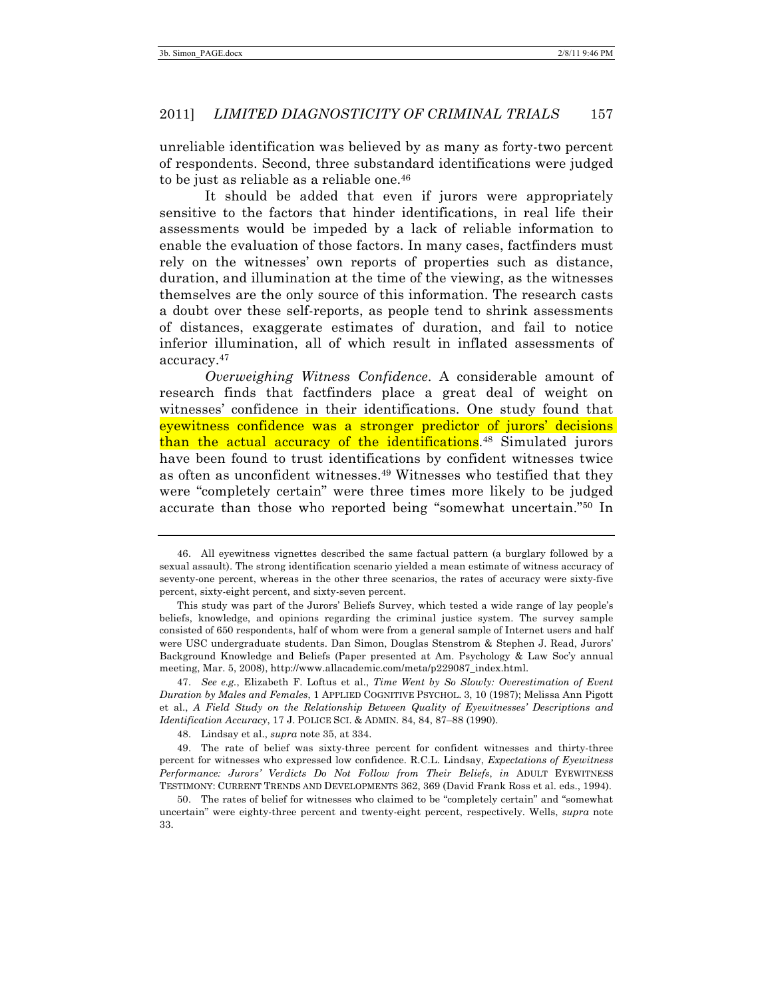unreliable identification was believed by as many as forty-two percent of respondents. Second, three substandard identifications were judged to be just as reliable as a reliable one.46

It should be added that even if jurors were appropriately sensitive to the factors that hinder identifications, in real life their assessments would be impeded by a lack of reliable information to enable the evaluation of those factors. In many cases, factfinders must rely on the witnesses' own reports of properties such as distance, duration, and illumination at the time of the viewing, as the witnesses themselves are the only source of this information. The research casts a doubt over these self-reports, as people tend to shrink assessments of distances, exaggerate estimates of duration, and fail to notice inferior illumination, all of which result in inflated assessments of accuracy.47

*Overweighing Witness Confidence*. A considerable amount of research finds that factfinders place a great deal of weight on witnesses' confidence in their identifications. One study found that eyewitness confidence was a stronger predictor of jurors' decisions than the actual accuracy of the identifications.48 Simulated jurors have been found to trust identifications by confident witnesses twice as often as unconfident witnesses.49 Witnesses who testified that they were "completely certain" were three times more likely to be judged accurate than those who reported being "somewhat uncertain."50 In

47. *See e.g.*, Elizabeth F. Loftus et al., *Time Went by So Slowly: Overestimation of Event Duration by Males and Females*, 1 APPLIED COGNITIVE PSYCHOL. 3, 10 (1987); Melissa Ann Pigott et al., *A Field Study on the Relationship Between Quality of Eyewitnesses' Descriptions and Identification Accuracy*, 17 J. POLICE SCI. & ADMIN. 84, 84, 87-88 (1990).

49. The rate of belief was sixty-three percent for confident witnesses and thirty-three percent for witnesses who expressed low confidence. R.C.L. Lindsay, *Expectations of Eyewitness Performance: Jurors' Verdicts Do Not Follow from Their Beliefs*, *in* ADULT EYEWITNESS TESTIMONY: CURRENT TRENDS AND DEVELOPMENTS 362, 369 (David Frank Ross et al. eds., 1994).

50. The rates of belief for witnesses who claimed to be "completely certain" and "somewhat uncertain" were eighty-three percent and twenty-eight percent, respectively. Wells, *supra* note 33.

<sup>46.</sup> All eyewitness vignettes described the same factual pattern (a burglary followed by a sexual assault). The strong identification scenario yielded a mean estimate of witness accuracy of seventy-one percent, whereas in the other three scenarios, the rates of accuracy were sixty-five percent, sixty-eight percent, and sixty-seven percent.

This study was part of the Jurors' Beliefs Survey, which tested a wide range of lay people's beliefs, knowledge, and opinions regarding the criminal justice system. The survey sample consisted of 650 respondents, half of whom were from a general sample of Internet users and half were USC undergraduate students. Dan Simon, Douglas Stenstrom & Stephen J. Read, Jurors' Background Knowledge and Beliefs (Paper presented at Am. Psychology & Law Soc'y annual meeting, Mar. 5, 2008), http://www.allacademic.com/meta/p229087\_index.html.

<sup>48.</sup> Lindsay et al., *supra* note 35, at 334.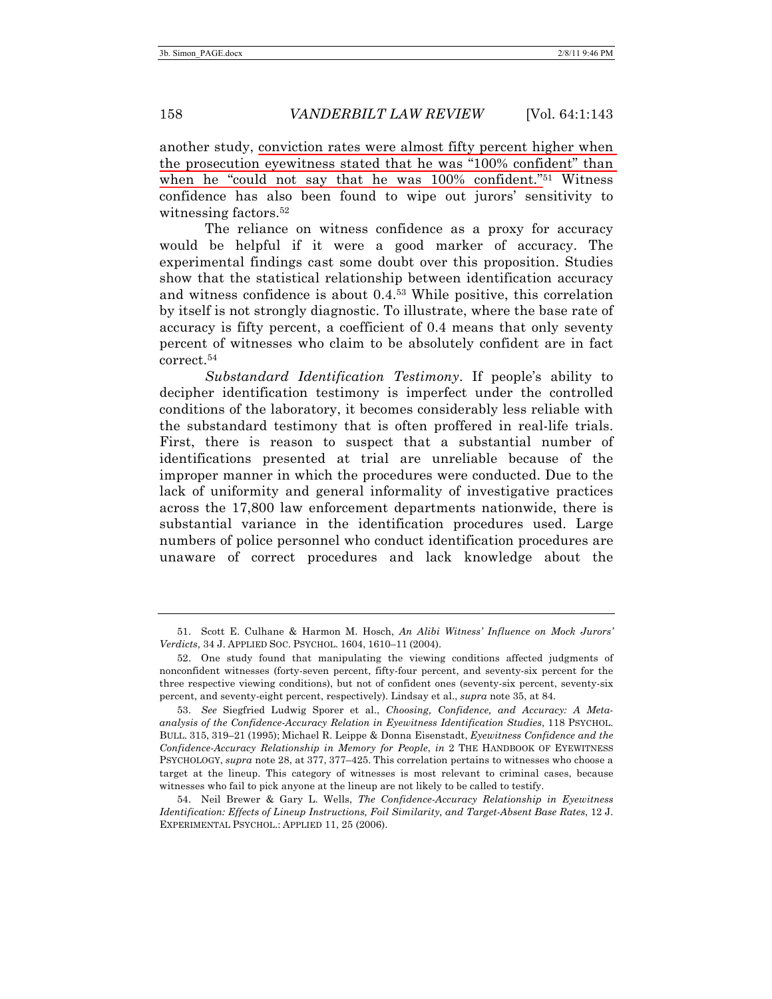another study, conviction rates were almost fifty percent higher when the prosecution eyewitness stated that he was "100% confident" than when he "could not say that he was 100% confident."51 Witness confidence has also been found to wipe out jurors' sensitivity to witnessing factors.<sup>52</sup>

The reliance on witness confidence as a proxy for accuracy would be helpful if it were a good marker of accuracy. The experimental findings cast some doubt over this proposition. Studies show that the statistical relationship between identification accuracy and witness confidence is about 0.4.53 While positive, this correlation by itself is not strongly diagnostic. To illustrate, where the base rate of accuracy is fifty percent, a coefficient of 0.4 means that only seventy percent of witnesses who claim to be absolutely confident are in fact correct.54

*Substandard Identification Testimony*. If people's ability to decipher identification testimony is imperfect under the controlled conditions of the laboratory, it becomes considerably less reliable with the substandard testimony that is often proffered in real-life trials. First, there is reason to suspect that a substantial number of identifications presented at trial are unreliable because of the improper manner in which the procedures were conducted. Due to the lack of uniformity and general informality of investigative practices across the 17,800 law enforcement departments nationwide, there is substantial variance in the identification procedures used. Large numbers of police personnel who conduct identification procedures are unaware of correct procedures and lack knowledge about the

<sup>51.</sup> Scott E. Culhane & Harmon M. Hosch, *An Alibi Witness' Influence on Mock Jurors' Verdicts*, 34 J. APPLIED SOC. PSYCHOL. 1604, 1610–11 (2004).

<sup>52.</sup> One study found that manipulating the viewing conditions affected judgments of nonconfident witnesses (forty-seven percent, fifty-four percent, and seventy-six percent for the three respective viewing conditions), but not of confident ones (seventy-six percent, seventy-six percent, and seventy-eight percent, respectively). Lindsay et al., *supra* note 35, at 84.

<sup>53.</sup> *See* Siegfried Ludwig Sporer et al., *Choosing, Confidence, and Accuracy: A Metaanalysis of the Confidence-Accuracy Relation in Eyewitness Identification Studies*, 118 PSYCHOL. BULL. 315, 319–21 (1995); Michael R. Leippe & Donna Eisenstadt, *Eyewitness Confidence and the Confidence-Accuracy Relationship in Memory for People*, *in* 2 THE HANDBOOK OF EYEWITNESS PSYCHOLOGY, *supra* note 28, at 377, 377–425. This correlation pertains to witnesses who choose a target at the lineup. This category of witnesses is most relevant to criminal cases, because witnesses who fail to pick anyone at the lineup are not likely to be called to testify.

<sup>54.</sup> Neil Brewer & Gary L. Wells, *The Confidence-Accuracy Relationship in Eyewitness Identification: Effects of Lineup Instructions, Foil Similarity, and Target-Absent Base Rates*, 12 J. EXPERIMENTAL PSYCHOL.: APPLIED 11, 25 (2006).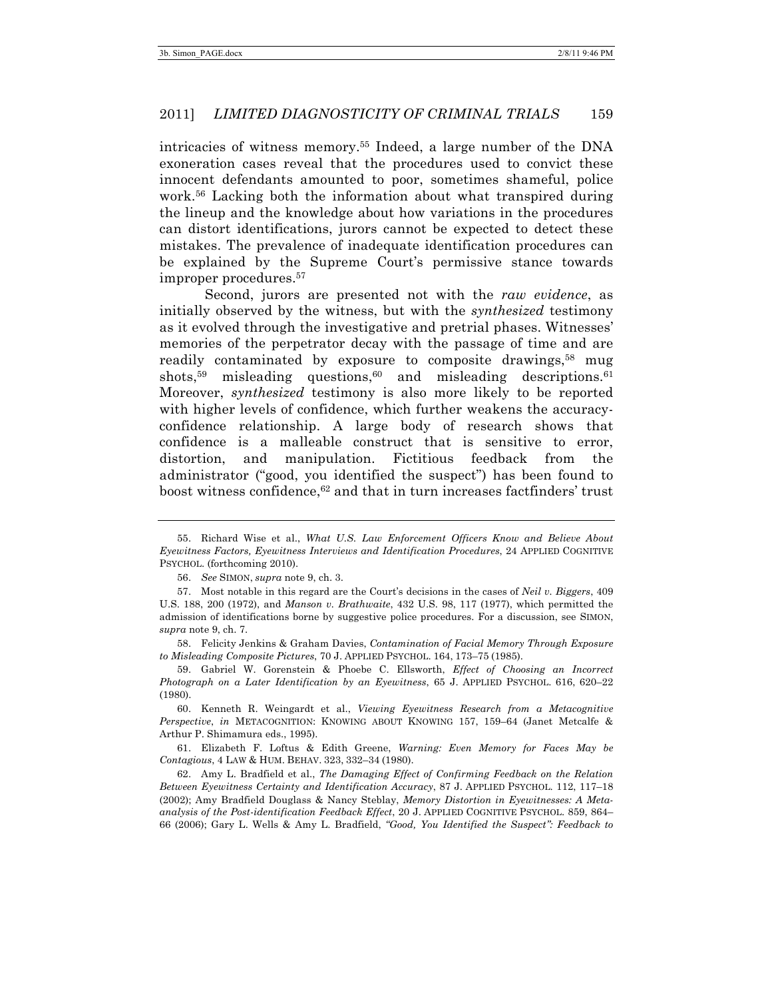intricacies of witness memory.55 Indeed, a large number of the DNA exoneration cases reveal that the procedures used to convict these innocent defendants amounted to poor, sometimes shameful, police work.56 Lacking both the information about what transpired during the lineup and the knowledge about how variations in the procedures can distort identifications, jurors cannot be expected to detect these mistakes. The prevalence of inadequate identification procedures can be explained by the Supreme Court's permissive stance towards improper procedures.57

Second, jurors are presented not with the *raw evidence*, as initially observed by the witness, but with the *synthesized* testimony as it evolved through the investigative and pretrial phases. Witnesses' memories of the perpetrator decay with the passage of time and are readily contaminated by exposure to composite drawings,<sup>58</sup> mug shots,<sup>59</sup> misleading questions,<sup>60</sup> and misleading descriptions.<sup>61</sup> Moreover, *synthesized* testimony is also more likely to be reported with higher levels of confidence, which further weakens the accuracyconfidence relationship. A large body of research shows that confidence is a malleable construct that is sensitive to error, distortion, and manipulation. Fictitious feedback from the administrator ("good, you identified the suspect") has been found to boost witness confidence,62 and that in turn increases factfinders' trust

58. Felicity Jenkins & Graham Davies, *Contamination of Facial Memory Through Exposure to Misleading Composite Pictures*, 70 J. APPLIED PSYCHOL. 164, 173–75 (1985).

59. Gabriel W. Gorenstein & Phoebe C. Ellsworth, *Effect of Choosing an Incorrect Photograph on a Later Identification by an Eyewitness*, 65 J. APPLIED PSYCHOL. 616, 620–22 (1980).

60. Kenneth R. Weingardt et al., *Viewing Eyewitness Research from a Metacognitive Perspective*, *in* METACOGNITION: KNOWING ABOUT KNOWING 157, 159–64 (Janet Metcalfe & Arthur P. Shimamura eds., 1995).

61. Elizabeth F. Loftus & Edith Greene, *Warning: Even Memory for Faces May be Contagious*, 4 LAW & HUM. BEHAV. 323, 332–34 (1980).

62. Amy L. Bradfield et al., *The Damaging Effect of Confirming Feedback on the Relation Between Eyewitness Certainty and Identification Accuracy*, 87 J. APPLIED PSYCHOL. 112, 117–18 (2002); Amy Bradfield Douglass & Nancy Steblay, *Memory Distortion in Eyewitnesses: A Metaanalysis of the Post-identification Feedback Effect*, 20 J. APPLIED COGNITIVE PSYCHOL. 859, 864– 66 (2006); Gary L. Wells & Amy L. Bradfield, *"Good, You Identified the Suspect": Feedback to* 

<sup>55.</sup> Richard Wise et al., *What U.S. Law Enforcement Officers Know and Believe About Eyewitness Factors, Eyewitness Interviews and Identification Procedures*, 24 APPLIED COGNITIVE PSYCHOL. (forthcoming 2010).

<sup>56.</sup> *See* SIMON, *supra* note 9, ch. 3.

<sup>57.</sup> Most notable in this regard are the Court's decisions in the cases of *Neil v. Biggers*, 409 U.S. 188, 200 (1972), and *Manson v. Brathwaite*, 432 U.S. 98, 117 (1977), which permitted the admission of identifications borne by suggestive police procedures. For a discussion, see SIMON, *supra* note 9, ch. 7.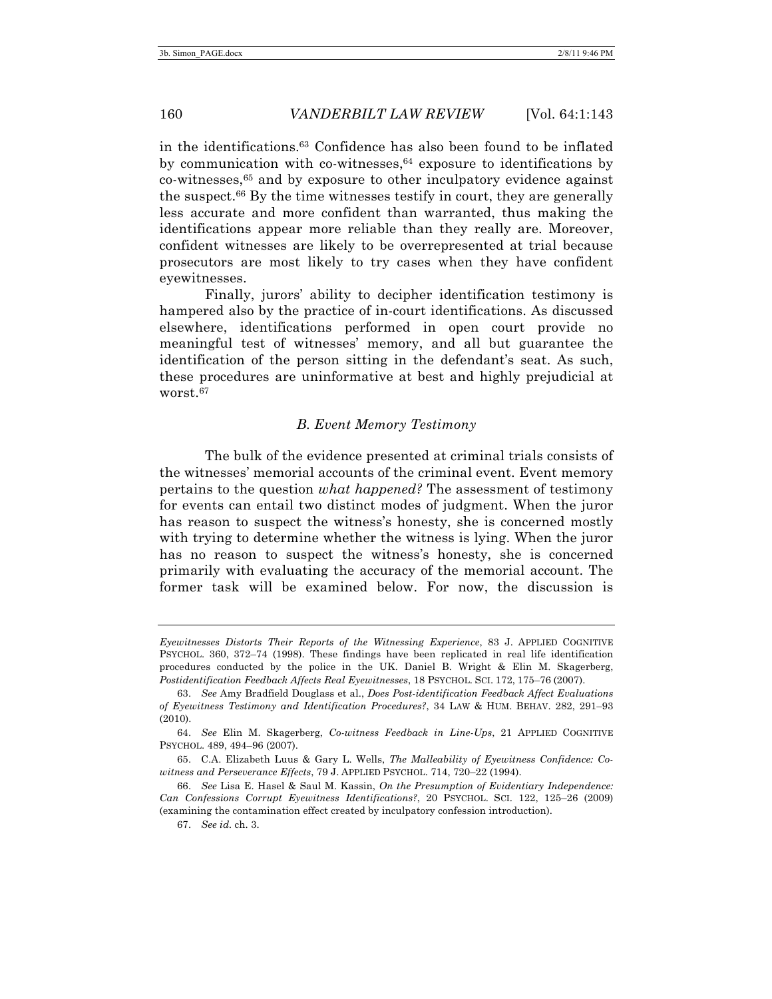in the identifications.63 Confidence has also been found to be inflated by communication with co-witnesses, <sup>64</sup> exposure to identifications by co-witnesses,65 and by exposure to other inculpatory evidence against the suspect.<sup>66</sup> By the time witnesses testify in court, they are generally less accurate and more confident than warranted, thus making the identifications appear more reliable than they really are. Moreover, confident witnesses are likely to be overrepresented at trial because prosecutors are most likely to try cases when they have confident eyewitnesses.

Finally, jurors' ability to decipher identification testimony is hampered also by the practice of in-court identifications. As discussed elsewhere, identifications performed in open court provide no meaningful test of witnesses' memory, and all but guarantee the identification of the person sitting in the defendant's seat. As such, these procedures are uninformative at best and highly prejudicial at worst.<sup>67</sup>

## *B. Event Memory Testimony*

The bulk of the evidence presented at criminal trials consists of the witnesses' memorial accounts of the criminal event. Event memory pertains to the question *what happened?* The assessment of testimony for events can entail two distinct modes of judgment. When the juror has reason to suspect the witness's honesty, she is concerned mostly with trying to determine whether the witness is lying. When the juror has no reason to suspect the witness's honesty, she is concerned primarily with evaluating the accuracy of the memorial account. The former task will be examined below. For now, the discussion is

*Eyewitnesses Distorts Their Reports of the Witnessing Experience*, 83 J. APPLIED COGNITIVE PSYCHOL. 360, 372–74 (1998). These findings have been replicated in real life identification procedures conducted by the police in the UK. Daniel B. Wright & Elin M. Skagerberg, *Postidentification Feedback Affects Real Eyewitnesses*, 18 PSYCHOL. SCI. 172, 175–76 (2007).

<sup>63.</sup> *See* Amy Bradfield Douglass et al., *Does Post-identification Feedback Affect Evaluations of Eyewitness Testimony and Identification Procedures?*, 34 LAW & HUM. BEHAV. 282, 291–93 (2010).

<sup>64.</sup> *See* Elin M. Skagerberg, *Co-witness Feedback in Line-Ups*, 21 APPLIED COGNITIVE PSYCHOL. 489, 494–96 (2007).

<sup>65.</sup> C.A. Elizabeth Luus & Gary L. Wells, *The Malleability of Eyewitness Confidence: Cowitness and Perseverance Effects*, 79 J. APPLIED PSYCHOL. 714, 720–22 (1994).

<sup>66.</sup> *See* Lisa E. Hasel & Saul M. Kassin, *On the Presumption of Evidentiary Independence: Can Confessions Corrupt Eyewitness Identifications?*, 20 PSYCHOL. SCI. 122, 125–26 (2009) (examining the contamination effect created by inculpatory confession introduction).

<sup>67.</sup> *See id.* ch. 3.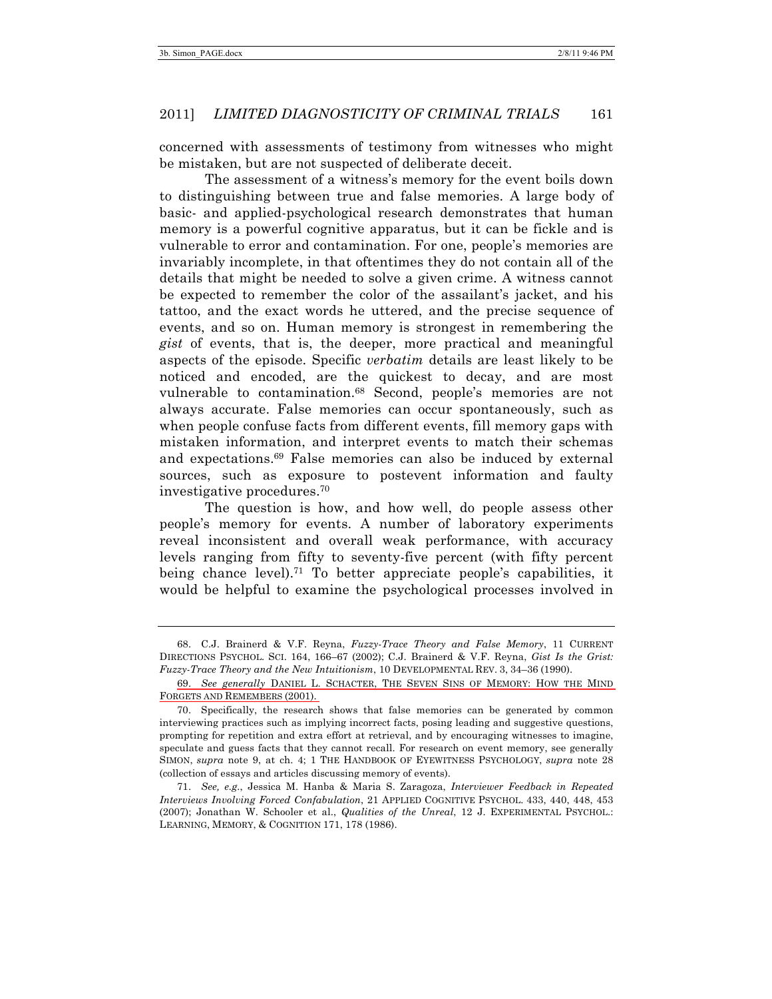concerned with assessments of testimony from witnesses who might be mistaken, but are not suspected of deliberate deceit.

The assessment of a witness's memory for the event boils down to distinguishing between true and false memories. A large body of basic- and applied-psychological research demonstrates that human memory is a powerful cognitive apparatus, but it can be fickle and is vulnerable to error and contamination. For one, people's memories are invariably incomplete, in that oftentimes they do not contain all of the details that might be needed to solve a given crime. A witness cannot be expected to remember the color of the assailant's jacket, and his tattoo, and the exact words he uttered, and the precise sequence of events, and so on. Human memory is strongest in remembering the *gist* of events, that is, the deeper, more practical and meaningful aspects of the episode. Specific *verbatim* details are least likely to be noticed and encoded, are the quickest to decay, and are most vulnerable to contamination.68 Second, people's memories are not always accurate. False memories can occur spontaneously, such as when people confuse facts from different events, fill memory gaps with mistaken information, and interpret events to match their schemas and expectations.69 False memories can also be induced by external sources, such as exposure to postevent information and faulty investigative procedures.70

The question is how, and how well, do people assess other people's memory for events. A number of laboratory experiments reveal inconsistent and overall weak performance, with accuracy levels ranging from fifty to seventy-five percent (with fifty percent being chance level).<sup>71</sup> To better appreciate people's capabilities, it would be helpful to examine the psychological processes involved in

<sup>68.</sup> C.J. Brainerd & V.F. Reyna, *Fuzzy-Trace Theory and False Memory*, 11 CURRENT DIRECTIONS PSYCHOL. SCI. 164, 166–67 (2002); C.J. Brainerd & V.F. Reyna, *Gist Is the Grist: Fuzzy-Trace Theory and the New Intuitionism*, 10 DEVELOPMENTAL REV. 3, 34–36 (1990).

<sup>69.</sup> *See generally* DANIEL L. SCHACTER, THE SEVEN SINS OF MEMORY: HOW THE MIND FORGETS AND REMEMBERS (2001).

<sup>70.</sup> Specifically, the research shows that false memories can be generated by common interviewing practices such as implying incorrect facts, posing leading and suggestive questions, prompting for repetition and extra effort at retrieval, and by encouraging witnesses to imagine, speculate and guess facts that they cannot recall. For research on event memory, see generally SIMON, *supra* note 9, at ch. 4; 1 THE HANDBOOK OF EYEWITNESS PSYCHOLOGY, *supra* note 28 (collection of essays and articles discussing memory of events).

<sup>71.</sup> *See, e.g.*, Jessica M. Hanba & Maria S. Zaragoza, *Interviewer Feedback in Repeated Interviews Involving Forced Confabulation*, 21 APPLIED COGNITIVE PSYCHOL. 433, 440, 448, 453 (2007); Jonathan W. Schooler et al., *Qualities of the Unreal*, 12 J. EXPERIMENTAL PSYCHOL.: LEARNING, MEMORY, & COGNITION 171, 178 (1986).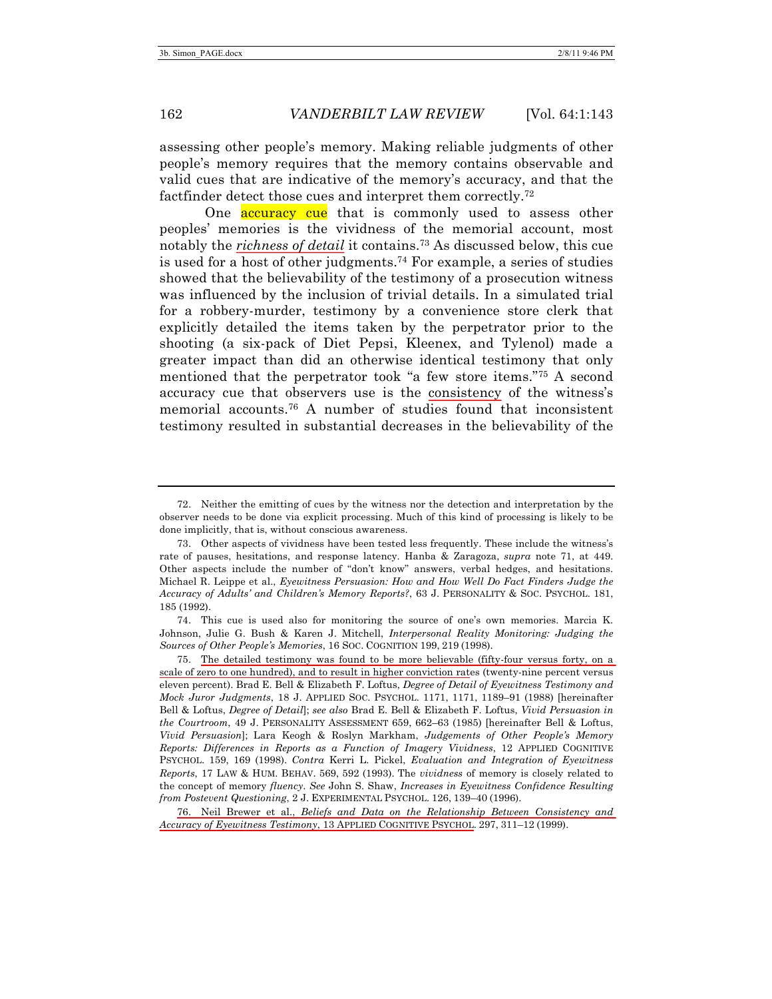assessing other people's memory. Making reliable judgments of other people's memory requires that the memory contains observable and valid cues that are indicative of the memory's accuracy, and that the factfinder detect those cues and interpret them correctly.72

One **accuracy cue** that is commonly used to assess other peoples' memories is the vividness of the memorial account, most notably the *richness of detail* it contains.73 As discussed below, this cue is used for a host of other judgments.74 For example, a series of studies showed that the believability of the testimony of a prosecution witness was influenced by the inclusion of trivial details. In a simulated trial for a robbery-murder, testimony by a convenience store clerk that explicitly detailed the items taken by the perpetrator prior to the shooting (a six-pack of Diet Pepsi, Kleenex, and Tylenol) made a greater impact than did an otherwise identical testimony that only mentioned that the perpetrator took "a few store items."75 A second accuracy cue that observers use is the consistency of the witness's memorial accounts.76 A number of studies found that inconsistent testimony resulted in substantial decreases in the believability of the

<sup>72.</sup> Neither the emitting of cues by the witness nor the detection and interpretation by the observer needs to be done via explicit processing. Much of this kind of processing is likely to be done implicitly, that is, without conscious awareness.

<sup>73.</sup> Other aspects of vividness have been tested less frequently. These include the witness's rate of pauses, hesitations, and response latency. Hanba & Zaragoza, *supra* note 71, at 449. Other aspects include the number of "don't know" answers, verbal hedges, and hesitations. Michael R. Leippe et al., *Eyewitness Persuasion: How and How Well Do Fact Finders Judge the Accuracy of Adults' and Children's Memory Reports?*, 63 J. PERSONALITY & SOC. PSYCHOL. 181, 185 (1992).

<sup>74.</sup> This cue is used also for monitoring the source of one's own memories. Marcia K. Johnson, Julie G. Bush & Karen J. Mitchell, *Interpersonal Reality Monitoring: Judging the Sources of Other People's Memories*, 16 SOC. COGNITION 199, 219 (1998).

<sup>75.</sup> The detailed testimony was found to be more believable (fifty-four versus forty, on a scale of zero to one hundred), and to result in higher conviction rates (twenty-nine percent versus eleven percent). Brad E. Bell & Elizabeth F. Loftus, *Degree of Detail of Eyewitness Testimony and Mock Juror Judgments*, 18 J. APPLIED SOC. PSYCHOL. 1171, 1171, 1189–91 (1988) [hereinafter Bell & Loftus, *Degree of Detail*]; *see also* Brad E. Bell & Elizabeth F. Loftus, *Vivid Persuasion in the Courtroom*, 49 J. PERSONALITY ASSESSMENT 659, 662–63 (1985) [hereinafter Bell & Loftus, *Vivid Persuasion*]; Lara Keogh & Roslyn Markham, *Judgements of Other People's Memory Reports: Differences in Reports as a Function of Imagery Vividness*, 12 APPLIED COGNITIVE PSYCHOL. 159, 169 (1998). *Contra* Kerri L. Pickel, *Evaluation and Integration of Eyewitness Reports*, 17 LAW & HUM. BEHAV. 569, 592 (1993). The *vividness* of memory is closely related to the concept of memory *fluency*. *See* John S. Shaw, *Increases in Eyewitness Confidence Resulting from Postevent Questioning*, 2 J. EXPERIMENTAL PSYCHOL. 126, 139–40 (1996).

<sup>76.</sup> Neil Brewer et al., *Beliefs and Data on the Relationship Between Consistency and Accuracy of Eyewitness Testimony*, 13 APPLIED COGNITIVE PSYCHOL. 297, 311–12 (1999).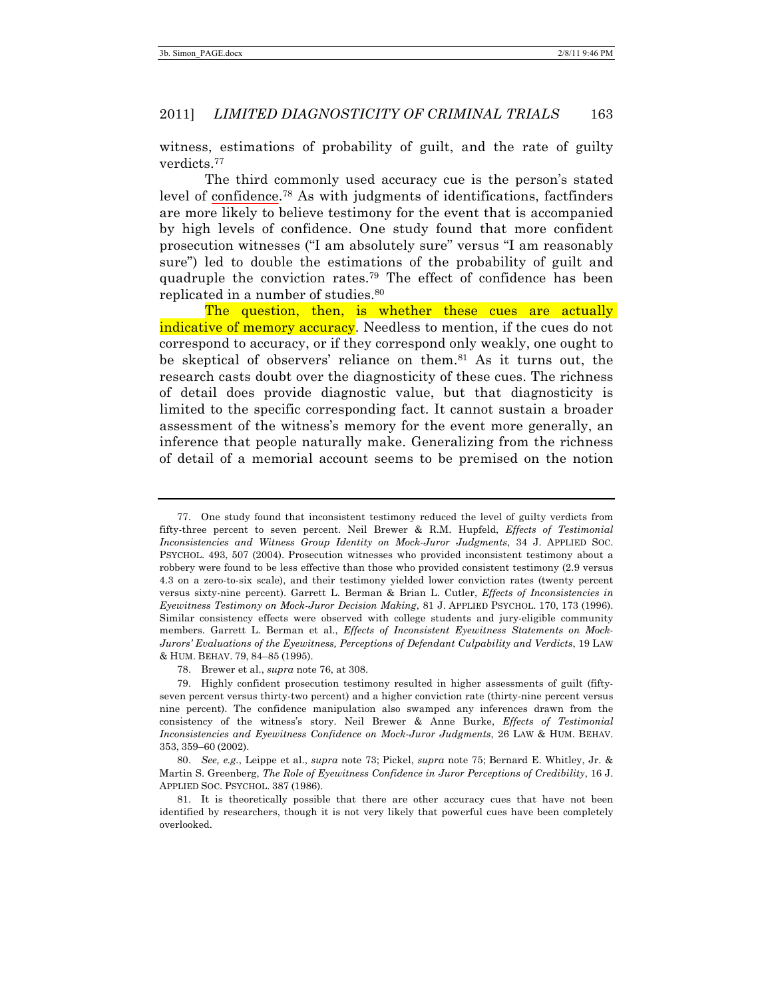witness, estimations of probability of guilt, and the rate of guilty verdicts.77

The third commonly used accuracy cue is the person's stated level of confidence.78 As with judgments of identifications, factfinders are more likely to believe testimony for the event that is accompanied by high levels of confidence. One study found that more confident prosecution witnesses ("I am absolutely sure" versus "I am reasonably sure") led to double the estimations of the probability of guilt and quadruple the conviction rates.79 The effect of confidence has been replicated in a number of studies.80

The question, then, is whether these cues are actually indicative of memory accuracy. Needless to mention, if the cues do not correspond to accuracy, or if they correspond only weakly, one ought to be skeptical of observers' reliance on them.81 As it turns out, the research casts doubt over the diagnosticity of these cues. The richness of detail does provide diagnostic value, but that diagnosticity is limited to the specific corresponding fact. It cannot sustain a broader assessment of the witness's memory for the event more generally, an inference that people naturally make. Generalizing from the richness of detail of a memorial account seems to be premised on the notion

78. Brewer et al., *supra* note 76, at 308.

<sup>77.</sup> One study found that inconsistent testimony reduced the level of guilty verdicts from fifty-three percent to seven percent. Neil Brewer & R.M. Hupfeld, *Effects of Testimonial Inconsistencies and Witness Group Identity on Mock-Juror Judgments*, 34 J. APPLIED SOC. PSYCHOL. 493, 507 (2004). Prosecution witnesses who provided inconsistent testimony about a robbery were found to be less effective than those who provided consistent testimony (2.9 versus 4.3 on a zero-to-six scale), and their testimony yielded lower conviction rates (twenty percent versus sixty-nine percent). Garrett L. Berman & Brian L. Cutler, *Effects of Inconsistencies in Eyewitness Testimony on Mock-Juror Decision Making*, 81 J. APPLIED PSYCHOL. 170, 173 (1996). Similar consistency effects were observed with college students and jury-eligible community members. Garrett L. Berman et al., *Effects of Inconsistent Eyewitness Statements on Mock-Jurors' Evaluations of the Eyewitness, Perceptions of Defendant Culpability and Verdicts*, 19 LAW & HUM. BEHAV. 79, 84–85 (1995).

<sup>79.</sup> Highly confident prosecution testimony resulted in higher assessments of guilt (fiftyseven percent versus thirty-two percent) and a higher conviction rate (thirty-nine percent versus nine percent). The confidence manipulation also swamped any inferences drawn from the consistency of the witness's story. Neil Brewer & Anne Burke, *Effects of Testimonial Inconsistencies and Eyewitness Confidence on Mock-Juror Judgments*, 26 LAW & HUM. BEHAV. 353, 359–60 (2002).

<sup>80.</sup> *See, e.g.*, Leippe et al., *supra* note 73; Pickel, *supra* note 75; Bernard E. Whitley, Jr. & Martin S. Greenberg, *The Role of Eyewitness Confidence in Juror Perceptions of Credibility*, 16 J. APPLIED SOC. PSYCHOL. 387 (1986).

<sup>81.</sup> It is theoretically possible that there are other accuracy cues that have not been identified by researchers, though it is not very likely that powerful cues have been completely overlooked.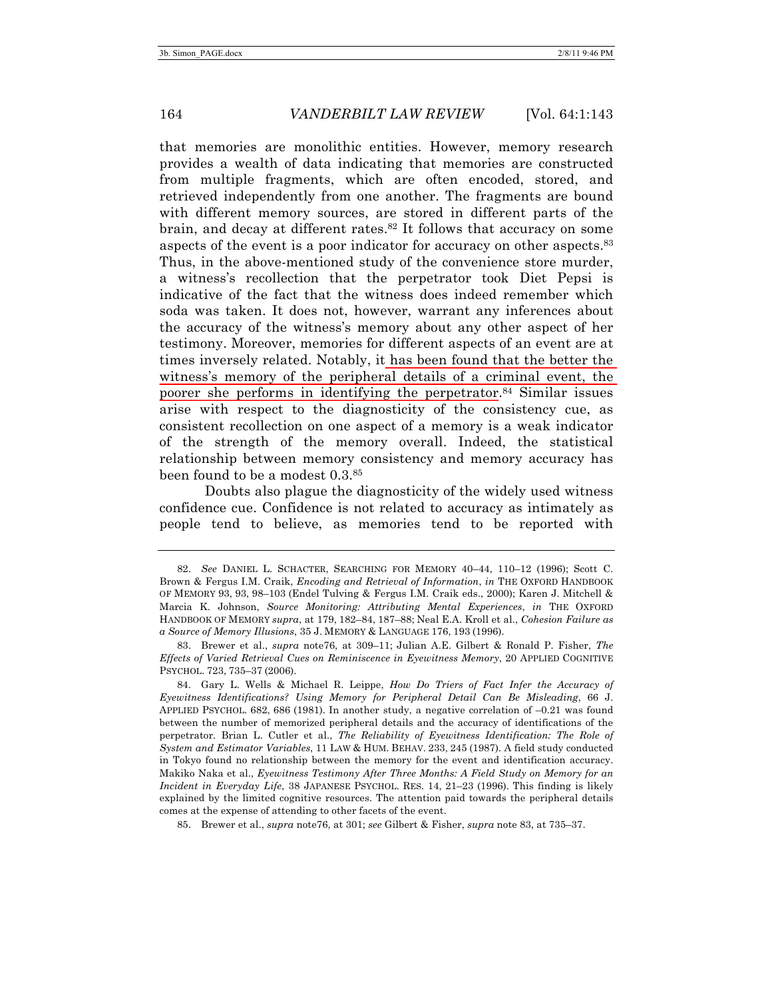that memories are monolithic entities. However, memory research provides a wealth of data indicating that memories are constructed from multiple fragments, which are often encoded, stored, and retrieved independently from one another. The fragments are bound with different memory sources, are stored in different parts of the brain, and decay at different rates.<sup>82</sup> It follows that accuracy on some aspects of the event is a poor indicator for accuracy on other aspects.83 Thus, in the above-mentioned study of the convenience store murder, a witness's recollection that the perpetrator took Diet Pepsi is indicative of the fact that the witness does indeed remember which soda was taken. It does not, however, warrant any inferences about the accuracy of the witness's memory about any other aspect of her testimony. Moreover, memories for different aspects of an event are at times inversely related. Notably, it has been found that the better the witness's memory of the peripheral details of a criminal event, the poorer she performs in identifying the perpetrator.<sup>84</sup> Similar issues arise with respect to the diagnosticity of the consistency cue, as consistent recollection on one aspect of a memory is a weak indicator of the strength of the memory overall. Indeed, the statistical relationship between memory consistency and memory accuracy has been found to be a modest 0.3.85

Doubts also plague the diagnosticity of the widely used witness confidence cue. Confidence is not related to accuracy as intimately as people tend to believe, as memories tend to be reported with

<sup>82.</sup> *See* DANIEL L. SCHACTER, SEARCHING FOR MEMORY 40–44, 110–12 (1996); Scott C. Brown & Fergus I.M. Craik, *Encoding and Retrieval of Information*, *in* THE OXFORD HANDBOOK OF MEMORY 93, 93, 98–103 (Endel Tulving & Fergus I.M. Craik eds., 2000); Karen J. Mitchell & Marcia K. Johnson, *Source Monitoring: Attributing Mental Experiences*, *in* THE OXFORD HANDBOOK OF MEMORY *supra*, at 179, 182–84, 187–88; Neal E.A. Kroll et al., *Cohesion Failure as a Source of Memory Illusions*, 35 J. MEMORY & LANGUAGE 176, 193 (1996).

<sup>83.</sup> Brewer et al., *supra* note76, at 309–11; Julian A.E. Gilbert & Ronald P. Fisher, *The Effects of Varied Retrieval Cues on Reminiscence in Eyewitness Memory*, 20 APPLIED COGNITIVE PSYCHOL. 723, 735–37 (2006).

<sup>84.</sup> Gary L. Wells & Michael R. Leippe, *How Do Triers of Fact Infer the Accuracy of Eyewitness Identifications? Using Memory for Peripheral Detail Can Be Misleading*, 66 J. APPLIED PSYCHOL. 682, 686 (1981). In another study, a negative correlation of –0.21 was found between the number of memorized peripheral details and the accuracy of identifications of the perpetrator. Brian L. Cutler et al., *The Reliability of Eyewitness Identification: The Role of System and Estimator Variables*, 11 LAW & HUM. BEHAV. 233, 245 (1987). A field study conducted in Tokyo found no relationship between the memory for the event and identification accuracy. Makiko Naka et al., *Eyewitness Testimony After Three Months: A Field Study on Memory for an Incident in Everyday Life*, 38 JAPANESE PSYCHOL. RES. 14, 21–23 (1996). This finding is likely explained by the limited cognitive resources. The attention paid towards the peripheral details comes at the expense of attending to other facets of the event.

<sup>85.</sup> Brewer et al., *supra* note76, at 301; *see* Gilbert & Fisher, *supra* note 83, at 735–37.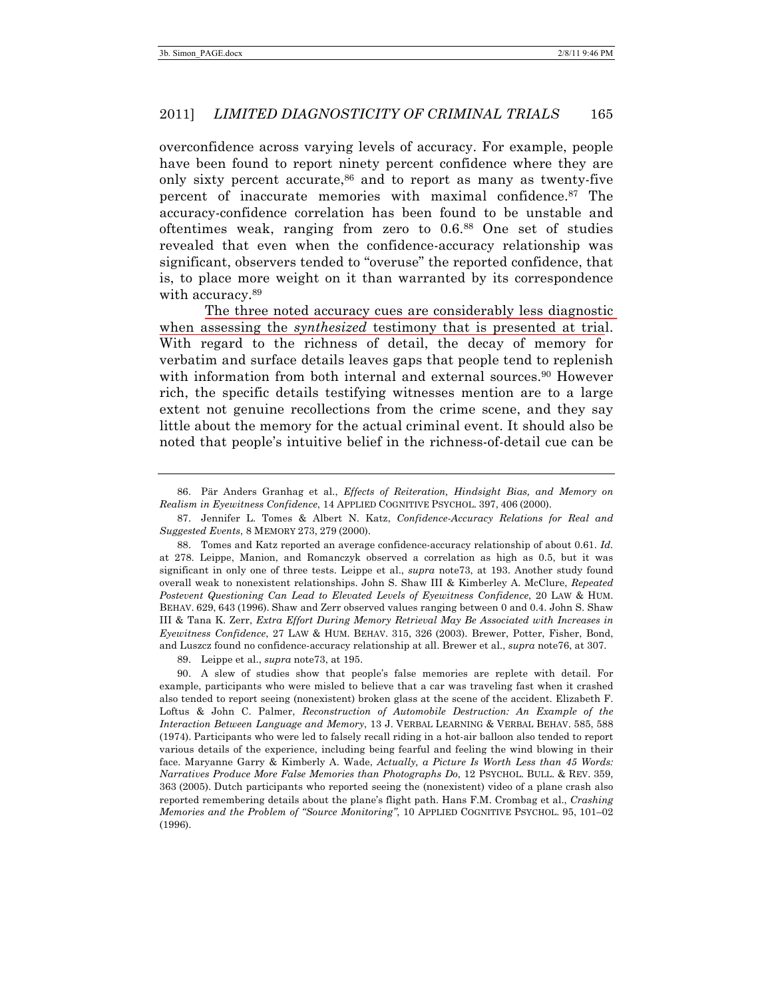overconfidence across varying levels of accuracy. For example, people have been found to report ninety percent confidence where they are only sixty percent accurate,<sup>86</sup> and to report as many as twenty-five percent of inaccurate memories with maximal confidence.87 The accuracy-confidence correlation has been found to be unstable and oftentimes weak, ranging from zero to 0.6.88 One set of studies revealed that even when the confidence-accuracy relationship was significant, observers tended to "overuse" the reported confidence, that is, to place more weight on it than warranted by its correspondence with accuracy.<sup>89</sup>

The three noted accuracy cues are considerably less diagnostic when assessing the *synthesized* testimony that is presented at trial. With regard to the richness of detail, the decay of memory for verbatim and surface details leaves gaps that people tend to replenish with information from both internal and external sources.<sup>90</sup> However rich, the specific details testifying witnesses mention are to a large extent not genuine recollections from the crime scene, and they say little about the memory for the actual criminal event. It should also be noted that people's intuitive belief in the richness-of-detail cue can be

86. Pär Anders Granhag et al., *Effects of Reiteration, Hindsight Bias, and Memory on Realism in Eyewitness Confidence*, 14 APPLIED COGNITIVE PSYCHOL. 397, 406 (2000).

88. Tomes and Katz reported an average confidence-accuracy relationship of about 0.61. *Id.* at 278. Leippe, Manion, and Romanczyk observed a correlation as high as 0.5, but it was significant in only one of three tests. Leippe et al., *supra* note73, at 193. Another study found overall weak to nonexistent relationships. John S. Shaw III & Kimberley A. McClure, *Repeated Postevent Questioning Can Lead to Elevated Levels of Eyewitness Confidence*, 20 LAW & HUM. BEHAV. 629, 643 (1996). Shaw and Zerr observed values ranging between 0 and 0.4. John S. Shaw III & Tana K. Zerr, *Extra Effort During Memory Retrieval May Be Associated with Increases in Eyewitness Confidence*, 27 LAW & HUM. BEHAV. 315, 326 (2003). Brewer, Potter, Fisher, Bond, and Luszcz found no confidence-accuracy relationship at all. Brewer et al., *supra* note76, at 307.

89. Leippe et al., *supra* note73, at 195.

90. A slew of studies show that people's false memories are replete with detail. For example, participants who were misled to believe that a car was traveling fast when it crashed also tended to report seeing (nonexistent) broken glass at the scene of the accident. Elizabeth F. Loftus & John C. Palmer, *Reconstruction of Automobile Destruction: An Example of the Interaction Between Language and Memory*, 13 J. VERBAL LEARNING & VERBAL BEHAV. 585, 588 (1974). Participants who were led to falsely recall riding in a hot-air balloon also tended to report various details of the experience, including being fearful and feeling the wind blowing in their face. Maryanne Garry & Kimberly A. Wade, *Actually, a Picture Is Worth Less than 45 Words: Narratives Produce More False Memories than Photographs Do*, 12 PSYCHOL. BULL. & REV. 359, 363 (2005). Dutch participants who reported seeing the (nonexistent) video of a plane crash also reported remembering details about the plane's flight path. Hans F.M. Crombag et al., *Crashing Memories and the Problem of "Source Monitoring"*, 10 APPLIED COGNITIVE PSYCHOL. 95, 101–02 (1996).

<sup>87.</sup> Jennifer L. Tomes & Albert N. Katz, *Confidence-Accuracy Relations for Real and Suggested Events*, 8 MEMORY 273, 279 (2000).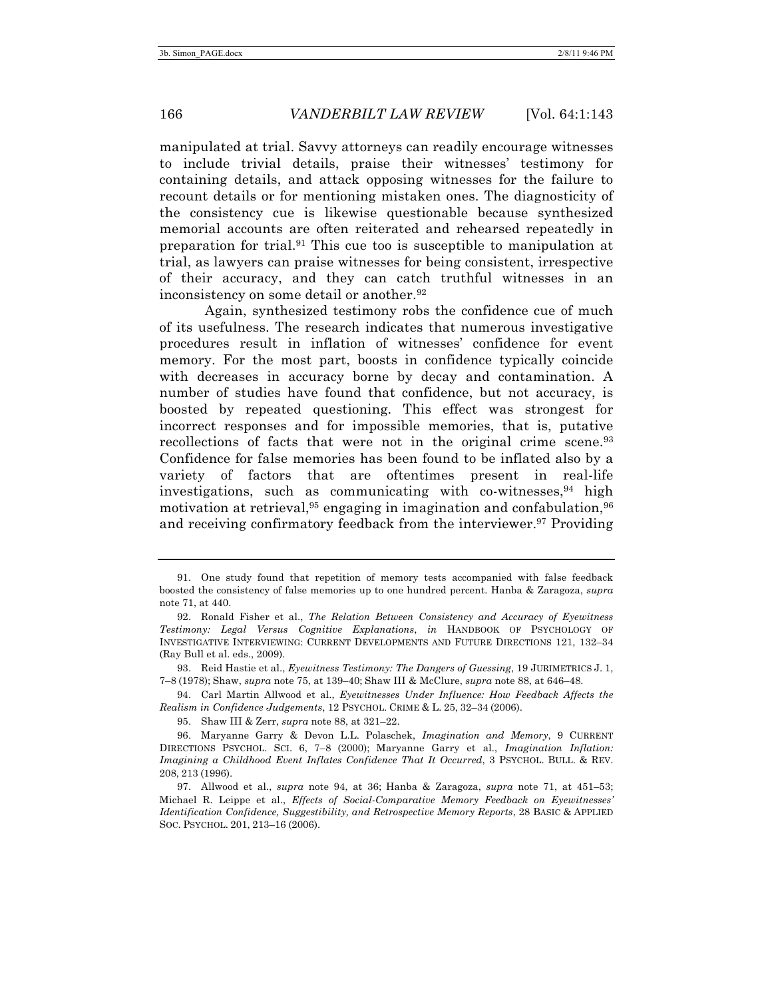manipulated at trial. Savvy attorneys can readily encourage witnesses to include trivial details, praise their witnesses' testimony for containing details, and attack opposing witnesses for the failure to recount details or for mentioning mistaken ones. The diagnosticity of the consistency cue is likewise questionable because synthesized memorial accounts are often reiterated and rehearsed repeatedly in preparation for trial.91 This cue too is susceptible to manipulation at trial, as lawyers can praise witnesses for being consistent, irrespective of their accuracy, and they can catch truthful witnesses in an inconsistency on some detail or another.<sup>92</sup>

Again, synthesized testimony robs the confidence cue of much of its usefulness. The research indicates that numerous investigative procedures result in inflation of witnesses' confidence for event memory. For the most part, boosts in confidence typically coincide with decreases in accuracy borne by decay and contamination. A number of studies have found that confidence, but not accuracy, is boosted by repeated questioning. This effect was strongest for incorrect responses and for impossible memories, that is, putative recollections of facts that were not in the original crime scene.<sup>93</sup> Confidence for false memories has been found to be inflated also by a variety of factors that are oftentimes present in real-life investigations, such as communicating with co-witnesses,  $94$  high motivation at retrieval,  $95$  engaging in imagination and confabulation,  $96$ and receiving confirmatory feedback from the interviewer.<sup>97</sup> Providing

93. Reid Hastie et al., *Eyewitness Testimony: The Dangers of Guessing*, 19 JURIMETRICS J. 1, 7–8 (1978); Shaw, *supra* note 75, at 139–40; Shaw III & McClure, *supra* note 88, at 646–48.

94. Carl Martin Allwood et al., *Eyewitnesses Under Influence: How Feedback Affects the Realism in Confidence Judgements*, 12 PSYCHOL. CRIME & L. 25, 32–34 (2006).

95. Shaw III & Zerr, *supra* note 88, at 321–22.

<sup>91.</sup> One study found that repetition of memory tests accompanied with false feedback boosted the consistency of false memories up to one hundred percent. Hanba & Zaragoza, *supra* note 71, at 440.

<sup>92.</sup> Ronald Fisher et al., *The Relation Between Consistency and Accuracy of Eyewitness Testimony: Legal Versus Cognitive Explanations*, *in* HANDBOOK OF PSYCHOLOGY OF INVESTIGATIVE INTERVIEWING: CURRENT DEVELOPMENTS AND FUTURE DIRECTIONS 121, 132–34 (Ray Bull et al. eds., 2009).

<sup>96.</sup> Maryanne Garry & Devon L.L. Polaschek, *Imagination and Memory*, 9 CURRENT DIRECTIONS PSYCHOL. SCI. 6, 7–8 (2000); Maryanne Garry et al., *Imagination Inflation: Imagining a Childhood Event Inflates Confidence That It Occurred*, 3 PSYCHOL. BULL. & REV. 208, 213 (1996).

<sup>97.</sup> Allwood et al., *supra* note 94, at 36; Hanba & Zaragoza, *supra* note 71, at 451–53; Michael R. Leippe et al., *Effects of Social-Comparative Memory Feedback on Eyewitnesses' Identification Confidence, Suggestibility, and Retrospective Memory Reports*, 28 BASIC & APPLIED SOC. PSYCHOL. 201, 213–16 (2006).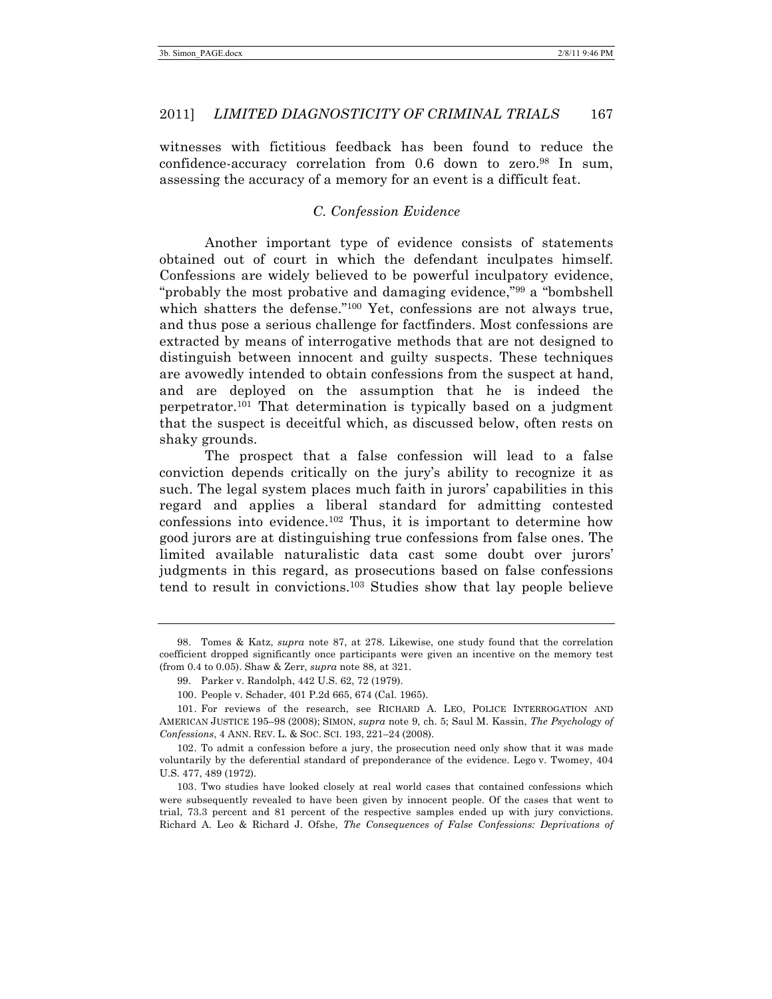witnesses with fictitious feedback has been found to reduce the confidence-accuracy correlation from 0.6 down to zero.98 In sum, assessing the accuracy of a memory for an event is a difficult feat.

#### *C. Confession Evidence*

Another important type of evidence consists of statements obtained out of court in which the defendant inculpates himself. Confessions are widely believed to be powerful inculpatory evidence, "probably the most probative and damaging evidence,"<sup>99</sup> a "bombshell" which shatters the defense."<sup>100</sup> Yet, confessions are not always true, and thus pose a serious challenge for factfinders. Most confessions are extracted by means of interrogative methods that are not designed to distinguish between innocent and guilty suspects. These techniques are avowedly intended to obtain confessions from the suspect at hand, and are deployed on the assumption that he is indeed the perpetrator.101 That determination is typically based on a judgment that the suspect is deceitful which, as discussed below, often rests on shaky grounds.

The prospect that a false confession will lead to a false conviction depends critically on the jury's ability to recognize it as such. The legal system places much faith in jurors' capabilities in this regard and applies a liberal standard for admitting contested confessions into evidence.102 Thus, it is important to determine how good jurors are at distinguishing true confessions from false ones. The limited available naturalistic data cast some doubt over jurors' judgments in this regard, as prosecutions based on false confessions tend to result in convictions.103 Studies show that lay people believe

<sup>98.</sup> Tomes & Katz, *supra* note 87, at 278. Likewise, one study found that the correlation coefficient dropped significantly once participants were given an incentive on the memory test (from 0.4 to 0.05). Shaw & Zerr, *supra* note 88, at 321.

<sup>99.</sup> Parker v. Randolph, 442 U.S. 62, 72 (1979).

<sup>100.</sup> People v. Schader, 401 P.2d 665, 674 (Cal. 1965).

<sup>101.</sup> For reviews of the research, see RICHARD A. LEO, POLICE INTERROGATION AND AMERICAN JUSTICE 195–98 (2008); SIMON, *supra* note 9, ch. 5; Saul M. Kassin, *The Psychology of Confessions*, 4 ANN. REV. L. & SOC. SCI. 193, 221–24 (2008).

<sup>102.</sup> To admit a confession before a jury, the prosecution need only show that it was made voluntarily by the deferential standard of preponderance of the evidence. Lego v. Twomey, 404 U.S. 477, 489 (1972).

<sup>103.</sup> Two studies have looked closely at real world cases that contained confessions which were subsequently revealed to have been given by innocent people. Of the cases that went to trial, 73.3 percent and 81 percent of the respective samples ended up with jury convictions. Richard A. Leo & Richard J. Ofshe, *The Consequences of False Confessions: Deprivations of*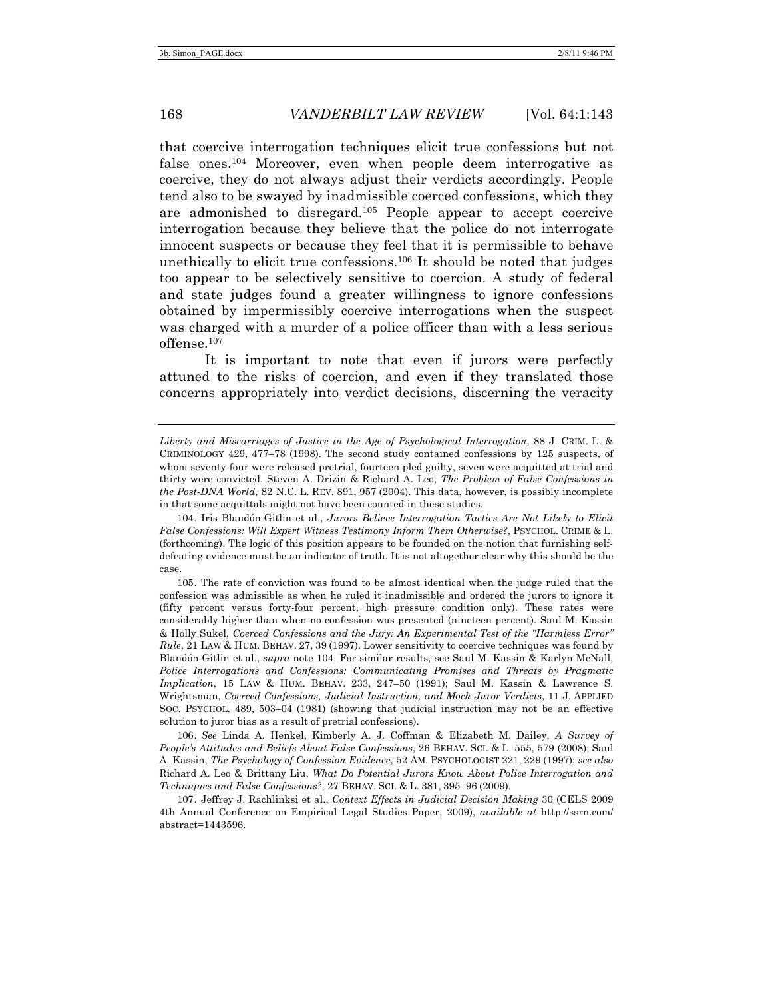that coercive interrogation techniques elicit true confessions but not false ones.104 Moreover, even when people deem interrogative as coercive, they do not always adjust their verdicts accordingly. People tend also to be swayed by inadmissible coerced confessions, which they are admonished to disregard.105 People appear to accept coercive interrogation because they believe that the police do not interrogate innocent suspects or because they feel that it is permissible to behave unethically to elicit true confessions.<sup>106</sup> It should be noted that judges too appear to be selectively sensitive to coercion. A study of federal and state judges found a greater willingness to ignore confessions obtained by impermissibly coercive interrogations when the suspect was charged with a murder of a police officer than with a less serious offense.107

It is important to note that even if jurors were perfectly attuned to the risks of coercion, and even if they translated those concerns appropriately into verdict decisions, discerning the veracity

106. *See* Linda A. Henkel, Kimberly A. J. Coffman & Elizabeth M. Dailey, *A Survey of People's Attitudes and Beliefs About False Confessions*, 26 BEHAV. SCI. & L. 555, 579 (2008); Saul A. Kassin, *The Psychology of Confession Evidence*, 52 AM. PSYCHOLOGIST 221, 229 (1997); *see also* Richard A. Leo & Brittany Liu, *What Do Potential Jurors Know About Police Interrogation and Techniques and False Confessions?*, 27 BEHAV. SCI. & L. 381, 395–96 (2009).

107. Jeffrey J. Rachlinksi et al., *Context Effects in Judicial Decision Making* 30 (CELS 2009 4th Annual Conference on Empirical Legal Studies Paper, 2009), *available at* http://ssrn.com/ abstract=1443596.

*Liberty and Miscarriages of Justice in the Age of Psychological Interrogation*, 88 J. CRIM. L. & CRIMINOLOGY 429, 477–78 (1998). The second study contained confessions by 125 suspects, of whom seventy-four were released pretrial, fourteen pled guilty, seven were acquitted at trial and thirty were convicted. Steven A. Drizin & Richard A. Leo, *The Problem of False Confessions in the Post-DNA World*, 82 N.C. L. REV. 891, 957 (2004). This data, however, is possibly incomplete in that some acquittals might not have been counted in these studies.

<sup>104.</sup> Iris Blandón-Gitlin et al., *Jurors Believe Interrogation Tactics Are Not Likely to Elicit False Confessions: Will Expert Witness Testimony Inform Them Otherwise?*, PSYCHOL. CRIME & L. (forthcoming). The logic of this position appears to be founded on the notion that furnishing selfdefeating evidence must be an indicator of truth. It is not altogether clear why this should be the case.

<sup>105.</sup> The rate of conviction was found to be almost identical when the judge ruled that the confession was admissible as when he ruled it inadmissible and ordered the jurors to ignore it (fifty percent versus forty-four percent, high pressure condition only). These rates were considerably higher than when no confession was presented (nineteen percent). Saul M. Kassin & Holly Sukel, *Coerced Confessions and the Jury: An Experimental Test of the "Harmless Error" Rule*, 21 LAW & HUM. BEHAV. 27, 39 (1997). Lower sensitivity to coercive techniques was found by Blandón-Gitlin et al., *supra* note 104. For similar results, see Saul M. Kassin & Karlyn McNall, *Police Interrogations and Confessions: Communicating Promises and Threats by Pragmatic Implication*, 15 LAW & HUM. BEHAV. 233, 247–50 (1991); Saul M. Kassin & Lawrence S. Wrightsman, *Coerced Confessions, Judicial Instruction, and Mock Juror Verdicts*, 11 J. APPLIED SOC. PSYCHOL. 489, 503–04 (1981) (showing that judicial instruction may not be an effective solution to juror bias as a result of pretrial confessions).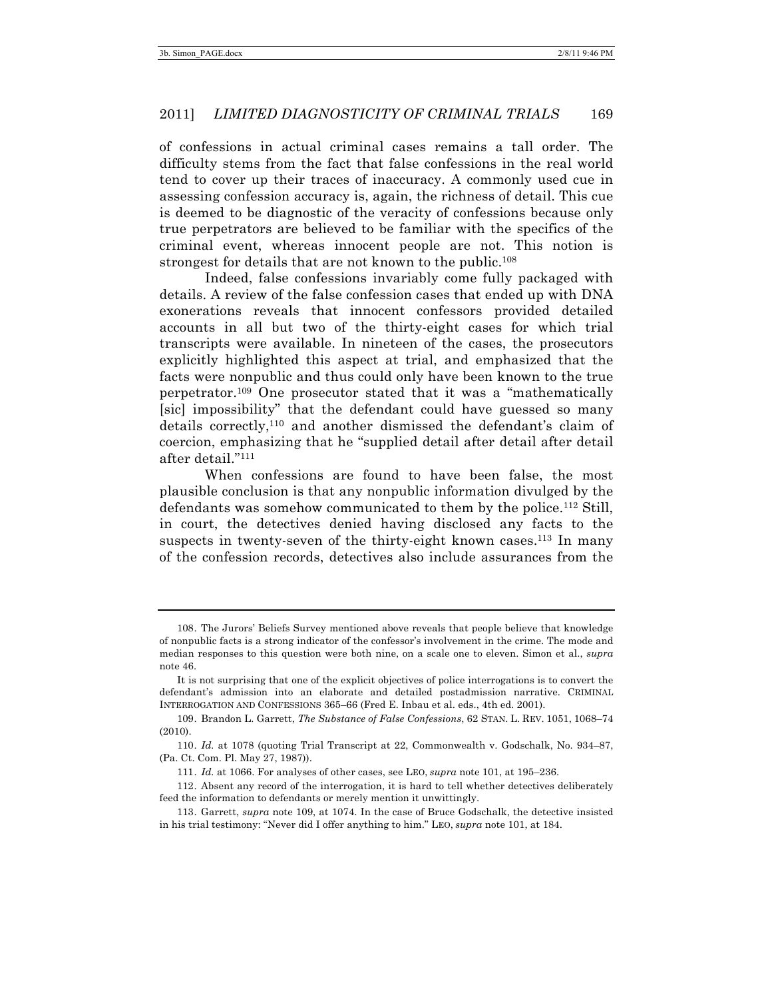of confessions in actual criminal cases remains a tall order. The difficulty stems from the fact that false confessions in the real world tend to cover up their traces of inaccuracy. A commonly used cue in assessing confession accuracy is, again, the richness of detail. This cue is deemed to be diagnostic of the veracity of confessions because only true perpetrators are believed to be familiar with the specifics of the criminal event, whereas innocent people are not. This notion is strongest for details that are not known to the public.<sup>108</sup>

Indeed, false confessions invariably come fully packaged with details. A review of the false confession cases that ended up with DNA exonerations reveals that innocent confessors provided detailed accounts in all but two of the thirty-eight cases for which trial transcripts were available. In nineteen of the cases, the prosecutors explicitly highlighted this aspect at trial, and emphasized that the facts were nonpublic and thus could only have been known to the true perpetrator.109 One prosecutor stated that it was a "mathematically [sic] impossibility" that the defendant could have guessed so many details correctly,110 and another dismissed the defendant's claim of coercion, emphasizing that he "supplied detail after detail after detail after detail."111

When confessions are found to have been false, the most plausible conclusion is that any nonpublic information divulged by the defendants was somehow communicated to them by the police.112 Still, in court, the detectives denied having disclosed any facts to the suspects in twenty-seven of the thirty-eight known cases.<sup>113</sup> In many of the confession records, detectives also include assurances from the

<sup>108.</sup> The Jurors' Beliefs Survey mentioned above reveals that people believe that knowledge of nonpublic facts is a strong indicator of the confessor's involvement in the crime. The mode and median responses to this question were both nine, on a scale one to eleven. Simon et al., *supra* note 46.

It is not surprising that one of the explicit objectives of police interrogations is to convert the defendant's admission into an elaborate and detailed postadmission narrative. CRIMINAL INTERROGATION AND CONFESSIONS 365–66 (Fred E. Inbau et al. eds., 4th ed. 2001).

<sup>109.</sup> Brandon L. Garrett, *The Substance of False Confessions*, 62 STAN. L. REV. 1051, 1068–74 (2010).

<sup>110.</sup> *Id.* at 1078 (quoting Trial Transcript at 22, Commonwealth v. Godschalk, No. 934–87, (Pa. Ct. Com. Pl. May 27, 1987)).

<sup>111.</sup> *Id.* at 1066. For analyses of other cases, see LEO, *supra* note 101, at 195–236.

<sup>112.</sup> Absent any record of the interrogation, it is hard to tell whether detectives deliberately feed the information to defendants or merely mention it unwittingly.

<sup>113.</sup> Garrett, *supra* note 109, at 1074. In the case of Bruce Godschalk, the detective insisted in his trial testimony: "Never did I offer anything to him." LEO, *supra* note 101, at 184.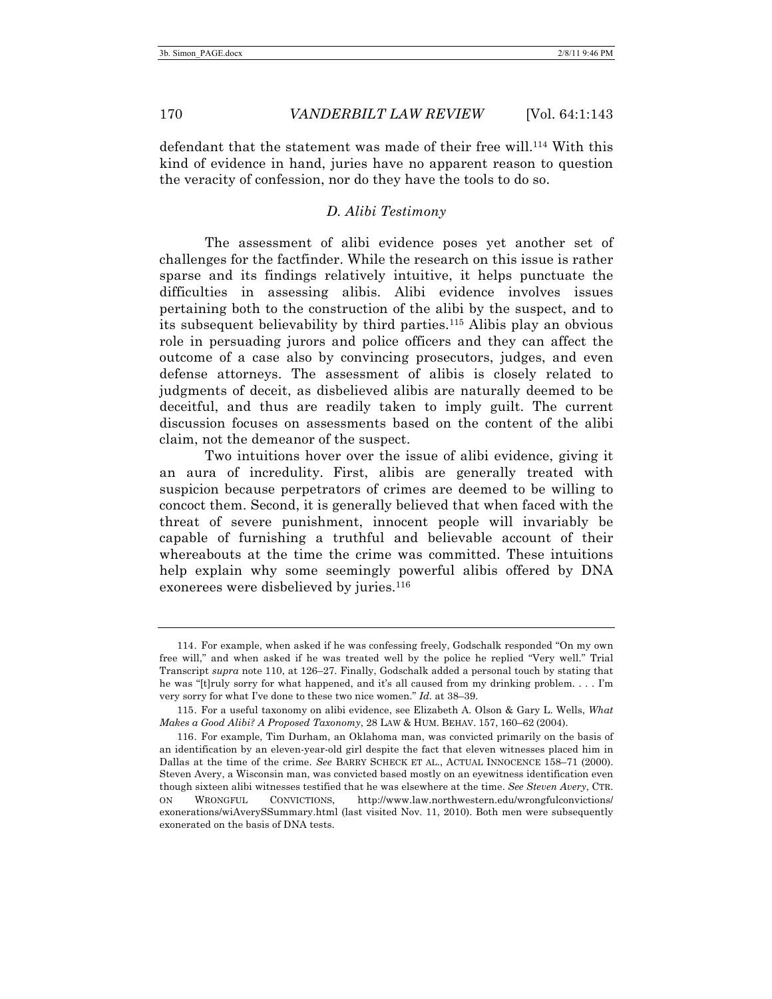defendant that the statement was made of their free will. <sup>114</sup> With this kind of evidence in hand, juries have no apparent reason to question the veracity of confession, nor do they have the tools to do so.

#### *D. Alibi Testimony*

The assessment of alibi evidence poses yet another set of challenges for the factfinder. While the research on this issue is rather sparse and its findings relatively intuitive, it helps punctuate the difficulties in assessing alibis. Alibi evidence involves issues pertaining both to the construction of the alibi by the suspect, and to its subsequent believability by third parties.115 Alibis play an obvious role in persuading jurors and police officers and they can affect the outcome of a case also by convincing prosecutors, judges, and even defense attorneys. The assessment of alibis is closely related to judgments of deceit, as disbelieved alibis are naturally deemed to be deceitful, and thus are readily taken to imply guilt. The current discussion focuses on assessments based on the content of the alibi claim, not the demeanor of the suspect.

Two intuitions hover over the issue of alibi evidence, giving it an aura of incredulity. First, alibis are generally treated with suspicion because perpetrators of crimes are deemed to be willing to concoct them. Second, it is generally believed that when faced with the threat of severe punishment, innocent people will invariably be capable of furnishing a truthful and believable account of their whereabouts at the time the crime was committed. These intuitions help explain why some seemingly powerful alibis offered by DNA exonerees were disbelieved by juries.<sup>116</sup>

<sup>114.</sup> For example, when asked if he was confessing freely, Godschalk responded "On my own free will," and when asked if he was treated well by the police he replied "Very well." Trial Transcript *supra* note 110, at 126–27. Finally, Godschalk added a personal touch by stating that he was "[t]ruly sorry for what happened, and it's all caused from my drinking problem. . . . I'm very sorry for what I've done to these two nice women." *Id.* at 38–39.

<sup>115.</sup> For a useful taxonomy on alibi evidence, see Elizabeth A. Olson & Gary L. Wells, *What Makes a Good Alibi? A Proposed Taxonomy*, 28 LAW & HUM. BEHAV. 157, 160–62 (2004).

<sup>116.</sup> For example, Tim Durham, an Oklahoma man, was convicted primarily on the basis of an identification by an eleven-year-old girl despite the fact that eleven witnesses placed him in Dallas at the time of the crime. *See* BARRY SCHECK ET AL., ACTUAL INNOCENCE 158–71 (2000). Steven Avery, a Wisconsin man, was convicted based mostly on an eyewitness identification even though sixteen alibi witnesses testified that he was elsewhere at the time. *See Steven Avery*, CTR. ON WRONGFUL CONVICTIONS, http://www.law.northwestern.edu/wrongfulconvictions/ exonerations/wiAverySSummary.html (last visited Nov. 11, 2010). Both men were subsequently exonerated on the basis of DNA tests.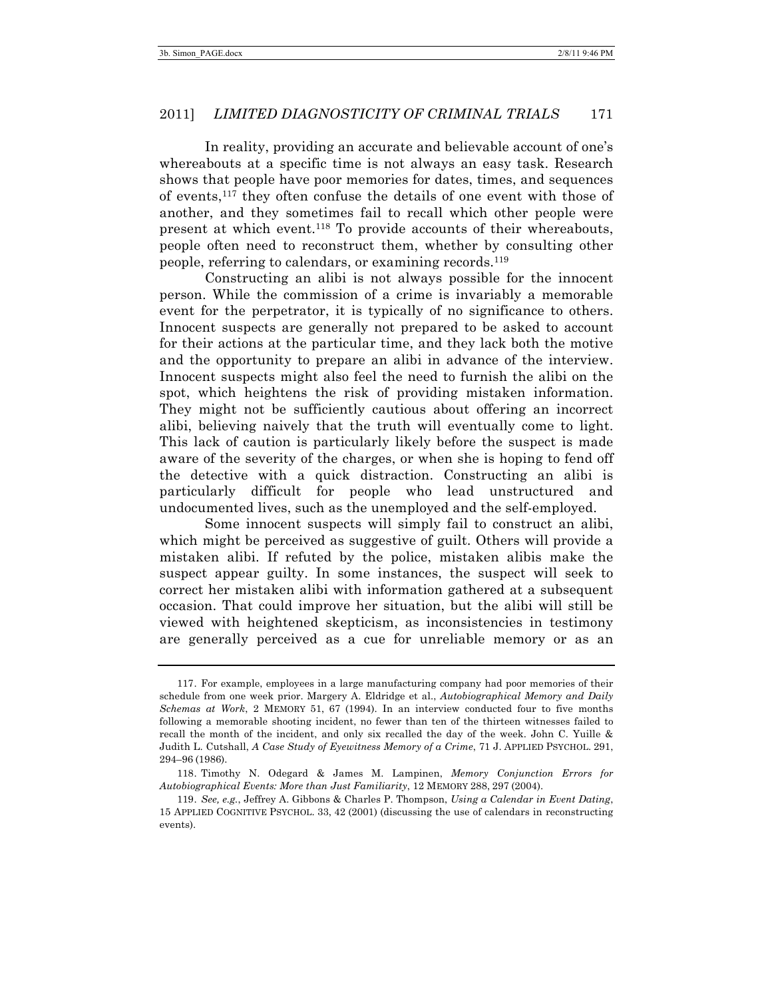In reality, providing an accurate and believable account of one's whereabouts at a specific time is not always an easy task. Research shows that people have poor memories for dates, times, and sequences of events,117 they often confuse the details of one event with those of another, and they sometimes fail to recall which other people were present at which event.118 To provide accounts of their whereabouts, people often need to reconstruct them, whether by consulting other people, referring to calendars, or examining records.119

Constructing an alibi is not always possible for the innocent person. While the commission of a crime is invariably a memorable event for the perpetrator, it is typically of no significance to others. Innocent suspects are generally not prepared to be asked to account for their actions at the particular time, and they lack both the motive and the opportunity to prepare an alibi in advance of the interview. Innocent suspects might also feel the need to furnish the alibi on the spot, which heightens the risk of providing mistaken information. They might not be sufficiently cautious about offering an incorrect alibi, believing naively that the truth will eventually come to light. This lack of caution is particularly likely before the suspect is made aware of the severity of the charges, or when she is hoping to fend off the detective with a quick distraction. Constructing an alibi is particularly difficult for people who lead unstructured and undocumented lives, such as the unemployed and the self-employed.

Some innocent suspects will simply fail to construct an alibi, which might be perceived as suggestive of guilt. Others will provide a mistaken alibi. If refuted by the police, mistaken alibis make the suspect appear guilty. In some instances, the suspect will seek to correct her mistaken alibi with information gathered at a subsequent occasion. That could improve her situation, but the alibi will still be viewed with heightened skepticism, as inconsistencies in testimony are generally perceived as a cue for unreliable memory or as an

<sup>117.</sup> For example, employees in a large manufacturing company had poor memories of their schedule from one week prior. Margery A. Eldridge et al., *Autobiographical Memory and Daily Schemas at Work*, 2 MEMORY 51, 67 (1994). In an interview conducted four to five months following a memorable shooting incident, no fewer than ten of the thirteen witnesses failed to recall the month of the incident, and only six recalled the day of the week. John C. Yuille & Judith L. Cutshall, *A Case Study of Eyewitness Memory of a Crime*, 71 J. APPLIED PSYCHOL. 291, 294–96 (1986).

<sup>118.</sup> Timothy N. Odegard & James M. Lampinen, *Memory Conjunction Errors for Autobiographical Events: More than Just Familiarity*, 12 MEMORY 288, 297 (2004).

<sup>119.</sup> *See, e.g.*, Jeffrey A. Gibbons & Charles P. Thompson, *Using a Calendar in Event Dating*, 15 APPLIED COGNITIVE PSYCHOL. 33, 42 (2001) (discussing the use of calendars in reconstructing events).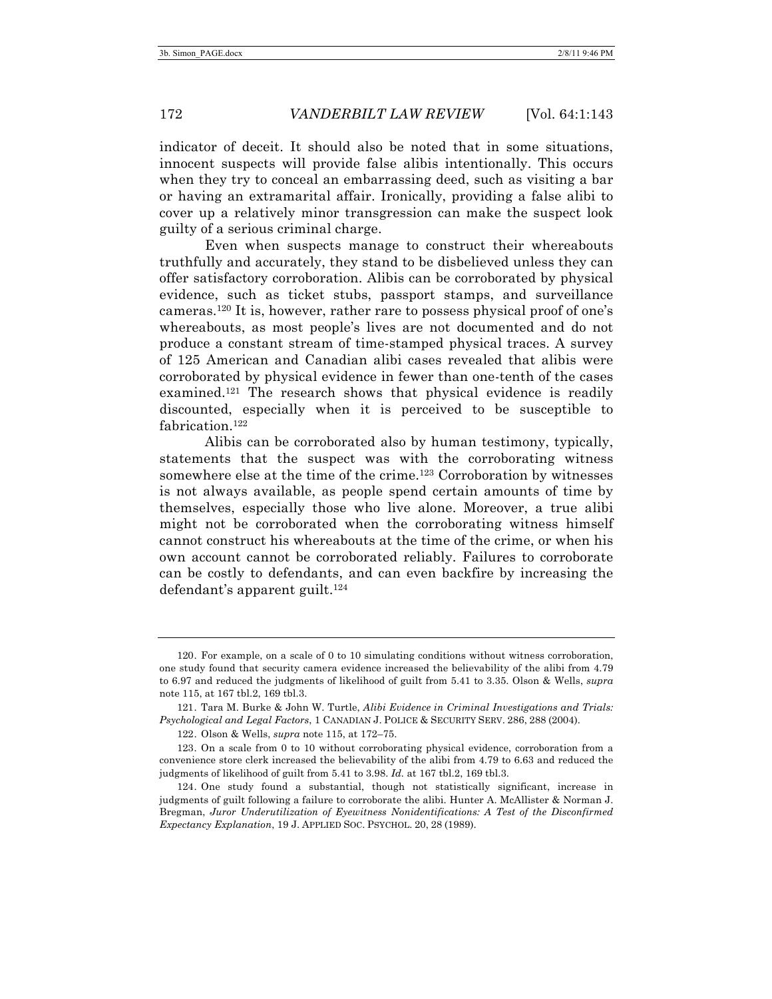Even when suspects manage to construct their whereabouts truthfully and accurately, they stand to be disbelieved unless they can offer satisfactory corroboration. Alibis can be corroborated by physical evidence, such as ticket stubs, passport stamps, and surveillance cameras.120 It is, however, rather rare to possess physical proof of one's whereabouts, as most people's lives are not documented and do not produce a constant stream of time-stamped physical traces. A survey of 125 American and Canadian alibi cases revealed that alibis were corroborated by physical evidence in fewer than one-tenth of the cases examined.<sup>121</sup> The research shows that physical evidence is readily discounted, especially when it is perceived to be susceptible to fabrication.<sup>122</sup>

Alibis can be corroborated also by human testimony, typically, statements that the suspect was with the corroborating witness somewhere else at the time of the crime.<sup>123</sup> Corroboration by witnesses is not always available, as people spend certain amounts of time by themselves, especially those who live alone. Moreover, a true alibi might not be corroborated when the corroborating witness himself cannot construct his whereabouts at the time of the crime, or when his own account cannot be corroborated reliably. Failures to corroborate can be costly to defendants, and can even backfire by increasing the defendant's apparent guilt.<sup>124</sup>

<sup>120.</sup> For example, on a scale of 0 to 10 simulating conditions without witness corroboration, one study found that security camera evidence increased the believability of the alibi from 4.79 to 6.97 and reduced the judgments of likelihood of guilt from 5.41 to 3.35. Olson & Wells, *supra* note 115, at 167 tbl.2, 169 tbl.3.

<sup>121.</sup> Tara M. Burke & John W. Turtle, *Alibi Evidence in Criminal Investigations and Trials: Psychological and Legal Factors*, 1 CANADIAN J. POLICE & SECURITY SERV. 286, 288 (2004).

<sup>122.</sup> Olson & Wells, *supra* note 115, at 172–75.

<sup>123.</sup> On a scale from 0 to 10 without corroborating physical evidence, corroboration from a convenience store clerk increased the believability of the alibi from 4.79 to 6.63 and reduced the judgments of likelihood of guilt from 5.41 to 3.98. *Id.* at 167 tbl.2, 169 tbl.3.

<sup>124.</sup> One study found a substantial, though not statistically significant, increase in judgments of guilt following a failure to corroborate the alibi. Hunter A. McAllister & Norman J. Bregman, *Juror Underutilization of Eyewitness Nonidentifications: A Test of the Disconfirmed Expectancy Explanation*, 19 J. APPLIED SOC. PSYCHOL. 20, 28 (1989).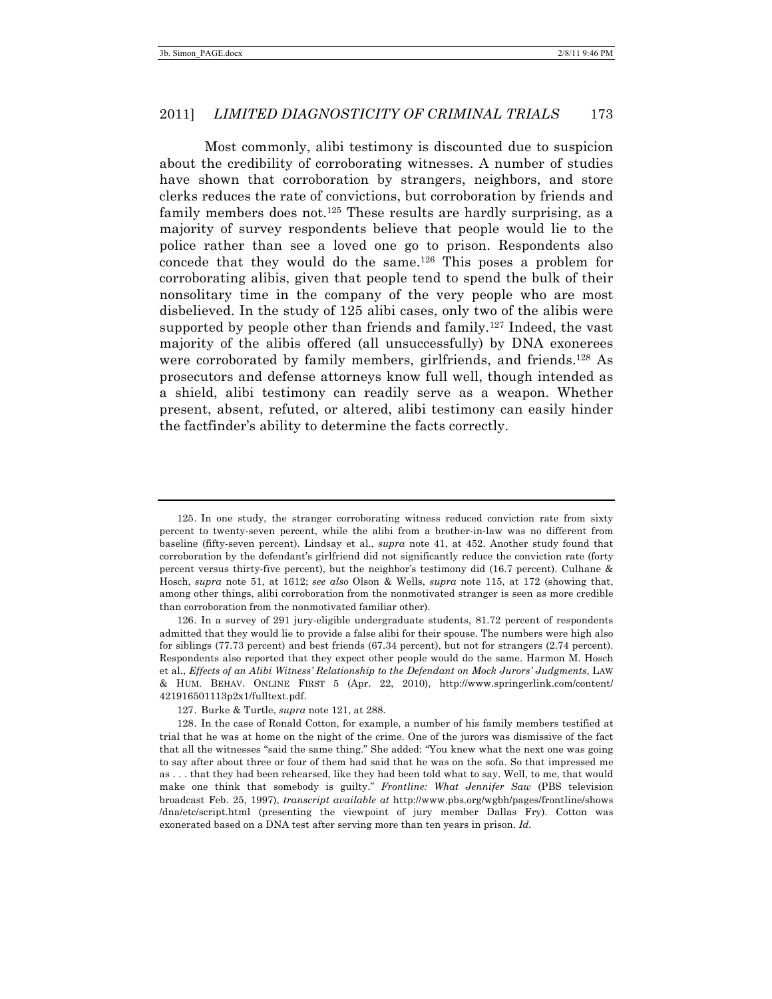Most commonly, alibi testimony is discounted due to suspicion about the credibility of corroborating witnesses. A number of studies have shown that corroboration by strangers, neighbors, and store clerks reduces the rate of convictions, but corroboration by friends and family members does not.<sup>125</sup> These results are hardly surprising, as a majority of survey respondents believe that people would lie to the police rather than see a loved one go to prison. Respondents also concede that they would do the same.126 This poses a problem for corroborating alibis, given that people tend to spend the bulk of their nonsolitary time in the company of the very people who are most disbelieved. In the study of 125 alibi cases, only two of the alibis were supported by people other than friends and family.<sup>127</sup> Indeed, the vast majority of the alibis offered (all unsuccessfully) by DNA exonerees were corroborated by family members, girlfriends, and friends.128 As prosecutors and defense attorneys know full well, though intended as a shield, alibi testimony can readily serve as a weapon. Whether present, absent, refuted, or altered, alibi testimony can easily hinder the factfinder's ability to determine the facts correctly.

<sup>125.</sup> In one study, the stranger corroborating witness reduced conviction rate from sixty percent to twenty-seven percent, while the alibi from a brother-in-law was no different from baseline (fifty-seven percent). Lindsay et al., *supra* note 41, at 452. Another study found that corroboration by the defendant's girlfriend did not significantly reduce the conviction rate (forty percent versus thirty-five percent), but the neighbor's testimony did (16.7 percent). Culhane & Hosch, *supra* note 51, at 1612; *see also* Olson & Wells, *supra* note 115, at 172 (showing that, among other things, alibi corroboration from the nonmotivated stranger is seen as more credible than corroboration from the nonmotivated familiar other).

<sup>126.</sup> In a survey of 291 jury-eligible undergraduate students, 81.72 percent of respondents admitted that they would lie to provide a false alibi for their spouse. The numbers were high also for siblings (77.73 percent) and best friends (67.34 percent), but not for strangers (2.74 percent). Respondents also reported that they expect other people would do the same. Harmon M. Hosch et al., *Effects of an Alibi Witness' Relationship to the Defendant on Mock Jurors' Judgments*, LAW & HUM. BEHAV. ONLINE FIRST 5 (Apr. 22, 2010), http://www.springerlink.com/content/ 421916501113p2x1/fulltext.pdf.

<sup>127.</sup> Burke & Turtle, *supra* note 121, at 288.

<sup>128.</sup> In the case of Ronald Cotton, for example, a number of his family members testified at trial that he was at home on the night of the crime. One of the jurors was dismissive of the fact that all the witnesses "said the same thing." She added: "You knew what the next one was going to say after about three or four of them had said that he was on the sofa. So that impressed me as . . . that they had been rehearsed, like they had been told what to say. Well, to me, that would make one think that somebody is guilty." *Frontline: What Jennifer Saw* (PBS television broadcast Feb. 25, 1997), *transcript available at* http://www.pbs.org/wgbh/pages/frontline/shows /dna/etc/script.html (presenting the viewpoint of jury member Dallas Fry). Cotton was exonerated based on a DNA test after serving more than ten years in prison. *Id.*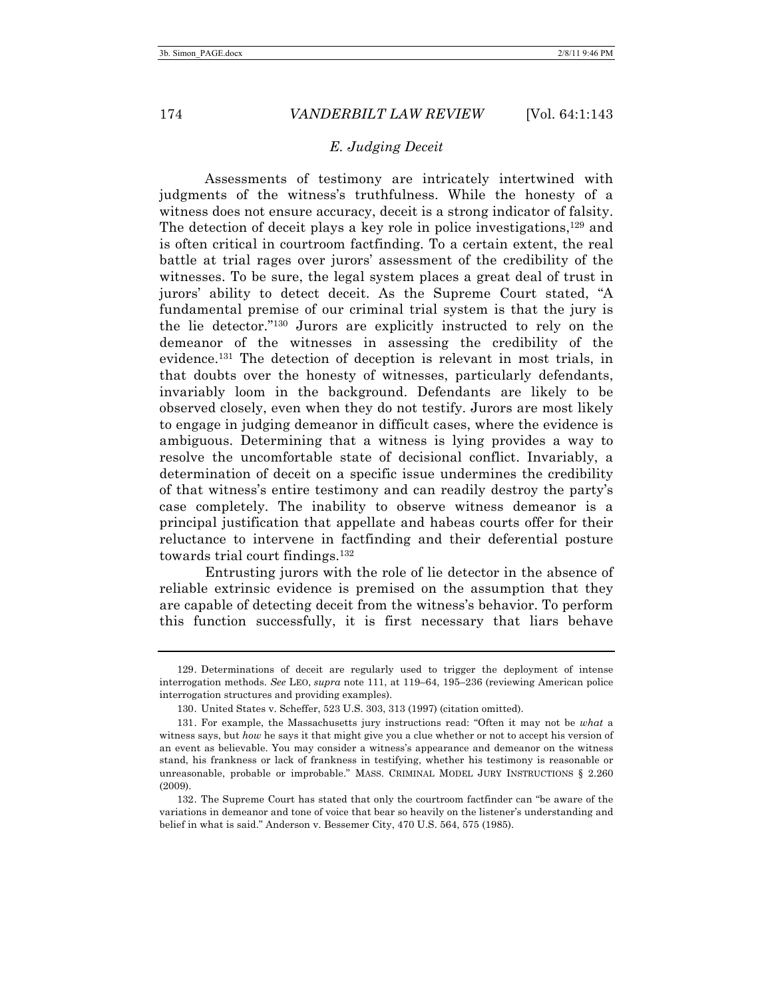#### *E. Judging Deceit*

Assessments of testimony are intricately intertwined with judgments of the witness's truthfulness. While the honesty of a witness does not ensure accuracy, deceit is a strong indicator of falsity. The detection of deceit plays a key role in police investigations,129 and is often critical in courtroom factfinding. To a certain extent, the real battle at trial rages over jurors' assessment of the credibility of the witnesses. To be sure, the legal system places a great deal of trust in jurors' ability to detect deceit. As the Supreme Court stated, "A fundamental premise of our criminal trial system is that the jury is the lie detector."130 Jurors are explicitly instructed to rely on the demeanor of the witnesses in assessing the credibility of the evidence.131 The detection of deception is relevant in most trials, in that doubts over the honesty of witnesses, particularly defendants, invariably loom in the background. Defendants are likely to be observed closely, even when they do not testify. Jurors are most likely to engage in judging demeanor in difficult cases, where the evidence is ambiguous. Determining that a witness is lying provides a way to resolve the uncomfortable state of decisional conflict. Invariably, a determination of deceit on a specific issue undermines the credibility of that witness's entire testimony and can readily destroy the party's case completely. The inability to observe witness demeanor is a principal justification that appellate and habeas courts offer for their reluctance to intervene in factfinding and their deferential posture towards trial court findings.132

Entrusting jurors with the role of lie detector in the absence of reliable extrinsic evidence is premised on the assumption that they are capable of detecting deceit from the witness's behavior. To perform this function successfully, it is first necessary that liars behave

<sup>129.</sup> Determinations of deceit are regularly used to trigger the deployment of intense interrogation methods. *See* LEO, *supra* note 111, at 119–64, 195–236 (reviewing American police interrogation structures and providing examples).

<sup>130.</sup> United States v. Scheffer, 523 U.S. 303, 313 (1997) (citation omitted).

<sup>131.</sup> For example, the Massachusetts jury instructions read: "Often it may not be *what* a witness says, but *how* he says it that might give you a clue whether or not to accept his version of an event as believable. You may consider a witness's appearance and demeanor on the witness stand, his frankness or lack of frankness in testifying, whether his testimony is reasonable or unreasonable, probable or improbable." MASS. CRIMINAL MODEL JURY INSTRUCTIONS § 2.260 (2009).

<sup>132.</sup> The Supreme Court has stated that only the courtroom factfinder can "be aware of the variations in demeanor and tone of voice that bear so heavily on the listener's understanding and belief in what is said." Anderson v. Bessemer City, 470 U.S. 564, 575 (1985).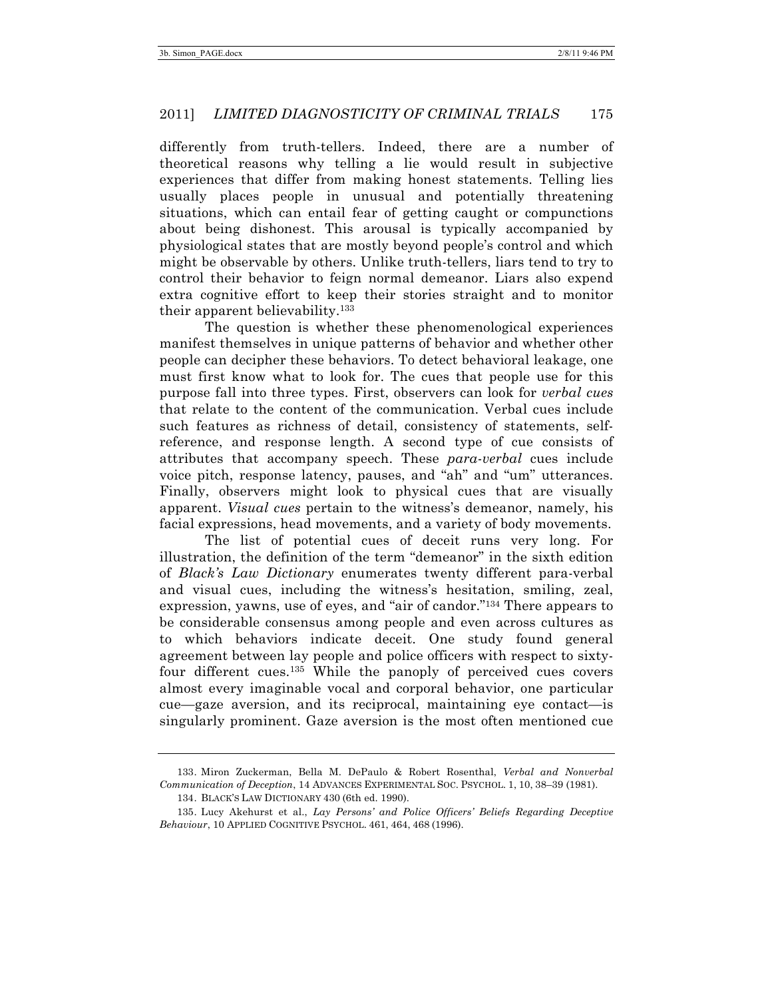differently from truth-tellers. Indeed, there are a number of theoretical reasons why telling a lie would result in subjective experiences that differ from making honest statements. Telling lies usually places people in unusual and potentially threatening situations, which can entail fear of getting caught or compunctions about being dishonest. This arousal is typically accompanied by physiological states that are mostly beyond people's control and which might be observable by others. Unlike truth-tellers, liars tend to try to control their behavior to feign normal demeanor. Liars also expend extra cognitive effort to keep their stories straight and to monitor their apparent believability.133

The question is whether these phenomenological experiences manifest themselves in unique patterns of behavior and whether other people can decipher these behaviors. To detect behavioral leakage, one must first know what to look for. The cues that people use for this purpose fall into three types. First, observers can look for *verbal cues* that relate to the content of the communication. Verbal cues include such features as richness of detail, consistency of statements, selfreference, and response length. A second type of cue consists of attributes that accompany speech. These *para-verbal* cues include voice pitch, response latency, pauses, and "ah" and "um" utterances. Finally, observers might look to physical cues that are visually apparent. *Visual cues* pertain to the witness's demeanor, namely, his facial expressions, head movements, and a variety of body movements.

The list of potential cues of deceit runs very long. For illustration, the definition of the term "demeanor" in the sixth edition of *Black's Law Dictionary* enumerates twenty different para-verbal and visual cues, including the witness's hesitation, smiling, zeal, expression, yawns, use of eyes, and "air of candor."134 There appears to be considerable consensus among people and even across cultures as to which behaviors indicate deceit. One study found general agreement between lay people and police officers with respect to sixtyfour different cues.135 While the panoply of perceived cues covers almost every imaginable vocal and corporal behavior, one particular cue—gaze aversion, and its reciprocal, maintaining eye contact—is singularly prominent. Gaze aversion is the most often mentioned cue

<sup>133.</sup> Miron Zuckerman, Bella M. DePaulo & Robert Rosenthal, *Verbal and Nonverbal Communication of Deception*, 14 ADVANCES EXPERIMENTAL SOC. PSYCHOL. 1, 10, 38–39 (1981).

<sup>134.</sup> BLACK'S LAW DICTIONARY 430 (6th ed. 1990).

<sup>135.</sup> Lucy Akehurst et al., *Lay Persons' and Police Officers' Beliefs Regarding Deceptive Behaviour*, 10 APPLIED COGNITIVE PSYCHOL. 461, 464, 468 (1996).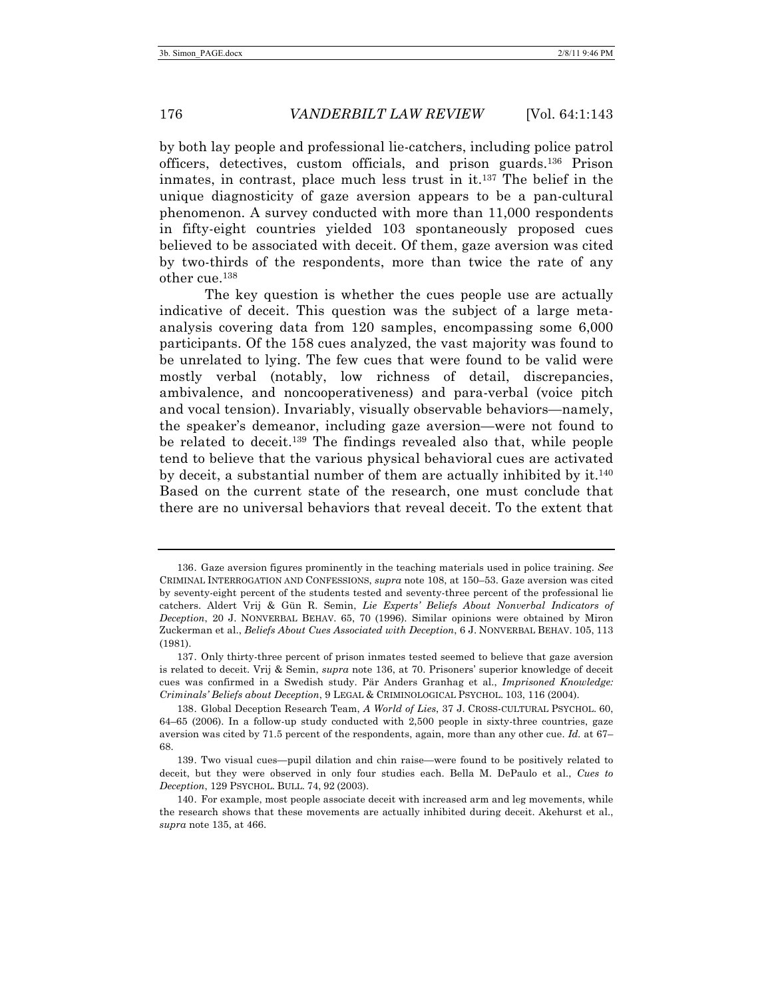by both lay people and professional lie-catchers, including police patrol officers, detectives, custom officials, and prison guards.136 Prison inmates, in contrast, place much less trust in it.137 The belief in the unique diagnosticity of gaze aversion appears to be a pan-cultural phenomenon. A survey conducted with more than 11,000 respondents in fifty-eight countries yielded 103 spontaneously proposed cues believed to be associated with deceit. Of them, gaze aversion was cited by two-thirds of the respondents, more than twice the rate of any other cue.138

The key question is whether the cues people use are actually indicative of deceit. This question was the subject of a large metaanalysis covering data from 120 samples, encompassing some 6,000 participants. Of the 158 cues analyzed, the vast majority was found to be unrelated to lying. The few cues that were found to be valid were mostly verbal (notably, low richness of detail, discrepancies, ambivalence, and noncooperativeness) and para-verbal (voice pitch and vocal tension). Invariably, visually observable behaviors—namely, the speaker's demeanor, including gaze aversion—were not found to be related to deceit.139 The findings revealed also that, while people tend to believe that the various physical behavioral cues are activated by deceit, a substantial number of them are actually inhibited by it.140 Based on the current state of the research, one must conclude that there are no universal behaviors that reveal deceit. To the extent that

<sup>136.</sup> Gaze aversion figures prominently in the teaching materials used in police training. *See* CRIMINAL INTERROGATION AND CONFESSIONS, *supra* note 108, at 150–53. Gaze aversion was cited by seventy-eight percent of the students tested and seventy-three percent of the professional lie catchers. Aldert Vrij & Gün R. Semin, *Lie Experts' Beliefs About Nonverbal Indicators of Deception*, 20 J. NONVERBAL BEHAV. 65, 70 (1996). Similar opinions were obtained by Miron Zuckerman et al., *Beliefs About Cues Associated with Deception*, 6 J. NONVERBAL BEHAV. 105, 113 (1981).

<sup>137.</sup> Only thirty-three percent of prison inmates tested seemed to believe that gaze aversion is related to deceit. Vrij & Semin, *supra* note 136, at 70. Prisoners' superior knowledge of deceit cues was confirmed in a Swedish study. Pär Anders Granhag et al., *Imprisoned Knowledge: Criminals' Beliefs about Deception*, 9 LEGAL & CRIMINOLOGICAL PSYCHOL. 103, 116 (2004).

<sup>138.</sup> Global Deception Research Team, *A World of Lies*, 37 J. CROSS-CULTURAL PSYCHOL. 60, 64–65 (2006). In a follow-up study conducted with 2,500 people in sixty-three countries, gaze aversion was cited by 71.5 percent of the respondents, again, more than any other cue. *Id.* at 67– 68.

<sup>139.</sup> Two visual cues—pupil dilation and chin raise—were found to be positively related to deceit, but they were observed in only four studies each. Bella M. DePaulo et al., *Cues to Deception*, 129 PSYCHOL. BULL. 74, 92 (2003).

<sup>140.</sup> For example, most people associate deceit with increased arm and leg movements, while the research shows that these movements are actually inhibited during deceit. Akehurst et al., *supra* note 135, at 466.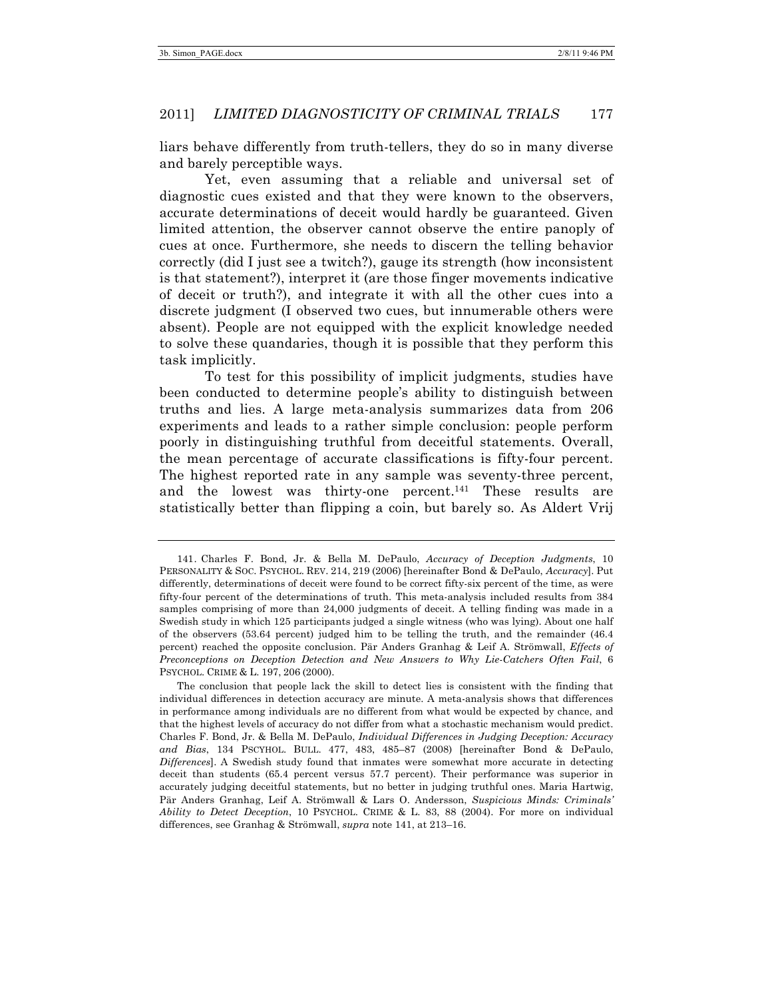liars behave differently from truth-tellers, they do so in many diverse and barely perceptible ways.

Yet, even assuming that a reliable and universal set of diagnostic cues existed and that they were known to the observers, accurate determinations of deceit would hardly be guaranteed. Given limited attention, the observer cannot observe the entire panoply of cues at once. Furthermore, she needs to discern the telling behavior correctly (did I just see a twitch?), gauge its strength (how inconsistent is that statement?), interpret it (are those finger movements indicative of deceit or truth?), and integrate it with all the other cues into a discrete judgment (I observed two cues, but innumerable others were absent). People are not equipped with the explicit knowledge needed to solve these quandaries, though it is possible that they perform this task implicitly.

To test for this possibility of implicit judgments, studies have been conducted to determine people's ability to distinguish between truths and lies. A large meta-analysis summarizes data from 206 experiments and leads to a rather simple conclusion: people perform poorly in distinguishing truthful from deceitful statements. Overall, the mean percentage of accurate classifications is fifty-four percent. The highest reported rate in any sample was seventy-three percent, and the lowest was thirty-one percent.<sup>141</sup> These results are statistically better than flipping a coin, but barely so. As Aldert Vrij

<sup>141.</sup> Charles F. Bond, Jr. & Bella M. DePaulo, *Accuracy of Deception Judgments*, 10 PERSONALITY & SOC. PSYCHOL. REV. 214, 219 (2006) [hereinafter Bond & DePaulo, *Accuracy*]. Put differently, determinations of deceit were found to be correct fifty-six percent of the time, as were fifty-four percent of the determinations of truth. This meta-analysis included results from 384 samples comprising of more than 24,000 judgments of deceit. A telling finding was made in a Swedish study in which 125 participants judged a single witness (who was lying). About one half of the observers (53.64 percent) judged him to be telling the truth, and the remainder (46.4 percent) reached the opposite conclusion. Pär Anders Granhag & Leif A. Strömwall, *Effects of Preconceptions on Deception Detection and New Answers to Why Lie-Catchers Often Fail*, 6 PSYCHOL. CRIME & L. 197, 206 (2000).

The conclusion that people lack the skill to detect lies is consistent with the finding that individual differences in detection accuracy are minute. A meta-analysis shows that differences in performance among individuals are no different from what would be expected by chance, and that the highest levels of accuracy do not differ from what a stochastic mechanism would predict. Charles F. Bond, Jr. & Bella M. DePaulo, *Individual Differences in Judging Deception: Accuracy and Bias*, 134 PSCYHOL. BULL. 477, 483, 485–87 (2008) [hereinafter Bond & DePaulo, *Differences*]. A Swedish study found that inmates were somewhat more accurate in detecting deceit than students (65.4 percent versus 57.7 percent). Their performance was superior in accurately judging deceitful statements, but no better in judging truthful ones. Maria Hartwig, Pär Anders Granhag, Leif A. Strömwall & Lars O. Andersson, *Suspicious Minds: Criminals' Ability to Detect Deception*, 10 PSYCHOL. CRIME & L. 83, 88 (2004). For more on individual differences, see Granhag & Strömwall, *supra* note 141, at 213–16.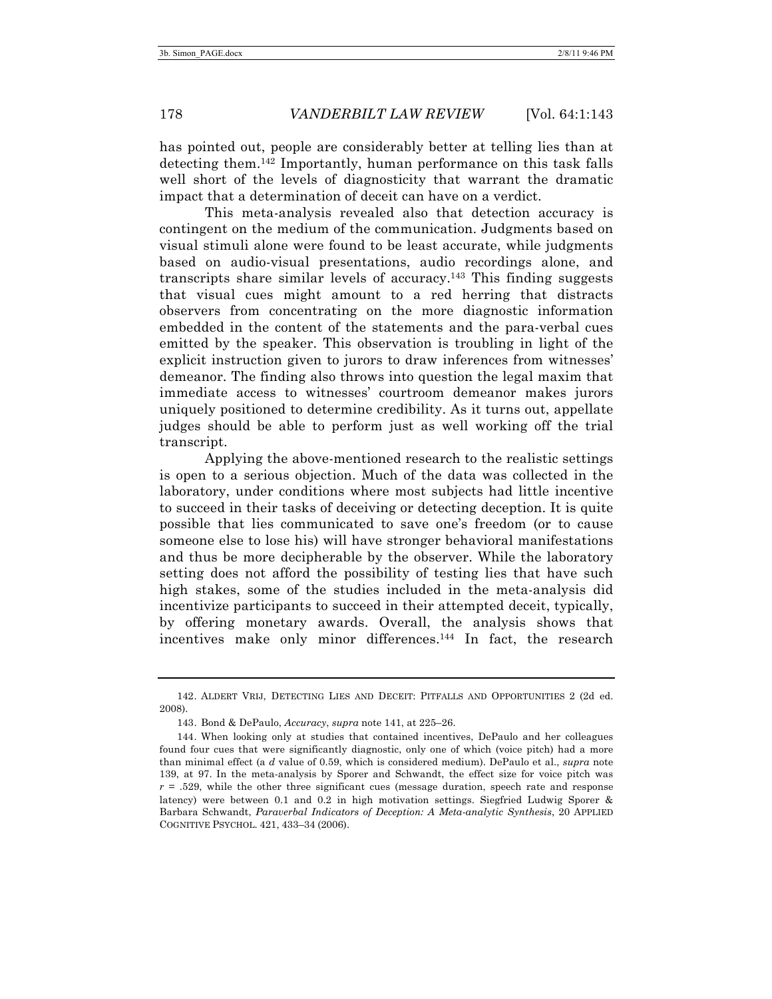has pointed out, people are considerably better at telling lies than at detecting them.142 Importantly, human performance on this task falls well short of the levels of diagnosticity that warrant the dramatic impact that a determination of deceit can have on a verdict.

This meta-analysis revealed also that detection accuracy is contingent on the medium of the communication. Judgments based on visual stimuli alone were found to be least accurate, while judgments based on audio-visual presentations, audio recordings alone, and transcripts share similar levels of accuracy.143 This finding suggests that visual cues might amount to a red herring that distracts observers from concentrating on the more diagnostic information embedded in the content of the statements and the para-verbal cues emitted by the speaker. This observation is troubling in light of the explicit instruction given to jurors to draw inferences from witnesses' demeanor. The finding also throws into question the legal maxim that immediate access to witnesses' courtroom demeanor makes jurors uniquely positioned to determine credibility. As it turns out, appellate judges should be able to perform just as well working off the trial transcript.

Applying the above-mentioned research to the realistic settings is open to a serious objection. Much of the data was collected in the laboratory, under conditions where most subjects had little incentive to succeed in their tasks of deceiving or detecting deception. It is quite possible that lies communicated to save one's freedom (or to cause someone else to lose his) will have stronger behavioral manifestations and thus be more decipherable by the observer. While the laboratory setting does not afford the possibility of testing lies that have such high stakes, some of the studies included in the meta-analysis did incentivize participants to succeed in their attempted deceit, typically, by offering monetary awards. Overall, the analysis shows that incentives make only minor differences.144 In fact, the research

<sup>142.</sup> ALDERT VRIJ, DETECTING LIES AND DECEIT: PITFALLS AND OPPORTUNITIES 2 (2d ed. 2008).

<sup>143.</sup> Bond & DePaulo, *Accuracy*, *supra* note 141, at 225–26.

<sup>144.</sup> When looking only at studies that contained incentives, DePaulo and her colleagues found four cues that were significantly diagnostic, only one of which (voice pitch) had a more than minimal effect (a *d* value of 0.59, which is considered medium). DePaulo et al., *supra* note 139, at 97. In the meta-analysis by Sporer and Schwandt, the effect size for voice pitch was  $r = .529$ , while the other three significant cues (message duration, speech rate and response latency) were between 0.1 and 0.2 in high motivation settings. Siegfried Ludwig Sporer & Barbara Schwandt, *Paraverbal Indicators of Deception: A Meta-analytic Synthesis*, 20 APPLIED COGNITIVE PSYCHOL. 421, 433–34 (2006).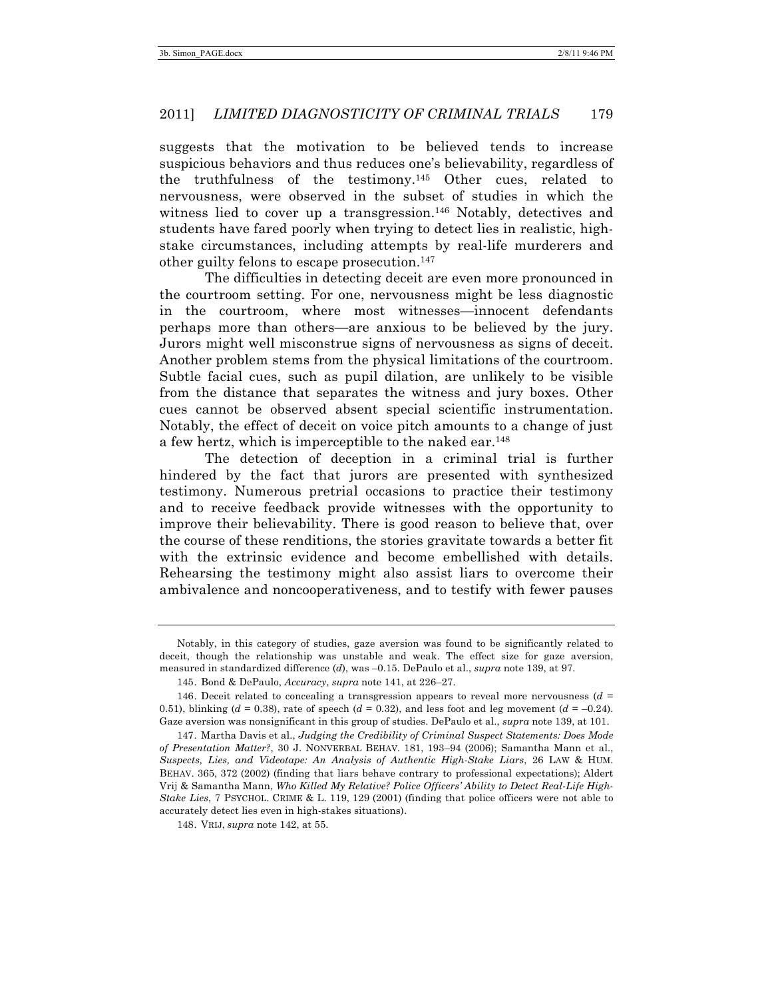suggests that the motivation to be believed tends to increase suspicious behaviors and thus reduces one's believability, regardless of the truthfulness of the testimony.145 Other cues, related to nervousness, were observed in the subset of studies in which the witness lied to cover up a transgression.<sup>146</sup> Notably, detectives and students have fared poorly when trying to detect lies in realistic, highstake circumstances, including attempts by real-life murderers and other guilty felons to escape prosecution.147

The difficulties in detecting deceit are even more pronounced in the courtroom setting. For one, nervousness might be less diagnostic in the courtroom, where most witnesses—innocent defendants perhaps more than others—are anxious to be believed by the jury. Jurors might well misconstrue signs of nervousness as signs of deceit. Another problem stems from the physical limitations of the courtroom. Subtle facial cues, such as pupil dilation, are unlikely to be visible from the distance that separates the witness and jury boxes. Other cues cannot be observed absent special scientific instrumentation. Notably, the effect of deceit on voice pitch amounts to a change of just a few hertz, which is imperceptible to the naked ear.148

The detection of deception in a criminal trial is further hindered by the fact that jurors are presented with synthesized testimony. Numerous pretrial occasions to practice their testimony and to receive feedback provide witnesses with the opportunity to improve their believability. There is good reason to believe that, over the course of these renditions, the stories gravitate towards a better fit with the extrinsic evidence and become embellished with details. Rehearsing the testimony might also assist liars to overcome their ambivalence and noncooperativeness, and to testify with fewer pauses

148. VRIJ, *supra* note 142, at 55.

Notably, in this category of studies, gaze aversion was found to be significantly related to deceit, though the relationship was unstable and weak. The effect size for gaze aversion, measured in standardized difference (*d*), was –0.15. DePaulo et al., *supra* note 139, at 97.

<sup>145.</sup> Bond & DePaulo, *Accuracy*, *supra* note 141, at 226–27.

<sup>146.</sup> Deceit related to concealing a transgression appears to reveal more nervousness (*d* = 0.51), blinking ( $d = 0.38$ ), rate of speech ( $d = 0.32$ ), and less foot and leg movement ( $d = -0.24$ ). Gaze aversion was nonsignificant in this group of studies. DePaulo et al., *supra* note 139, at 101.

<sup>147.</sup> Martha Davis et al., *Judging the Credibility of Criminal Suspect Statements: Does Mode of Presentation Matter?*, 30 J. NONVERBAL BEHAV. 181, 193–94 (2006); Samantha Mann et al., *Suspects, Lies, and Videotape: An Analysis of Authentic High-Stake Liars*, 26 LAW & HUM. BEHAV. 365, 372 (2002) (finding that liars behave contrary to professional expectations); Aldert Vrij & Samantha Mann, *Who Killed My Relative? Police Officers' Ability to Detect Real-Life High-Stake Lies*, 7 PSYCHOL. CRIME & L. 119, 129 (2001) (finding that police officers were not able to accurately detect lies even in high-stakes situations).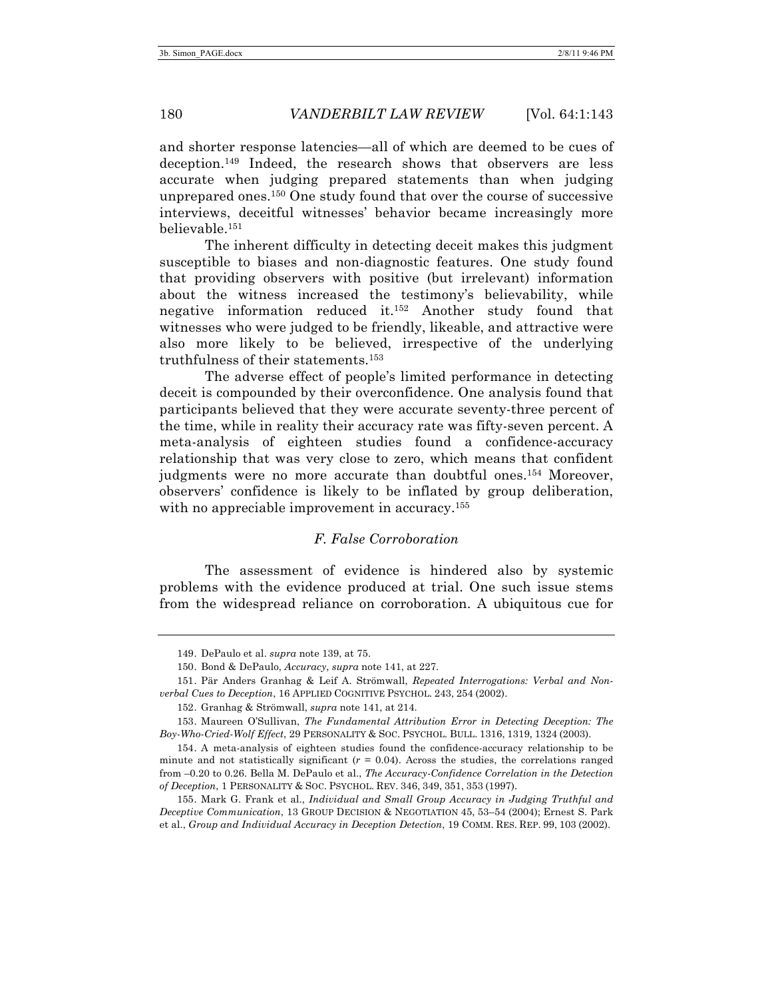and shorter response latencies—all of which are deemed to be cues of deception.149 Indeed, the research shows that observers are less accurate when judging prepared statements than when judging unprepared ones.150 One study found that over the course of successive interviews, deceitful witnesses' behavior became increasingly more believable.151

The inherent difficulty in detecting deceit makes this judgment susceptible to biases and non-diagnostic features. One study found that providing observers with positive (but irrelevant) information about the witness increased the testimony's believability, while negative information reduced it.152 Another study found that witnesses who were judged to be friendly, likeable, and attractive were also more likely to be believed, irrespective of the underlying truthfulness of their statements.153

The adverse effect of people's limited performance in detecting deceit is compounded by their overconfidence. One analysis found that participants believed that they were accurate seventy-three percent of the time, while in reality their accuracy rate was fifty-seven percent. A meta-analysis of eighteen studies found a confidence-accuracy relationship that was very close to zero, which means that confident judgments were no more accurate than doubtful ones.154 Moreover, observers' confidence is likely to be inflated by group deliberation, with no appreciable improvement in accuracy.<sup>155</sup>

# *F. False Corroboration*

The assessment of evidence is hindered also by systemic problems with the evidence produced at trial. One such issue stems from the widespread reliance on corroboration. A ubiquitous cue for

<sup>149.</sup> DePaulo et al. *supra* note 139, at 75.

<sup>150.</sup> Bond & DePaulo, *Accuracy*, *supra* note 141, at 227.

<sup>151.</sup> Pär Anders Granhag & Leif A. Strömwall, *Repeated Interrogations: Verbal and Nonverbal Cues to Deception*, 16 APPLIED COGNITIVE PSYCHOL. 243, 254 (2002).

<sup>152.</sup> Granhag & Strömwall, *supra* note 141, at 214.

<sup>153.</sup> Maureen O'Sullivan, *The Fundamental Attribution Error in Detecting Deception: The Boy-Who-Cried-Wolf Effect*, 29 PERSONALITY & SOC. PSYCHOL. BULL. 1316, 1319, 1324 (2003).

<sup>154.</sup> A meta-analysis of eighteen studies found the confidence-accuracy relationship to be minute and not statistically significant  $(r = 0.04)$ . Across the studies, the correlations ranged from –0.20 to 0.26. Bella M. DePaulo et al., *The Accuracy-Confidence Correlation in the Detection of Deception*, 1 PERSONALITY & SOC. PSYCHOL. REV. 346, 349, 351, 353 (1997).

<sup>155.</sup> Mark G. Frank et al., *Individual and Small Group Accuracy in Judging Truthful and Deceptive Communication*, 13 GROUP DECISION & NEGOTIATION 45, 53–54 (2004); Ernest S. Park et al., *Group and Individual Accuracy in Deception Detection*, 19 COMM. RES. REP. 99, 103 (2002).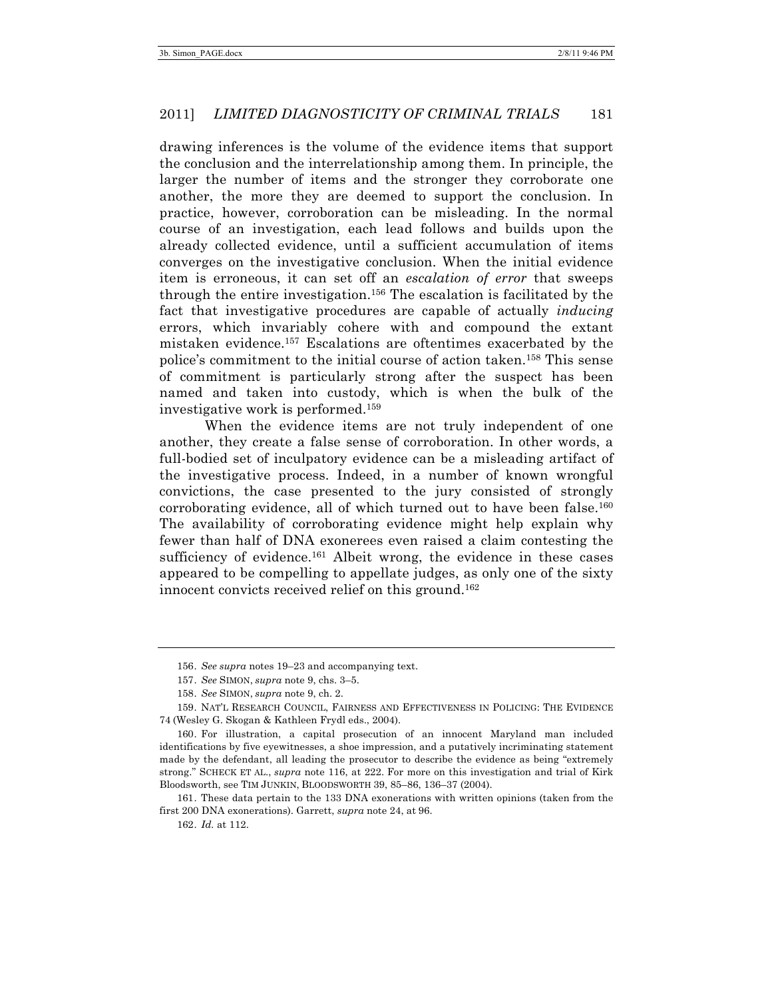drawing inferences is the volume of the evidence items that support the conclusion and the interrelationship among them. In principle, the larger the number of items and the stronger they corroborate one another, the more they are deemed to support the conclusion. In practice, however, corroboration can be misleading. In the normal course of an investigation, each lead follows and builds upon the already collected evidence, until a sufficient accumulation of items converges on the investigative conclusion. When the initial evidence item is erroneous, it can set off an *escalation of error* that sweeps through the entire investigation.156 The escalation is facilitated by the fact that investigative procedures are capable of actually *inducing* errors, which invariably cohere with and compound the extant mistaken evidence.157 Escalations are oftentimes exacerbated by the police's commitment to the initial course of action taken.158 This sense of commitment is particularly strong after the suspect has been named and taken into custody, which is when the bulk of the investigative work is performed.159

When the evidence items are not truly independent of one another, they create a false sense of corroboration. In other words, a full-bodied set of inculpatory evidence can be a misleading artifact of the investigative process. Indeed, in a number of known wrongful convictions, the case presented to the jury consisted of strongly corroborating evidence, all of which turned out to have been false.160 The availability of corroborating evidence might help explain why fewer than half of DNA exonerees even raised a claim contesting the sufficiency of evidence.<sup>161</sup> Albeit wrong, the evidence in these cases appeared to be compelling to appellate judges, as only one of the sixty innocent convicts received relief on this ground.<sup>162</sup>

161. These data pertain to the 133 DNA exonerations with written opinions (taken from the first 200 DNA exonerations). Garrett, *supra* note 24, at 96.

162. *Id.* at 112.

<sup>156.</sup> *See supra* notes 19–23 and accompanying text.

<sup>157.</sup> *See* SIMON, *supra* note 9, chs. 3–5.

<sup>158.</sup> *See* SIMON, *supra* note 9, ch. 2.

<sup>159.</sup> NAT'L RESEARCH COUNCIL, FAIRNESS AND EFFECTIVENESS IN POLICING: THE EVIDENCE 74 (Wesley G. Skogan & Kathleen Frydl eds., 2004).

<sup>160.</sup> For illustration, a capital prosecution of an innocent Maryland man included identifications by five eyewitnesses, a shoe impression, and a putatively incriminating statement made by the defendant, all leading the prosecutor to describe the evidence as being "extremely strong." SCHECK ET AL., *supra* note 116, at 222. For more on this investigation and trial of Kirk Bloodsworth, see TIM JUNKIN, BLOODSWORTH 39, 85–86, 136–37 (2004).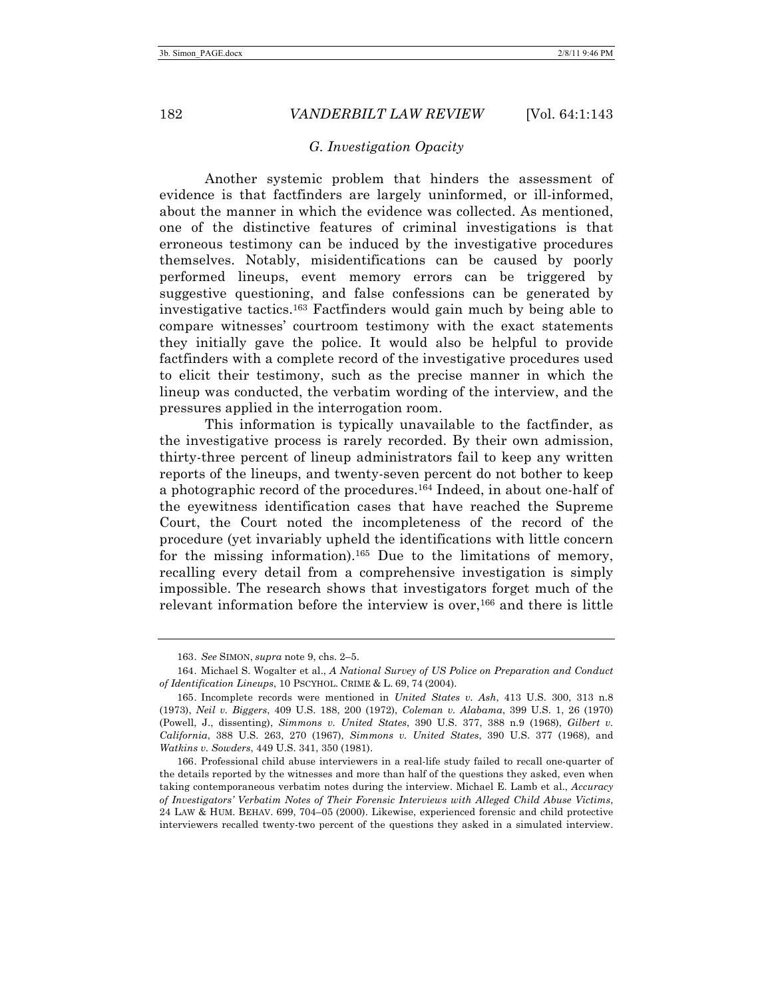### *G. Investigation Opacity*

Another systemic problem that hinders the assessment of evidence is that factfinders are largely uninformed, or ill-informed, about the manner in which the evidence was collected. As mentioned, one of the distinctive features of criminal investigations is that erroneous testimony can be induced by the investigative procedures themselves. Notably, misidentifications can be caused by poorly performed lineups, event memory errors can be triggered by suggestive questioning, and false confessions can be generated by investigative tactics.163 Factfinders would gain much by being able to compare witnesses' courtroom testimony with the exact statements they initially gave the police. It would also be helpful to provide factfinders with a complete record of the investigative procedures used to elicit their testimony, such as the precise manner in which the lineup was conducted, the verbatim wording of the interview, and the pressures applied in the interrogation room.

This information is typically unavailable to the factfinder, as the investigative process is rarely recorded. By their own admission, thirty-three percent of lineup administrators fail to keep any written reports of the lineups, and twenty-seven percent do not bother to keep a photographic record of the procedures. <sup>164</sup> Indeed, in about one-half of the eyewitness identification cases that have reached the Supreme Court, the Court noted the incompleteness of the record of the procedure (yet invariably upheld the identifications with little concern for the missing information).<sup>165</sup> Due to the limitations of memory, recalling every detail from a comprehensive investigation is simply impossible. The research shows that investigators forget much of the relevant information before the interview is over,<sup>166</sup> and there is little

<sup>163.</sup> *See* SIMON, *supra* note 9, chs. 2–5.

<sup>164.</sup> Michael S. Wogalter et al., *A National Survey of US Police on Preparation and Conduct of Identification Lineups*, 10 PSCYHOL. CRIME & L. 69, 74 (2004).

<sup>165.</sup> Incomplete records were mentioned in *United States v. Ash*, 413 U.S. 300, 313 n.8 (1973), *Neil v. Biggers*, 409 U.S. 188, 200 (1972), *Coleman v. Alabama*, 399 U.S. 1, 26 (1970) (Powell, J., dissenting), *Simmons v. United States*, 390 U.S. 377, 388 n.9 (1968), *Gilbert v. California*, 388 U.S. 263, 270 (1967), *Simmons v. United States*, 390 U.S. 377 (1968), and *Watkins v. Sowders*, 449 U.S. 341, 350 (1981).

<sup>166.</sup> Professional child abuse interviewers in a real-life study failed to recall one-quarter of the details reported by the witnesses and more than half of the questions they asked, even when taking contemporaneous verbatim notes during the interview. Michael E. Lamb et al., *Accuracy of Investigators' Verbatim Notes of Their Forensic Interviews with Alleged Child Abuse Victims*, 24 LAW & HUM. BEHAV. 699, 704–05 (2000). Likewise, experienced forensic and child protective interviewers recalled twenty-two percent of the questions they asked in a simulated interview.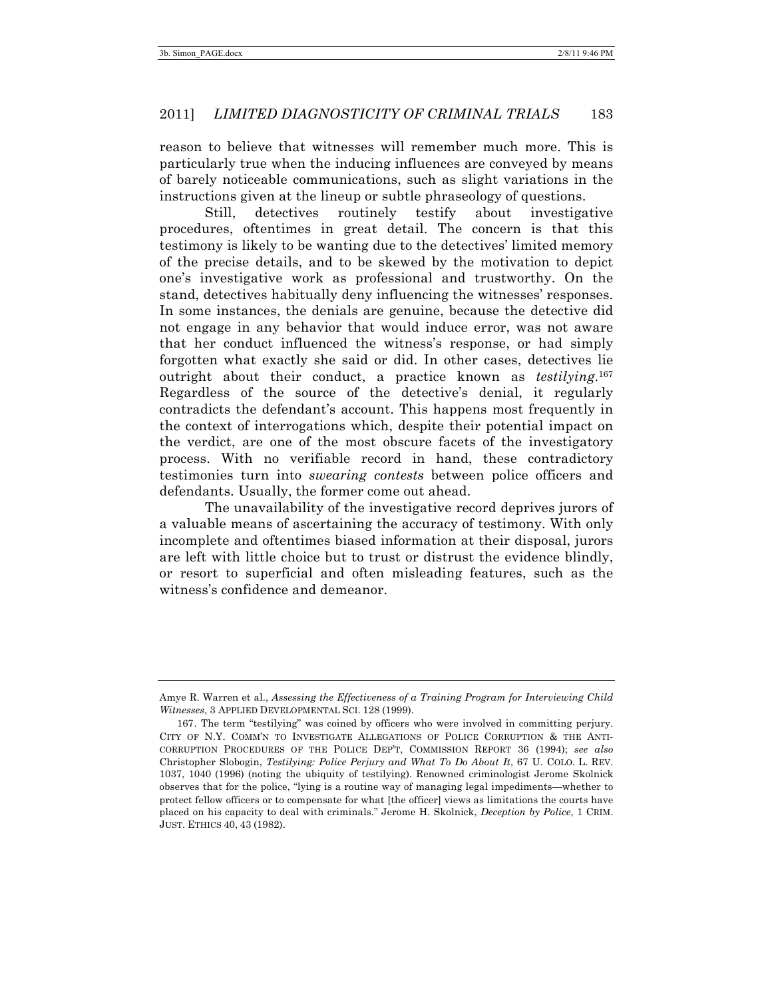reason to believe that witnesses will remember much more. This is particularly true when the inducing influences are conveyed by means of barely noticeable communications, such as slight variations in the instructions given at the lineup or subtle phraseology of questions.

Still, detectives routinely testify about investigative procedures, oftentimes in great detail. The concern is that this testimony is likely to be wanting due to the detectives' limited memory of the precise details, and to be skewed by the motivation to depict one's investigative work as professional and trustworthy. On the stand, detectives habitually deny influencing the witnesses' responses. In some instances, the denials are genuine, because the detective did not engage in any behavior that would induce error, was not aware that her conduct influenced the witness's response, or had simply forgotten what exactly she said or did. In other cases, detectives lie outright about their conduct, a practice known as *testilying*. 167 Regardless of the source of the detective's denial, it regularly contradicts the defendant's account. This happens most frequently in the context of interrogations which, despite their potential impact on the verdict, are one of the most obscure facets of the investigatory process. With no verifiable record in hand, these contradictory testimonies turn into *swearing contests* between police officers and defendants. Usually, the former come out ahead.

The unavailability of the investigative record deprives jurors of a valuable means of ascertaining the accuracy of testimony. With only incomplete and oftentimes biased information at their disposal, jurors are left with little choice but to trust or distrust the evidence blindly, or resort to superficial and often misleading features, such as the witness's confidence and demeanor.

Amye R. Warren et al., *Assessing the Effectiveness of a Training Program for Interviewing Child Witnesses*, 3 APPLIED DEVELOPMENTAL SCI. 128 (1999).

<sup>167.</sup> The term "testilying" was coined by officers who were involved in committing perjury. CITY OF N.Y. COMM'N TO INVESTIGATE ALLEGATIONS OF POLICE CORRUPTION & THE ANTI-CORRUPTION PROCEDURES OF THE POLICE DEP'T, COMMISSION REPORT 36 (1994); *see also* Christopher Slobogin, *Testilying: Police Perjury and What To Do About It*, 67 U. COLO. L. REV. 1037, 1040 (1996) (noting the ubiquity of testilying). Renowned criminologist Jerome Skolnick observes that for the police, "lying is a routine way of managing legal impediments—whether to protect fellow officers or to compensate for what [the officer] views as limitations the courts have placed on his capacity to deal with criminals." Jerome H. Skolnick, *Deception by Police*, 1 CRIM. JUST. ETHICS 40, 43 (1982).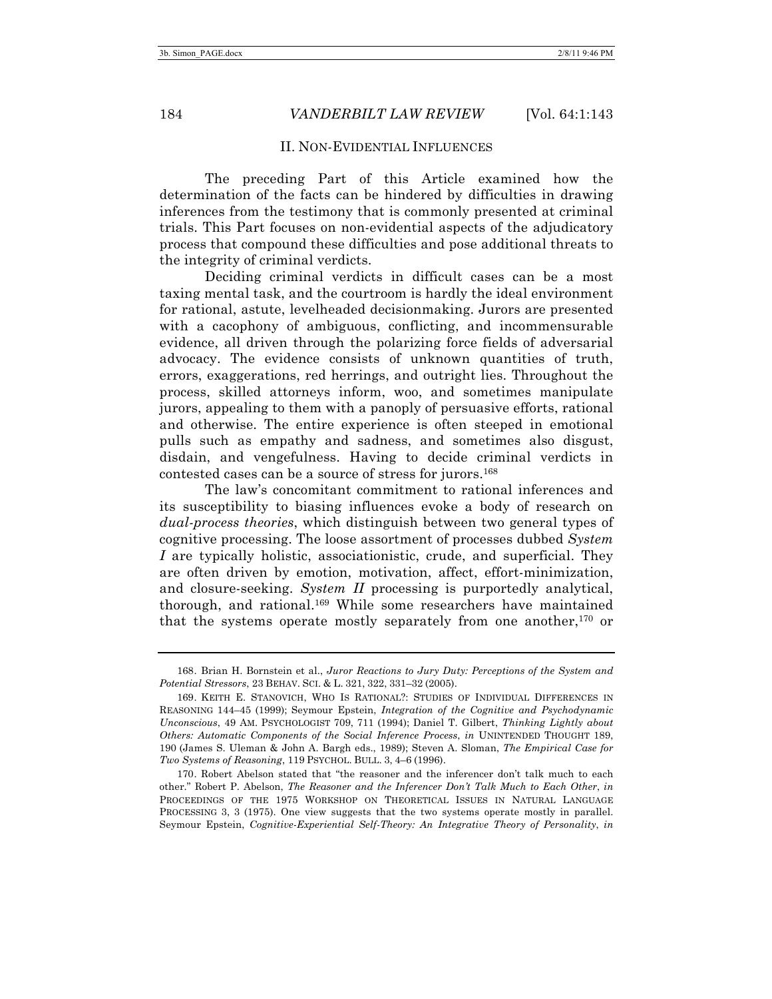### II. NON-EVIDENTIAL INFLUENCES

The preceding Part of this Article examined how the determination of the facts can be hindered by difficulties in drawing inferences from the testimony that is commonly presented at criminal trials. This Part focuses on non-evidential aspects of the adjudicatory process that compound these difficulties and pose additional threats to the integrity of criminal verdicts.

Deciding criminal verdicts in difficult cases can be a most taxing mental task, and the courtroom is hardly the ideal environment for rational, astute, levelheaded decisionmaking. Jurors are presented with a cacophony of ambiguous, conflicting, and incommensurable evidence, all driven through the polarizing force fields of adversarial advocacy. The evidence consists of unknown quantities of truth, errors, exaggerations, red herrings, and outright lies. Throughout the process, skilled attorneys inform, woo, and sometimes manipulate jurors, appealing to them with a panoply of persuasive efforts, rational and otherwise. The entire experience is often steeped in emotional pulls such as empathy and sadness, and sometimes also disgust, disdain, and vengefulness. Having to decide criminal verdicts in contested cases can be a source of stress for jurors.168

The law's concomitant commitment to rational inferences and its susceptibility to biasing influences evoke a body of research on *dual-process theories*, which distinguish between two general types of cognitive processing. The loose assortment of processes dubbed *System I* are typically holistic, associationistic, crude, and superficial. They are often driven by emotion, motivation, affect, effort-minimization, and closure-seeking. *System II* processing is purportedly analytical, thorough, and rational.169 While some researchers have maintained that the systems operate mostly separately from one another,<sup>170</sup> or

<sup>168.</sup> Brian H. Bornstein et al., *Juror Reactions to Jury Duty: Perceptions of the System and Potential Stressors*, 23 BEHAV. SCI. & L. 321, 322, 331–32 (2005).

<sup>169.</sup> KEITH E. STANOVICH, WHO IS RATIONAL?: STUDIES OF INDIVIDUAL DIFFERENCES IN REASONING 144–45 (1999); Seymour Epstein, *Integration of the Cognitive and Psychodynamic Unconscious*, 49 AM. PSYCHOLOGIST 709, 711 (1994); Daniel T. Gilbert, *Thinking Lightly about Others: Automatic Components of the Social Inference Process*, *in* UNINTENDED THOUGHT 189, 190 (James S. Uleman & John A. Bargh eds., 1989); Steven A. Sloman, *The Empirical Case for Two Systems of Reasoning*, 119 PSYCHOL. BULL. 3, 4–6 (1996).

<sup>170.</sup> Robert Abelson stated that "the reasoner and the inferencer don't talk much to each other." Robert P. Abelson, *The Reasoner and the Inferencer Don't Talk Much to Each Other*, *in* PROCEEDINGS OF THE 1975 WORKSHOP ON THEORETICAL ISSUES IN NATURAL LANGUAGE PROCESSING 3, 3 (1975). One view suggests that the two systems operate mostly in parallel. Seymour Epstein, *Cognitive-Experiential Self-Theory: An Integrative Theory of Personality*, *in*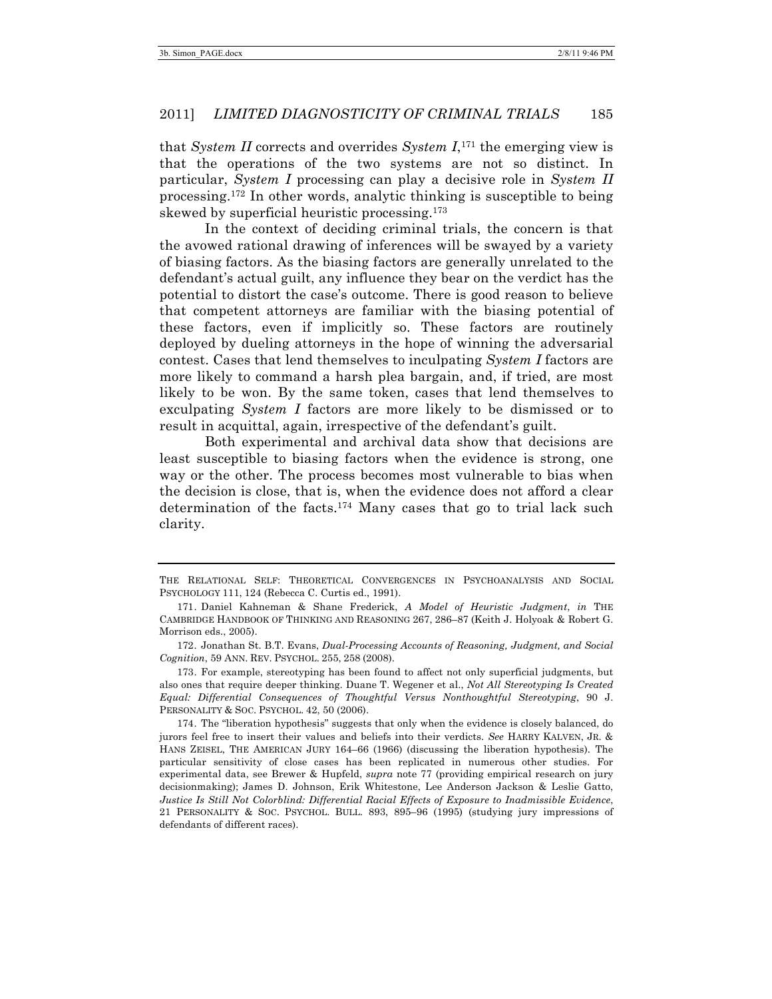that *System II* corrects and overrides *System I*,171 the emerging view is that the operations of the two systems are not so distinct. In particular, *System I* processing can play a decisive role in *System II* processing.172 In other words, analytic thinking is susceptible to being skewed by superficial heuristic processing.173

In the context of deciding criminal trials, the concern is that the avowed rational drawing of inferences will be swayed by a variety of biasing factors. As the biasing factors are generally unrelated to the defendant's actual guilt, any influence they bear on the verdict has the potential to distort the case's outcome. There is good reason to believe that competent attorneys are familiar with the biasing potential of these factors, even if implicitly so. These factors are routinely deployed by dueling attorneys in the hope of winning the adversarial contest. Cases that lend themselves to inculpating *System I* factors are more likely to command a harsh plea bargain, and, if tried, are most likely to be won. By the same token, cases that lend themselves to exculpating *System I* factors are more likely to be dismissed or to result in acquittal, again, irrespective of the defendant's guilt.

Both experimental and archival data show that decisions are least susceptible to biasing factors when the evidence is strong, one way or the other. The process becomes most vulnerable to bias when the decision is close, that is, when the evidence does not afford a clear determination of the facts.174 Many cases that go to trial lack such clarity.

THE RELATIONAL SELF: THEORETICAL CONVERGENCES IN PSYCHOANALYSIS AND SOCIAL PSYCHOLOGY 111, 124 (Rebecca C. Curtis ed., 1991).

<sup>171.</sup> Daniel Kahneman & Shane Frederick, *A Model of Heuristic Judgment*, *in* THE CAMBRIDGE HANDBOOK OF THINKING AND REASONING 267, 286–87 (Keith J. Holyoak & Robert G. Morrison eds., 2005).

<sup>172.</sup> Jonathan St. B.T. Evans, *Dual-Processing Accounts of Reasoning, Judgment, and Social Cognition*, 59 ANN. REV. PSYCHOL. 255, 258 (2008).

<sup>173.</sup> For example, stereotyping has been found to affect not only superficial judgments, but also ones that require deeper thinking. Duane T. Wegener et al., *Not All Stereotyping Is Created Equal: Differential Consequences of Thoughtful Versus Nonthoughtful Stereotyping*, 90 J. PERSONALITY & SOC. PSYCHOL. 42, 50 (2006).

<sup>174.</sup> The "liberation hypothesis" suggests that only when the evidence is closely balanced, do jurors feel free to insert their values and beliefs into their verdicts. *See* HARRY KALVEN, JR. & HANS ZEISEL, THE AMERICAN JURY 164–66 (1966) (discussing the liberation hypothesis). The particular sensitivity of close cases has been replicated in numerous other studies. For experimental data, see Brewer & Hupfeld, *supra* note 77 (providing empirical research on jury decisionmaking); James D. Johnson, Erik Whitestone, Lee Anderson Jackson & Leslie Gatto, *Justice Is Still Not Colorblind: Differential Racial Effects of Exposure to Inadmissible Evidence*, 21 PERSONALITY & SOC. PSYCHOL. BULL. 893, 895–96 (1995) (studying jury impressions of defendants of different races).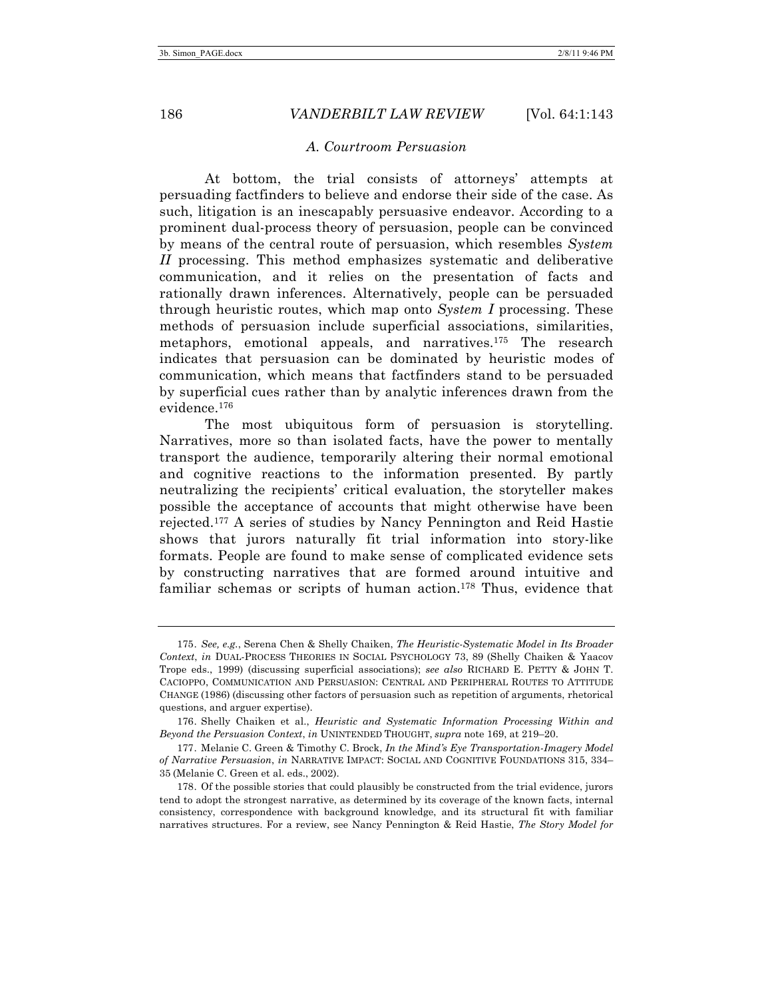### *A. Courtroom Persuasion*

At bottom, the trial consists of attorneys' attempts at persuading factfinders to believe and endorse their side of the case. As such, litigation is an inescapably persuasive endeavor. According to a prominent dual-process theory of persuasion, people can be convinced by means of the central route of persuasion, which resembles *System II* processing. This method emphasizes systematic and deliberative communication, and it relies on the presentation of facts and rationally drawn inferences. Alternatively, people can be persuaded through heuristic routes, which map onto *System I* processing. These methods of persuasion include superficial associations, similarities, metaphors, emotional appeals, and narratives.175 The research indicates that persuasion can be dominated by heuristic modes of communication, which means that factfinders stand to be persuaded by superficial cues rather than by analytic inferences drawn from the evidence.176

The most ubiquitous form of persuasion is storytelling. Narratives, more so than isolated facts, have the power to mentally transport the audience, temporarily altering their normal emotional and cognitive reactions to the information presented. By partly neutralizing the recipients' critical evaluation, the storyteller makes possible the acceptance of accounts that might otherwise have been rejected.177 A series of studies by Nancy Pennington and Reid Hastie shows that jurors naturally fit trial information into story-like formats. People are found to make sense of complicated evidence sets by constructing narratives that are formed around intuitive and familiar schemas or scripts of human action.178 Thus, evidence that

<sup>175.</sup> *See, e.g.*, Serena Chen & Shelly Chaiken, *The Heuristic-Systematic Model in Its Broader Context*, *in* DUAL-PROCESS THEORIES IN SOCIAL PSYCHOLOGY 73, 89 (Shelly Chaiken & Yaacov Trope eds., 1999) (discussing superficial associations); *see also* RICHARD E. PETTY & JOHN T. CACIOPPO, COMMUNICATION AND PERSUASION: CENTRAL AND PERIPHERAL ROUTES TO ATTITUDE CHANGE (1986) (discussing other factors of persuasion such as repetition of arguments, rhetorical questions, and arguer expertise).

<sup>176.</sup> Shelly Chaiken et al., *Heuristic and Systematic Information Processing Within and Beyond the Persuasion Context*, *in* UNINTENDED THOUGHT, *supra* note 169, at 219–20.

<sup>177.</sup> Melanie C. Green & Timothy C. Brock, *In the Mind's Eye Transportation-Imagery Model of Narrative Persuasion*, *in* NARRATIVE IMPACT: SOCIAL AND COGNITIVE FOUNDATIONS 315, 334– 35 (Melanie C. Green et al. eds., 2002).

<sup>178.</sup> Of the possible stories that could plausibly be constructed from the trial evidence, jurors tend to adopt the strongest narrative, as determined by its coverage of the known facts, internal consistency, correspondence with background knowledge, and its structural fit with familiar narratives structures. For a review, see Nancy Pennington & Reid Hastie, *The Story Model for*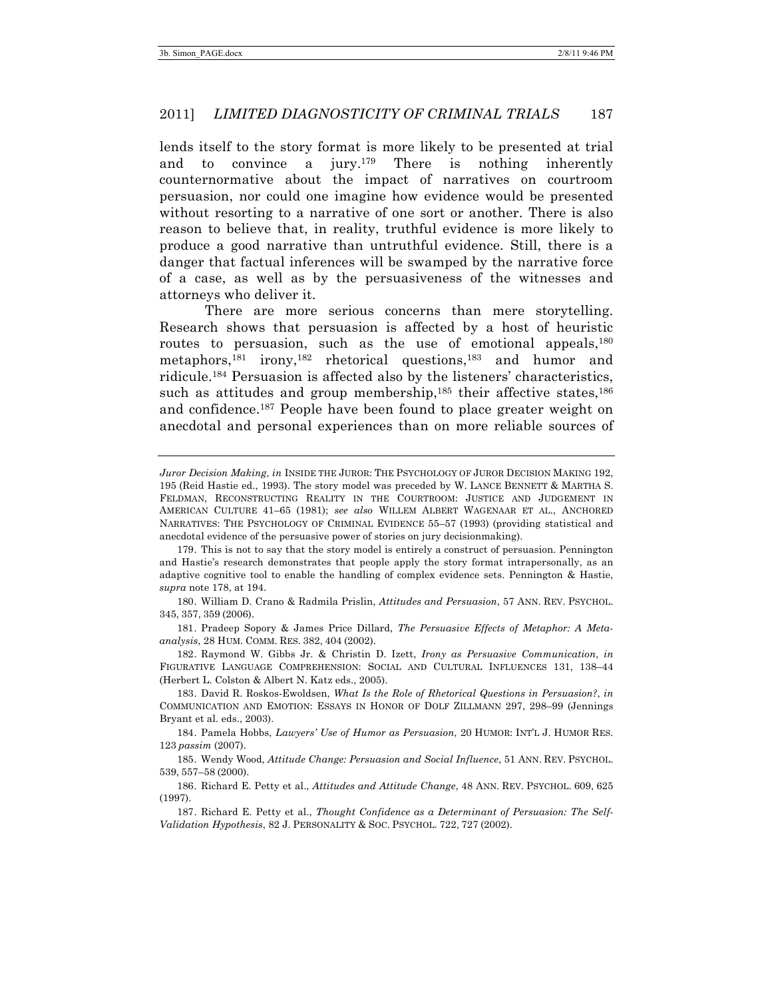lends itself to the story format is more likely to be presented at trial and to convince a jury.179 There is nothing inherently counternormative about the impact of narratives on courtroom persuasion, nor could one imagine how evidence would be presented without resorting to a narrative of one sort or another. There is also reason to believe that, in reality, truthful evidence is more likely to produce a good narrative than untruthful evidence. Still, there is a danger that factual inferences will be swamped by the narrative force of a case, as well as by the persuasiveness of the witnesses and attorneys who deliver it.

There are more serious concerns than mere storytelling. Research shows that persuasion is affected by a host of heuristic routes to persuasion, such as the use of emotional appeals, 180 metaphors,<sup>181</sup> irony,<sup>182</sup> rhetorical questions,<sup>183</sup> and humor and ridicule.184 Persuasion is affected also by the listeners' characteristics, such as attitudes and group membership, $185$  their affective states,  $186$ and confidence.187 People have been found to place greater weight on anecdotal and personal experiences than on more reliable sources of

180. William D. Crano & Radmila Prislin, *Attitudes and Persuasion*, 57 ANN. REV. PSYCHOL. 345, 357, 359 (2006).

181. Pradeep Sopory & James Price Dillard, *The Persuasive Effects of Metaphor: A Metaanalysis*, 28 HUM. COMM. RES. 382, 404 (2002).

182. Raymond W. Gibbs Jr. & Christin D. Izett, *Irony as Persuasive Communication*, *in*  FIGURATIVE LANGUAGE COMPREHENSION: SOCIAL AND CULTURAL INFLUENCES 131, 138–44 (Herbert L. Colston & Albert N. Katz eds., 2005).

183. David R. Roskos-Ewoldsen, *What Is the Role of Rhetorical Questions in Persuasion?*, *in*  COMMUNICATION AND EMOTION: ESSAYS IN HONOR OF DOLF ZILLMANN 297, 298–99 (Jennings Bryant et al. eds., 2003).

184. Pamela Hobbs, *Lawyers' Use of Humor as Persuasion*, 20 HUMOR: INT'L J. HUMOR RES. 123 *passim* (2007).

185. Wendy Wood, *Attitude Change: Persuasion and Social Influence*, 51 ANN. REV. PSYCHOL. 539, 557–58 (2000).

186. Richard E. Petty et al., *Attitudes and Attitude Change*, 48 ANN. REV. PSYCHOL. 609, 625 (1997).

187. Richard E. Petty et al., *Thought Confidence as a Determinant of Persuasion: The Self-Validation Hypothesis*, 82 J. PERSONALITY & SOC. PSYCHOL. 722, 727 (2002).

*Juror Decision Making*, *in* INSIDE THE JUROR: THE PSYCHOLOGY OF JUROR DECISION MAKING 192, 195 (Reid Hastie ed., 1993). The story model was preceded by W. LANCE BENNETT & MARTHA S. FELDMAN, RECONSTRUCTING REALITY IN THE COURTROOM: JUSTICE AND JUDGEMENT IN AMERICAN CULTURE 41–65 (1981); *see also* WILLEM ALBERT WAGENAAR ET AL., ANCHORED NARRATIVES: THE PSYCHOLOGY OF CRIMINAL EVIDENCE 55–57 (1993) (providing statistical and anecdotal evidence of the persuasive power of stories on jury decisionmaking).

<sup>179.</sup> This is not to say that the story model is entirely a construct of persuasion. Pennington and Hastie's research demonstrates that people apply the story format intrapersonally, as an adaptive cognitive tool to enable the handling of complex evidence sets. Pennington & Hastie, *supra* note 178, at 194.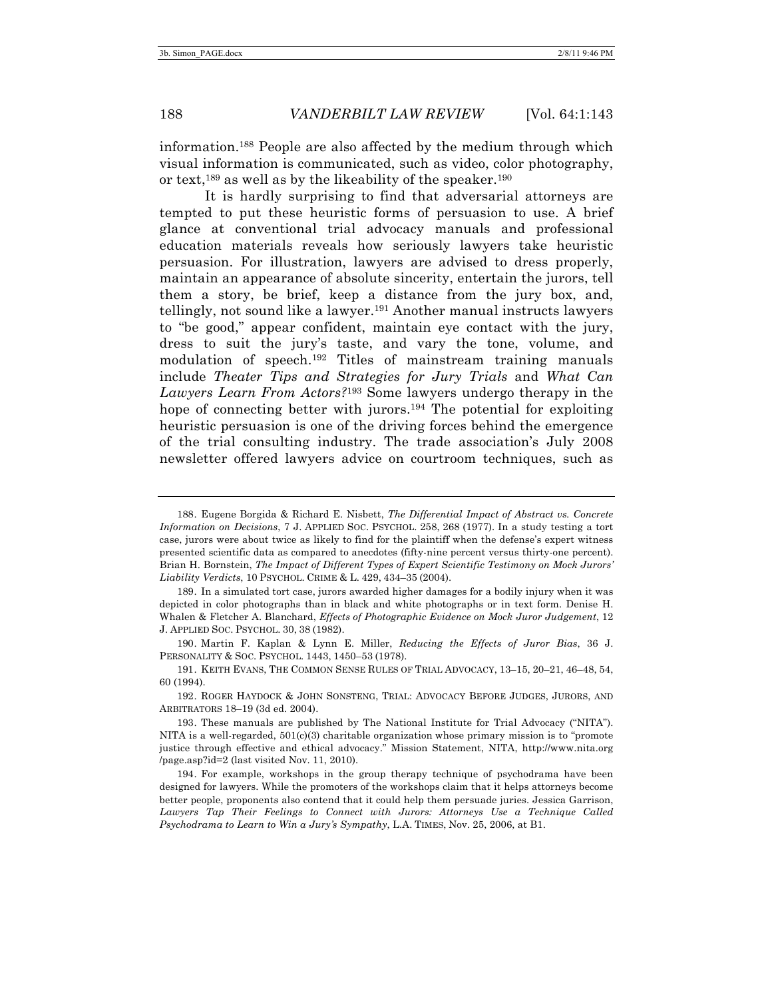information.188 People are also affected by the medium through which visual information is communicated, such as video, color photography, or text,189 as well as by the likeability of the speaker.190

It is hardly surprising to find that adversarial attorneys are tempted to put these heuristic forms of persuasion to use. A brief glance at conventional trial advocacy manuals and professional education materials reveals how seriously lawyers take heuristic persuasion. For illustration, lawyers are advised to dress properly, maintain an appearance of absolute sincerity, entertain the jurors, tell them a story, be brief, keep a distance from the jury box, and, tellingly, not sound like a lawyer.191 Another manual instructs lawyers to "be good," appear confident, maintain eye contact with the jury, dress to suit the jury's taste, and vary the tone, volume, and modulation of speech.192 Titles of mainstream training manuals include *Theater Tips and Strategies for Jury Trials* and *What Can Lawyers Learn From Actors?*<sup>193</sup> Some lawyers undergo therapy in the hope of connecting better with jurors.<sup>194</sup> The potential for exploiting heuristic persuasion is one of the driving forces behind the emergence of the trial consulting industry. The trade association's July 2008 newsletter offered lawyers advice on courtroom techniques, such as

<sup>188.</sup> Eugene Borgida & Richard E. Nisbett, *The Differential Impact of Abstract vs. Concrete Information on Decisions*, 7 J. APPLIED SOC. PSYCHOL. 258, 268 (1977). In a study testing a tort case, jurors were about twice as likely to find for the plaintiff when the defense's expert witness presented scientific data as compared to anecdotes (fifty-nine percent versus thirty-one percent). Brian H. Bornstein, *The Impact of Different Types of Expert Scientific Testimony on Mock Jurors' Liability Verdicts*, 10 PSYCHOL. CRIME & L. 429, 434–35 (2004).

<sup>189.</sup> In a simulated tort case, jurors awarded higher damages for a bodily injury when it was depicted in color photographs than in black and white photographs or in text form. Denise H. Whalen & Fletcher A. Blanchard, *Effects of Photographic Evidence on Mock Juror Judgement*, 12 J. APPLIED SOC. PSYCHOL. 30, 38 (1982).

<sup>190.</sup> Martin F. Kaplan & Lynn E. Miller, *Reducing the Effects of Juror Bias*, 36 J. PERSONALITY & SOC. PSYCHOL. 1443, 1450–53 (1978).

<sup>191.</sup> KEITH EVANS, THE COMMON SENSE RULES OF TRIAL ADVOCACY, 13–15, 20–21, 46–48, 54, 60 (1994).

<sup>192.</sup> ROGER HAYDOCK & JOHN SONSTENG, TRIAL: ADVOCACY BEFORE JUDGES, JURORS, AND ARBITRATORS 18–19 (3d ed. 2004).

<sup>193.</sup> These manuals are published by The National Institute for Trial Advocacy ("NITA"). NITA is a well-regarded,  $501(c)(3)$  charitable organization whose primary mission is to "promote" justice through effective and ethical advocacy." Mission Statement, NITA, http://www.nita.org /page.asp?id=2 (last visited Nov. 11, 2010).

<sup>194.</sup> For example, workshops in the group therapy technique of psychodrama have been designed for lawyers. While the promoters of the workshops claim that it helps attorneys become better people, proponents also contend that it could help them persuade juries. Jessica Garrison, *Lawyers Tap Their Feelings to Connect with Jurors: Attorneys Use a Technique Called Psychodrama to Learn to Win a Jury's Sympathy*, L.A. TIMES, Nov. 25, 2006, at B1.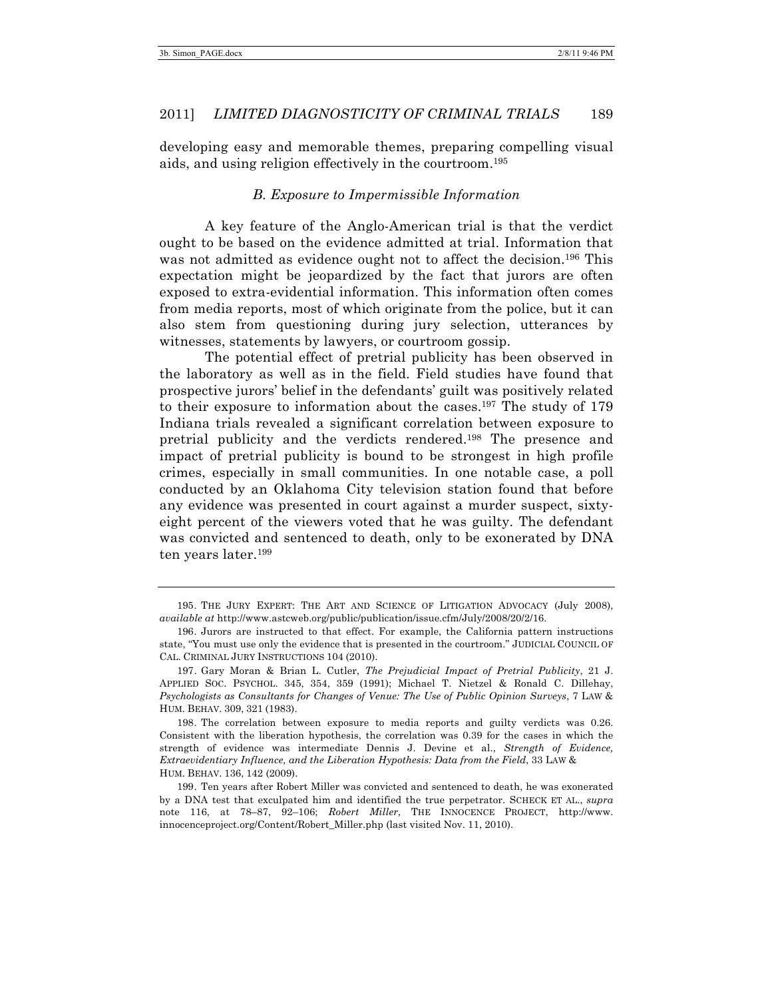developing easy and memorable themes, preparing compelling visual aids, and using religion effectively in the courtroom.195

### *B. Exposure to Impermissible Information*

A key feature of the Anglo-American trial is that the verdict ought to be based on the evidence admitted at trial. Information that was not admitted as evidence ought not to affect the decision.<sup>196</sup> This expectation might be jeopardized by the fact that jurors are often exposed to extra-evidential information. This information often comes from media reports, most of which originate from the police, but it can also stem from questioning during jury selection, utterances by witnesses, statements by lawyers, or courtroom gossip.

The potential effect of pretrial publicity has been observed in the laboratory as well as in the field. Field studies have found that prospective jurors' belief in the defendants' guilt was positively related to their exposure to information about the cases.197 The study of 179 Indiana trials revealed a significant correlation between exposure to pretrial publicity and the verdicts rendered.198 The presence and impact of pretrial publicity is bound to be strongest in high profile crimes, especially in small communities. In one notable case, a poll conducted by an Oklahoma City television station found that before any evidence was presented in court against a murder suspect, sixtyeight percent of the viewers voted that he was guilty. The defendant was convicted and sentenced to death, only to be exonerated by DNA ten years later.199

<sup>195.</sup> THE JURY EXPERT: THE ART AND SCIENCE OF LITIGATION ADVOCACY (July 2008), *available at* http://www.astcweb.org/public/publication/issue.cfm/July/2008/20/2/16.

<sup>196.</sup> Jurors are instructed to that effect. For example, the California pattern instructions state, "You must use only the evidence that is presented in the courtroom." JUDICIAL COUNCIL OF CAL. CRIMINAL JURY INSTRUCTIONS 104 (2010).

<sup>197.</sup> Gary Moran & Brian L. Cutler, *The Prejudicial Impact of Pretrial Publicity*, 21 J. APPLIED SOC. PSYCHOL. 345, 354, 359 (1991); Michael T. Nietzel & Ronald C. Dillehay, *Psychologists as Consultants for Changes of Venue: The Use of Public Opinion Surveys*, 7 LAW & HUM. BEHAV. 309, 321 (1983).

<sup>198.</sup> The correlation between exposure to media reports and guilty verdicts was 0.26. Consistent with the liberation hypothesis, the correlation was 0.39 for the cases in which the strength of evidence was intermediate Dennis J. Devine et al., *Strength of Evidence, Extraevidentiary Influence, and the Liberation Hypothesis: Data from the Field*, 33 LAW & HUM. BEHAV. 136, 142 (2009).

<sup>199.</sup> Ten years after Robert Miller was convicted and sentenced to death, he was exonerated by a DNA test that exculpated him and identified the true perpetrator. SCHECK ET AL., *supra* note 116, at 78–87, 92–106; *Robert Miller*, THE INNOCENCE PROJECT, http://www. innocenceproject.org/Content/Robert\_Miller.php (last visited Nov. 11, 2010).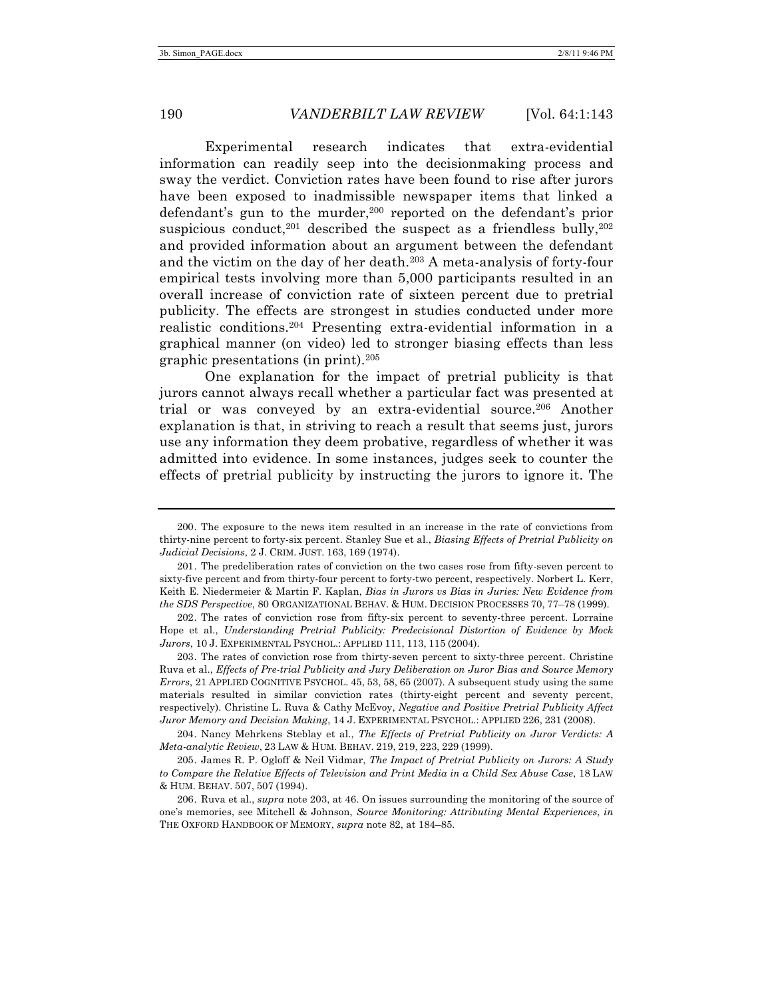Experimental research indicates that extra-evidential information can readily seep into the decisionmaking process and sway the verdict. Conviction rates have been found to rise after jurors have been exposed to inadmissible newspaper items that linked a defendant's gun to the murder,<sup>200</sup> reported on the defendant's prior suspicious conduct,<sup>201</sup> described the suspect as a friendless bully,<sup>202</sup> and provided information about an argument between the defendant and the victim on the day of her death.203 A meta-analysis of forty-four empirical tests involving more than 5,000 participants resulted in an overall increase of conviction rate of sixteen percent due to pretrial publicity. The effects are strongest in studies conducted under more realistic conditions.204 Presenting extra-evidential information in a graphical manner (on video) led to stronger biasing effects than less graphic presentations (in print).205

One explanation for the impact of pretrial publicity is that jurors cannot always recall whether a particular fact was presented at trial or was conveyed by an extra-evidential source.206 Another explanation is that, in striving to reach a result that seems just, jurors use any information they deem probative, regardless of whether it was admitted into evidence. In some instances, judges seek to counter the effects of pretrial publicity by instructing the jurors to ignore it. The

<sup>200.</sup> The exposure to the news item resulted in an increase in the rate of convictions from thirty-nine percent to forty-six percent. Stanley Sue et al., *Biasing Effects of Pretrial Publicity on Judicial Decisions*, 2 J. CRIM. JUST. 163, 169 (1974).

<sup>201.</sup> The predeliberation rates of conviction on the two cases rose from fifty-seven percent to sixty-five percent and from thirty-four percent to forty-two percent, respectively. Norbert L. Kerr, Keith E. Niedermeier & Martin F. Kaplan, *Bias in Jurors vs Bias in Juries: New Evidence from the SDS Perspective*, 80 ORGANIZATIONAL BEHAV. & HUM. DECISION PROCESSES 70, 77–78 (1999).

<sup>202.</sup> The rates of conviction rose from fifty-six percent to seventy-three percent. Lorraine Hope et al., *Understanding Pretrial Publicity: Predecisional Distortion of Evidence by Mock Jurors*, 10 J. EXPERIMENTAL PSYCHOL.: APPLIED 111, 113, 115 (2004).

<sup>203.</sup> The rates of conviction rose from thirty-seven percent to sixty-three percent. Christine Ruva et al., *Effects of Pre-trial Publicity and Jury Deliberation on Juror Bias and Source Memory Errors*, 21 APPLIED COGNITIVE PSYCHOL. 45, 53, 58, 65 (2007). A subsequent study using the same materials resulted in similar conviction rates (thirty-eight percent and seventy percent, respectively). Christine L. Ruva & Cathy McEvoy, *Negative and Positive Pretrial Publicity Affect Juror Memory and Decision Making*, 14 J. EXPERIMENTAL PSYCHOL.: APPLIED 226, 231 (2008).

<sup>204.</sup> Nancy Mehrkens Steblay et al., *The Effects of Pretrial Publicity on Juror Verdicts: A Meta-analytic Review*, 23 LAW & HUM. BEHAV. 219, 219, 223, 229 (1999).

<sup>205.</sup> James R. P. Ogloff & Neil Vidmar, *The Impact of Pretrial Publicity on Jurors: A Study to Compare the Relative Effects of Television and Print Media in a Child Sex Abuse Case*, 18 LAW & HUM. BEHAV. 507, 507 (1994).

<sup>206.</sup> Ruva et al., *supra* note 203, at 46. On issues surrounding the monitoring of the source of one's memories, see Mitchell & Johnson, *Source Monitoring: Attributing Mental Experiences*, *in*  THE OXFORD HANDBOOK OF MEMORY, *supra* note 82, at 184–85.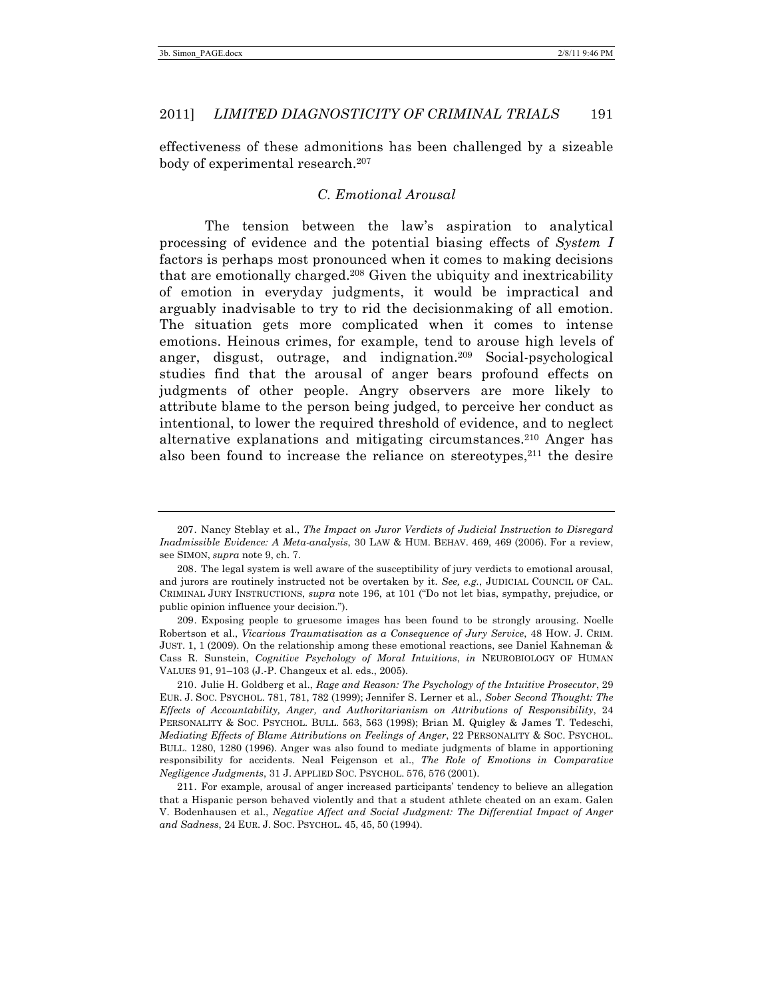effectiveness of these admonitions has been challenged by a sizeable body of experimental research.207

# *C. Emotional Arousal*

The tension between the law's aspiration to analytical processing of evidence and the potential biasing effects of *System I* factors is perhaps most pronounced when it comes to making decisions that are emotionally charged.208 Given the ubiquity and inextricability of emotion in everyday judgments, it would be impractical and arguably inadvisable to try to rid the decisionmaking of all emotion. The situation gets more complicated when it comes to intense emotions. Heinous crimes, for example, tend to arouse high levels of anger, disgust, outrage, and indignation.209 Social-psychological studies find that the arousal of anger bears profound effects on judgments of other people. Angry observers are more likely to attribute blame to the person being judged, to perceive her conduct as intentional, to lower the required threshold of evidence, and to neglect alternative explanations and mitigating circumstances.210 Anger has also been found to increase the reliance on stereotypes,<sup>211</sup> the desire

<sup>207.</sup> Nancy Steblay et al., *The Impact on Juror Verdicts of Judicial Instruction to Disregard Inadmissible Evidence: A Meta-analysis*, 30 LAW & HUM. BEHAV. 469, 469 (2006). For a review, see SIMON, *supra* note 9, ch. 7.

<sup>208.</sup> The legal system is well aware of the susceptibility of jury verdicts to emotional arousal, and jurors are routinely instructed not be overtaken by it. *See, e.g.*, JUDICIAL COUNCIL OF CAL. CRIMINAL JURY INSTRUCTIONS, *supra* note 196, at 101 ("Do not let bias, sympathy, prejudice, or public opinion influence your decision.").

<sup>209.</sup> Exposing people to gruesome images has been found to be strongly arousing. Noelle Robertson et al., *Vicarious Traumatisation as a Consequence of Jury Service*, 48 HOW. J. CRIM. JUST. 1, 1 (2009). On the relationship among these emotional reactions, see Daniel Kahneman & Cass R. Sunstein, *Cognitive Psychology of Moral Intuitions*, *in* NEUROBIOLOGY OF HUMAN VALUES 91, 91–103 (J.-P. Changeux et al. eds., 2005).

<sup>210.</sup> Julie H. Goldberg et al., *Rage and Reason: The Psychology of the Intuitive Prosecutor*, 29 EUR. J. SOC. PSYCHOL. 781, 781, 782 (1999); Jennifer S. Lerner et al., *Sober Second Thought: The Effects of Accountability, Anger, and Authoritarianism on Attributions of Responsibility*, 24 PERSONALITY & SOC. PSYCHOL. BULL. 563, 563 (1998); Brian M. Quigley & James T. Tedeschi, *Mediating Effects of Blame Attributions on Feelings of Anger*, 22 PERSONALITY & SOC. PSYCHOL. BULL. 1280, 1280 (1996). Anger was also found to mediate judgments of blame in apportioning responsibility for accidents. Neal Feigenson et al., *The Role of Emotions in Comparative Negligence Judgments*, 31 J. APPLIED SOC. PSYCHOL. 576, 576 (2001).

<sup>211.</sup> For example, arousal of anger increased participants' tendency to believe an allegation that a Hispanic person behaved violently and that a student athlete cheated on an exam. Galen V. Bodenhausen et al., *Negative Affect and Social Judgment: The Differential Impact of Anger and Sadness*, 24 EUR. J. SOC. PSYCHOL. 45, 45, 50 (1994).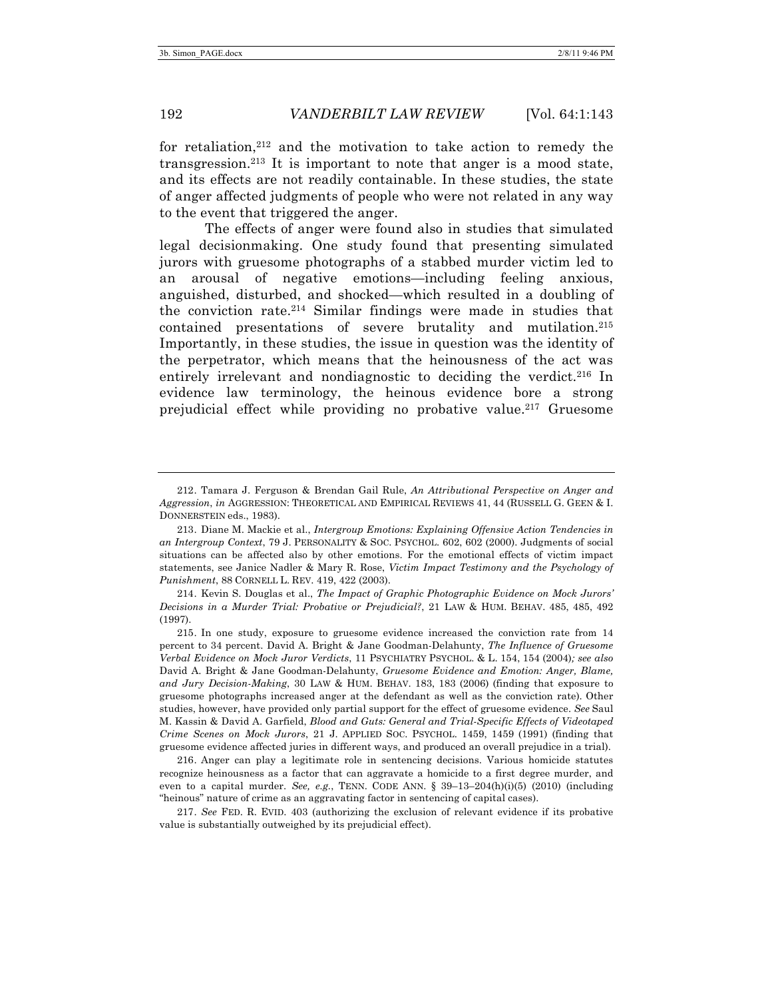for retaliation,212 and the motivation to take action to remedy the transgression.213 It is important to note that anger is a mood state, and its effects are not readily containable. In these studies, the state of anger affected judgments of people who were not related in any way to the event that triggered the anger.

The effects of anger were found also in studies that simulated legal decisionmaking. One study found that presenting simulated jurors with gruesome photographs of a stabbed murder victim led to an arousal of negative emotions—including feeling anxious, anguished, disturbed, and shocked—which resulted in a doubling of the conviction rate.214 Similar findings were made in studies that contained presentations of severe brutality and mutilation.215 Importantly, in these studies, the issue in question was the identity of the perpetrator, which means that the heinousness of the act was entirely irrelevant and nondiagnostic to deciding the verdict.216 In evidence law terminology, the heinous evidence bore a strong prejudicial effect while providing no probative value.217 Gruesome

214. Kevin S. Douglas et al., *The Impact of Graphic Photographic Evidence on Mock Jurors' Decisions in a Murder Trial: Probative or Prejudicial?*, 21 LAW & HUM. BEHAV. 485, 485, 492 (1997).

216. Anger can play a legitimate role in sentencing decisions. Various homicide statutes recognize heinousness as a factor that can aggravate a homicide to a first degree murder, and even to a capital murder. *See, e.g.*, TENN. CODE ANN. § 39–13–204(h)(i)(5) (2010) (including "heinous" nature of crime as an aggravating factor in sentencing of capital cases).

217. *See* FED. R. EVID. 403 (authorizing the exclusion of relevant evidence if its probative value is substantially outweighed by its prejudicial effect).

<sup>212.</sup> Tamara J. Ferguson & Brendan Gail Rule, *An Attributional Perspective on Anger and Aggression*, *in* AGGRESSION: THEORETICAL AND EMPIRICAL REVIEWS 41, 44 (RUSSELL G. GEEN & I. DONNERSTEIN eds., 1983).

<sup>213.</sup> Diane M. Mackie et al., *Intergroup Emotions: Explaining Offensive Action Tendencies in an Intergroup Context*, 79 J. PERSONALITY & SOC. PSYCHOL. 602, 602 (2000). Judgments of social situations can be affected also by other emotions. For the emotional effects of victim impact statements, see Janice Nadler & Mary R. Rose, *Victim Impact Testimony and the Psychology of Punishment*, 88 CORNELL L. REV. 419, 422 (2003).

<sup>215.</sup> In one study, exposure to gruesome evidence increased the conviction rate from 14 percent to 34 percent. David A. Bright & Jane Goodman-Delahunty, *The Influence of Gruesome Verbal Evidence on Mock Juror Verdicts*, 11 PSYCHIATRY PSYCHOL. & L. 154, 154 (2004)*; see also* David A. Bright & Jane Goodman-Delahunty, *Gruesome Evidence and Emotion: Anger, Blame, and Jury Decision-Making*, 30 LAW & HUM. BEHAV. 183, 183 (2006) (finding that exposure to gruesome photographs increased anger at the defendant as well as the conviction rate). Other studies, however, have provided only partial support for the effect of gruesome evidence. *See* Saul M. Kassin & David A. Garfield, *Blood and Guts: General and Trial-Specific Effects of Videotaped Crime Scenes on Mock Jurors*, 21 J. APPLIED SOC. PSYCHOL. 1459, 1459 (1991) (finding that gruesome evidence affected juries in different ways, and produced an overall prejudice in a trial).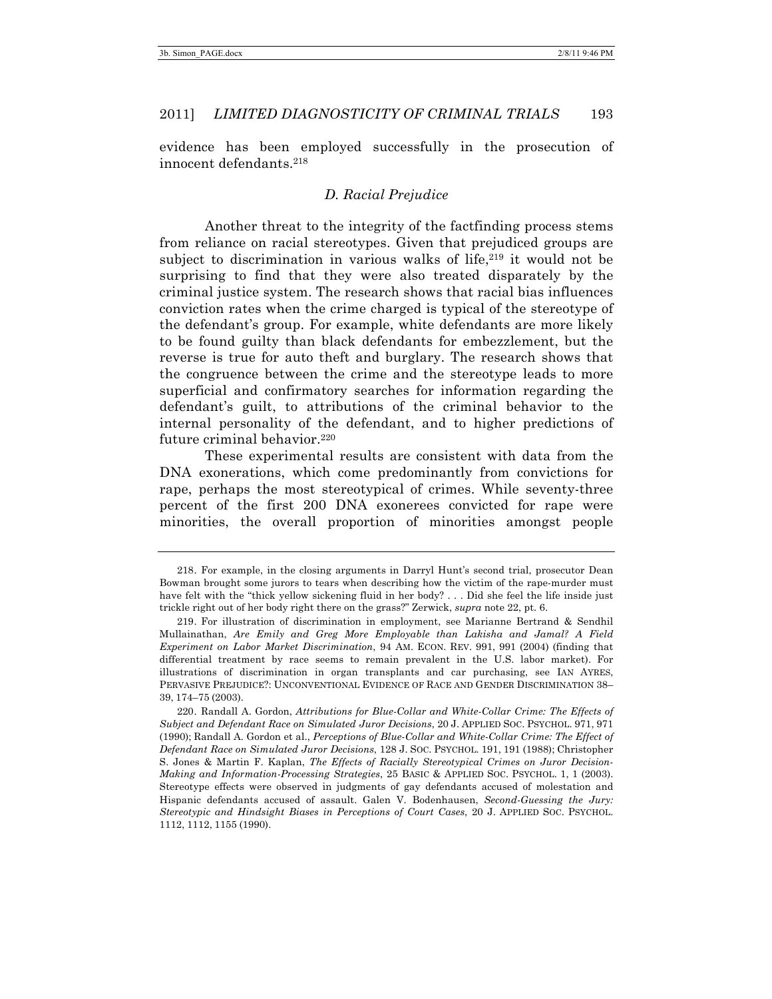evidence has been employed successfully in the prosecution of innocent defendants.218

### *D. Racial Prejudice*

Another threat to the integrity of the factfinding process stems from reliance on racial stereotypes. Given that prejudiced groups are subject to discrimination in various walks of life, $2^{19}$  it would not be surprising to find that they were also treated disparately by the criminal justice system. The research shows that racial bias influences conviction rates when the crime charged is typical of the stereotype of the defendant's group. For example, white defendants are more likely to be found guilty than black defendants for embezzlement, but the reverse is true for auto theft and burglary. The research shows that the congruence between the crime and the stereotype leads to more superficial and confirmatory searches for information regarding the defendant's guilt, to attributions of the criminal behavior to the internal personality of the defendant, and to higher predictions of future criminal behavior.<sup>220</sup>

These experimental results are consistent with data from the DNA exonerations, which come predominantly from convictions for rape, perhaps the most stereotypical of crimes. While seventy-three percent of the first 200 DNA exonerees convicted for rape were minorities, the overall proportion of minorities amongst people

<sup>218.</sup> For example, in the closing arguments in Darryl Hunt's second trial, prosecutor Dean Bowman brought some jurors to tears when describing how the victim of the rape-murder must have felt with the "thick yellow sickening fluid in her body? . . . Did she feel the life inside just trickle right out of her body right there on the grass?" Zerwick, *supra* note 22, pt. 6.

<sup>219.</sup> For illustration of discrimination in employment, see Marianne Bertrand & Sendhil Mullainathan, *Are Emily and Greg More Employable than Lakisha and Jamal? A Field Experiment on Labor Market Discrimination*, 94 AM. ECON. REV. 991, 991 (2004) (finding that differential treatment by race seems to remain prevalent in the U.S. labor market). For illustrations of discrimination in organ transplants and car purchasing, see IAN AYRES, PERVASIVE PREJUDICE?: UNCONVENTIONAL EVIDENCE OF RACE AND GENDER DISCRIMINATION 38– 39, 174–75 (2003).

<sup>220.</sup> Randall A. Gordon, *Attributions for Blue-Collar and White-Collar Crime: The Effects of Subject and Defendant Race on Simulated Juror Decisions*, 20 J. APPLIED SOC. PSYCHOL. 971, 971 (1990); Randall A. Gordon et al., *Perceptions of Blue-Collar and White-Collar Crime: The Effect of Defendant Race on Simulated Juror Decisions*, 128 J. SOC. PSYCHOL. 191, 191 (1988); Christopher S. Jones & Martin F. Kaplan, *The Effects of Racially Stereotypical Crimes on Juror Decision-Making and Information-Processing Strategies*, 25 BASIC & APPLIED SOC. PSYCHOL. 1, 1 (2003). Stereotype effects were observed in judgments of gay defendants accused of molestation and Hispanic defendants accused of assault. Galen V. Bodenhausen, *Second-Guessing the Jury: Stereotypic and Hindsight Biases in Perceptions of Court Cases*, 20 J. APPLIED SOC. PSYCHOL. 1112, 1112, 1155 (1990).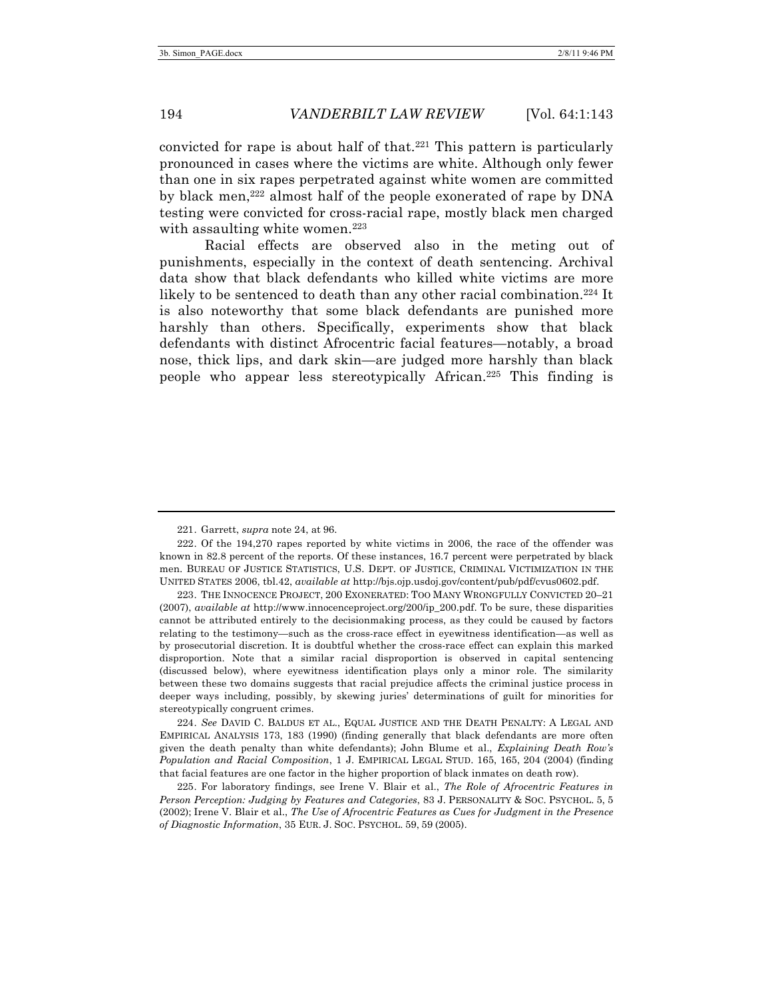convicted for rape is about half of that.<sup>221</sup> This pattern is particularly pronounced in cases where the victims are white. Although only fewer than one in six rapes perpetrated against white women are committed by black men,222 almost half of the people exonerated of rape by DNA testing were convicted for cross-racial rape, mostly black men charged with assaulting white women.<sup>223</sup>

Racial effects are observed also in the meting out of punishments, especially in the context of death sentencing. Archival data show that black defendants who killed white victims are more likely to be sentenced to death than any other racial combination.<sup>224</sup> It is also noteworthy that some black defendants are punished more harshly than others. Specifically, experiments show that black defendants with distinct Afrocentric facial features—notably, a broad nose, thick lips, and dark skin—are judged more harshly than black people who appear less stereotypically African.225 This finding is

224. *See* DAVID C. BALDUS ET AL., EQUAL JUSTICE AND THE DEATH PENALTY: A LEGAL AND EMPIRICAL ANALYSIS 173, 183 (1990) (finding generally that black defendants are more often given the death penalty than white defendants); John Blume et al., *Explaining Death Row's Population and Racial Composition*, 1 J. EMPIRICAL LEGAL STUD. 165, 165, 204 (2004) (finding that facial features are one factor in the higher proportion of black inmates on death row).

225. For laboratory findings, see Irene V. Blair et al., *The Role of Afrocentric Features in Person Perception: Judging by Features and Categories*, 83 J. PERSONALITY & SOC. PSYCHOL. 5, 5 (2002); Irene V. Blair et al., *The Use of Afrocentric Features as Cues for Judgment in the Presence of Diagnostic Information*, 35 EUR. J. SOC. PSYCHOL. 59, 59 (2005).

<sup>221.</sup> Garrett, *supra* note 24, at 96.

<sup>222.</sup> Of the 194,270 rapes reported by white victims in 2006, the race of the offender was known in 82.8 percent of the reports. Of these instances, 16.7 percent were perpetrated by black men. BUREAU OF JUSTICE STATISTICS, U.S. DEPT. OF JUSTICE, CRIMINAL VICTIMIZATION IN THE UNITED STATES 2006, tbl.42, *available at* http://bjs.ojp.usdoj.gov/content/pub/pdf/cvus0602.pdf.

<sup>223.</sup> THE INNOCENCE PROJECT, 200 EXONERATED: TOO MANY WRONGFULLY CONVICTED 20–21 (2007), *available at* http://www.innocenceproject.org/200/ip\_200.pdf. To be sure, these disparities cannot be attributed entirely to the decisionmaking process, as they could be caused by factors relating to the testimony—such as the cross-race effect in eyewitness identification—as well as by prosecutorial discretion. It is doubtful whether the cross-race effect can explain this marked disproportion. Note that a similar racial disproportion is observed in capital sentencing (discussed below), where eyewitness identification plays only a minor role. The similarity between these two domains suggests that racial prejudice affects the criminal justice process in deeper ways including, possibly, by skewing juries' determinations of guilt for minorities for stereotypically congruent crimes.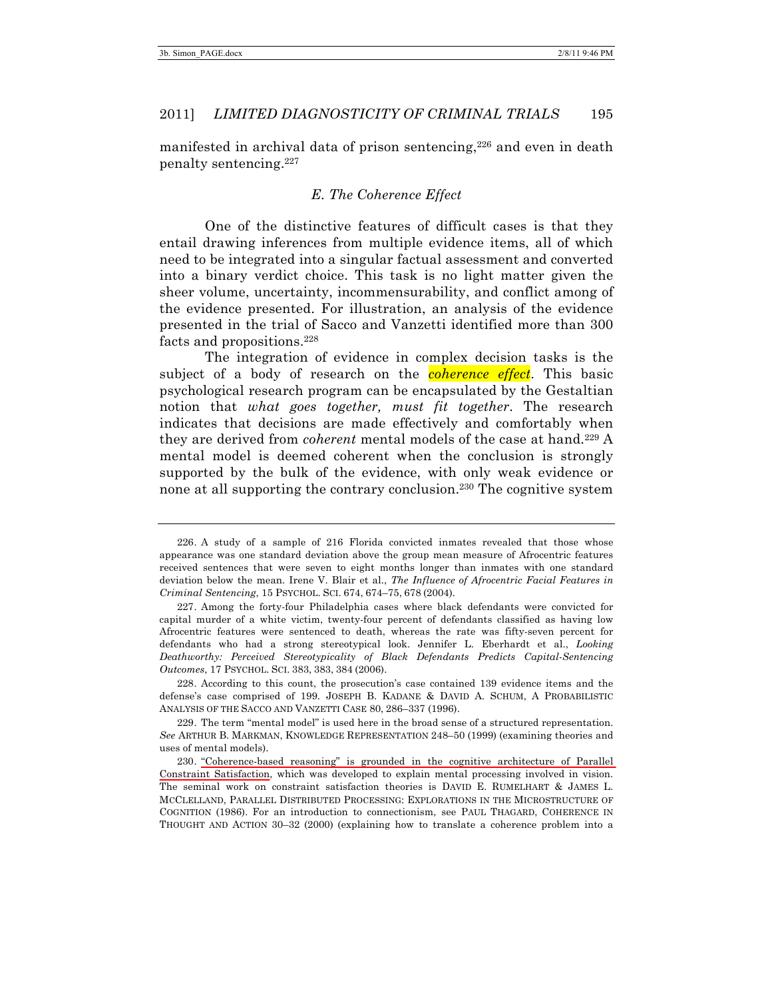manifested in archival data of prison sentencing,<sup>226</sup> and even in death penalty sentencing.227

# *E. The Coherence Effect*

One of the distinctive features of difficult cases is that they entail drawing inferences from multiple evidence items, all of which need to be integrated into a singular factual assessment and converted into a binary verdict choice. This task is no light matter given the sheer volume, uncertainty, incommensurability, and conflict among of the evidence presented. For illustration, an analysis of the evidence presented in the trial of Sacco and Vanzetti identified more than 300 facts and propositions.228

The integration of evidence in complex decision tasks is the subject of a body of research on the *coherence effect*. This basic psychological research program can be encapsulated by the Gestaltian notion that *what goes together, must fit together*. The research indicates that decisions are made effectively and comfortably when they are derived from *coherent* mental models of the case at hand.229 A mental model is deemed coherent when the conclusion is strongly supported by the bulk of the evidence, with only weak evidence or none at all supporting the contrary conclusion.230 The cognitive system

228. According to this count, the prosecution's case contained 139 evidence items and the defense's case comprised of 199. JOSEPH B. KADANE & DAVID A. SCHUM, A PROBABILISTIC ANALYSIS OF THE SACCO AND VANZETTI CASE 80, 286–337 (1996).

229. The term "mental model" is used here in the broad sense of a structured representation. *See* ARTHUR B. MARKMAN, KNOWLEDGE REPRESENTATION 248–50 (1999) (examining theories and uses of mental models).

230. "Coherence-based reasoning" is grounded in the cognitive architecture of Parallel Constraint Satisfaction, which was developed to explain mental processing involved in vision. The seminal work on constraint satisfaction theories is DAVID E. RUMELHART & JAMES L. MCCLELLAND, PARALLEL DISTRIBUTED PROCESSING: EXPLORATIONS IN THE MICROSTRUCTURE OF COGNITION (1986). For an introduction to connectionism, see PAUL THAGARD, COHERENCE IN THOUGHT AND ACTION 30–32 (2000) (explaining how to translate a coherence problem into a

<sup>226.</sup> A study of a sample of 216 Florida convicted inmates revealed that those whose appearance was one standard deviation above the group mean measure of Afrocentric features received sentences that were seven to eight months longer than inmates with one standard deviation below the mean. Irene V. Blair et al., *The Influence of Afrocentric Facial Features in Criminal Sentencing*, 15 PSYCHOL. SCI. 674, 674–75, 678 (2004).

<sup>227.</sup> Among the forty-four Philadelphia cases where black defendants were convicted for capital murder of a white victim, twenty-four percent of defendants classified as having low Afrocentric features were sentenced to death, whereas the rate was fifty-seven percent for defendants who had a strong stereotypical look. Jennifer L. Eberhardt et al., *Looking Deathworthy: Perceived Stereotypicality of Black Defendants Predicts Capital-Sentencing Outcomes*, 17 PSYCHOL. SCI. 383, 383, 384 (2006).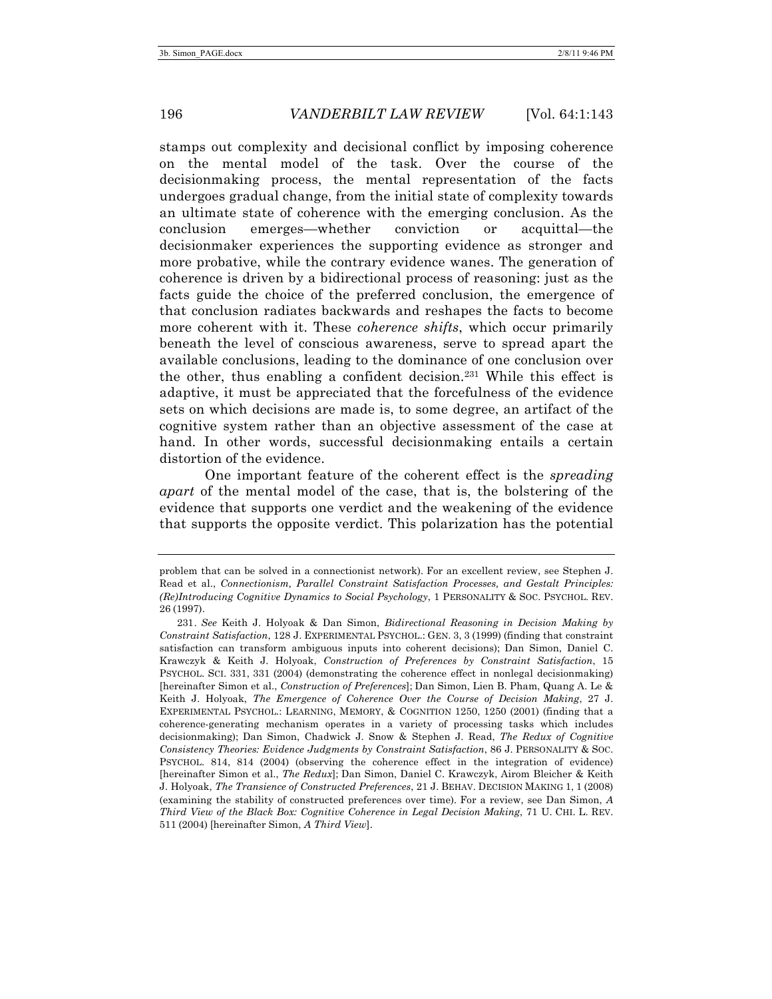stamps out complexity and decisional conflict by imposing coherence on the mental model of the task. Over the course of the decisionmaking process, the mental representation of the facts undergoes gradual change, from the initial state of complexity towards an ultimate state of coherence with the emerging conclusion. As the conclusion emerges—whether conviction or acquittal—the decisionmaker experiences the supporting evidence as stronger and more probative, while the contrary evidence wanes. The generation of coherence is driven by a bidirectional process of reasoning: just as the facts guide the choice of the preferred conclusion, the emergence of that conclusion radiates backwards and reshapes the facts to become more coherent with it. These *coherence shifts*, which occur primarily beneath the level of conscious awareness, serve to spread apart the available conclusions, leading to the dominance of one conclusion over the other, thus enabling a confident decision.231 While this effect is adaptive, it must be appreciated that the forcefulness of the evidence sets on which decisions are made is, to some degree, an artifact of the cognitive system rather than an objective assessment of the case at hand. In other words, successful decisionmaking entails a certain distortion of the evidence.

One important feature of the coherent effect is the *spreading apart* of the mental model of the case, that is, the bolstering of the evidence that supports one verdict and the weakening of the evidence that supports the opposite verdict. This polarization has the potential

problem that can be solved in a connectionist network). For an excellent review, see Stephen J. Read et al., *Connectionism, Parallel Constraint Satisfaction Processes, and Gestalt Principles: (Re)Introducing Cognitive Dynamics to Social Psychology*, 1 PERSONALITY & SOC. PSYCHOL. REV. 26 (1997).

<sup>231.</sup> *See* Keith J. Holyoak & Dan Simon, *Bidirectional Reasoning in Decision Making by Constraint Satisfaction*, 128 J. EXPERIMENTAL PSYCHOL.: GEN. 3, 3 (1999) (finding that constraint satisfaction can transform ambiguous inputs into coherent decisions); Dan Simon, Daniel C. Krawczyk & Keith J. Holyoak, *Construction of Preferences by Constraint Satisfaction*, 15 PSYCHOL. SCI. 331, 331 (2004) (demonstrating the coherence effect in nonlegal decisionmaking) [hereinafter Simon et al., *Construction of Preferences*]; Dan Simon, Lien B. Pham, Quang A. Le & Keith J. Holyoak, *The Emergence of Coherence Over the Course of Decision Making*, 27 J. EXPERIMENTAL PSYCHOL.: LEARNING, MEMORY, & COGNITION 1250, 1250 (2001) (finding that a coherence-generating mechanism operates in a variety of processing tasks which includes decisionmaking); Dan Simon, Chadwick J. Snow & Stephen J. Read, *The Redux of Cognitive Consistency Theories: Evidence Judgments by Constraint Satisfaction*, 86 J. PERSONALITY & SOC. PSYCHOL. 814, 814 (2004) (observing the coherence effect in the integration of evidence) [hereinafter Simon et al., *The Redux*]; Dan Simon, Daniel C. Krawczyk, Airom Bleicher & Keith J. Holyoak, *The Transience of Constructed Preferences*, 21 J. BEHAV. DECISION MAKING 1, 1 (2008) (examining the stability of constructed preferences over time). For a review, see Dan Simon, *A Third View of the Black Box: Cognitive Coherence in Legal Decision Making*, 71 U. CHI. L. REV. 511 (2004) [hereinafter Simon, *A Third View*].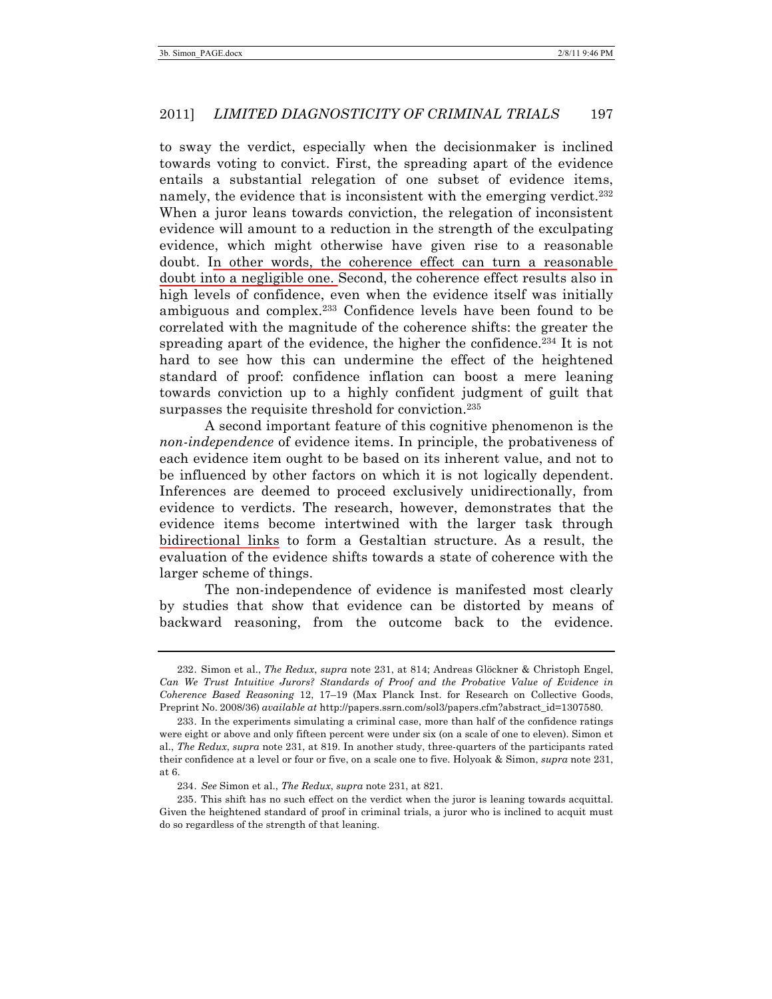to sway the verdict, especially when the decisionmaker is inclined towards voting to convict. First, the spreading apart of the evidence entails a substantial relegation of one subset of evidence items, namely, the evidence that is inconsistent with the emerging verdict.<sup>232</sup> When a juror leans towards conviction, the relegation of inconsistent evidence will amount to a reduction in the strength of the exculpating evidence, which might otherwise have given rise to a reasonable doubt. In other words, the coherence effect can turn a reasonable doubt into a negligible one. Second, the coherence effect results also in high levels of confidence, even when the evidence itself was initially ambiguous and complex.233 Confidence levels have been found to be correlated with the magnitude of the coherence shifts: the greater the spreading apart of the evidence, the higher the confidence.234 It is not hard to see how this can undermine the effect of the heightened standard of proof: confidence inflation can boost a mere leaning towards conviction up to a highly confident judgment of guilt that surpasses the requisite threshold for conviction.<sup>235</sup>

A second important feature of this cognitive phenomenon is the *non-independence* of evidence items. In principle, the probativeness of each evidence item ought to be based on its inherent value, and not to be influenced by other factors on which it is not logically dependent. Inferences are deemed to proceed exclusively unidirectionally, from evidence to verdicts. The research, however, demonstrates that the evidence items become intertwined with the larger task through bidirectional links to form a Gestaltian structure. As a result, the evaluation of the evidence shifts towards a state of coherence with the larger scheme of things.

The non-independence of evidence is manifested most clearly by studies that show that evidence can be distorted by means of backward reasoning, from the outcome back to the evidence.

<sup>232.</sup> Simon et al., *The Redux*, *supra* note 231, at 814; Andreas Glöckner & Christoph Engel, *Can We Trust Intuitive Jurors? Standards of Proof and the Probative Value of Evidence in Coherence Based Reasoning* 12, 17–19 (Max Planck Inst. for Research on Collective Goods, Preprint No. 2008/36) *available at* http://papers.ssrn.com/sol3/papers.cfm?abstract\_id=1307580.

<sup>233.</sup> In the experiments simulating a criminal case, more than half of the confidence ratings were eight or above and only fifteen percent were under six (on a scale of one to eleven). Simon et al., *The Redux*, *supra* note 231, at 819. In another study, three-quarters of the participants rated their confidence at a level or four or five, on a scale one to five. Holyoak & Simon, *supra* note 231, at 6.

<sup>234.</sup> *See* Simon et al., *The Redux*, *supra* note 231, at 821.

<sup>235.</sup> This shift has no such effect on the verdict when the juror is leaning towards acquittal. Given the heightened standard of proof in criminal trials, a juror who is inclined to acquit must do so regardless of the strength of that leaning.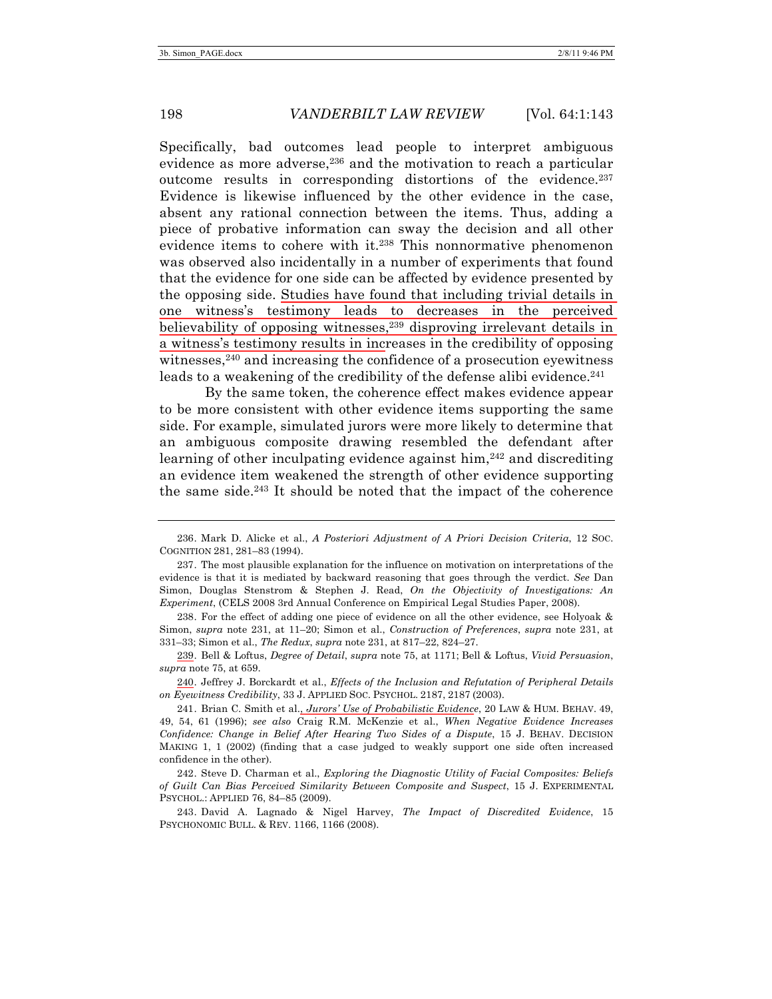Specifically, bad outcomes lead people to interpret ambiguous evidence as more adverse,<sup>236</sup> and the motivation to reach a particular outcome results in corresponding distortions of the evidence.237 Evidence is likewise influenced by the other evidence in the case, absent any rational connection between the items. Thus, adding a piece of probative information can sway the decision and all other evidence items to cohere with it.238 This nonnormative phenomenon was observed also incidentally in a number of experiments that found that the evidence for one side can be affected by evidence presented by the opposing side. Studies have found that including trivial details in one witness's testimony leads to decreases in the perceived believability of opposing witnesses,<sup>239</sup> disproving irrelevant details in a witness's testimony results in increases in the credibility of opposing witnesses,<sup>240</sup> and increasing the confidence of a prosecution eyewitness leads to a weakening of the credibility of the defense alibi evidence.<sup>241</sup>

By the same token, the coherence effect makes evidence appear to be more consistent with other evidence items supporting the same side. For example, simulated jurors were more likely to determine that an ambiguous composite drawing resembled the defendant after learning of other inculpating evidence against him,242 and discrediting an evidence item weakened the strength of other evidence supporting the same side. $243$  It should be noted that the impact of the coherence

238. For the effect of adding one piece of evidence on all the other evidence, see Holyoak & Simon, *supra* note 231, at 11–20; Simon et al., *Construction of Preferences*, *supra* note 231, at 331–33; Simon et al., *The Redux*, *supra* note 231, at 817–22, 824–27.

239. Bell & Loftus, *Degree of Detail*, *supra* note 75, at 1171; Bell & Loftus, *Vivid Persuasion*, *supra* note 75, at 659.

240. Jeffrey J. Borckardt et al., *Effects of the Inclusion and Refutation of Peripheral Details on Eyewitness Credibility*, 33 J. APPLIED SOC. PSYCHOL. 2187, 2187 (2003).

241. Brian C. Smith et al., *Jurors' Use of Probabilistic Evidence*, 20 LAW & HUM. BEHAV. 49, 49, 54, 61 (1996); *see also* Craig R.M. McKenzie et al., *When Negative Evidence Increases Confidence: Change in Belief After Hearing Two Sides of a Dispute*, 15 J. BEHAV. DECISION MAKING 1, 1 (2002) (finding that a case judged to weakly support one side often increased confidence in the other).

242. Steve D. Charman et al., *Exploring the Diagnostic Utility of Facial Composites: Beliefs of Guilt Can Bias Perceived Similarity Between Composite and Suspect*, 15 J. EXPERIMENTAL PSYCHOL.: APPLIED 76, 84–85 (2009).

243. David A. Lagnado & Nigel Harvey, *The Impact of Discredited Evidence*, 15 PSYCHONOMIC BULL. & REV. 1166, 1166 (2008).

<sup>236.</sup> Mark D. Alicke et al., *A Posteriori Adjustment of A Priori Decision Criteria*, 12 SOC. COGNITION 281, 281–83 (1994).

<sup>237.</sup> The most plausible explanation for the influence on motivation on interpretations of the evidence is that it is mediated by backward reasoning that goes through the verdict. *See* Dan Simon, Douglas Stenstrom & Stephen J. Read, *On the Objectivity of Investigations: An Experiment*, (CELS 2008 3rd Annual Conference on Empirical Legal Studies Paper, 2008).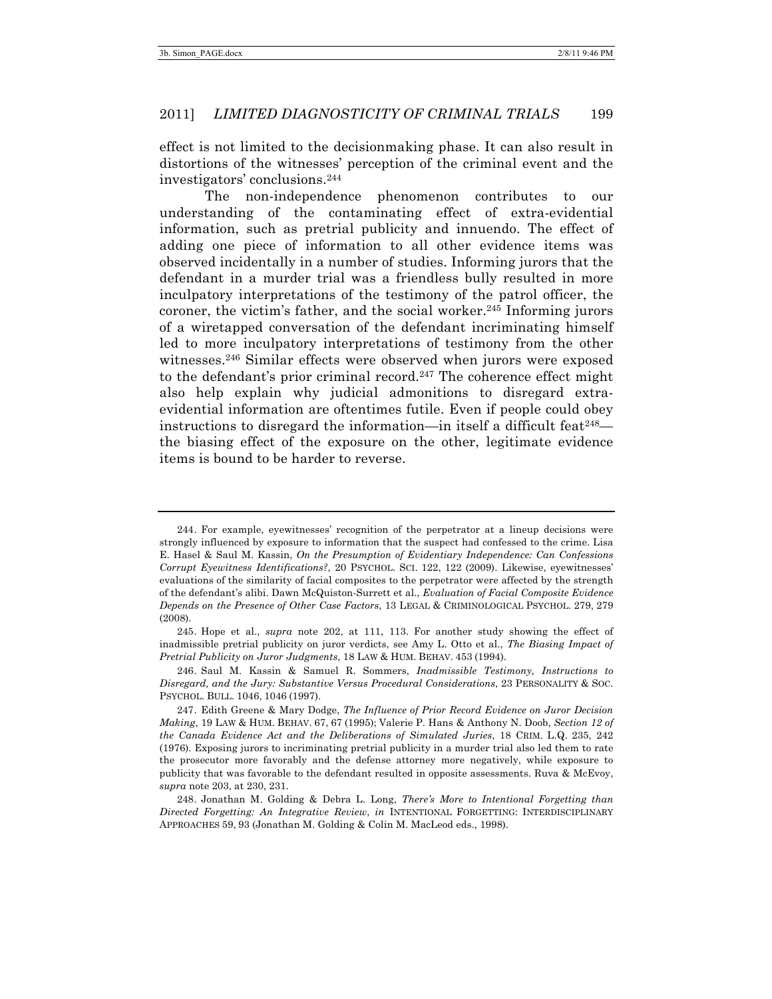effect is not limited to the decisionmaking phase. It can also result in distortions of the witnesses' perception of the criminal event and the investigators' conclusions.244

The non-independence phenomenon contributes to our understanding of the contaminating effect of extra-evidential information, such as pretrial publicity and innuendo. The effect of adding one piece of information to all other evidence items was observed incidentally in a number of studies. Informing jurors that the defendant in a murder trial was a friendless bully resulted in more inculpatory interpretations of the testimony of the patrol officer, the coroner, the victim's father, and the social worker.245 Informing jurors of a wiretapped conversation of the defendant incriminating himself led to more inculpatory interpretations of testimony from the other witnesses.246 Similar effects were observed when jurors were exposed to the defendant's prior criminal record.247 The coherence effect might also help explain why judicial admonitions to disregard extraevidential information are oftentimes futile. Even if people could obey instructions to disregard the information—in itself a difficult feat  $248$  the biasing effect of the exposure on the other, legitimate evidence items is bound to be harder to reverse.

<sup>244.</sup> For example, eyewitnesses' recognition of the perpetrator at a lineup decisions were strongly influenced by exposure to information that the suspect had confessed to the crime. Lisa E. Hasel & Saul M. Kassin, *On the Presumption of Evidentiary Independence: Can Confessions Corrupt Eyewitness Identifications?*, 20 PSYCHOL. SCI. 122, 122 (2009). Likewise, eyewitnesses' evaluations of the similarity of facial composites to the perpetrator were affected by the strength of the defendant's alibi. Dawn McQuiston-Surrett et al., *Evaluation of Facial Composite Evidence Depends on the Presence of Other Case Factors*, 13 LEGAL & CRIMINOLOGICAL PSYCHOL. 279, 279 (2008).

<sup>245.</sup> Hope et al., *supra* note 202, at 111, 113. For another study showing the effect of inadmissible pretrial publicity on juror verdicts, see Amy L. Otto et al., *The Biasing Impact of Pretrial Publicity on Juror Judgments*, 18 LAW & HUM. BEHAV. 453 (1994).

<sup>246.</sup> Saul M. Kassin & Samuel R. Sommers, *Inadmissible Testimony, Instructions to Disregard, and the Jury: Substantive Versus Procedural Considerations*, 23 PERSONALITY & SOC. PSYCHOL. BULL. 1046, 1046 (1997).

<sup>247.</sup> Edith Greene & Mary Dodge, *The Influence of Prior Record Evidence on Juror Decision Making*, 19 LAW & HUM. BEHAV. 67, 67 (1995); Valerie P. Hans & Anthony N. Doob, *Section 12 of the Canada Evidence Act and the Deliberations of Simulated Juries*, 18 CRIM. L.Q. 235, 242 (1976). Exposing jurors to incriminating pretrial publicity in a murder trial also led them to rate the prosecutor more favorably and the defense attorney more negatively, while exposure to publicity that was favorable to the defendant resulted in opposite assessments. Ruva & McEvoy, *supra* note 203, at 230, 231.

<sup>248.</sup> Jonathan M. Golding & Debra L. Long, *There's More to Intentional Forgetting than Directed Forgetting: An Integrative Review*, *in* INTENTIONAL FORGETTING: INTERDISCIPLINARY APPROACHES 59, 93 (Jonathan M. Golding & Colin M. MacLeod eds., 1998).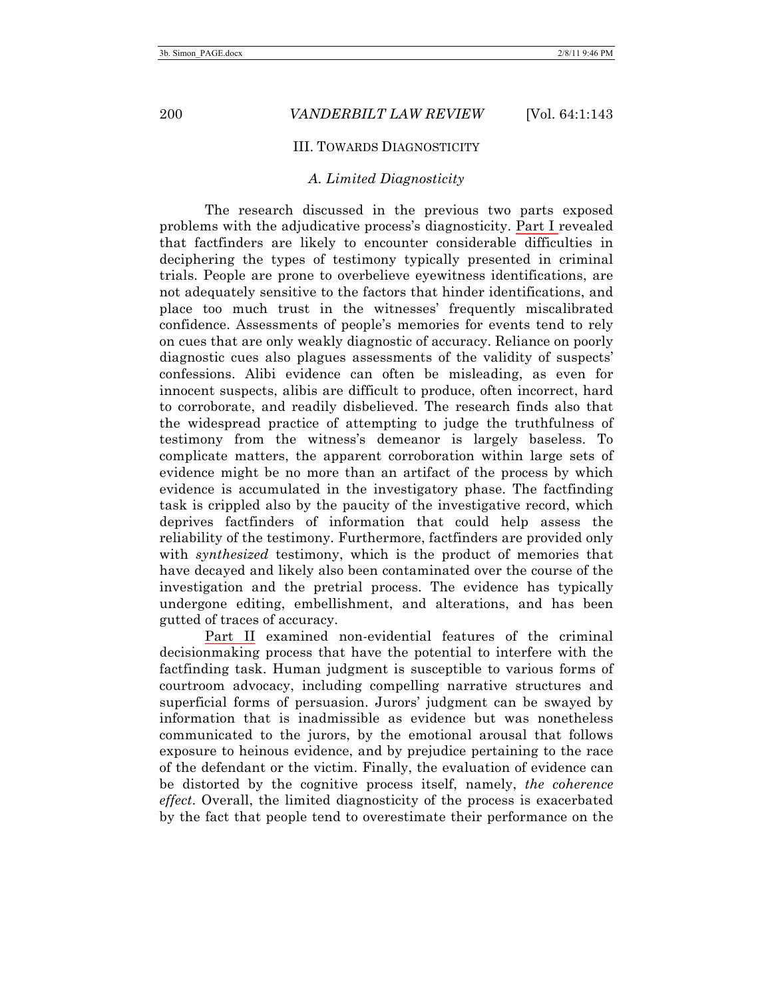### III. TOWARDS DIAGNOSTICITY

### *A. Limited Diagnosticity*

The research discussed in the previous two parts exposed problems with the adjudicative process's diagnosticity. Part I revealed that factfinders are likely to encounter considerable difficulties in deciphering the types of testimony typically presented in criminal trials. People are prone to overbelieve eyewitness identifications, are not adequately sensitive to the factors that hinder identifications, and place too much trust in the witnesses' frequently miscalibrated confidence. Assessments of people's memories for events tend to rely on cues that are only weakly diagnostic of accuracy. Reliance on poorly diagnostic cues also plagues assessments of the validity of suspects' confessions. Alibi evidence can often be misleading, as even for innocent suspects, alibis are difficult to produce, often incorrect, hard to corroborate, and readily disbelieved. The research finds also that the widespread practice of attempting to judge the truthfulness of testimony from the witness's demeanor is largely baseless. To complicate matters, the apparent corroboration within large sets of evidence might be no more than an artifact of the process by which evidence is accumulated in the investigatory phase. The factfinding task is crippled also by the paucity of the investigative record, which deprives factfinders of information that could help assess the reliability of the testimony. Furthermore, factfinders are provided only with *synthesized* testimony, which is the product of memories that have decayed and likely also been contaminated over the course of the investigation and the pretrial process. The evidence has typically undergone editing, embellishment, and alterations, and has been gutted of traces of accuracy.

Part II examined non-evidential features of the criminal decisionmaking process that have the potential to interfere with the factfinding task. Human judgment is susceptible to various forms of courtroom advocacy, including compelling narrative structures and superficial forms of persuasion. Jurors' judgment can be swayed by information that is inadmissible as evidence but was nonetheless communicated to the jurors, by the emotional arousal that follows exposure to heinous evidence, and by prejudice pertaining to the race of the defendant or the victim. Finally, the evaluation of evidence can be distorted by the cognitive process itself, namely, *the coherence effect*. Overall, the limited diagnosticity of the process is exacerbated by the fact that people tend to overestimate their performance on the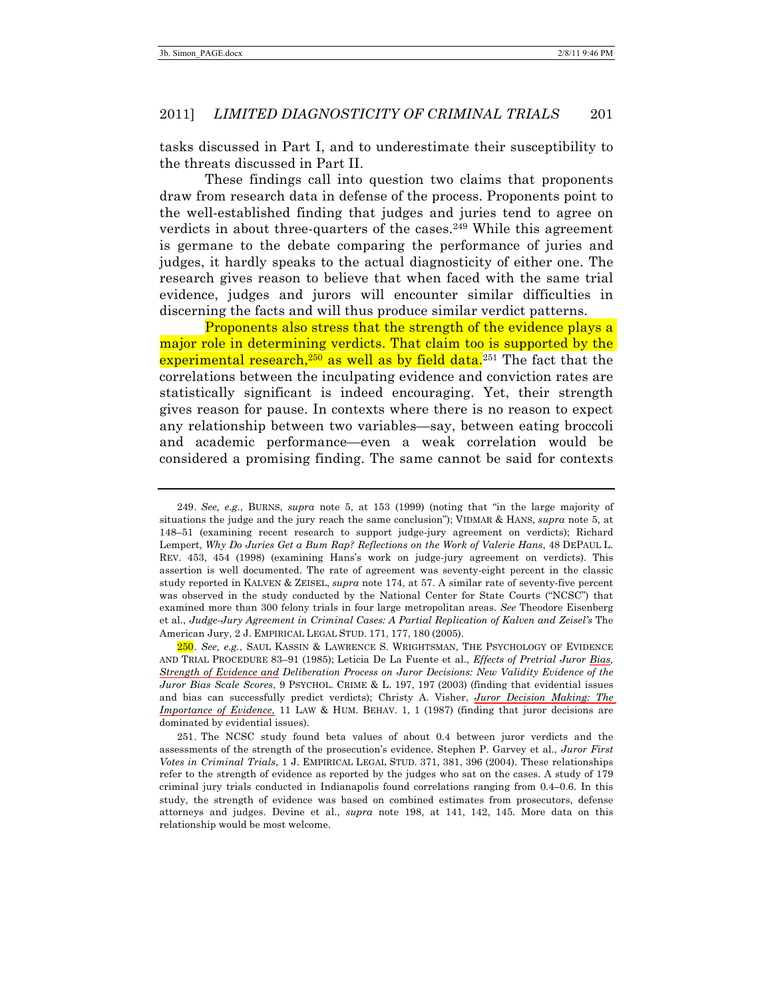tasks discussed in Part I, and to underestimate their susceptibility to the threats discussed in Part II.

These findings call into question two claims that proponents draw from research data in defense of the process. Proponents point to the well-established finding that judges and juries tend to agree on verdicts in about three-quarters of the cases.<sup>249</sup> While this agreement is germane to the debate comparing the performance of juries and judges, it hardly speaks to the actual diagnosticity of either one. The research gives reason to believe that when faced with the same trial evidence, judges and jurors will encounter similar difficulties in discerning the facts and will thus produce similar verdict patterns.

Proponents also stress that the strength of the evidence plays a major role in determining verdicts. That claim too is supported by the experimental research,<sup>250</sup> as well as by field data.<sup>251</sup> The fact that the correlations between the inculpating evidence and conviction rates are statistically significant is indeed encouraging. Yet, their strength gives reason for pause. In contexts where there is no reason to expect any relationship between two variables—say, between eating broccoli and academic performance—even a weak correlation would be considered a promising finding. The same cannot be said for contexts

<sup>249.</sup> *See, e.g.*, BURNS, *supra* note 5, at 153 (1999) (noting that "in the large majority of situations the judge and the jury reach the same conclusion"); VIDMAR & HANS, *supra* note 5, at 148–51 (examining recent research to support judge-jury agreement on verdicts); Richard Lempert, *Why Do Juries Get a Bum Rap? Reflections on the Work of Valerie Hans*, 48 DEPAUL L. REV. 453, 454 (1998) (examining Hans's work on judge-jury agreement on verdicts). This assertion is well documented. The rate of agreement was seventy-eight percent in the classic study reported in KALVEN & ZEISEL, *supra* note 174, at 57. A similar rate of seventy-five percent was observed in the study conducted by the National Center for State Courts ("NCSC") that examined more than 300 felony trials in four large metropolitan areas. *See* Theodore Eisenberg et al., *Judge-Jury Agreement in Criminal Cases: A Partial Replication of Kalven and Zeisel's* The American Jury, 2 J. EMPIRICAL LEGAL STUD. 171, 177, 180 (2005).

<sup>250.</sup> *See, e.g.*, SAUL KASSIN & LAWRENCE S. WRIGHTSMAN, THE PSYCHOLOGY OF EVIDENCE AND TRIAL PROCEDURE 83–91 (1985); Leticia De La Fuente et al., *Effects of Pretrial Juror Bias, Strength of Evidence and Deliberation Process on Juror Decisions: New Validity Evidence of the Juror Bias Scale Scores*, 9 PSYCHOL. CRIME & L. 197, 197 (2003) (finding that evidential issues and bias can successfully predict verdicts); Christy A. Visher, *Juror Decision Making: The Importance of Evidence*, 11 LAW & HUM. BEHAV. 1, 1 (1987) (finding that juror decisions are dominated by evidential issues).

<sup>251.</sup> The NCSC study found beta values of about 0.4 between juror verdicts and the assessments of the strength of the prosecution's evidence. Stephen P. Garvey et al., *Juror First Votes in Criminal Trials*, 1 J. EMPIRICAL LEGAL STUD. 371, 381, 396 (2004). These relationships refer to the strength of evidence as reported by the judges who sat on the cases. A study of 179 criminal jury trials conducted in Indianapolis found correlations ranging from 0.4–0.6. In this study, the strength of evidence was based on combined estimates from prosecutors, defense attorneys and judges. Devine et al., *supra* note 198, at 141, 142, 145. More data on this relationship would be most welcome.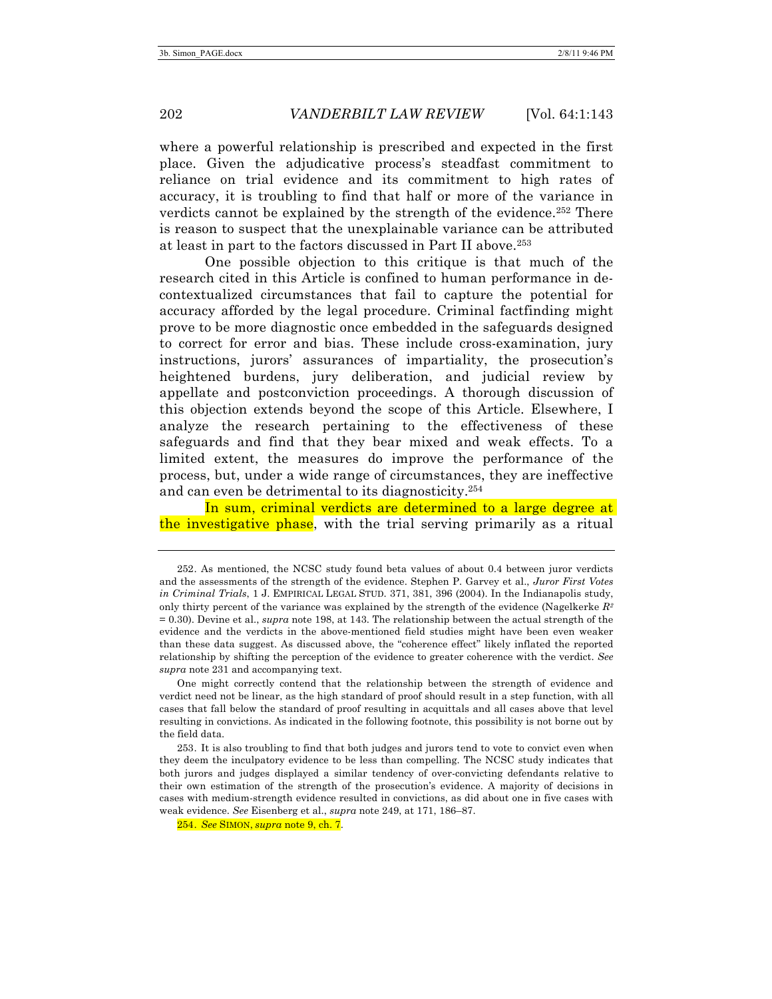where a powerful relationship is prescribed and expected in the first place. Given the adjudicative process's steadfast commitment to reliance on trial evidence and its commitment to high rates of accuracy, it is troubling to find that half or more of the variance in verdicts cannot be explained by the strength of the evidence.<sup>252</sup> There is reason to suspect that the unexplainable variance can be attributed at least in part to the factors discussed in Part II above.253

One possible objection to this critique is that much of the research cited in this Article is confined to human performance in decontextualized circumstances that fail to capture the potential for accuracy afforded by the legal procedure. Criminal factfinding might prove to be more diagnostic once embedded in the safeguards designed to correct for error and bias. These include cross-examination, jury instructions, jurors' assurances of impartiality, the prosecution's heightened burdens, jury deliberation, and judicial review by appellate and postconviction proceedings. A thorough discussion of this objection extends beyond the scope of this Article. Elsewhere, I analyze the research pertaining to the effectiveness of these safeguards and find that they bear mixed and weak effects. To a limited extent, the measures do improve the performance of the process, but, under a wide range of circumstances, they are ineffective and can even be detrimental to its diagnosticity.254

In sum, criminal verdicts are determined to a large degree at the investigative phase, with the trial serving primarily as a ritual

One might correctly contend that the relationship between the strength of evidence and verdict need not be linear, as the high standard of proof should result in a step function, with all cases that fall below the standard of proof resulting in acquittals and all cases above that level resulting in convictions. As indicated in the following footnote, this possibility is not borne out by the field data.

254. *See* SIMON, *supra* note 9, ch. 7.

<sup>252.</sup> As mentioned, the NCSC study found beta values of about 0.4 between juror verdicts and the assessments of the strength of the evidence. Stephen P. Garvey et al., *Juror First Votes in Criminal Trials*, 1 J. EMPIRICAL LEGAL STUD. 371, 381, 396 (2004). In the Indianapolis study, only thirty percent of the variance was explained by the strength of the evidence (Nagelkerke *R2* = 0.30). Devine et al., *supra* note 198, at 143. The relationship between the actual strength of the evidence and the verdicts in the above-mentioned field studies might have been even weaker than these data suggest. As discussed above, the "coherence effect" likely inflated the reported relationship by shifting the perception of the evidence to greater coherence with the verdict. *See supra* note 231 and accompanying text.

<sup>253.</sup> It is also troubling to find that both judges and jurors tend to vote to convict even when they deem the inculpatory evidence to be less than compelling. The NCSC study indicates that both jurors and judges displayed a similar tendency of over-convicting defendants relative to their own estimation of the strength of the prosecution's evidence. A majority of decisions in cases with medium-strength evidence resulted in convictions, as did about one in five cases with weak evidence. *See* Eisenberg et al., *supra* note 249, at 171, 186–87.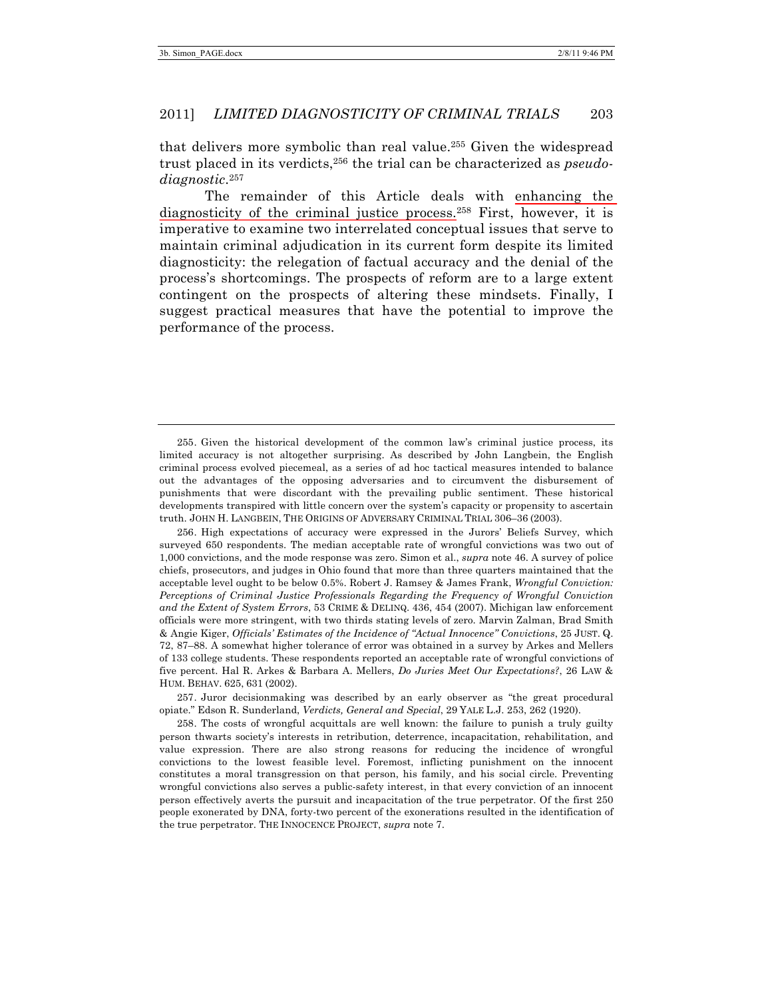that delivers more symbolic than real value.255 Given the widespread trust placed in its verdicts,256 the trial can be characterized as *pseudodiagnostic*. 257

The remainder of this Article deals with enhancing the diagnosticity of the criminal justice process. <sup>258</sup> First, however, it is imperative to examine two interrelated conceptual issues that serve to maintain criminal adjudication in its current form despite its limited diagnosticity: the relegation of factual accuracy and the denial of the process's shortcomings. The prospects of reform are to a large extent contingent on the prospects of altering these mindsets. Finally, I suggest practical measures that have the potential to improve the performance of the process.

256. High expectations of accuracy were expressed in the Jurors' Beliefs Survey, which surveyed 650 respondents. The median acceptable rate of wrongful convictions was two out of 1,000 convictions, and the mode response was zero. Simon et al., *supra* note 46. A survey of police chiefs, prosecutors, and judges in Ohio found that more than three quarters maintained that the acceptable level ought to be below 0.5%. Robert J. Ramsey & James Frank, *Wrongful Conviction: Perceptions of Criminal Justice Professionals Regarding the Frequency of Wrongful Conviction and the Extent of System Errors*, 53 CRIME & DELINQ. 436, 454 (2007). Michigan law enforcement officials were more stringent, with two thirds stating levels of zero. Marvin Zalman, Brad Smith & Angie Kiger, *Officials' Estimates of the Incidence of "Actual Innocence" Convictions*, 25 JUST. Q. 72, 87–88. A somewhat higher tolerance of error was obtained in a survey by Arkes and Mellers of 133 college students. These respondents reported an acceptable rate of wrongful convictions of five percent. Hal R. Arkes & Barbara A. Mellers, *Do Juries Meet Our Expectations?*, 26 LAW & HUM. BEHAV. 625, 631 (2002).

257. Juror decisionmaking was described by an early observer as "the great procedural opiate." Edson R. Sunderland, *Verdicts, General and Special*, 29 YALE L.J. 253, 262 (1920).

258. The costs of wrongful acquittals are well known: the failure to punish a truly guilty person thwarts society's interests in retribution, deterrence, incapacitation, rehabilitation, and value expression. There are also strong reasons for reducing the incidence of wrongful convictions to the lowest feasible level. Foremost, inflicting punishment on the innocent constitutes a moral transgression on that person, his family, and his social circle. Preventing wrongful convictions also serves a public-safety interest, in that every conviction of an innocent person effectively averts the pursuit and incapacitation of the true perpetrator. Of the first 250 people exonerated by DNA, forty-two percent of the exonerations resulted in the identification of the true perpetrator. THE INNOCENCE PROJECT, *supra* note 7.

<sup>255.</sup> Given the historical development of the common law's criminal justice process, its limited accuracy is not altogether surprising. As described by John Langbein, the English criminal process evolved piecemeal, as a series of ad hoc tactical measures intended to balance out the advantages of the opposing adversaries and to circumvent the disbursement of punishments that were discordant with the prevailing public sentiment. These historical developments transpired with little concern over the system's capacity or propensity to ascertain truth. JOHN H. LANGBEIN, THE ORIGINS OF ADVERSARY CRIMINAL TRIAL 306–36 (2003).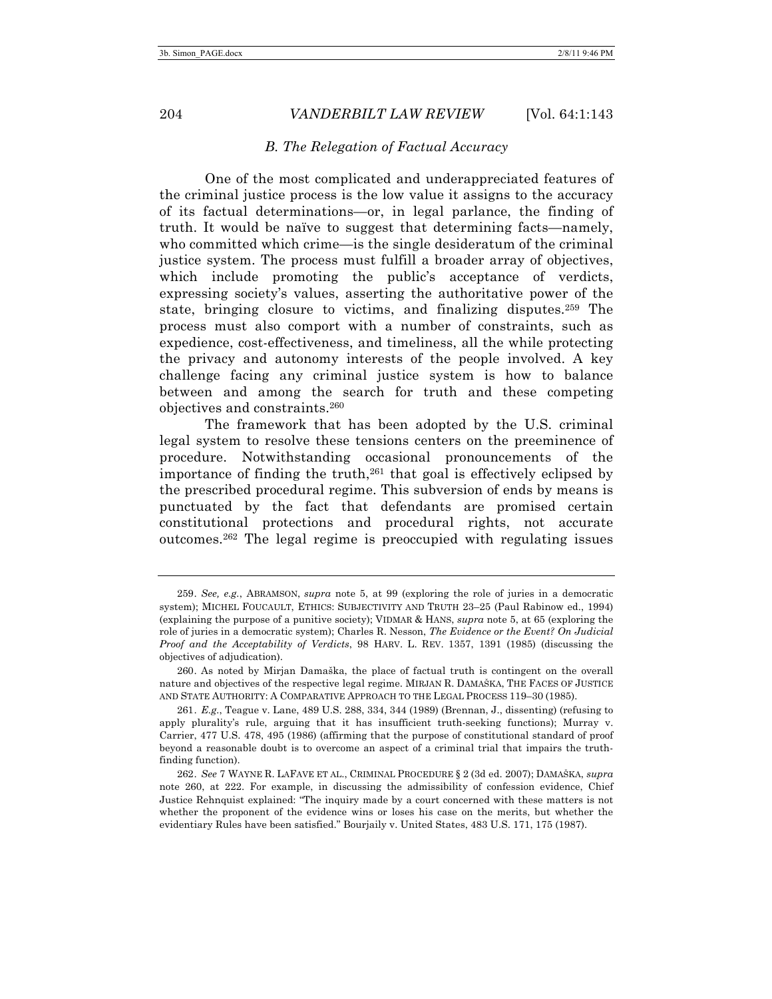#### *B. The Relegation of Factual Accuracy*

One of the most complicated and underappreciated features of the criminal justice process is the low value it assigns to the accuracy of its factual determinations—or, in legal parlance, the finding of truth. It would be naïve to suggest that determining facts—namely, who committed which crime—is the single desideratum of the criminal justice system. The process must fulfill a broader array of objectives, which include promoting the public's acceptance of verdicts, expressing society's values, asserting the authoritative power of the state, bringing closure to victims, and finalizing disputes.<sup>259</sup> The process must also comport with a number of constraints, such as expedience, cost-effectiveness, and timeliness, all the while protecting the privacy and autonomy interests of the people involved. A key challenge facing any criminal justice system is how to balance between and among the search for truth and these competing objectives and constraints.260

The framework that has been adopted by the U.S. criminal legal system to resolve these tensions centers on the preeminence of procedure. Notwithstanding occasional pronouncements of the importance of finding the truth,<sup>261</sup> that goal is effectively eclipsed by the prescribed procedural regime. This subversion of ends by means is punctuated by the fact that defendants are promised certain constitutional protections and procedural rights, not accurate outcomes.262 The legal regime is preoccupied with regulating issues

<sup>259.</sup> *See, e.g.*, ABRAMSON, *supra* note 5, at 99 (exploring the role of juries in a democratic system); MICHEL FOUCAULT, ETHICS: SUBJECTIVITY AND TRUTH 23–25 (Paul Rabinow ed., 1994) (explaining the purpose of a punitive society); VIDMAR & HANS, *supra* note 5, at 65 (exploring the role of juries in a democratic system); Charles R. Nesson, *The Evidence or the Event? On Judicial Proof and the Acceptability of Verdicts*, 98 HARV. L. REV. 1357, 1391 (1985) (discussing the objectives of adjudication).

<sup>260.</sup> As noted by Mirjan Damaška, the place of factual truth is contingent on the overall nature and objectives of the respective legal regime. MIRJAN R. DAMAŠKA, THE FACES OF JUSTICE AND STATE AUTHORITY: A COMPARATIVE APPROACH TO THE LEGAL PROCESS 119–30 (1985).

<sup>261.</sup> *E.g.*, Teague v. Lane, 489 U.S. 288, 334, 344 (1989) (Brennan, J., dissenting) (refusing to apply plurality's rule, arguing that it has insufficient truth-seeking functions); Murray v. Carrier, 477 U.S. 478, 495 (1986) (affirming that the purpose of constitutional standard of proof beyond a reasonable doubt is to overcome an aspect of a criminal trial that impairs the truthfinding function).

<sup>262.</sup> *See* 7 WAYNE R. LAFAVE ET AL., CRIMINAL PROCEDURE § 2 (3d ed. 2007); DAMAŠKA, *supra*  note 260, at 222. For example, in discussing the admissibility of confession evidence, Chief Justice Rehnquist explained: "The inquiry made by a court concerned with these matters is not whether the proponent of the evidence wins or loses his case on the merits, but whether the evidentiary Rules have been satisfied." Bourjaily v. United States, 483 U.S. 171, 175 (1987).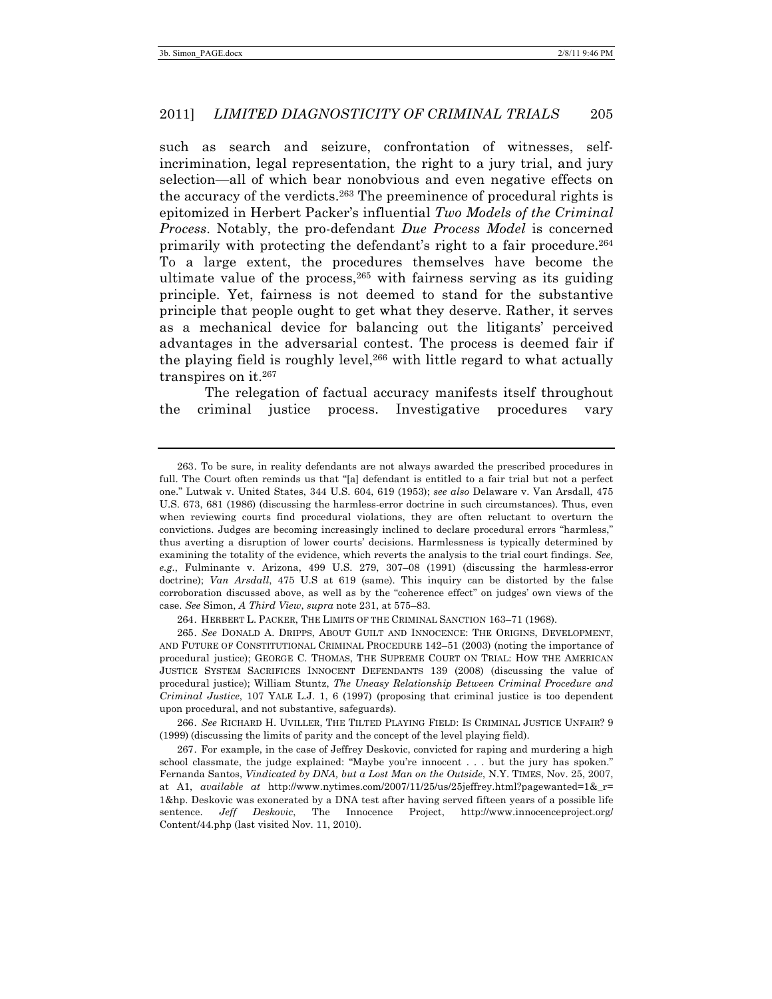such as search and seizure, confrontation of witnesses, selfincrimination, legal representation, the right to a jury trial, and jury selection—all of which bear nonobvious and even negative effects on the accuracy of the verdicts. <sup>263</sup> The preeminence of procedural rights is epitomized in Herbert Packer's influential *Two Models of the Criminal Process*. Notably, the pro-defendant *Due Process Model* is concerned primarily with protecting the defendant's right to a fair procedure.264 To a large extent, the procedures themselves have become the ultimate value of the process,  $265$  with fairness serving as its guiding principle. Yet, fairness is not deemed to stand for the substantive principle that people ought to get what they deserve. Rather, it serves as a mechanical device for balancing out the litigants' perceived advantages in the adversarial contest. The process is deemed fair if the playing field is roughly level,<sup>266</sup> with little regard to what actually transpires on it.267

The relegation of factual accuracy manifests itself throughout the criminal justice process. Investigative procedures vary

264. HERBERT L. PACKER, THE LIMITS OF THE CRIMINAL SANCTION 163–71 (1968).

265. *See* DONALD A. DRIPPS, ABOUT GUILT AND INNOCENCE: THE ORIGINS, DEVELOPMENT, AND FUTURE OF CONSTITUTIONAL CRIMINAL PROCEDURE 142–51 (2003) (noting the importance of procedural justice); GEORGE C. THOMAS, THE SUPREME COURT ON TRIAL: HOW THE AMERICAN JUSTICE SYSTEM SACRIFICES INNOCENT DEFENDANTS 139 (2008) (discussing the value of procedural justice); William Stuntz, *The Uneasy Relationship Between Criminal Procedure and Criminal Justice*, 107 YALE L.J. 1, 6 (1997) (proposing that criminal justice is too dependent upon procedural, and not substantive, safeguards).

266. *See* RICHARD H. UVILLER, THE TILTED PLAYING FIELD: IS CRIMINAL JUSTICE UNFAIR? 9 (1999) (discussing the limits of parity and the concept of the level playing field).

267. For example, in the case of Jeffrey Deskovic, convicted for raping and murdering a high school classmate, the judge explained: "Maybe you're innocent . . . but the jury has spoken." Fernanda Santos, *Vindicated by DNA, but a Lost Man on the Outside*, N.Y. TIMES, Nov. 25, 2007, at A1, *available at* http://www.nytimes.com/2007/11/25/us/25jeffrey.html?pagewanted=1&\_r= 1&hp. Deskovic was exonerated by a DNA test after having served fifteen years of a possible life sentence. *Jeff Deskovic*, The Innocence Project, http://www.innocenceproject.org/ Content/44.php (last visited Nov. 11, 2010).

<sup>263.</sup> To be sure, in reality defendants are not always awarded the prescribed procedures in full. The Court often reminds us that "[a] defendant is entitled to a fair trial but not a perfect one." Lutwak v. United States, 344 U.S. 604, 619 (1953); *see also* Delaware v. Van Arsdall, 475 U.S. 673, 681 (1986) (discussing the harmless-error doctrine in such circumstances). Thus, even when reviewing courts find procedural violations, they are often reluctant to overturn the convictions. Judges are becoming increasingly inclined to declare procedural errors "harmless," thus averting a disruption of lower courts' decisions. Harmlessness is typically determined by examining the totality of the evidence, which reverts the analysis to the trial court findings. *See, e.g.*, Fulminante v. Arizona, 499 U.S. 279, 307–08 (1991) (discussing the harmless-error doctrine); *Van Arsdall*, 475 U.S at 619 (same). This inquiry can be distorted by the false corroboration discussed above, as well as by the "coherence effect" on judges' own views of the case. *See* Simon, *A Third View*, *supra* note 231, at 575–83.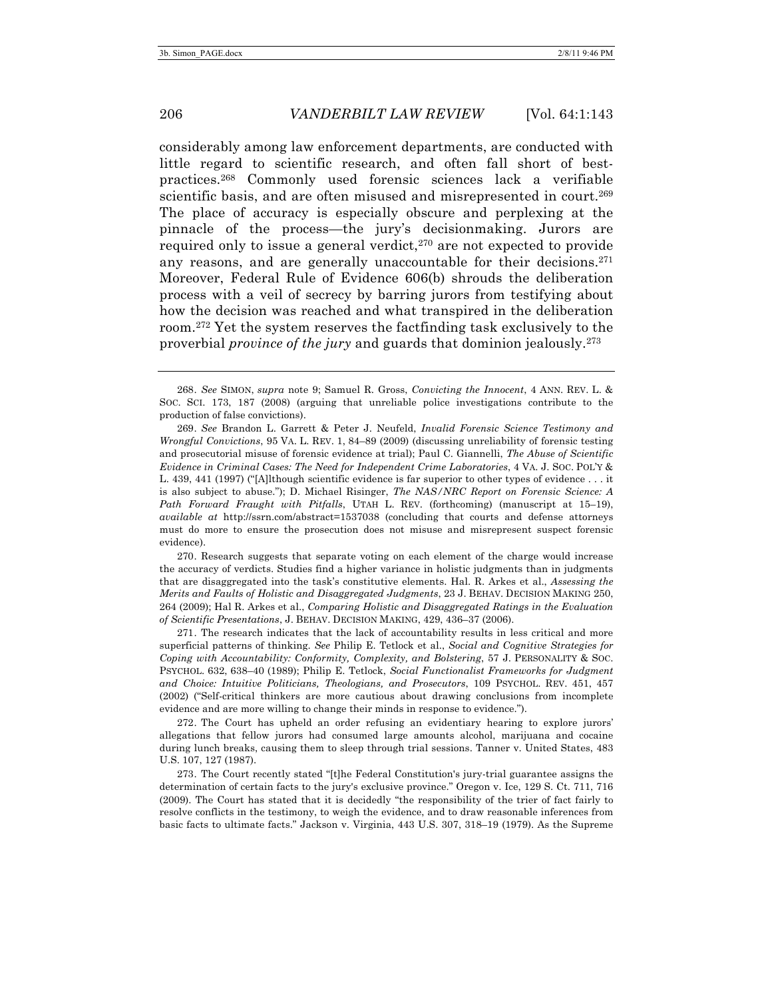considerably among law enforcement departments, are conducted with little regard to scientific research, and often fall short of bestpractices.268 Commonly used forensic sciences lack a verifiable scientific basis, and are often misused and misrepresented in court.269 The place of accuracy is especially obscure and perplexing at the pinnacle of the process—the jury's decisionmaking. Jurors are required only to issue a general verdict, $270$  are not expected to provide any reasons, and are generally unaccountable for their decisions. 271 Moreover, Federal Rule of Evidence 606(b) shrouds the deliberation process with a veil of secrecy by barring jurors from testifying about how the decision was reached and what transpired in the deliberation room.272 Yet the system reserves the factfinding task exclusively to the proverbial *province of the jury* and guards that dominion jealously.273

270. Research suggests that separate voting on each element of the charge would increase the accuracy of verdicts. Studies find a higher variance in holistic judgments than in judgments that are disaggregated into the task's constitutive elements. Hal. R. Arkes et al., *Assessing the Merits and Faults of Holistic and Disaggregated Judgments*, 23 J. BEHAV. DECISION MAKING 250, 264 (2009); Hal R. Arkes et al., *Comparing Holistic and Disaggregated Ratings in the Evaluation of Scientific Presentations*, J. BEHAV. DECISION MAKING, 429, 436–37 (2006).

271. The research indicates that the lack of accountability results in less critical and more superficial patterns of thinking. *See* Philip E. Tetlock et al., *Social and Cognitive Strategies for Coping with Accountability: Conformity, Complexity, and Bolstering*, 57 J. PERSONALITY & SOC. PSYCHOL. 632, 638–40 (1989); Philip E. Tetlock, *Social Functionalist Frameworks for Judgment and Choice: Intuitive Politicians, Theologians, and Prosecutors*, 109 PSYCHOL. REV. 451, 457 (2002) ("Self-critical thinkers are more cautious about drawing conclusions from incomplete evidence and are more willing to change their minds in response to evidence.").

272. The Court has upheld an order refusing an evidentiary hearing to explore jurors' allegations that fellow jurors had consumed large amounts alcohol, marijuana and cocaine during lunch breaks, causing them to sleep through trial sessions. Tanner v. United States, 483 U.S. 107, 127 (1987).

273. The Court recently stated "[t]he Federal Constitution's jury-trial guarantee assigns the determination of certain facts to the jury's exclusive province." Oregon v. Ice, 129 S. Ct. 711, 716 (2009). The Court has stated that it is decidedly "the responsibility of the trier of fact fairly to resolve conflicts in the testimony, to weigh the evidence, and to draw reasonable inferences from basic facts to ultimate facts." Jackson v. Virginia, 443 U.S. 307, 318–19 (1979). As the Supreme

<sup>268.</sup> *See* SIMON, *supra* note 9; Samuel R. Gross, *Convicting the Innocent*, 4 ANN. REV. L. & SOC. SCI. 173, 187 (2008) (arguing that unreliable police investigations contribute to the production of false convictions).

<sup>269.</sup> *See* Brandon L. Garrett & Peter J. Neufeld, *Invalid Forensic Science Testimony and Wrongful Convictions*, 95 VA. L. REV. 1, 84–89 (2009) (discussing unreliability of forensic testing and prosecutorial misuse of forensic evidence at trial); Paul C. Giannelli, *The Abuse of Scientific Evidence in Criminal Cases: The Need for Independent Crime Laboratories*, 4 VA. J. SOC. POL'Y & L. 439, 441 (1997) ("[A]lthough scientific evidence is far superior to other types of evidence . . . it is also subject to abuse."); D. Michael Risinger, *The NAS/NRC Report on Forensic Science: A Path Forward Fraught with Pitfalls*, UTAH L. REV. (forthcoming) (manuscript at 15–19), *available at* http://ssrn.com/abstract=1537038 (concluding that courts and defense attorneys must do more to ensure the prosecution does not misuse and misrepresent suspect forensic evidence).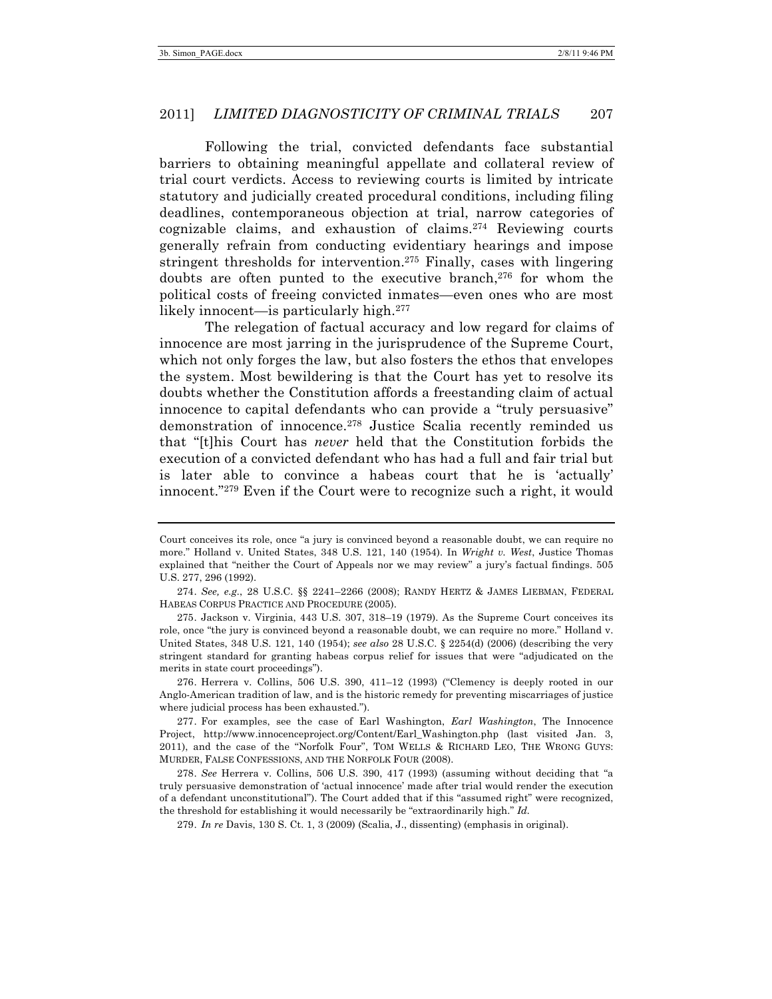Following the trial, convicted defendants face substantial barriers to obtaining meaningful appellate and collateral review of trial court verdicts. Access to reviewing courts is limited by intricate statutory and judicially created procedural conditions, including filing deadlines, contemporaneous objection at trial, narrow categories of cognizable claims, and exhaustion of claims.274 Reviewing courts generally refrain from conducting evidentiary hearings and impose stringent thresholds for intervention.275 Finally, cases with lingering doubts are often punted to the executive branch, $276$  for whom the political costs of freeing convicted inmates—even ones who are most likely innocent—is particularly high.277

The relegation of factual accuracy and low regard for claims of innocence are most jarring in the jurisprudence of the Supreme Court, which not only forges the law, but also fosters the ethos that envelopes the system. Most bewildering is that the Court has yet to resolve its doubts whether the Constitution affords a freestanding claim of actual innocence to capital defendants who can provide a "truly persuasive" demonstration of innocence.278 Justice Scalia recently reminded us that "[t]his Court has *never* held that the Constitution forbids the execution of a convicted defendant who has had a full and fair trial but is later able to convince a habeas court that he is 'actually' innocent."279 Even if the Court were to recognize such a right, it would

276. Herrera v. Collins, 506 U.S. 390, 411–12 (1993) ("Clemency is deeply rooted in our Anglo-American tradition of law, and is the historic remedy for preventing miscarriages of justice where judicial process has been exhausted.").

278. *See* Herrera v. Collins, 506 U.S. 390, 417 (1993) (assuming without deciding that "a truly persuasive demonstration of 'actual innocence' made after trial would render the execution of a defendant unconstitutional"). The Court added that if this "assumed right" were recognized, the threshold for establishing it would necessarily be "extraordinarily high." *Id.*

279. *In re* Davis, 130 S. Ct. 1, 3 (2009) (Scalia, J., dissenting) (emphasis in original).

Court conceives its role, once "a jury is convinced beyond a reasonable doubt, we can require no more." Holland v. United States, 348 U.S. 121, 140 (1954). In *Wright v. West*, Justice Thomas explained that "neither the Court of Appeals nor we may review" a jury's factual findings. 505 U.S. 277, 296 (1992).

<sup>274.</sup> *See, e.g.*, 28 U.S.C. §§ 2241–2266 (2008); RANDY HERTZ & JAMES LIEBMAN, FEDERAL HABEAS CORPUS PRACTICE AND PROCEDURE (2005).

<sup>275.</sup> Jackson v. Virginia, 443 U.S. 307, 318–19 (1979). As the Supreme Court conceives its role, once "the jury is convinced beyond a reasonable doubt, we can require no more." Holland v. United States, 348 U.S. 121, 140 (1954); *see also* 28 U.S.C. § 2254(d) (2006) (describing the very stringent standard for granting habeas corpus relief for issues that were "adjudicated on the merits in state court proceedings").

<sup>277.</sup> For examples, see the case of Earl Washington, *Earl Washington*, The Innocence Project, http://www.innocenceproject.org/Content/Earl\_Washington.php (last visited Jan. 3, 2011), and the case of the "Norfolk Four", TOM WELLS & RICHARD LEO, THE WRONG GUYS: MURDER, FALSE CONFESSIONS, AND THE NORFOLK FOUR (2008).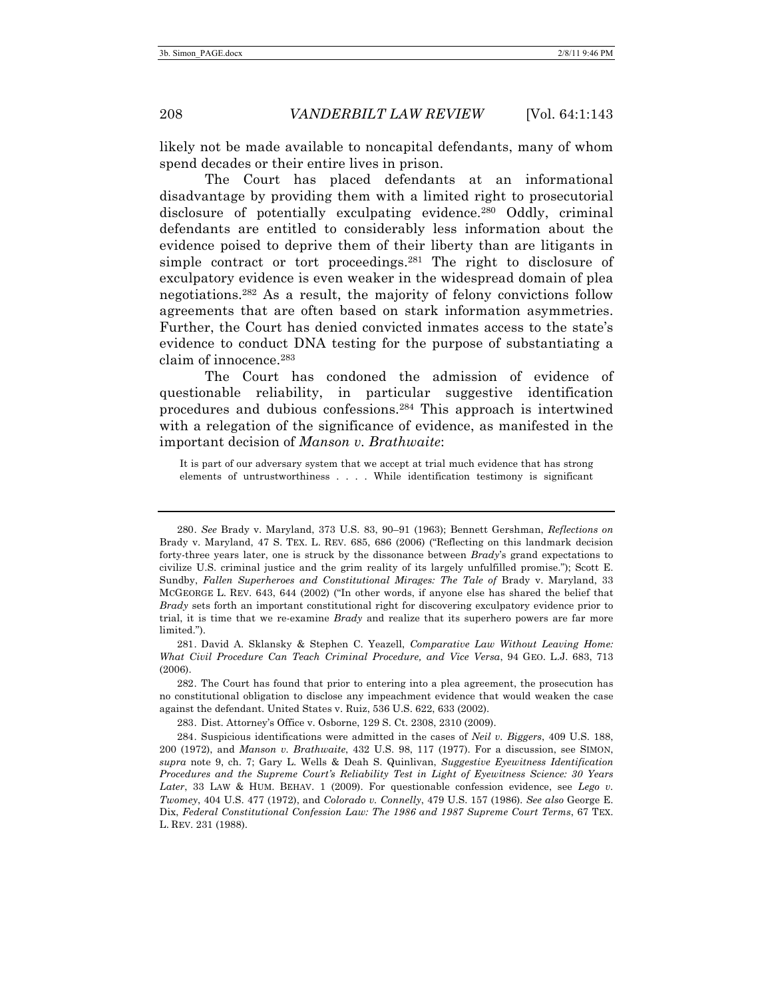likely not be made available to noncapital defendants, many of whom spend decades or their entire lives in prison.

The Court has placed defendants at an informational disadvantage by providing them with a limited right to prosecutorial disclosure of potentially exculpating evidence.<sup>280</sup> Oddly, criminal defendants are entitled to considerably less information about the evidence poised to deprive them of their liberty than are litigants in simple contract or tort proceedings.281 The right to disclosure of exculpatory evidence is even weaker in the widespread domain of plea negotiations.282 As a result, the majority of felony convictions follow agreements that are often based on stark information asymmetries. Further, the Court has denied convicted inmates access to the state's evidence to conduct DNA testing for the purpose of substantiating a claim of innocence.283

The Court has condoned the admission of evidence of questionable reliability, in particular suggestive identification procedures and dubious confessions.284 This approach is intertwined with a relegation of the significance of evidence, as manifested in the important decision of *Manson v. Brathwaite*:

It is part of our adversary system that we accept at trial much evidence that has strong elements of untrustworthiness . . . . While identification testimony is significant

281. David A. Sklansky & Stephen C. Yeazell, *Comparative Law Without Leaving Home: What Civil Procedure Can Teach Criminal Procedure, and Vice Versa*, 94 GEO. L.J. 683, 713 (2006).

282. The Court has found that prior to entering into a plea agreement, the prosecution has no constitutional obligation to disclose any impeachment evidence that would weaken the case against the defendant. United States v. Ruiz, 536 U.S. 622, 633 (2002).

283. Dist. Attorney's Office v. Osborne, 129 S. Ct. 2308, 2310 (2009).

<sup>280.</sup> *See* Brady v. Maryland, 373 U.S. 83, 90–91 (1963); Bennett Gershman, *Reflections on*  Brady v. Maryland, 47 S. TEX. L. REV. 685, 686 (2006) ("Reflecting on this landmark decision forty-three years later, one is struck by the dissonance between *Brady*'s grand expectations to civilize U.S. criminal justice and the grim reality of its largely unfulfilled promise."); Scott E. Sundby, *Fallen Superheroes and Constitutional Mirages: The Tale of Brady v. Maryland, 33* MCGEORGE L. REV. 643, 644 (2002) ("In other words, if anyone else has shared the belief that *Brady* sets forth an important constitutional right for discovering exculpatory evidence prior to trial, it is time that we re-examine *Brady* and realize that its superhero powers are far more limited.").

<sup>284.</sup> Suspicious identifications were admitted in the cases of *Neil v. Biggers*, 409 U.S. 188, 200 (1972), and *Manson v. Brathwaite*, 432 U.S. 98, 117 (1977). For a discussion, see SIMON, *supra* note 9, ch. 7; Gary L. Wells & Deah S. Quinlivan, *Suggestive Eyewitness Identification Procedures and the Supreme Court's Reliability Test in Light of Eyewitness Science: 30 Years Later*, 33 LAW & HUM. BEHAV. 1 (2009). For questionable confession evidence, see *Lego v. Twomey*, 404 U.S. 477 (1972), and *Colorado v. Connelly*, 479 U.S. 157 (1986)*. See also* George E. Dix, *Federal Constitutional Confession Law: The 1986 and 1987 Supreme Court Terms*, 67 TEX. L. REV. 231 (1988).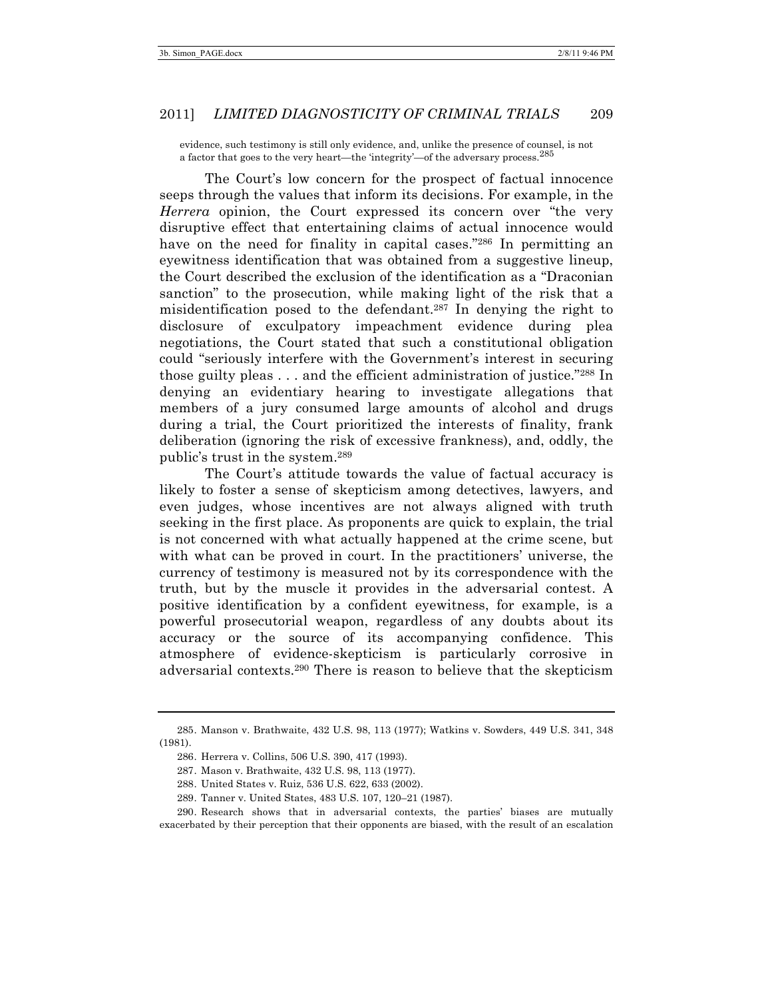evidence, such testimony is still only evidence, and, unlike the presence of counsel, is not a factor that goes to the very heart—the 'integrity'—of the adversary process.<sup>285</sup>

The Court's low concern for the prospect of factual innocence seeps through the values that inform its decisions. For example, in the *Herrera* opinion, the Court expressed its concern over "the very disruptive effect that entertaining claims of actual innocence would have on the need for finality in capital cases."<sup>286</sup> In permitting an eyewitness identification that was obtained from a suggestive lineup, the Court described the exclusion of the identification as a "Draconian sanction" to the prosecution, while making light of the risk that a misidentification posed to the defendant.287 In denying the right to disclosure of exculpatory impeachment evidence during plea negotiations, the Court stated that such a constitutional obligation could "seriously interfere with the Government's interest in securing those guilty pleas . . . and the efficient administration of justice."288 In denying an evidentiary hearing to investigate allegations that members of a jury consumed large amounts of alcohol and drugs during a trial, the Court prioritized the interests of finality, frank deliberation (ignoring the risk of excessive frankness), and, oddly, the public's trust in the system.289

The Court's attitude towards the value of factual accuracy is likely to foster a sense of skepticism among detectives, lawyers, and even judges, whose incentives are not always aligned with truth seeking in the first place. As proponents are quick to explain, the trial is not concerned with what actually happened at the crime scene, but with what can be proved in court. In the practitioners' universe, the currency of testimony is measured not by its correspondence with the truth, but by the muscle it provides in the adversarial contest. A positive identification by a confident eyewitness, for example, is a powerful prosecutorial weapon, regardless of any doubts about its accuracy or the source of its accompanying confidence. This atmosphere of evidence-skepticism is particularly corrosive in adversarial contexts.290 There is reason to believe that the skepticism

289. Tanner v. United States, 483 U.S. 107, 120–21 (1987).

290. Research shows that in adversarial contexts, the parties' biases are mutually exacerbated by their perception that their opponents are biased, with the result of an escalation

<sup>285.</sup> Manson v. Brathwaite, 432 U.S. 98, 113 (1977); Watkins v. Sowders, 449 U.S. 341, 348 (1981).

<sup>286.</sup> Herrera v. Collins, 506 U.S. 390, 417 (1993).

<sup>287.</sup> Mason v. Brathwaite, 432 U.S. 98, 113 (1977).

<sup>288.</sup> United States v. Ruiz, 536 U.S. 622, 633 (2002).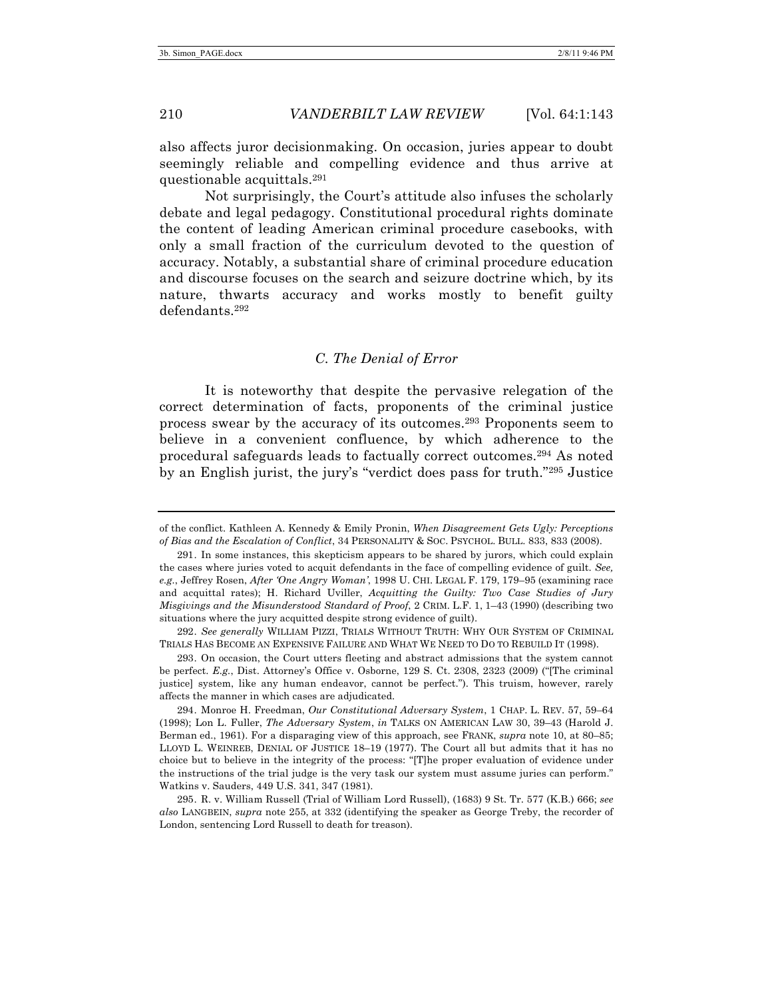also affects juror decisionmaking. On occasion, juries appear to doubt seemingly reliable and compelling evidence and thus arrive at questionable acquittals. 291

Not surprisingly, the Court's attitude also infuses the scholarly debate and legal pedagogy. Constitutional procedural rights dominate the content of leading American criminal procedure casebooks, with only a small fraction of the curriculum devoted to the question of accuracy. Notably, a substantial share of criminal procedure education and discourse focuses on the search and seizure doctrine which, by its nature, thwarts accuracy and works mostly to benefit guilty defendants.292

# *C. The Denial of Error*

It is noteworthy that despite the pervasive relegation of the correct determination of facts, proponents of the criminal justice process swear by the accuracy of its outcomes.293 Proponents seem to believe in a convenient confluence, by which adherence to the procedural safeguards leads to factually correct outcomes.294 As noted by an English jurist, the jury's "verdict does pass for truth."295 Justice

of the conflict. Kathleen A. Kennedy & Emily Pronin, *When Disagreement Gets Ugly: Perceptions of Bias and the Escalation of Conflict*, 34 PERSONALITY & SOC. PSYCHOL. BULL. 833, 833 (2008).

<sup>291.</sup> In some instances, this skepticism appears to be shared by jurors, which could explain the cases where juries voted to acquit defendants in the face of compelling evidence of guilt. *See, e.g.*, Jeffrey Rosen, *After 'One Angry Woman'*, 1998 U. CHI. LEGAL F. 179, 179–95 (examining race and acquittal rates); H. Richard Uviller, *Acquitting the Guilty: Two Case Studies of Jury Misgivings and the Misunderstood Standard of Proof*, 2 CRIM. L.F. 1, 1–43 (1990) (describing two situations where the jury acquitted despite strong evidence of guilt).

<sup>292.</sup> *See generally* WILLIAM PIZZI, TRIALS WITHOUT TRUTH: WHY OUR SYSTEM OF CRIMINAL TRIALS HAS BECOME AN EXPENSIVE FAILURE AND WHAT WE NEED TO DO TO REBUILD IT (1998).

<sup>293.</sup> On occasion, the Court utters fleeting and abstract admissions that the system cannot be perfect. *E.g.*, Dist. Attorney's Office v. Osborne, 129 S. Ct. 2308, 2323 (2009) ("[The criminal justice] system, like any human endeavor, cannot be perfect."). This truism, however, rarely affects the manner in which cases are adjudicated.

<sup>294.</sup> Monroe H. Freedman, *Our Constitutional Adversary System*, 1 CHAP. L. REV. 57, 59–64 (1998); Lon L. Fuller, *The Adversary System*, *in* TALKS ON AMERICAN LAW 30, 39–43 (Harold J. Berman ed., 1961). For a disparaging view of this approach, see FRANK, *supra* note 10, at 80–85; LLOYD L. WEINREB, DENIAL OF JUSTICE 18–19 (1977). The Court all but admits that it has no choice but to believe in the integrity of the process: "[T]he proper evaluation of evidence under the instructions of the trial judge is the very task our system must assume juries can perform." Watkins v. Sauders, 449 U.S. 341, 347 (1981).

<sup>295.</sup> R. v. William Russell (Trial of William Lord Russell), (1683) 9 St. Tr. 577 (K.B.) 666; *see also* LANGBEIN, *supra* note 255, at 332 (identifying the speaker as George Treby, the recorder of London, sentencing Lord Russell to death for treason).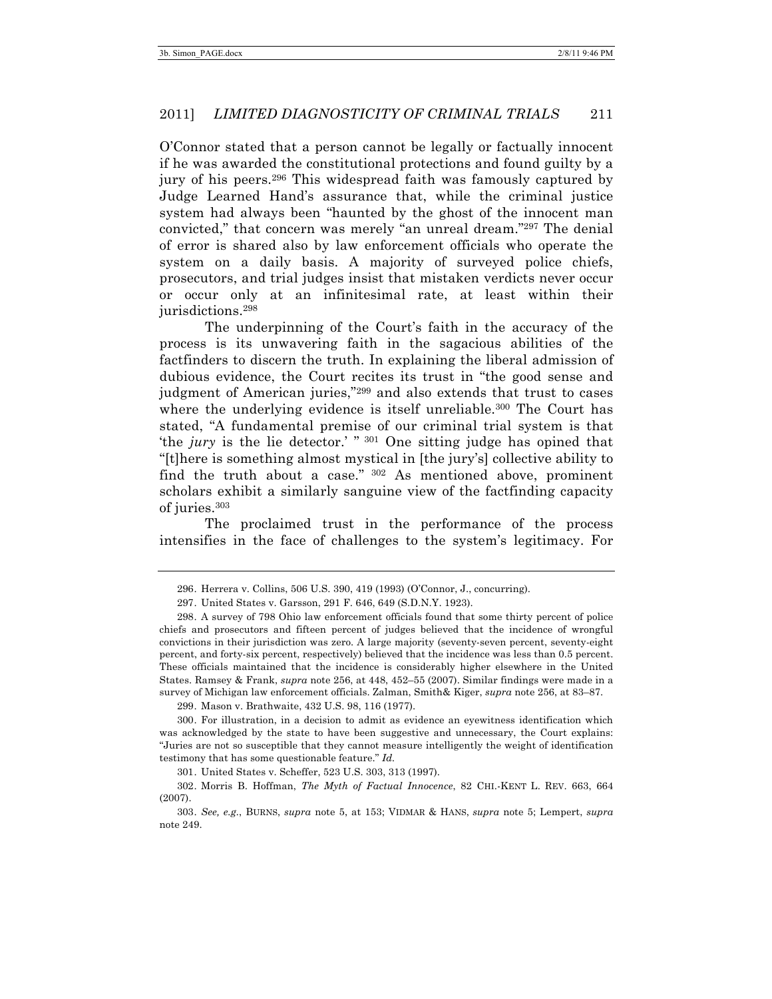O'Connor stated that a person cannot be legally or factually innocent if he was awarded the constitutional protections and found guilty by a jury of his peers.<sup>296</sup> This widespread faith was famously captured by Judge Learned Hand's assurance that, while the criminal justice system had always been "haunted by the ghost of the innocent man convicted," that concern was merely "an unreal dream."297 The denial of error is shared also by law enforcement officials who operate the system on a daily basis. A majority of surveyed police chiefs, prosecutors, and trial judges insist that mistaken verdicts never occur or occur only at an infinitesimal rate, at least within their jurisdictions.298

The underpinning of the Court's faith in the accuracy of the process is its unwavering faith in the sagacious abilities of the factfinders to discern the truth. In explaining the liberal admission of dubious evidence, the Court recites its trust in "the good sense and judgment of American juries,"299 and also extends that trust to cases where the underlying evidence is itself unreliable.<sup>300</sup> The Court has stated, "A fundamental premise of our criminal trial system is that 'the *jury* is the lie detector.' " <sup>301</sup> One sitting judge has opined that "[t]here is something almost mystical in [the jury's] collective ability to find the truth about a case." <sup>302</sup> As mentioned above, prominent scholars exhibit a similarly sanguine view of the factfinding capacity of juries. 303

The proclaimed trust in the performance of the process intensifies in the face of challenges to the system's legitimacy. For

<sup>296.</sup> Herrera v. Collins, 506 U.S. 390, 419 (1993) (O'Connor, J., concurring).

<sup>297.</sup> United States v. Garsson, 291 F. 646, 649 (S.D.N.Y. 1923).

<sup>298.</sup> A survey of 798 Ohio law enforcement officials found that some thirty percent of police chiefs and prosecutors and fifteen percent of judges believed that the incidence of wrongful convictions in their jurisdiction was zero. A large majority (seventy-seven percent, seventy-eight percent, and forty-six percent, respectively) believed that the incidence was less than 0.5 percent. These officials maintained that the incidence is considerably higher elsewhere in the United States. Ramsey & Frank, *supra* note 256, at 448, 452–55 (2007). Similar findings were made in a survey of Michigan law enforcement officials. Zalman, Smith& Kiger, *supra* note 256, at 83–87.

<sup>299.</sup> Mason v. Brathwaite, 432 U.S. 98, 116 (1977).

<sup>300.</sup> For illustration, in a decision to admit as evidence an eyewitness identification which was acknowledged by the state to have been suggestive and unnecessary, the Court explains: "Juries are not so susceptible that they cannot measure intelligently the weight of identification testimony that has some questionable feature." *Id.*

<sup>301.</sup> United States v. Scheffer, 523 U.S. 303, 313 (1997).

<sup>302.</sup> Morris B. Hoffman, *The Myth of Factual Innocence*, 82 CHI.-KENT L. REV. 663, 664 (2007).

<sup>303.</sup> *See, e.g.*, BURNS, *supra* note 5, at 153; VIDMAR & HANS, *supra* note 5; Lempert, *supra*  note 249.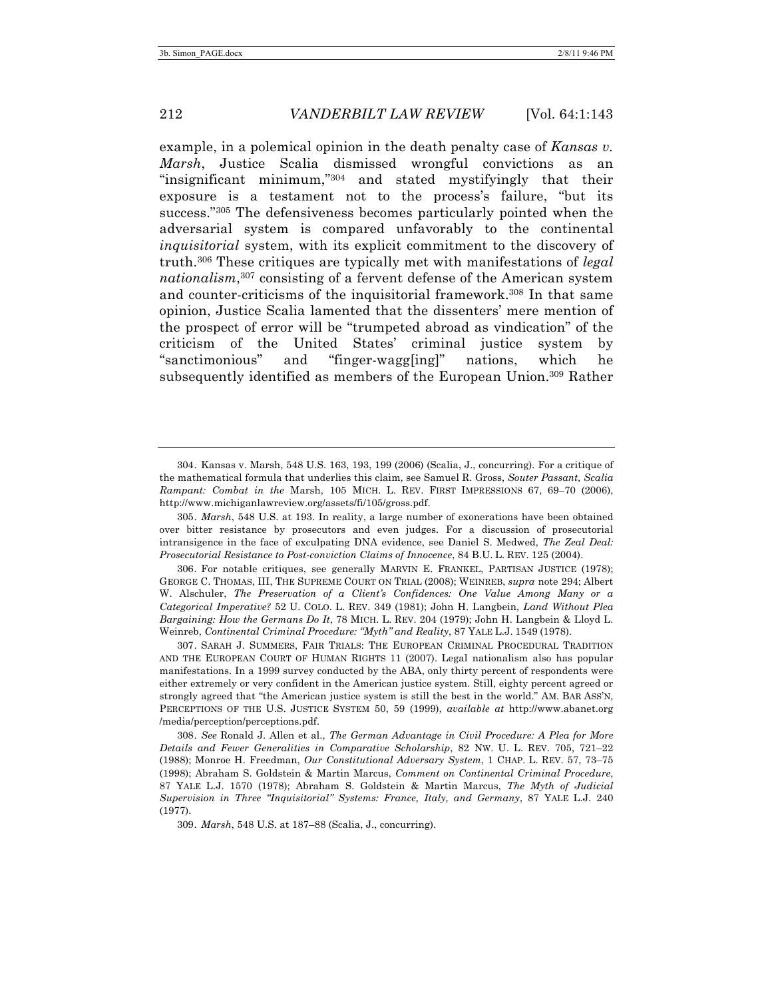example, in a polemical opinion in the death penalty case of *Kansas v. Marsh*, Justice Scalia dismissed wrongful convictions as an "insignificant minimum,"304 and stated mystifyingly that their exposure is a testament not to the process's failure, "but its success."305 The defensiveness becomes particularly pointed when the adversarial system is compared unfavorably to the continental *inquisitorial* system, with its explicit commitment to the discovery of truth.306 These critiques are typically met with manifestations of *legal nationalism*, <sup>307</sup> consisting of a fervent defense of the American system and counter-criticisms of the inquisitorial framework.308 In that same opinion, Justice Scalia lamented that the dissenters' mere mention of the prospect of error will be "trumpeted abroad as vindication" of the criticism of the United States' criminal justice system by "sanctimonious" and "finger-wagg[ing]" nations, which he subsequently identified as members of the European Union.309 Rather

306. For notable critiques, see generally MARVIN E. FRANKEL, PARTISAN JUSTICE (1978); GEORGE C. THOMAS, III, THE SUPREME COURT ON TRIAL (2008); WEINREB, *supra* note 294; Albert W. Alschuler, *The Preservation of a Client's Confidences: One Value Among Many or a Categorical Imperative?* 52 U. COLO. L. REV. 349 (1981); John H. Langbein, *Land Without Plea Bargaining: How the Germans Do It*, 78 MICH. L. REV. 204 (1979); John H. Langbein & Lloyd L. Weinreb, *Continental Criminal Procedure: "Myth" and Reality*, 87 YALE L.J. 1549 (1978).

307. SARAH J. SUMMERS, FAIR TRIALS: THE EUROPEAN CRIMINAL PROCEDURAL TRADITION AND THE EUROPEAN COURT OF HUMAN RIGHTS 11 (2007). Legal nationalism also has popular manifestations. In a 1999 survey conducted by the ABA, only thirty percent of respondents were either extremely or very confident in the American justice system. Still, eighty percent agreed or strongly agreed that "the American justice system is still the best in the world." AM. BAR ASS'N, PERCEPTIONS OF THE U.S. JUSTICE SYSTEM 50, 59 (1999), *available at* http://www.abanet.org /media/perception/perceptions.pdf.

308. *See* Ronald J. Allen et al., *The German Advantage in Civil Procedure: A Plea for More Details and Fewer Generalities in Comparative Scholarship*, 82 NW. U. L. REV. 705, 721–22 (1988); Monroe H. Freedman, *Our Constitutional Adversary System*, 1 CHAP. L. REV. 57, 73–75 (1998); Abraham S. Goldstein & Martin Marcus, *Comment on Continental Criminal Procedure*, 87 YALE L.J. 1570 (1978); Abraham S. Goldstein & Martin Marcus, *The Myth of Judicial Supervision in Three "Inquisitorial" Systems: France, Italy, and Germany*, 87 YALE L.J. 240 (1977).

309. *Marsh*, 548 U.S. at 187–88 (Scalia, J., concurring).

<sup>304.</sup> Kansas v. Marsh, 548 U.S. 163, 193, 199 (2006) (Scalia, J., concurring). For a critique of the mathematical formula that underlies this claim, see Samuel R. Gross, *Souter Passant, Scalia Rampant: Combat in the* Marsh, 105 MICH. L. REV. FIRST IMPRESSIONS 67, 69–70 (2006), http://www.michiganlawreview.org/assets/fi/105/gross.pdf.

<sup>305.</sup> *Marsh*, 548 U.S. at 193. In reality, a large number of exonerations have been obtained over bitter resistance by prosecutors and even judges. For a discussion of prosecutorial intransigence in the face of exculpating DNA evidence, see Daniel S. Medwed, *The Zeal Deal: Prosecutorial Resistance to Post-conviction Claims of Innocence*, 84 B.U. L. REV. 125 (2004).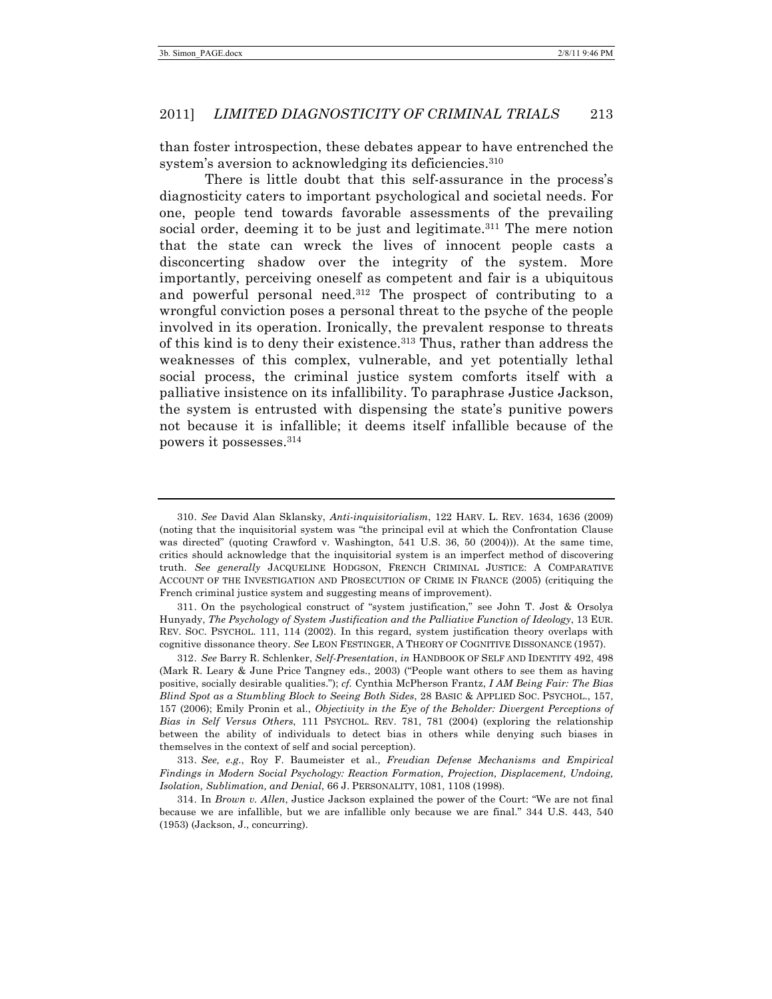than foster introspection, these debates appear to have entrenched the system's aversion to acknowledging its deficiencies.<sup>310</sup>

There is little doubt that this self-assurance in the process's diagnosticity caters to important psychological and societal needs. For one, people tend towards favorable assessments of the prevailing social order, deeming it to be just and legitimate.311 The mere notion that the state can wreck the lives of innocent people casts a disconcerting shadow over the integrity of the system. More importantly, perceiving oneself as competent and fair is a ubiquitous and powerful personal need.312 The prospect of contributing to a wrongful conviction poses a personal threat to the psyche of the people involved in its operation. Ironically, the prevalent response to threats of this kind is to deny their existence.313 Thus, rather than address the weaknesses of this complex, vulnerable, and yet potentially lethal social process, the criminal justice system comforts itself with a palliative insistence on its infallibility. To paraphrase Justice Jackson, the system is entrusted with dispensing the state's punitive powers not because it is infallible; it deems itself infallible because of the powers it possesses.314

313. *See, e.g.*, Roy F. Baumeister et al., *Freudian Defense Mechanisms and Empirical Findings in Modern Social Psychology: Reaction Formation, Projection, Displacement, Undoing, Isolation, Sublimation, and Denial*, 66 J. PERSONALITY, 1081, 1108 (1998).

<sup>310.</sup> *See* David Alan Sklansky, *Anti-inquisitorialism*, 122 HARV. L. REV. 1634, 1636 (2009) (noting that the inquisitorial system was "the principal evil at which the Confrontation Clause was directed" (quoting Crawford v. Washington, 541 U.S. 36, 50 (2004))). At the same time, critics should acknowledge that the inquisitorial system is an imperfect method of discovering truth. *See generally* JACQUELINE HODGSON, FRENCH CRIMINAL JUSTICE: A COMPARATIVE ACCOUNT OF THE INVESTIGATION AND PROSECUTION OF CRIME IN FRANCE (2005) (critiquing the French criminal justice system and suggesting means of improvement).

<sup>311.</sup> On the psychological construct of "system justification," see John T. Jost & Orsolya Hunyady, *The Psychology of System Justification and the Palliative Function of Ideology*, 13 EUR. REV. SOC. PSYCHOL. 111, 114 (2002). In this regard, system justification theory overlaps with cognitive dissonance theory. *See* LEON FESTINGER, A THEORY OF COGNITIVE DISSONANCE (1957).

<sup>312.</sup> *See* Barry R. Schlenker, *Self-Presentation*, *in* HANDBOOK OF SELF AND IDENTITY 492, 498 (Mark R. Leary & June Price Tangney eds., 2003) ("People want others to see them as having positive, socially desirable qualities."); *cf.* Cynthia McPherson Frantz, *I AM Being Fair: The Bias Blind Spot as a Stumbling Block to Seeing Both Sides*, 28 BASIC & APPLIED SOC. PSYCHOL., 157, 157 (2006); Emily Pronin et al., *Objectivity in the Eye of the Beholder: Divergent Perceptions of Bias in Self Versus Others*, 111 PSYCHOL. REV. 781, 781 (2004) (exploring the relationship between the ability of individuals to detect bias in others while denying such biases in themselves in the context of self and social perception).

<sup>314.</sup> In *Brown v. Allen*, Justice Jackson explained the power of the Court: "We are not final because we are infallible, but we are infallible only because we are final." 344 U.S. 443, 540 (1953) (Jackson, J., concurring).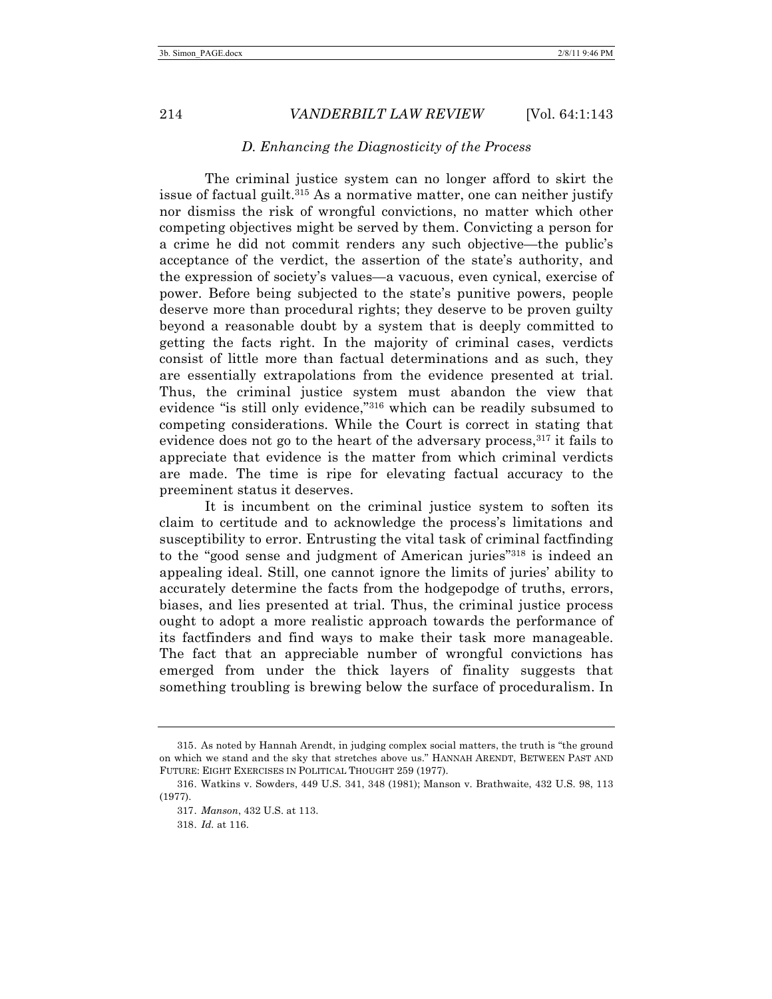#### *D. Enhancing the Diagnosticity of the Process*

The criminal justice system can no longer afford to skirt the issue of factual guilt. <sup>315</sup> As a normative matter, one can neither justify nor dismiss the risk of wrongful convictions, no matter which other competing objectives might be served by them. Convicting a person for a crime he did not commit renders any such objective—the public's acceptance of the verdict, the assertion of the state's authority, and the expression of society's values—a vacuous, even cynical, exercise of power. Before being subjected to the state's punitive powers, people deserve more than procedural rights; they deserve to be proven guilty beyond a reasonable doubt by a system that is deeply committed to getting the facts right. In the majority of criminal cases, verdicts consist of little more than factual determinations and as such, they are essentially extrapolations from the evidence presented at trial. Thus, the criminal justice system must abandon the view that evidence "is still only evidence,"316 which can be readily subsumed to competing considerations. While the Court is correct in stating that evidence does not go to the heart of the adversary process, <sup>317</sup> it fails to appreciate that evidence is the matter from which criminal verdicts are made. The time is ripe for elevating factual accuracy to the preeminent status it deserves.

It is incumbent on the criminal justice system to soften its claim to certitude and to acknowledge the process's limitations and susceptibility to error. Entrusting the vital task of criminal factfinding to the "good sense and judgment of American juries"318 is indeed an appealing ideal. Still, one cannot ignore the limits of juries' ability to accurately determine the facts from the hodgepodge of truths, errors, biases, and lies presented at trial. Thus, the criminal justice process ought to adopt a more realistic approach towards the performance of its factfinders and find ways to make their task more manageable. The fact that an appreciable number of wrongful convictions has emerged from under the thick layers of finality suggests that something troubling is brewing below the surface of proceduralism. In

<sup>315.</sup> As noted by Hannah Arendt, in judging complex social matters, the truth is "the ground on which we stand and the sky that stretches above us." HANNAH ARENDT, BETWEEN PAST AND FUTURE: EIGHT EXERCISES IN POLITICAL THOUGHT 259 (1977).

<sup>316.</sup> Watkins v. Sowders, 449 U.S. 341, 348 (1981); Manson v. Brathwaite, 432 U.S. 98, 113 (1977).

<sup>317.</sup> *Manson*, 432 U.S. at 113.

<sup>318.</sup> *Id.* at 116.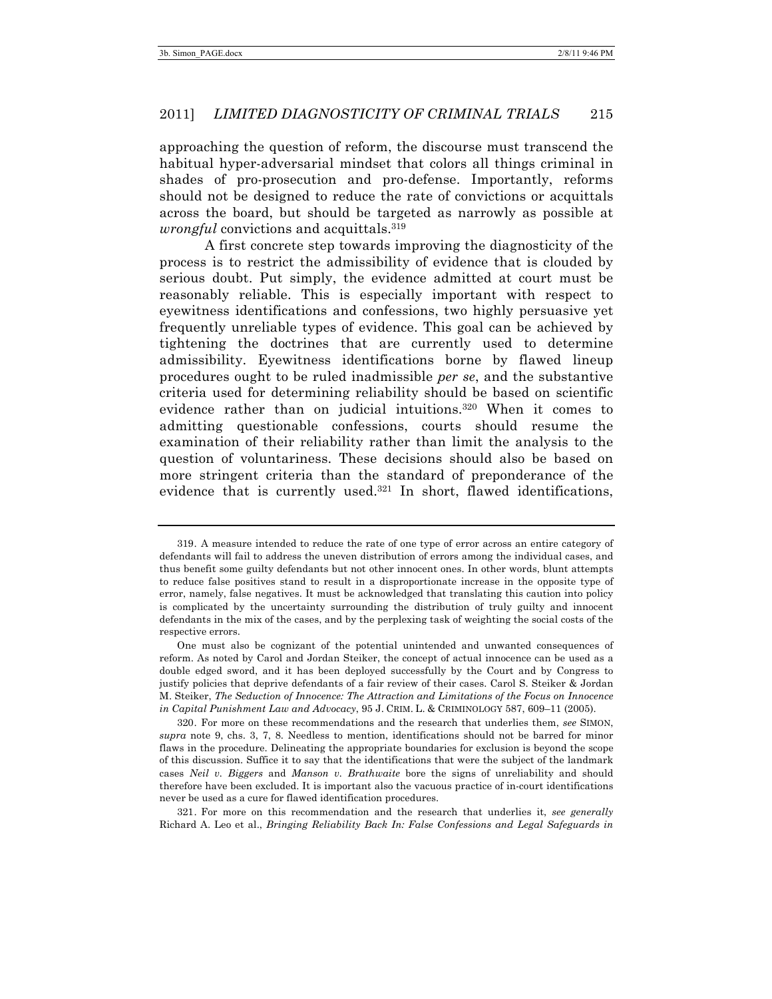approaching the question of reform, the discourse must transcend the habitual hyper-adversarial mindset that colors all things criminal in shades of pro-prosecution and pro-defense. Importantly, reforms should not be designed to reduce the rate of convictions or acquittals across the board, but should be targeted as narrowly as possible at *wrongful* convictions and acquittals. 319

A first concrete step towards improving the diagnosticity of the process is to restrict the admissibility of evidence that is clouded by serious doubt. Put simply, the evidence admitted at court must be reasonably reliable. This is especially important with respect to eyewitness identifications and confessions, two highly persuasive yet frequently unreliable types of evidence. This goal can be achieved by tightening the doctrines that are currently used to determine admissibility. Eyewitness identifications borne by flawed lineup procedures ought to be ruled inadmissible *per se*, and the substantive criteria used for determining reliability should be based on scientific evidence rather than on judicial intuitions.320 When it comes to admitting questionable confessions, courts should resume the examination of their reliability rather than limit the analysis to the question of voluntariness. These decisions should also be based on more stringent criteria than the standard of preponderance of the evidence that is currently used. <sup>321</sup> In short, flawed identifications,

321. For more on this recommendation and the research that underlies it, *see generally* Richard A. Leo et al., *Bringing Reliability Back In: False Confessions and Legal Safeguards in* 

<sup>319.</sup> A measure intended to reduce the rate of one type of error across an entire category of defendants will fail to address the uneven distribution of errors among the individual cases, and thus benefit some guilty defendants but not other innocent ones. In other words, blunt attempts to reduce false positives stand to result in a disproportionate increase in the opposite type of error, namely, false negatives. It must be acknowledged that translating this caution into policy is complicated by the uncertainty surrounding the distribution of truly guilty and innocent defendants in the mix of the cases, and by the perplexing task of weighting the social costs of the respective errors.

One must also be cognizant of the potential unintended and unwanted consequences of reform. As noted by Carol and Jordan Steiker, the concept of actual innocence can be used as a double edged sword, and it has been deployed successfully by the Court and by Congress to justify policies that deprive defendants of a fair review of their cases. Carol S. Steiker & Jordan M. Steiker, *The Seduction of Innocence: The Attraction and Limitations of the Focus on Innocence in Capital Punishment Law and Advocacy*, 95 J. CRIM. L. & CRIMINOLOGY 587, 609–11 (2005).

<sup>320.</sup> For more on these recommendations and the research that underlies them, *see* SIMON, *supra* note 9, chs. 3, 7, 8. Needless to mention, identifications should not be barred for minor flaws in the procedure. Delineating the appropriate boundaries for exclusion is beyond the scope of this discussion. Suffice it to say that the identifications that were the subject of the landmark cases *Neil v. Biggers* and *Manson v. Brathwaite* bore the signs of unreliability and should therefore have been excluded. It is important also the vacuous practice of in-court identifications never be used as a cure for flawed identification procedures.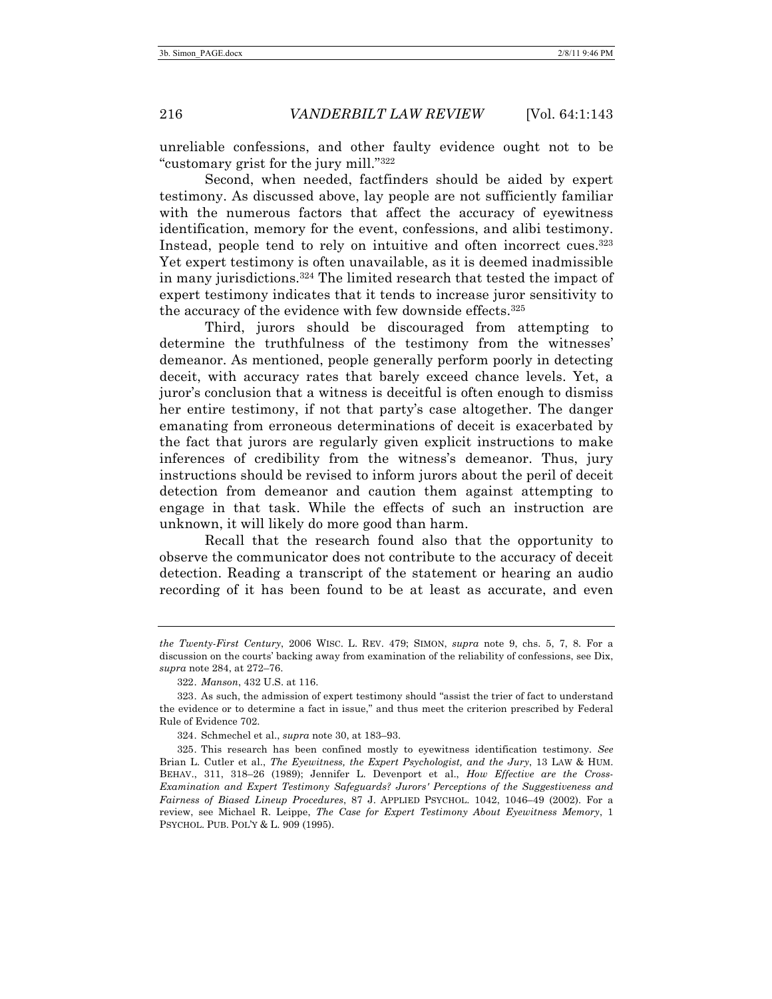unreliable confessions, and other faulty evidence ought not to be "customary grist for the jury mill."322

Second, when needed, factfinders should be aided by expert testimony. As discussed above, lay people are not sufficiently familiar with the numerous factors that affect the accuracy of eyewitness identification, memory for the event, confessions, and alibi testimony. Instead, people tend to rely on intuitive and often incorrect cues.<sup>323</sup> Yet expert testimony is often unavailable, as it is deemed inadmissible in many jurisdictions. <sup>324</sup> The limited research that tested the impact of expert testimony indicates that it tends to increase juror sensitivity to the accuracy of the evidence with few downside effects.325

Third, jurors should be discouraged from attempting to determine the truthfulness of the testimony from the witnesses' demeanor. As mentioned, people generally perform poorly in detecting deceit, with accuracy rates that barely exceed chance levels. Yet, a juror's conclusion that a witness is deceitful is often enough to dismiss her entire testimony, if not that party's case altogether. The danger emanating from erroneous determinations of deceit is exacerbated by the fact that jurors are regularly given explicit instructions to make inferences of credibility from the witness's demeanor. Thus, jury instructions should be revised to inform jurors about the peril of deceit detection from demeanor and caution them against attempting to engage in that task. While the effects of such an instruction are unknown, it will likely do more good than harm.

Recall that the research found also that the opportunity to observe the communicator does not contribute to the accuracy of deceit detection. Reading a transcript of the statement or hearing an audio recording of it has been found to be at least as accurate, and even

*the Twenty-First Century*, 2006 WISC. L. REV. 479; SIMON, *supra* note 9, chs. 5, 7, 8. For a discussion on the courts' backing away from examination of the reliability of confessions, see Dix, *supra* note 284, at 272–76.

<sup>322.</sup> *Manson*, 432 U.S. at 116.

<sup>323.</sup> As such, the admission of expert testimony should "assist the trier of fact to understand the evidence or to determine a fact in issue," and thus meet the criterion prescribed by Federal Rule of Evidence 702.

<sup>324.</sup> Schmechel et al., *supra* note 30, at 183–93.

<sup>325.</sup> This research has been confined mostly to eyewitness identification testimony. *See* Brian L. Cutler et al., *The Eyewitness, the Expert Psychologist, and the Jury*, 13 LAW & HUM. BEHAV., 311, 318–26 (1989); Jennifer L. Devenport et al., *How Effective are the Cross-Examination and Expert Testimony Safeguards? Jurors' Perceptions of the Suggestiveness and Fairness of Biased Lineup Procedures*, 87 J. APPLIED PSYCHOL. 1042, 1046–49 (2002). For a review, see Michael R. Leippe, *The Case for Expert Testimony About Eyewitness Memory*, 1 PSYCHOL. PUB. POL'Y & L. 909 (1995).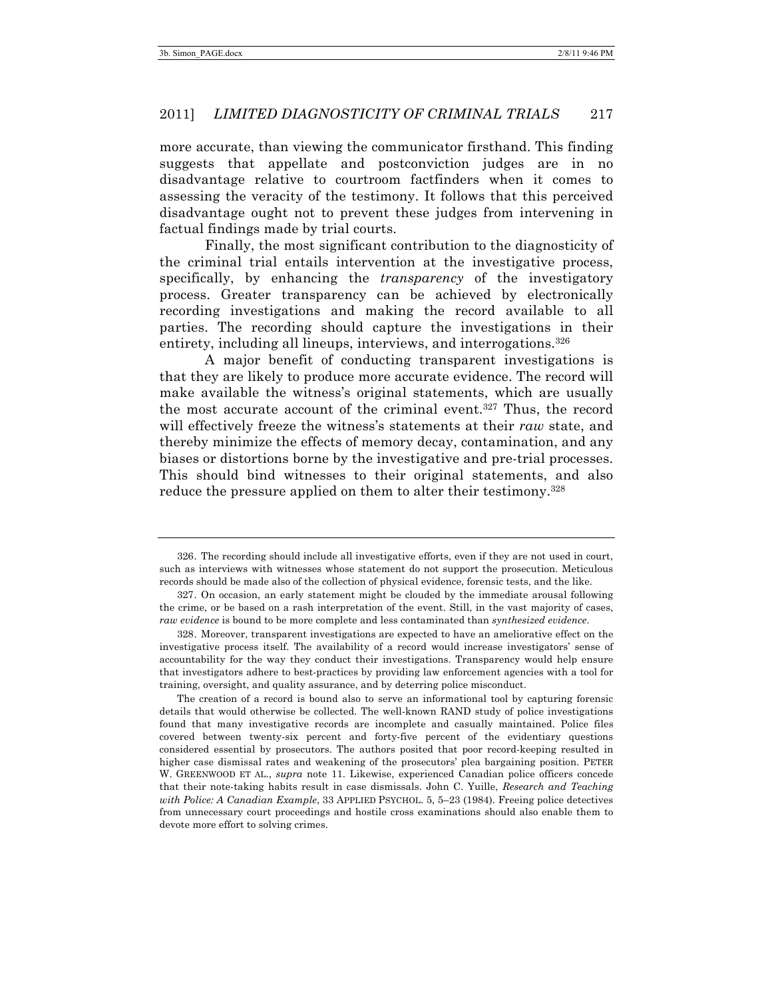more accurate, than viewing the communicator firsthand. This finding suggests that appellate and postconviction judges are in no disadvantage relative to courtroom factfinders when it comes to assessing the veracity of the testimony. It follows that this perceived disadvantage ought not to prevent these judges from intervening in factual findings made by trial courts.

Finally, the most significant contribution to the diagnosticity of the criminal trial entails intervention at the investigative process, specifically, by enhancing the *transparency* of the investigatory process. Greater transparency can be achieved by electronically recording investigations and making the record available to all parties. The recording should capture the investigations in their entirety, including all lineups, interviews, and interrogations.<sup>326</sup>

A major benefit of conducting transparent investigations is that they are likely to produce more accurate evidence. The record will make available the witness's original statements, which are usually the most accurate account of the criminal event.327 Thus, the record will effectively freeze the witness's statements at their *raw* state, and thereby minimize the effects of memory decay, contamination, and any biases or distortions borne by the investigative and pre-trial processes. This should bind witnesses to their original statements, and also reduce the pressure applied on them to alter their testimony.<sup>328</sup>

The creation of a record is bound also to serve an informational tool by capturing forensic details that would otherwise be collected. The well-known RAND study of police investigations found that many investigative records are incomplete and casually maintained. Police files covered between twenty-six percent and forty-five percent of the evidentiary questions considered essential by prosecutors. The authors posited that poor record-keeping resulted in higher case dismissal rates and weakening of the prosecutors' plea bargaining position. PETER W. GREENWOOD ET AL., *supra* note 11. Likewise, experienced Canadian police officers concede that their note-taking habits result in case dismissals. John C. Yuille, *Research and Teaching with Police: A Canadian Example*, 33 APPLIED PSYCHOL. 5, 5–23 (1984). Freeing police detectives from unnecessary court proceedings and hostile cross examinations should also enable them to devote more effort to solving crimes.

<sup>326.</sup> The recording should include all investigative efforts, even if they are not used in court, such as interviews with witnesses whose statement do not support the prosecution. Meticulous records should be made also of the collection of physical evidence, forensic tests, and the like.

<sup>327.</sup> On occasion, an early statement might be clouded by the immediate arousal following the crime, or be based on a rash interpretation of the event. Still, in the vast majority of cases, *raw evidence* is bound to be more complete and less contaminated than *synthesized evidence*.

<sup>328.</sup> Moreover, transparent investigations are expected to have an ameliorative effect on the investigative process itself. The availability of a record would increase investigators' sense of accountability for the way they conduct their investigations. Transparency would help ensure that investigators adhere to best-practices by providing law enforcement agencies with a tool for training, oversight, and quality assurance, and by deterring police misconduct.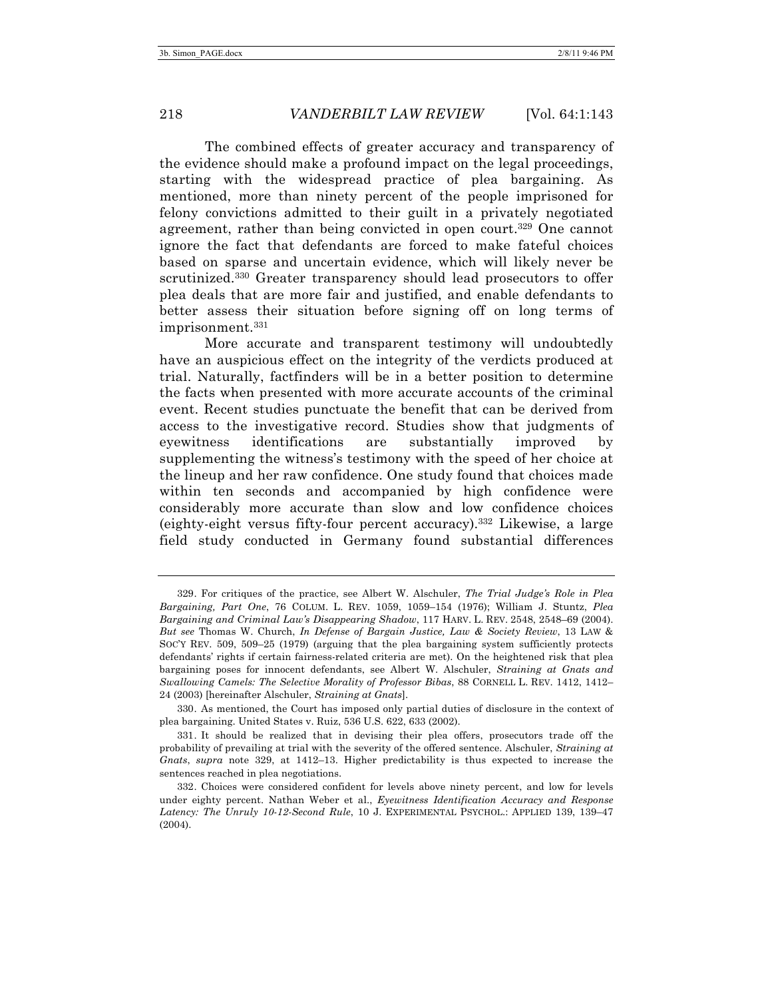The combined effects of greater accuracy and transparency of the evidence should make a profound impact on the legal proceedings, starting with the widespread practice of plea bargaining. As mentioned, more than ninety percent of the people imprisoned for felony convictions admitted to their guilt in a privately negotiated agreement, rather than being convicted in open court.<sup>329</sup> One cannot ignore the fact that defendants are forced to make fateful choices based on sparse and uncertain evidence, which will likely never be scrutinized.<sup>330</sup> Greater transparency should lead prosecutors to offer plea deals that are more fair and justified, and enable defendants to better assess their situation before signing off on long terms of imprisonment.331

More accurate and transparent testimony will undoubtedly have an auspicious effect on the integrity of the verdicts produced at trial. Naturally, factfinders will be in a better position to determine the facts when presented with more accurate accounts of the criminal event. Recent studies punctuate the benefit that can be derived from access to the investigative record. Studies show that judgments of eyewitness identifications are substantially improved by supplementing the witness's testimony with the speed of her choice at the lineup and her raw confidence. One study found that choices made within ten seconds and accompanied by high confidence were considerably more accurate than slow and low confidence choices (eighty-eight versus fifty-four percent accuracy).332 Likewise, a large field study conducted in Germany found substantial differences

<sup>329.</sup> For critiques of the practice, see Albert W. Alschuler, *The Trial Judge's Role in Plea Bargaining, Part One*, 76 COLUM. L. REV. 1059, 1059–154 (1976); William J. Stuntz, *Plea Bargaining and Criminal Law's Disappearing Shadow*, 117 HARV. L. REV. 2548, 2548–69 (2004). *But see* Thomas W. Church, *In Defense of Bargain Justice, Law & Society Review*, 13 LAW & SOC'Y REV. 509, 509–25 (1979) (arguing that the plea bargaining system sufficiently protects defendants' rights if certain fairness-related criteria are met). On the heightened risk that plea bargaining poses for innocent defendants, see Albert W. Alschuler, *Straining at Gnats and Swallowing Camels: The Selective Morality of Professor Bibas*, 88 CORNELL L. REV. 1412, 1412– 24 (2003) [hereinafter Alschuler, *Straining at Gnats*].

<sup>330.</sup> As mentioned, the Court has imposed only partial duties of disclosure in the context of plea bargaining. United States v. Ruiz, 536 U.S. 622, 633 (2002).

<sup>331.</sup> It should be realized that in devising their plea offers, prosecutors trade off the probability of prevailing at trial with the severity of the offered sentence. Alschuler, *Straining at Gnats*, *supra* note 329, at 1412–13. Higher predictability is thus expected to increase the sentences reached in plea negotiations.

<sup>332.</sup> Choices were considered confident for levels above ninety percent, and low for levels under eighty percent. Nathan Weber et al., *Eyewitness Identification Accuracy and Response Latency: The Unruly 10-12-Second Rule*, 10 J. EXPERIMENTAL PSYCHOL.: APPLIED 139, 139–47 (2004).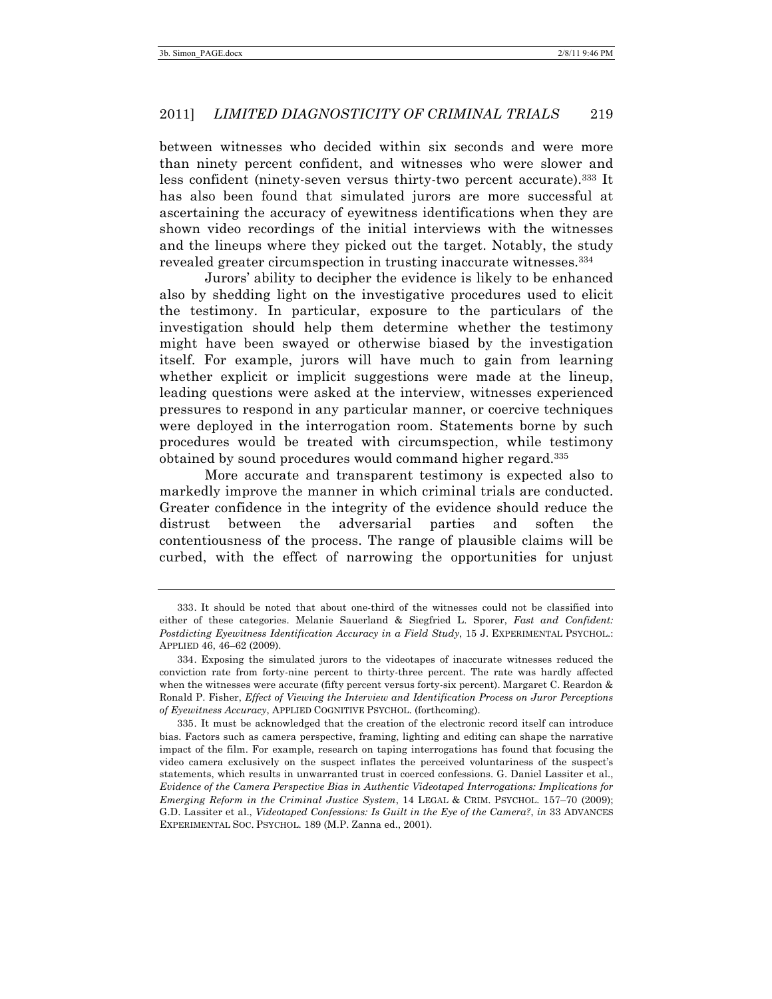between witnesses who decided within six seconds and were more than ninety percent confident, and witnesses who were slower and less confident (ninety-seven versus thirty-two percent accurate).333 It has also been found that simulated jurors are more successful at ascertaining the accuracy of eyewitness identifications when they are shown video recordings of the initial interviews with the witnesses and the lineups where they picked out the target. Notably, the study revealed greater circumspection in trusting inaccurate witnesses.334

Jurors' ability to decipher the evidence is likely to be enhanced also by shedding light on the investigative procedures used to elicit the testimony. In particular, exposure to the particulars of the investigation should help them determine whether the testimony might have been swayed or otherwise biased by the investigation itself. For example, jurors will have much to gain from learning whether explicit or implicit suggestions were made at the lineup, leading questions were asked at the interview, witnesses experienced pressures to respond in any particular manner, or coercive techniques were deployed in the interrogation room. Statements borne by such procedures would be treated with circumspection, while testimony obtained by sound procedures would command higher regard.335

More accurate and transparent testimony is expected also to markedly improve the manner in which criminal trials are conducted. Greater confidence in the integrity of the evidence should reduce the distrust between the adversarial parties and soften the contentiousness of the process. The range of plausible claims will be curbed, with the effect of narrowing the opportunities for unjust

<sup>333.</sup> It should be noted that about one-third of the witnesses could not be classified into either of these categories. Melanie Sauerland & Siegfried L. Sporer, *Fast and Confident: Postdicting Eyewitness Identification Accuracy in a Field Study*, 15 J. EXPERIMENTAL PSYCHOL.: APPLIED 46, 46–62 (2009).

<sup>334.</sup> Exposing the simulated jurors to the videotapes of inaccurate witnesses reduced the conviction rate from forty-nine percent to thirty-three percent. The rate was hardly affected when the witnesses were accurate (fifty percent versus forty-six percent). Margaret C. Reardon & Ronald P. Fisher, *Effect of Viewing the Interview and Identification Process on Juror Perceptions of Eyewitness Accuracy*, APPLIED COGNITIVE PSYCHOL. (forthcoming).

<sup>335.</sup> It must be acknowledged that the creation of the electronic record itself can introduce bias. Factors such as camera perspective, framing, lighting and editing can shape the narrative impact of the film. For example, research on taping interrogations has found that focusing the video camera exclusively on the suspect inflates the perceived voluntariness of the suspect's statements, which results in unwarranted trust in coerced confessions. G. Daniel Lassiter et al., *Evidence of the Camera Perspective Bias in Authentic Videotaped Interrogations: Implications for Emerging Reform in the Criminal Justice System*, 14 LEGAL & CRIM. PSYCHOL. 157–70 (2009); G.D. Lassiter et al., *Videotaped Confessions: Is Guilt in the Eye of the Camera?*, *in* 33 ADVANCES EXPERIMENTAL SOC. PSYCHOL. 189 (M.P. Zanna ed., 2001).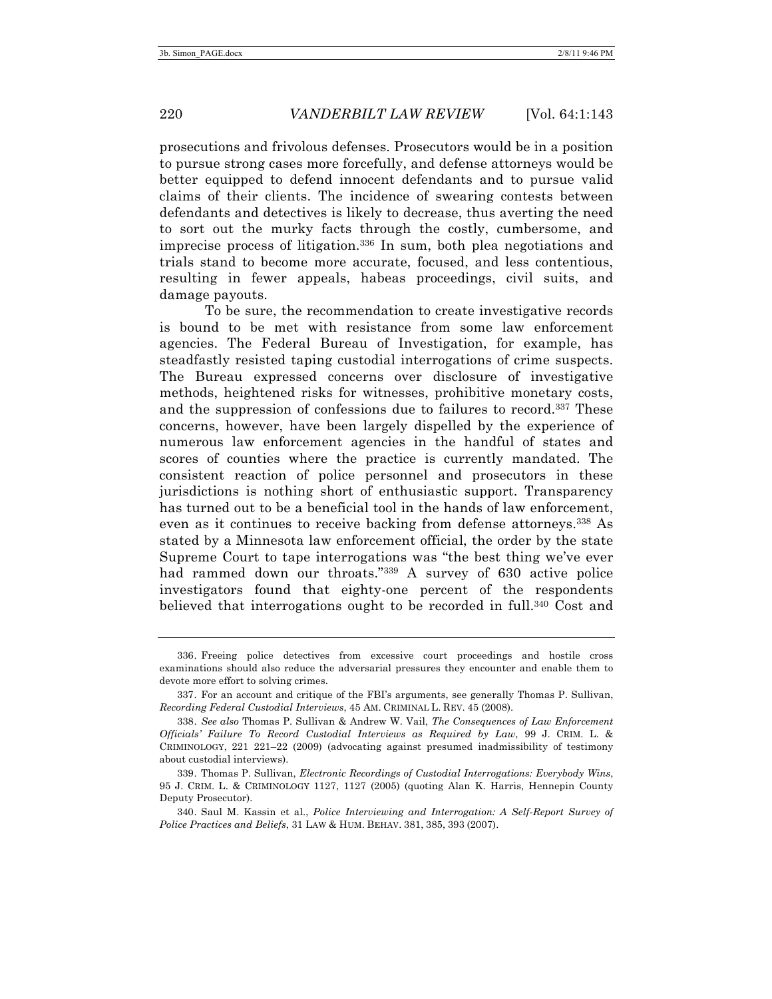prosecutions and frivolous defenses. Prosecutors would be in a position to pursue strong cases more forcefully, and defense attorneys would be better equipped to defend innocent defendants and to pursue valid claims of their clients. The incidence of swearing contests between defendants and detectives is likely to decrease, thus averting the need to sort out the murky facts through the costly, cumbersome, and imprecise process of litigation. <sup>336</sup> In sum, both plea negotiations and trials stand to become more accurate, focused, and less contentious, resulting in fewer appeals, habeas proceedings, civil suits, and damage payouts.

To be sure, the recommendation to create investigative records is bound to be met with resistance from some law enforcement agencies. The Federal Bureau of Investigation, for example, has steadfastly resisted taping custodial interrogations of crime suspects. The Bureau expressed concerns over disclosure of investigative methods, heightened risks for witnesses, prohibitive monetary costs, and the suppression of confessions due to failures to record.337 These concerns, however, have been largely dispelled by the experience of numerous law enforcement agencies in the handful of states and scores of counties where the practice is currently mandated. The consistent reaction of police personnel and prosecutors in these jurisdictions is nothing short of enthusiastic support. Transparency has turned out to be a beneficial tool in the hands of law enforcement, even as it continues to receive backing from defense attorneys.338 As stated by a Minnesota law enforcement official, the order by the state Supreme Court to tape interrogations was "the best thing we've ever had rammed down our throats."339 A survey of 630 active police investigators found that eighty-one percent of the respondents believed that interrogations ought to be recorded in full.340 Cost and

<sup>336.</sup> Freeing police detectives from excessive court proceedings and hostile cross examinations should also reduce the adversarial pressures they encounter and enable them to devote more effort to solving crimes.

<sup>337.</sup> For an account and critique of the FBI's arguments, see generally Thomas P. Sullivan, *Recording Federal Custodial Interviews*, 45 AM. CRIMINAL L. REV. 45 (2008).

<sup>338.</sup> *See also* Thomas P. Sullivan & Andrew W. Vail, *The Consequences of Law Enforcement Officials' Failure To Record Custodial Interviews as Required by Law*, 99 J. CRIM. L. & CRIMINOLOGY, 221 221–22 (2009) (advocating against presumed inadmissibility of testimony about custodial interviews).

<sup>339.</sup> Thomas P. Sullivan, *Electronic Recordings of Custodial Interrogations: Everybody Wins*, 95 J. CRIM. L. & CRIMINOLOGY 1127, 1127 (2005) (quoting Alan K. Harris, Hennepin County Deputy Prosecutor).

<sup>340.</sup> Saul M. Kassin et al., *Police Interviewing and Interrogation: A Self-Report Survey of Police Practices and Beliefs*, 31 LAW & HUM. BEHAV. 381, 385, 393 (2007).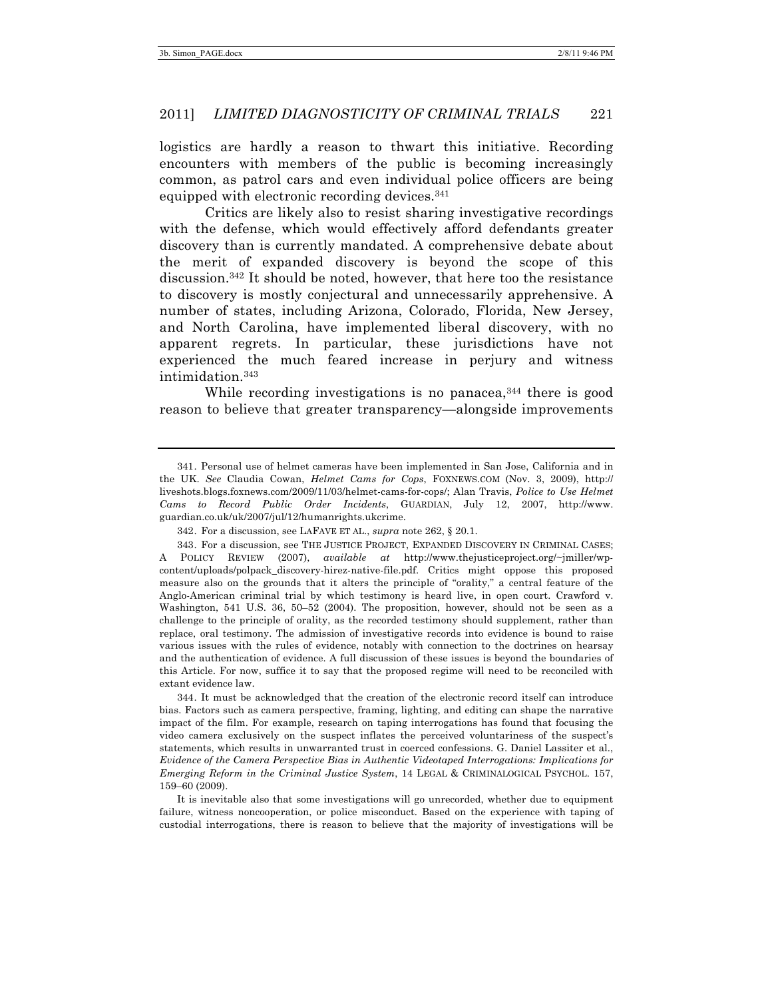logistics are hardly a reason to thwart this initiative. Recording encounters with members of the public is becoming increasingly common, as patrol cars and even individual police officers are being equipped with electronic recording devices. 341

Critics are likely also to resist sharing investigative recordings with the defense, which would effectively afford defendants greater discovery than is currently mandated. A comprehensive debate about the merit of expanded discovery is beyond the scope of this discussion.342 It should be noted, however, that here too the resistance to discovery is mostly conjectural and unnecessarily apprehensive. A number of states, including Arizona, Colorado, Florida, New Jersey, and North Carolina, have implemented liberal discovery, with no apparent regrets. In particular, these jurisdictions have not experienced the much feared increase in perjury and witness intimidation.343

While recording investigations is no panacea,  $344$  there is good reason to believe that greater transparency—alongside improvements

344. It must be acknowledged that the creation of the electronic record itself can introduce bias. Factors such as camera perspective, framing, lighting, and editing can shape the narrative impact of the film. For example, research on taping interrogations has found that focusing the video camera exclusively on the suspect inflates the perceived voluntariness of the suspect's statements, which results in unwarranted trust in coerced confessions. G. Daniel Lassiter et al., *Evidence of the Camera Perspective Bias in Authentic Videotaped Interrogations: Implications for Emerging Reform in the Criminal Justice System*, 14 LEGAL & CRIMINALOGICAL PSYCHOL. 157, 159–60 (2009).

It is inevitable also that some investigations will go unrecorded, whether due to equipment failure, witness noncooperation, or police misconduct. Based on the experience with taping of custodial interrogations, there is reason to believe that the majority of investigations will be

<sup>341.</sup> Personal use of helmet cameras have been implemented in San Jose, California and in the UK. *See* Claudia Cowan, *Helmet Cams for Cops*, FOXNEWS.COM (Nov. 3, 2009), http:// liveshots.blogs.foxnews.com/2009/11/03/helmet-cams-for-cops/; Alan Travis, *Police to Use Helmet Cams to Record Public Order Incidents*, GUARDIAN, July 12, 2007, http://www. guardian.co.uk/uk/2007/jul/12/humanrights.ukcrime.

<sup>342.</sup> For a discussion, see LAFAVE ET AL., *supra* note 262, § 20.1.

<sup>343.</sup> For a discussion, see THE JUSTICE PROJECT, EXPANDED DISCOVERY IN CRIMINAL CASES; A POLICY REVIEW (2007), *available at* http://www.thejusticeproject.org/~jmiller/wpcontent/uploads/polpack\_discovery-hirez-native-file.pdf. Critics might oppose this proposed measure also on the grounds that it alters the principle of "orality," a central feature of the Anglo-American criminal trial by which testimony is heard live, in open court. Crawford v. Washington, 541 U.S. 36, 50–52 (2004). The proposition, however, should not be seen as a challenge to the principle of orality, as the recorded testimony should supplement, rather than replace, oral testimony. The admission of investigative records into evidence is bound to raise various issues with the rules of evidence, notably with connection to the doctrines on hearsay and the authentication of evidence. A full discussion of these issues is beyond the boundaries of this Article. For now, suffice it to say that the proposed regime will need to be reconciled with extant evidence law.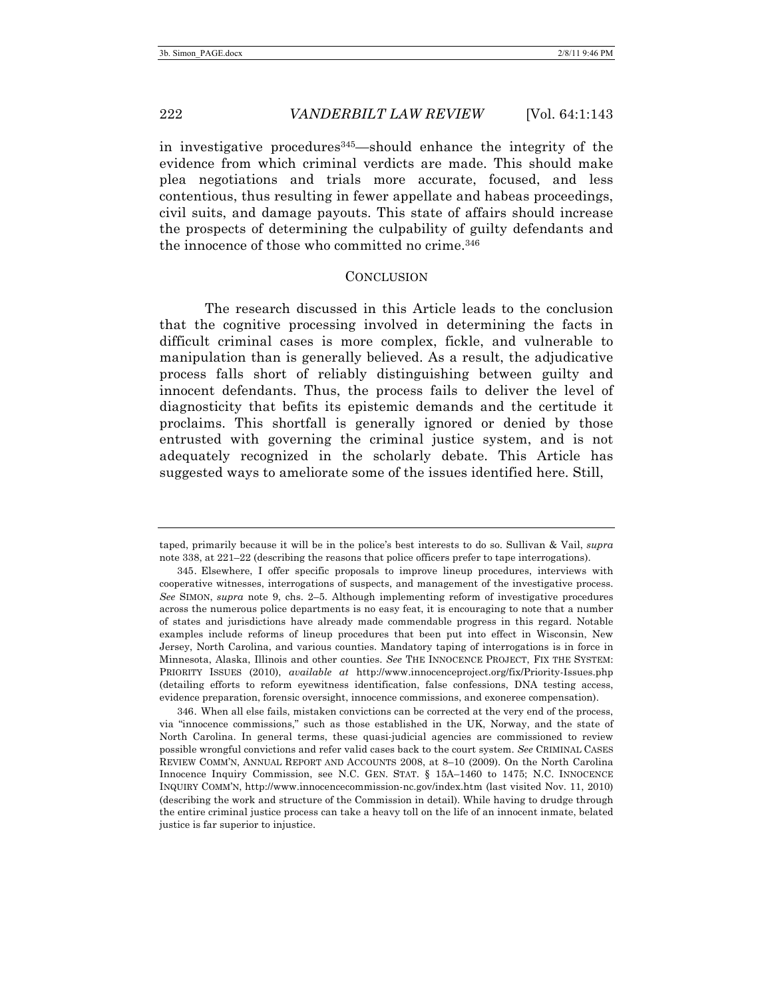in investigative procedures345—should enhance the integrity of the evidence from which criminal verdicts are made. This should make plea negotiations and trials more accurate, focused, and less contentious, thus resulting in fewer appellate and habeas proceedings, civil suits, and damage payouts. This state of affairs should increase the prospects of determining the culpability of guilty defendants and the innocence of those who committed no crime.346

## **CONCLUSION**

The research discussed in this Article leads to the conclusion that the cognitive processing involved in determining the facts in difficult criminal cases is more complex, fickle, and vulnerable to manipulation than is generally believed. As a result, the adjudicative process falls short of reliably distinguishing between guilty and innocent defendants. Thus, the process fails to deliver the level of diagnosticity that befits its epistemic demands and the certitude it proclaims. This shortfall is generally ignored or denied by those entrusted with governing the criminal justice system, and is not adequately recognized in the scholarly debate. This Article has suggested ways to ameliorate some of the issues identified here. Still,

346. When all else fails, mistaken convictions can be corrected at the very end of the process, via "innocence commissions," such as those established in the UK, Norway, and the state of North Carolina. In general terms, these quasi-judicial agencies are commissioned to review possible wrongful convictions and refer valid cases back to the court system. *See* CRIMINAL CASES REVIEW COMM'N, ANNUAL REPORT AND ACCOUNTS 2008, at 8–10 (2009). On the North Carolina Innocence Inquiry Commission, see N.C. GEN. STAT. § 15A–1460 to 1475; N.C. INNOCENCE INQUIRY COMM'N, http://www.innocencecommission-nc.gov/index.htm (last visited Nov. 11, 2010) (describing the work and structure of the Commission in detail). While having to drudge through the entire criminal justice process can take a heavy toll on the life of an innocent inmate, belated justice is far superior to injustice.

taped, primarily because it will be in the police's best interests to do so. Sullivan & Vail, *supra* note 338, at 221–22 (describing the reasons that police officers prefer to tape interrogations).

<sup>345.</sup> Elsewhere, I offer specific proposals to improve lineup procedures, interviews with cooperative witnesses, interrogations of suspects, and management of the investigative process. *See* SIMON, *supra* note 9, chs. 2–5. Although implementing reform of investigative procedures across the numerous police departments is no easy feat, it is encouraging to note that a number of states and jurisdictions have already made commendable progress in this regard. Notable examples include reforms of lineup procedures that been put into effect in Wisconsin, New Jersey, North Carolina, and various counties. Mandatory taping of interrogations is in force in Minnesota, Alaska, Illinois and other counties. *See* THE INNOCENCE PROJECT, FIX THE SYSTEM: PRIORITY ISSUES (2010), *available at* http://www.innocenceproject.org/fix/Priority-Issues.php (detailing efforts to reform eyewitness identification, false confessions, DNA testing access, evidence preparation, forensic oversight, innocence commissions, and exoneree compensation).